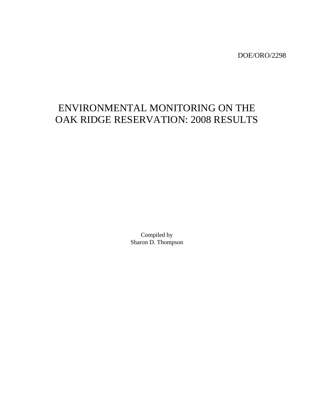DOE/ORO/2298

# ENVIRONMENTAL MONITORING ON THE OAK RIDGE RESERVATION: 2008 RESULTS

Compiled by Sharon D. Thompson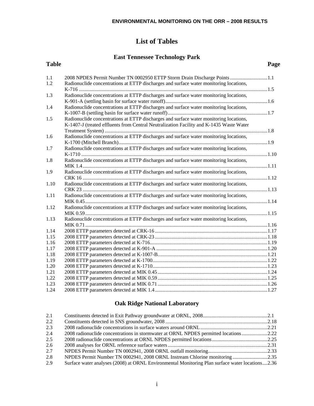## **List of Tables**

### **East Tennessee Technology Park**

| <b>Table</b> |                                                                                         | Page |
|--------------|-----------------------------------------------------------------------------------------|------|
| 1.1          | 2008 NPDES Permit Number TN 0002950 ETTP Storm Drain Discharge Points 1.1               |      |
| 1.2          | Radionuclide concentrations at ETTP discharges and surface water monitoring locations,  |      |
|              |                                                                                         |      |
| 1.3          | Radionuclide concentrations at ETTP discharges and surface water monitoring locations,  |      |
| 1.4          | Radionuclide concentrations at ETTP discharges and surface water monitoring locations,  |      |
|              |                                                                                         |      |
| 1.5          | Radionuclide concentrations at ETTP discharges and surface water monitoring locations,  |      |
|              | K-1407-J (treated effluents from Central Neutralization Facility and K-1435 Waste Water |      |
|              |                                                                                         |      |
| 1.6          | Radionuclide concentrations at ETTP discharges and surface water monitoring locations,  |      |
|              |                                                                                         |      |
| 1.7          | Radionuclide concentrations at ETTP discharges and surface water monitoring locations,  |      |
|              |                                                                                         |      |
| 1.8          | Radionuclide concentrations at ETTP discharges and surface water monitoring locations,  |      |
|              |                                                                                         |      |
| 1.9          | Radionuclide concentrations at ETTP discharges and surface water monitoring locations,  |      |
|              |                                                                                         |      |
| 1.10         | Radionuclide concentrations at ETTP discharges and surface water monitoring locations,  |      |
|              |                                                                                         |      |
| 1.11         | Radionuclide concentrations at ETTP discharges and surface water monitoring locations,  |      |
|              |                                                                                         |      |
| 1.12         | Radionuclide concentrations at ETTP discharges and surface water monitoring locations,  |      |
|              |                                                                                         |      |
| 1.13         | Radionuclide concentrations at ETTP discharges and surface water monitoring locations,  |      |
|              |                                                                                         |      |
| 1.14         |                                                                                         |      |
| 1.15         |                                                                                         |      |
| 1.16         |                                                                                         |      |
| 1.17         |                                                                                         |      |
| 1.18         |                                                                                         |      |
| 1.19         |                                                                                         |      |
| 1.20         |                                                                                         |      |
| 1.21         |                                                                                         |      |
| 1.22         |                                                                                         |      |
| 1.23         |                                                                                         |      |
| 1.24         |                                                                                         |      |

## **Oak Ridge National Laboratory**

| 2.1 |                                                                                                 |  |
|-----|-------------------------------------------------------------------------------------------------|--|
| 2.2 |                                                                                                 |  |
| 2.3 |                                                                                                 |  |
| 2.4 | 2.22 2008 radionuclide concentrations in stormwater at ORNL NPDES permitted locations2.22       |  |
| 2.5 |                                                                                                 |  |
| 2.6 |                                                                                                 |  |
| 2.7 |                                                                                                 |  |
| 2.8 | NPDES Permit Number TN 0002941, 2008 ORNL Instream Chlorine monitoring 2.35                     |  |
| 2.9 | Surface water analyses (2008) at ORNL Environmental Monitoring Plan surface water locations2.36 |  |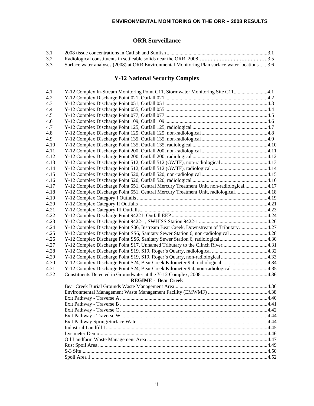## **ORR Surveillance**

| 3.1 |                                                                                                |  |
|-----|------------------------------------------------------------------------------------------------|--|
| 3.2 |                                                                                                |  |
| 3.3 | Surface water analyses (2008) at ORR Environmental Monitoring Plan surface water locations 3.6 |  |

## **Y-12 National Security Complex**

| 4.1  | Y-12 Complex In-Stream Monitoring Point C11, Stormwater Monitoring Site C114.1         |  |
|------|----------------------------------------------------------------------------------------|--|
| 4.2  |                                                                                        |  |
| 4.3  |                                                                                        |  |
| 4.4  |                                                                                        |  |
| 4.5  |                                                                                        |  |
| 4.6  |                                                                                        |  |
| 4.7  |                                                                                        |  |
| 4.8  |                                                                                        |  |
| 4.9  |                                                                                        |  |
| 4.10 |                                                                                        |  |
| 4.11 |                                                                                        |  |
| 4.12 |                                                                                        |  |
| 4.13 | Y-12 Complex Discharge Point 512, Outfall 512 (GWTF), non-radiological 4.13            |  |
| 4.14 |                                                                                        |  |
| 4.15 |                                                                                        |  |
| 4.16 |                                                                                        |  |
| 4.17 | Y-12 Complex Discharge Point 551, Central Mercury Treatment Unit, non-radiological4.17 |  |
| 4.18 | Y-12 Complex Discharge Point 551, Central Mercury Treatment Unit, radiological4.18     |  |
| 4.19 |                                                                                        |  |
| 4.20 |                                                                                        |  |
| 4.21 |                                                                                        |  |
| 4.22 |                                                                                        |  |
| 4.23 |                                                                                        |  |
| 4.24 | Y-12 Complex Discharge Point S06, Instream Bear Creek, Downstream of Tributary4.27     |  |
| 4.25 | Y-12 Complex Discharge Point SS6, Sanitary Sewer Station 6, non-radiological 4.28      |  |
| 4.26 |                                                                                        |  |
| 4.27 | Y-12 Complex Discharge Point S17, Unnamed Tributary to the Clinch River4.31            |  |
| 4.28 |                                                                                        |  |
| 4.29 | Y-12 Complex Discharge Point S19, S19, Roger's Quarry, non-radiological 4.33           |  |
| 4.30 | Y-12 Complex Discharge Point S24, Bear Creek Kilometer 9.4, radiological 4.34          |  |
| 4.31 | Y-12 Complex Discharge Point S24, Bear Creek Kilometer 9.4, non-radiological 4.35      |  |
| 4.32 |                                                                                        |  |
|      | <b>REGIME - Bear Creek</b>                                                             |  |
|      |                                                                                        |  |
|      |                                                                                        |  |
|      |                                                                                        |  |
|      |                                                                                        |  |
|      |                                                                                        |  |
|      |                                                                                        |  |
|      |                                                                                        |  |
|      |                                                                                        |  |
|      |                                                                                        |  |
|      |                                                                                        |  |
|      |                                                                                        |  |
|      |                                                                                        |  |
|      |                                                                                        |  |
|      |                                                                                        |  |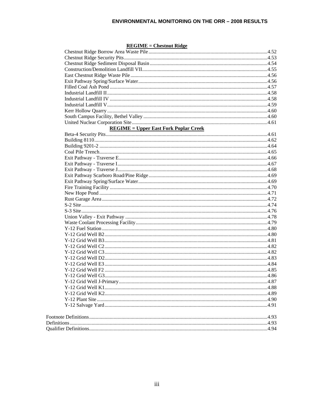#### $REGIME = Chestnut Ridge$

| <b>REGIME</b> = Upper East Fork Poplar Creek |  |
|----------------------------------------------|--|
|                                              |  |
|                                              |  |
|                                              |  |
|                                              |  |
|                                              |  |
|                                              |  |
|                                              |  |
|                                              |  |
|                                              |  |
|                                              |  |
|                                              |  |
|                                              |  |
|                                              |  |
|                                              |  |
|                                              |  |
|                                              |  |
|                                              |  |
|                                              |  |
|                                              |  |
|                                              |  |
|                                              |  |
|                                              |  |
|                                              |  |
|                                              |  |
|                                              |  |
|                                              |  |
|                                              |  |
|                                              |  |
|                                              |  |
|                                              |  |
|                                              |  |
|                                              |  |
|                                              |  |
|                                              |  |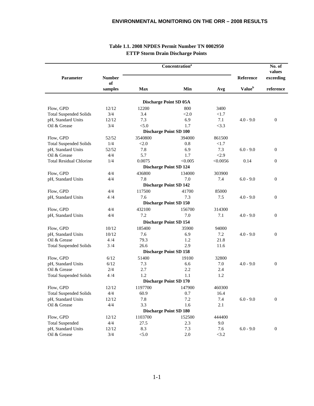| Parameter                      | <b>Number</b> |            | Concentration <sup>a</sup>    |          | Reference          | No. of<br>values<br>exceeding |
|--------------------------------|---------------|------------|-------------------------------|----------|--------------------|-------------------------------|
|                                | оf<br>samples | <b>Max</b> | Min                           | Avg      | Value <sup>b</sup> | reference                     |
|                                |               |            |                               |          |                    |                               |
|                                |               |            | <b>Discharge Point SD 05A</b> |          |                    |                               |
| Flow, GPD                      | 12/12         | 12200      | 800                           | 3400     |                    |                               |
| <b>Total Suspended Solids</b>  | 3/4           | 3.4        | < 2.0                         | <1.7     |                    |                               |
| pH, Standard Units             | 12/12         | 7.3        | 6.9                           | 7.1      | $4.0 - 9.0$        | $\mathbf{0}$                  |
| Oil & Grease                   | 3/4           | < 5.0      | 1.7                           | <3.3     |                    |                               |
|                                |               |            | <b>Discharge Point SD 100</b> |          |                    |                               |
| Flow, GPD                      | 52/52         | 3540800    | 394000                        | 861500   |                    |                               |
| <b>Total Suspended Solids</b>  | 1/4           | < 2.0      | 0.8                           | <1.7     |                    |                               |
| pH, Standard Units             | 52/52         | 7.8        | 6.9                           | 7.3      | $6.0 - 9.0$        | $\boldsymbol{0}$              |
| Oil & Grease                   | 4/4           | 5.7        | 1.7                           | < 2.9    |                    |                               |
| <b>Total Residual Chlorine</b> | 1/4           | 0.0075     | < 0.005                       | < 0.0056 | 0.14               | $\boldsymbol{0}$              |
|                                |               |            | <b>Discharge Point SD 124</b> |          |                    |                               |
| Flow, GPD                      | 4/4           | 436800     | 134000                        | 303900   |                    |                               |
| pH, Standard Units             | 4/4           | 7.8        | 7.0                           | 7.4      | $6.0 - 9.0$        | $\boldsymbol{0}$              |
|                                |               |            | <b>Discharge Point SD 142</b> |          |                    |                               |
| Flow, GPD                      | 4/4           | 117500     | 41700                         | 85000    |                    |                               |
| pH, Standard Units             | 4/4           | 7.6        | 7.3                           | 7.5      | $4.0 - 9.0$        | $\mathbf{0}$                  |
|                                |               |            | <b>Discharge Point SD 150</b> |          |                    |                               |
| Flow, GPD                      | 4/4           | 432100     | 156700                        | 314300   |                    |                               |
| pH, Standard Units             | 4/4           | 7.2        | 7.0                           | 7.1      | $4.0 - 9.0$        | $\mathbf{0}$                  |
|                                |               |            |                               |          |                    |                               |
|                                |               |            | <b>Discharge Point SD 154</b> |          |                    |                               |
| Flow, GPD                      | 10/12         | 185400     | 35900                         | 94000    |                    |                               |
| pH, Standard Units             | 10/12         | 7.6        | 6.9                           | 7.2      | $4.0 - 9.0$        | $\boldsymbol{0}$              |
| Oil & Grease                   | 4/4           | 79.3       | 1.2                           | 21.8     |                    |                               |
| <b>Total Suspended Solids</b>  | 3/4           | 26.6       | 2.9                           | 11.6     |                    |                               |
|                                |               |            | <b>Discharge Point SD 158</b> |          |                    |                               |
| Flow, GPD                      | 6/12          | 51400      | 19100                         | 32800    |                    |                               |
| pH, Standard Units             | 6/12          | 7.3        | 6.6                           | 7.0      | $4.0 - 9.0$        | $\boldsymbol{0}$              |
| Oil & Grease                   | 2/4           | 2.7        | 2.2                           | 2.4      |                    |                               |
| <b>Total Suspended Solids</b>  | 4/4           | 1.2        | 1.1                           | 1.2      |                    |                               |
|                                |               |            | <b>Discharge Point SD 170</b> |          |                    |                               |
| Flow, GPD                      | 12/12         | 1197700    | 147900                        | 460300   |                    |                               |
| <b>Total Suspended Solids</b>  | 4/4           | 60.9       | 0.7                           | 16.4     |                    |                               |
| pH, Standard Units             | 12/12         | 7.8        | 7.2                           | 7.4      | $6.0 - 9.0$        | $\boldsymbol{0}$              |
| Oil & Grease                   | 4/4           | 3.3        | 1.6                           | 2.1      |                    |                               |
|                                |               |            | <b>Discharge Point SD 180</b> |          |                    |                               |
| Flow, GPD                      | 12/12         | 1103700    | 152500                        | 444400   |                    |                               |
| <b>Total Suspended</b>         | 4/4           | 27.5       | 2.3                           | 9.0      |                    |                               |
| pH, Standard Units             | 12/12         | 8.3        | 7.3                           | 7.6      | $6.0 - 9.0$        | $\boldsymbol{0}$              |
| Oil & Grease                   | 3/4           | < 5.0      | $2.0\,$                       | <3.2     |                    |                               |

### **Table 1.1. 2008 NPDES Permit Number TN 0002950 ETTP Storm Drain Discharge Points**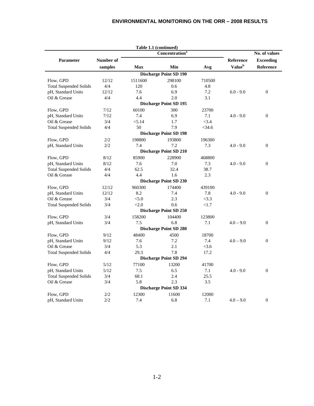|                               |           |            | Table 1.1 (continued)         |          |                    |                  |
|-------------------------------|-----------|------------|-------------------------------|----------|--------------------|------------------|
|                               |           |            | Concentration <sup>a</sup>    |          |                    | No. of values    |
| <b>Parameter</b>              | Number of |            |                               |          | Reference          | <b>Exceeding</b> |
|                               | samples   | <b>Max</b> | Min                           | Avg      | Value <sup>b</sup> | Reference        |
|                               |           |            | <b>Discharge Point SD 190</b> |          |                    |                  |
| Flow, GPD                     | 12/12     | 1511600    | 298100                        | 710500   |                    |                  |
| <b>Total Suspended Solids</b> | 4/4       | 120        | 0.6                           | 4.8      |                    |                  |
| pH, Standard Units            | 12/12     | 7.6        | 6.9                           | 7.2      | $6.0 - 9.0$        | $\theta$         |
| Oil & Grease                  | 4/4       | 4.4        | 2.0                           | 3.1      |                    |                  |
|                               |           |            | <b>Discharge Point SD 195</b> |          |                    |                  |
| Flow, GPD                     | 7/12      | 60100      | 300                           | 23700    |                    |                  |
| pH, Standard Units            | 7/12      | 7.4        | 6.9                           | 7.1      | $4.0 - 9.0$        | $\theta$         |
| Oil & Grease                  | 3/4       | < 5.14     | 1.7                           | <3.4     |                    |                  |
| <b>Total Suspended Solids</b> | 4/4       | 50         | 7.9                           | $<$ 34.6 |                    |                  |
|                               |           |            | <b>Discharge Point SD 198</b> |          |                    |                  |
| Flow, GPD                     | 2/2       | 198800     | 193800                        | 196300   |                    |                  |
| pH, Standard Units            | 2/2       | 7.4        | 7.2                           | 7.3      | $4.0 - 9.0$        | $\mathbf{0}$     |
|                               |           |            | <b>Discharge Point SD 210</b> |          |                    |                  |
| Flow, GPD                     | 8/12      | 85900      | 228900                        | 468800   |                    |                  |
| pH, Standard Units            | 8/12      | 7.6        | 7.0                           | 7.3      | $4.0 - 9.0$        | $\theta$         |
| <b>Total Suspended Solids</b> | 4/4       | 62.5       | 32.4                          | 38.7     |                    |                  |
| Oil & Grease                  | 4/4       | 4.4        | 1.6                           | 2.3      |                    |                  |
|                               |           |            | <b>Discharge Point SD 230</b> |          |                    |                  |
| Flow, GPD                     | 12/12     | 960300     | 174400                        | 439100   |                    |                  |
| pH, Standard Units            | 12/12     | 8.2        | 7.4                           | 7.8      | $4.0 - 9.0$        | $\theta$         |
| Oil & Grease                  | 3/4       | < 5.0      | 2.3                           | <3.3     |                    |                  |
| <b>Total Suspended Solids</b> | 3/4       | < 2.0      | 0.6                           | <1.7     |                    |                  |
|                               |           |            | <b>Discharge Point SD 250</b> |          |                    |                  |
| Flow, GPD                     | 3/4       | 158200     | 104400                        | 123800   |                    |                  |
| pH, Standard Units            | 3/4       | 7.5        | 6.8                           | 7.1      | $4.0 - 9.0$        | $\Omega$         |
|                               |           |            | <b>Discharge Point SD 280</b> |          |                    |                  |
| Flow, GPD                     | 9/12      | 48400      | 4500                          | 18700    |                    |                  |
| pH, Standard Units            | 9/12      | 7.6        | 7.2                           | 7.4      | $4.0 - 9.0$        | $\theta$         |
| Oil & Grease                  | 3/4       | 5.3        | 2.1                           | < 3.6    |                    |                  |
| <b>Total Suspended Solids</b> | 4/4       | 29.3       | 7.8                           | 17.2     |                    |                  |
|                               |           |            | <b>Discharge Point SD 294</b> |          |                    |                  |
| Flow, GPD                     | 5/12      | 77100      | 13200                         | 41700    |                    |                  |
| pH, Standard Units            | 5/12      | 7.5        | 6.5                           | 7.1      | $4.0 - 9.0$        | $\mathbf{0}$     |
| <b>Total Suspended Solids</b> | 3/4       | 68.1       | 2.4                           | 25.5     |                    |                  |
| Oil & Grease                  | 3/4       | 5.8        | 2.3                           | 3.5      |                    |                  |
|                               |           |            | <b>Discharge Point SD 334</b> |          |                    |                  |
| Flow, GPD                     | 2/2       | 12300      | 11600                         | 12000    |                    |                  |
| pH, Standard Units            | 2/2       | 7.4        | 6.8                           | 7.1      | $4.0 - 9.0$        | $\theta$         |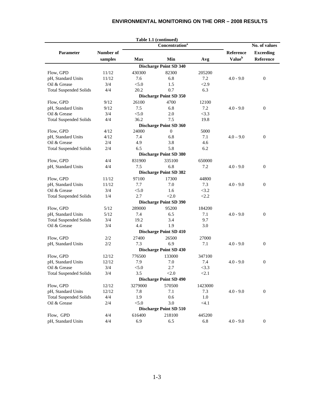|                               |           |                | Table 1.1 (continued)         |         |                           |                  |
|-------------------------------|-----------|----------------|-------------------------------|---------|---------------------------|------------------|
|                               |           |                | Concentration <sup>a</sup>    |         |                           | No. of values    |
| <b>Parameter</b>              | Number of |                |                               |         | <b>Reference</b>          | <b>Exceeding</b> |
|                               | samples   | <b>Max</b>     | Min                           | Avg     | <b>Value</b> <sup>b</sup> | Reference        |
|                               |           |                | <b>Discharge Point SD 340</b> |         |                           |                  |
| Flow, GPD                     | 11/12     | 430300         | 82300                         | 205200  |                           |                  |
| pH, Standard Units            | 11/12     | 7.6            | 6.8                           | 7.2     | $4.0 - 9.0$               | $\mathbf{0}$     |
| Oil & Grease                  | 3/4       | < 5.0          | 1.5                           | < 2.9   |                           |                  |
| <b>Total Suspended Solids</b> | 4/4       | 20.2           | 0.7                           | 6.3     |                           |                  |
|                               |           |                | <b>Discharge Point SD 350</b> |         |                           |                  |
| Flow, GPD                     | 9/12      | 26100          | 4700                          | 12100   |                           |                  |
| pH, Standard Units            | 9/12      | 7.5            | 6.8                           | 7.2     | $4.0 - 9.0$               | $\mathbf{0}$     |
| Oil & Grease                  | 3/4       | < 5.0          | 2.0                           | <3.3    |                           |                  |
| <b>Total Suspended Solids</b> | 4/4       | 36.2           | 7.5                           | 19.8    |                           |                  |
|                               |           |                | <b>Discharge Point SD 360</b> |         |                           |                  |
| Flow, GPD                     | 4/12      | 24000          | $\overline{0}$                | 5000    |                           |                  |
| pH, Standard Units            | 4/12      | 7.4            | 6.8                           | 7.1     | $4.0 - 9.0$               | $\mathbf{0}$     |
| Oil & Grease                  | 2/4       | 4.9            | 3.8                           | 4.6     |                           |                  |
| <b>Total Suspended Solids</b> | 2/4       | 6.5            | 5.8                           | 6.2     |                           |                  |
|                               |           |                | <b>Discharge Point SD 380</b> |         |                           |                  |
|                               |           |                |                               |         |                           |                  |
| Flow, GPD                     | 4/4       | 831900         | 335100                        | 650000  |                           |                  |
| pH, Standard Units            | 4/4       | 7.5            | 6.8                           | 7.2     | $4.0 - 9.0$               | $\mathbf{0}$     |
|                               |           |                | <b>Discharge Point SD 382</b> |         |                           |                  |
| Flow, GPD                     | 11/12     | 97100          | 17300                         | 44800   |                           |                  |
| pH, Standard Units            | 11/12     | 7.7            | 7.0                           | 7.3     | $4.0 - 9.0$               | $\mathbf{0}$     |
| Oil & Grease                  | 3/4       | < 5.0          | 1.6                           | <3.2    |                           |                  |
| <b>Total Suspended Solids</b> | 1/4       | 2.7            | < 2.0                         | <2.2    |                           |                  |
|                               |           |                | <b>Discharge Point SD 390</b> |         |                           |                  |
| Flow, GPD                     | 5/12      | 289000         | 95200                         | 184200  |                           |                  |
| pH, Standard Units            | 5/12      | 7.4            | 6.5                           | 7.1     | $4.0 - 9.0$               | $\mathbf{0}$     |
| <b>Total Suspended Solids</b> | 3/4       | 19.2           | 3.4                           | 9.7     |                           |                  |
| Oil & Grease                  | 3/4       | 4.4            | 1.9                           | 3.0     |                           |                  |
|                               |           |                | <b>Discharge Point SD 410</b> |         |                           |                  |
| Flow, GPD                     | 2/2       | 27400          | 26500                         | 27000   |                           |                  |
| pH, Standard Units            | 2/2       | 7.3            | 6.9                           | 7.1     | $4.0 - 9.0$               | $\mathbf{0}$     |
|                               |           |                | <b>Discharge Point SD 430</b> |         |                           |                  |
| Flow, GPD                     | 12/12     | 776500         | 133000                        | 347100  |                           |                  |
| pH, Standard Units            | 12/12     | 7.9            | 7.0                           | 7.4     | $4.0 - 9.0$               | $\mathbf{0}$     |
| Oil & Grease                  | 3/4       | < 5.0          | 2.7                           | <3.3    |                           |                  |
| <b>Total Suspended Solids</b> | 3/4       | 3.5            | < 2.0                         | < 2.1   |                           |                  |
|                               |           |                | <b>Discharge Point SD 490</b> |         |                           |                  |
| Flow, GPD                     |           |                |                               |         |                           |                  |
|                               | 12/12     | 3279000<br>7.8 | 570500<br>7.1                 | 1423000 | $4.0 - 9.0$               | $\boldsymbol{0}$ |
| pH, Standard Units            | 12/12     |                |                               | 7.3     |                           |                  |
| <b>Total Suspended Solids</b> | 4/4       | 1.9            | 0.6                           | $1.0\,$ |                           |                  |
| Oil & Grease                  | 2/4       | < 5.0          | 3.0                           | < 4.1   |                           |                  |
|                               |           |                | <b>Discharge Point SD 510</b> |         |                           |                  |
| Flow, GPD                     | 4/4       | 616400         | 218100                        | 445200  |                           |                  |
| pH, Standard Units            | 4/4       | 6.9            | 6.5                           | 6.8     | $4.0 - 9.0$               | $\mathbf{0}$     |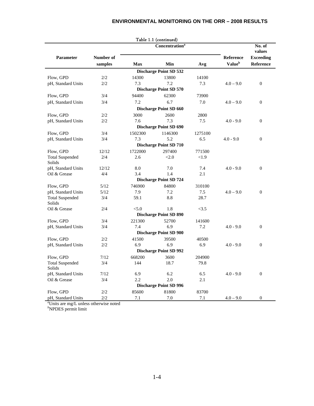|                                  |                      | TAUIC I.I  | $($ comunucu $)$<br><b>Concentration</b> <sup>a</sup> |         |                                               | No. of                        |  |
|----------------------------------|----------------------|------------|-------------------------------------------------------|---------|-----------------------------------------------|-------------------------------|--|
|                                  |                      |            |                                                       |         |                                               |                               |  |
| Parameter                        | Number of<br>samples | <b>Max</b> | Min                                                   | Avg     | <b>Reference</b><br><b>Value</b> <sup>b</sup> | <b>Exceeding</b><br>Reference |  |
|                                  |                      |            | <b>Discharge Point SD 532</b>                         |         |                                               |                               |  |
| Flow, GPD                        | 2/2                  | 14300      | 13800                                                 | 14100   |                                               |                               |  |
| pH, Standard Units               | 2/2                  | 7.3        | 7.2                                                   | 7.3     | $4.0 - 9.0$                                   | $\overline{0}$                |  |
|                                  |                      |            | Discharge Point SD 570                                |         |                                               |                               |  |
| Flow, GPD                        | 3/4                  | 94400      | 62300                                                 | 73900   |                                               |                               |  |
| pH, Standard Units               | 3/4                  | 7.2        | 6.7                                                   | 7.0     | $4.0 - 9.0$                                   | $\boldsymbol{0}$              |  |
|                                  |                      |            | <b>Discharge Point SD 660</b>                         |         |                                               |                               |  |
| Flow, GPD                        | 2/2                  | 3000       | 2600                                                  | 2800    |                                               |                               |  |
| pH, Standard Units               | 2/2                  | 7.6        | 7.3                                                   | 7.5     | $4.0 - 9.0$                                   | $\boldsymbol{0}$              |  |
|                                  |                      |            | <b>Discharge Point SD 690</b>                         |         |                                               |                               |  |
| Flow, GPD                        | 3/4                  | 1502300    | 1146300                                               | 1275100 |                                               |                               |  |
| pH, Standard Units               | 3/4                  | 7.3        | 5.2                                                   | 6.5     | $4.0 - 9.0$                                   | $\mathbf{0}$                  |  |
|                                  |                      |            | <b>Discharge Point SD 710</b>                         |         |                                               |                               |  |
| Flow, GPD                        | 12/12                | 1722000    | 297400                                                | 771500  |                                               |                               |  |
| <b>Total Suspended</b>           | 2/4                  | 2.6        | < 2.0                                                 | < 1.9   |                                               |                               |  |
| Solids                           |                      |            |                                                       |         |                                               |                               |  |
| pH, Standard Units               | 12/12                | 8.0        | 7.0                                                   | 7.4     | $4.0 - 9.0$                                   | $\boldsymbol{0}$              |  |
| Oil & Grease                     | 4/4                  | 3.4        | 1.4                                                   | 2.1     |                                               |                               |  |
|                                  |                      |            | <b>Discharge Point SD 724</b>                         |         |                                               |                               |  |
| Flow, GPD                        | 5/12                 | 746900     | 84800                                                 | 310100  |                                               |                               |  |
| pH, Standard Units               | 5/12                 | 7.9        | 7.2                                                   | 7.5     | $4.0 - 9.0$                                   | $\mathbf{0}$                  |  |
| <b>Total Suspended</b><br>Solids | 3/4                  | 59.1       | 8.8                                                   | 28.7    |                                               |                               |  |
| Oil & Grease                     | 2/4                  | < 5.0      | 1.8                                                   | <3.5    |                                               |                               |  |
|                                  |                      |            | <b>Discharge Point SD 890</b>                         |         |                                               |                               |  |
| Flow, GPD                        | 3/4                  | 221300     | 52700                                                 | 141600  |                                               |                               |  |
| pH, Standard Units               | 3/4                  | 7.4        | 6.9                                                   | 7.2     | $4.0 - 9.0$                                   | $\boldsymbol{0}$              |  |
|                                  |                      |            | <b>Discharge Point SD 900</b>                         |         |                                               |                               |  |
| Flow, GPD                        | 2/2                  | 41500      | 39500                                                 | 40500   |                                               |                               |  |
| pH, Standard Units               | 2/2                  | 6.9        | 6.9                                                   | 6.9     | $4.0 - 9.0$                                   | $\mathbf{0}$                  |  |
|                                  |                      |            | <b>Discharge Point SD 992</b>                         |         |                                               |                               |  |
| Flow, GPD                        | 7/12                 | 668200     | 3600                                                  | 204900  |                                               |                               |  |
| <b>Total Suspended</b>           | 3/4                  | 144        | 18.7                                                  | 79.8    |                                               |                               |  |
| Solids                           |                      |            |                                                       |         |                                               |                               |  |
| pH, Standard Units               | 7/12                 | 6.9        | 6.2                                                   | 6.5     | $4.0 - 9.0$                                   | $\mathbf{0}$                  |  |
| Oil & Grease                     | 3/4                  | 2.2        | 2.0                                                   | 2.1     |                                               |                               |  |
|                                  |                      |            | <b>Discharge Point SD 996</b>                         |         |                                               |                               |  |
| Flow, GPD                        | $2/2\,$              | 85600      | 81800                                                 | 83700   |                                               |                               |  |
| pH, Standard Units               | 2/2                  | 7.1        | 7.0                                                   | 7.1     | $4.0 - 9.0$                                   | $\overline{0}$                |  |

*a* Units are mg/L unless otherwise noted *b* NPDES permit limit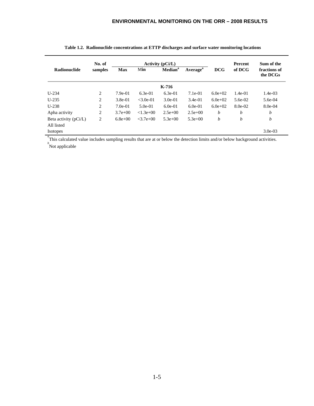|                                       | No. of  |             |                 | <b>Activity (pCi/L)</b> |                      |            | <b>Percent</b> | Sum of the               |
|---------------------------------------|---------|-------------|-----------------|-------------------------|----------------------|------------|----------------|--------------------------|
| <b>Radionuclide</b>                   | samples | <b>Max</b>  | Min             | Median <sup>a</sup>     | Average <sup>a</sup> | <b>DCG</b> | of DCG         | fractions of<br>the DCGs |
|                                       |         |             |                 | K-716                   |                      |            |                |                          |
| $U-234$                               | 2       | $7.9e-01$   | $6.3e-01$       | $6.3e-01$               | $7.1e-01$            | $6.0e+02$  | $1.4e-01$      | $1.4e-03$                |
| $U-235$                               | 2       | $3.8e-01$   | $<$ 3.0e-01     | $3.0e-01$               | $3.4e-01$            | $6.0e+02$  | $5.6e-02$      | 5.6e-04                  |
| $U-238$                               | 2       | $7.0e-01$   | $5.0e-01$       | $6.0e-01$               | $6.0e-01$            | $6.0e+02$  | 8.0e-02        | $8.0e-04$                |
| Apha activity                         | 2       | $3.7e+00$   | $< 1.3e+0.0$    | $2.5e+00$               | $2.5e+00$            | b          | b              | b                        |
| Beta activity $(pCi/L)$<br>All listed | 2       | $6.8e + 00$ | $< 3.7e + 0.01$ | $5.3e+00$               | $5.3e+00$            | b          | b              | b                        |
| <b>Isotopes</b>                       |         |             |                 |                         |                      |            |                | $3.0e-03$                |

|  | Table 1.2. Radionuclide concentrations at ETTP discharges and surface water monitoring locations |  |  |
|--|--------------------------------------------------------------------------------------------------|--|--|
|  |                                                                                                  |  |  |

<sup>a</sup>This calculated value includes sampling results that are at or below the detection limits and/or below background activities.<br>
Not applicable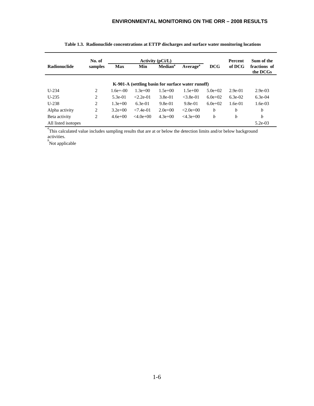|                     | No. of  |             |                                                    | Activity $(pCi/L)$ |                                                   |           | Percent                  | Sum of the |  |
|---------------------|---------|-------------|----------------------------------------------------|--------------------|---------------------------------------------------|-----------|--------------------------|------------|--|
| <b>Radionuclide</b> | samples | <b>Max</b>  | Average <sup>a</sup><br>Median <sup>a</sup><br>Min |                    | DCG                                               | of DCG    | fractions of<br>the DCGs |            |  |
|                     |         |             |                                                    |                    | K-901-A (settling basin for surface water runoff) |           |                          |            |  |
| $U-234$             | 2       | $1.6e+00$   | $1.3e+00$                                          | $1.5e+00$          | $1.5e+00$                                         | $5.0e+02$ | $2.9e-01$                | $2.9e-03$  |  |
| $U-235$             | 2       | $5.3e-01$   | $< 2.2e-01$                                        | $3.8e-01$          | $< 3.8e-01$                                       | $6.0e+02$ | $6.3e-02$                | $6.3e-04$  |  |
| $U-238$             | 2       | $1.3e+00$   | $6.3e-01$                                          | $9.8e-01$          | $9.8e-01$                                         | $6.0e+02$ | $1.6e-01$                | $1.6e-0.3$ |  |
| Alpha activity      | 2       | $3.2e + 00$ | $< 7.4e-01$                                        | $2.0e+0.0$         | $< 2.0e + 0.0$                                    | b         | $\boldsymbol{b}$         | b          |  |
| Beta activity       | 2       | $4.6e+00$   | $<4.0e+0.0$                                        | $4.3e+00$          | $<4.3e+00$                                        | b         | b                        | b          |  |
| All listed isotopes |         |             |                                                    |                    |                                                   |           |                          | $5.2e-03$  |  |

| Table 1.3. Radionuclide concentrations at ETTP discharges and surface water monitoring locations |  |
|--------------------------------------------------------------------------------------------------|--|

<sup>*a*</sup>This calculated value includes sampling results that are at or below the detection limits and/or below background activities.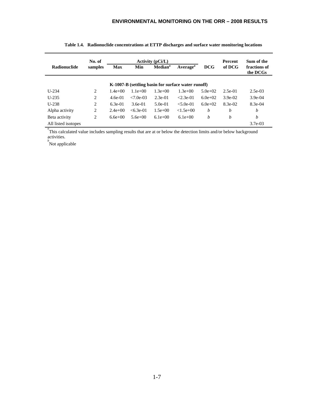|                     | No. of         |            |             | <b>Activity (pCi/L)</b> |                                                    |           | <b>Percent</b> | Sum of the               |  |
|---------------------|----------------|------------|-------------|-------------------------|----------------------------------------------------|-----------|----------------|--------------------------|--|
| <b>Radionuclide</b> | samples        | <b>Max</b> | Min         |                         | <b>Median</b> <sup>a</sup><br>Average <sup>a</sup> |           | of DCG         | fractions of<br>the DCGs |  |
|                     |                |            |             |                         | K-1007-B (settling basin for surface water runoff) |           |                |                          |  |
| $U-234$             | 2              | $1.4e+00$  | $1.1e+00$   | $1.3e + 00$             | $1.3e+00$                                          | $5.0e+02$ | $2.5e-01$      | $2.5e-03$                |  |
| $U-235$             | 2              | $4.6e-01$  | $<7.0e-03$  | $2.3e-01$               | $< 2.3e-01$                                        | $6.0e+02$ | $3.9e-02$      | $3.9e-04$                |  |
| $U-238$             | $\overline{2}$ | $6.3e-01$  | $3.6e-01$   | $5.0e-01$               | $< 5.0e-01$                                        | $6.0e+02$ | $8.3e-02$      | $8.3e-04$                |  |
| Alpha activity      | 2              | $2.4e+00$  | $< 6.3e-01$ | $1.5e+00$               | $< 1.5e+00$                                        | b         | b              | b                        |  |
| Beta activity       | 2              | $6.6e+00$  | $5.6e+00$   | $6.1e+00$               | $6.1e+00$                                          | b         | b              | b                        |  |
| All listed isotopes |                |            |             |                         |                                                    |           |                | $3.7e-03$                |  |

**Table 1.4. Radionuclide concentrations at ETTP discharges and surface water monitoring locations**

<sup>a</sup> This calculated value includes sampling results that are at or below the detection limits and/or below background activities.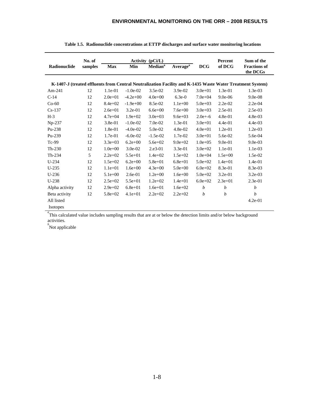|                        | No. of  |                                                                    |             | Activity (pCi/L) |             |                  | Percent                         | Sum of the                                                                                                |  |
|------------------------|---------|--------------------------------------------------------------------|-------------|------------------|-------------|------------------|---------------------------------|-----------------------------------------------------------------------------------------------------------|--|
| Radionuclide           | samples | $\bf Median^a$<br><b>Average</b> <sup>a</sup><br>Min<br><b>Max</b> |             |                  | <b>DCG</b>  | of DCG           | <b>Fractions of</b><br>the DCGs |                                                                                                           |  |
|                        |         |                                                                    |             |                  |             |                  |                                 | K-1407-J (treated effluents from Central Neutralization Facility and K-1435 Waste Water Treatment System) |  |
| Am-241                 | 12      | $1.1e-01$                                                          | $-1.0e-02$  | $3.5e-02$        | $3.9e-02$   | $3.0e + 01$      | $1.3e-01$                       | $1.3e-03$                                                                                                 |  |
| $C-14$                 | 12      | $2.0e + 01$                                                        | $-4.2e+00$  | $4.0e + 00$      | $6.3e-0$    | $7.0e + 04$      | $9.0e-06$                       | $9.0e-08$                                                                                                 |  |
| $Co-60$                | 12      | $8.4e+02$                                                          | $-1.9e+00$  | 8.5e-02          | $1.1e+00$   | $5.0e + 03$      | $2.2e-02$                       | $2.2e-04$                                                                                                 |  |
| $Cs-137$               | 12      | $2.6e + 01$                                                        | $3.2e-01$   | $6.6e + 00$      | $7.6e + 00$ | $3.0e + 03$      | 2.5e-01                         | 2.5e-03                                                                                                   |  |
| $H-3$                  | 12      | $4.7e + 04$                                                        | $1.9e + 02$ | $3.0e + 03$      | $9.6e + 03$ | $2.0e+ -6$       | $4.8e-01$                       | 4.8e-03                                                                                                   |  |
| Np-237                 | 12      | $3.8e-01$                                                          | $-1.0e-02$  | $7.0e-02$        | $1.3e-01$   | $3.0e + 01$      | $4.4e-01$                       | $4.4e-03$                                                                                                 |  |
| Pu-238                 | 12      | $1.8e-01$                                                          | $-4.0e-02$  | $5.0e-02$        | $4.8e-02$   | $4.0e + 01$      | $1.2e-01$                       | $1.2e-03$                                                                                                 |  |
| Pu-239                 | 12      | $1.7e-01$                                                          | $-6.0e-02$  | $-1.5e-02$       | $1.7e-02$   | $3.0e + 01$      | 5.6e-02                         | 5.6e-04                                                                                                   |  |
| Tc-99                  | 12      | $3.3e+03$                                                          | $6.2e + 00$ | $5.6e + 02$      | $9.0e + 02$ | $1.0e + 0.5$     | $9.0e-01$                       | $9.0e-03$                                                                                                 |  |
| $Th-230$               | 12      | $1.0e + 00$                                                        | $3.0e-02$   | 2.e3-01          | $3.3e-01$   | $3.0e + 02$      | 1.1e-01                         | $1.1e-03$                                                                                                 |  |
| $Th-234$               | 5       | $2.2e+02$                                                          | $5.5e + 01$ | $1.4e + 02$      | $1.5e+02$   | $1.0e + 04$      | $1.5e+00$                       | $1.5e-02$                                                                                                 |  |
| $U-234$                | 12      | $1.5e+02$                                                          | $6.2e + 00$ | $5.8e + 01$      | $6.8e + 01$ | $5.0e + 02$      | $1.4e + 01$                     | 1.4e-01                                                                                                   |  |
| $U-235$                | 12      | $1.1e+01$                                                          | $1.6e + 00$ | $4.3e + 00$      | $5.0e + 00$ | $6.0e + 02$      | 8.3e-01                         | 8.3e-03                                                                                                   |  |
| $U-236$                | 12      | $5.1e+00$                                                          | 2.6e-01     | $1.2e + 00$      | $1.6e + 00$ | $5.0e + 02$      | 3.2e-01                         | $3.2e-03$                                                                                                 |  |
| $U-238$                | 12      | $2.5e+02$                                                          | $5.5e+01$   | $1.2e + 02$      | $1.4e + 01$ | $6.0e + 02$      | $2.3e + 01$                     | 2.3e-01                                                                                                   |  |
| Alpha activity         | 12      | $2.9e+02$                                                          | $6.8e + 01$ | $1.6e + 01$      | $1.6e + 02$ | $\boldsymbol{b}$ | b                               | $\boldsymbol{b}$                                                                                          |  |
| Beta activity          | 12      | $5.8e + 02$                                                        | $4.1e+01$   | $2.2e+02$        | $2.2e + 02$ | b                | h                               | b                                                                                                         |  |
| All listed<br>Isotopes |         |                                                                    |             |                  |             |                  |                                 | $4.2e-01$                                                                                                 |  |

|  | Table 1.5. Radionuclide concentrations at ETTP discharges and surface water monitoring locations |
|--|--------------------------------------------------------------------------------------------------|
|  |                                                                                                  |

<sup>a</sup>This calculated value includes sampling results that are at or below the detection limits and/or below background activities.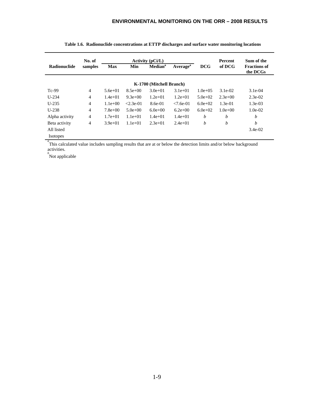|                 | No. of         |             |             | Activity $(pCi/L)$                                 |             |                  | Percent     | Sum of the                      |  |
|-----------------|----------------|-------------|-------------|----------------------------------------------------|-------------|------------------|-------------|---------------------------------|--|
| Radionuclide    | samples        | <b>Max</b>  | Min         | <b>Median</b> <sup>a</sup><br>Average <sup>a</sup> |             | <b>DCG</b>       | of DCG      | <b>Fractions of</b><br>the DCGs |  |
|                 |                |             |             | K-1700 (Mitchell Branch)                           |             |                  |             |                                 |  |
| $Tc-99$         | $\overline{4}$ | $5.6e+01$   | $8.5e+00$   | $3.0e+01$                                          | $3.1e+01$   | $1.0e + 0.5$     | $3.1e-02$   | $3.1e-04$                       |  |
| $U-234$         | $\overline{4}$ | $1.4e + 01$ | $9.3e+00$   | $1.2e+01$                                          | $1.2e+01$   | $5.0e+02$        | $2.3e+0.0$  | $2.3e-02$                       |  |
| $U-235$         | $\overline{4}$ | $1.1e+00$   | $< 2.3e-01$ | $8.6e-01$                                          | $< 7.6e-01$ | $6.0e+02$        | $1.3e-01$   | $1.3e-0.3$                      |  |
| $U-238$         | $\overline{4}$ | $7.8e+00$   | $5.0e+00$   | $6.0e+0.0$                                         | $6.2e+00$   | $6.0e+02$        | $1.0e + 00$ | $1.0e-02$                       |  |
| Alpha activity  | 4              | $1.7e + 01$ | $1.1e+01$   | $1.4e+01$                                          | $1.4e+01$   | $\boldsymbol{b}$ | h           | h                               |  |
| Beta activity   | 4              | $3.9e+01$   | $1.1e+01$   | $2.3e+01$                                          | $2.4e+01$   | b                | b           | b                               |  |
| All listed      |                |             |             |                                                    |             |                  |             | $3.4e-02$                       |  |
| <b>Isotopes</b> |                |             |             |                                                    |             |                  |             |                                 |  |

|  |  | Table 1.6. Radionuclide concentrations at ETTP discharges and surface water monitoring locations |  |  |  |
|--|--|--------------------------------------------------------------------------------------------------|--|--|--|
|--|--|--------------------------------------------------------------------------------------------------|--|--|--|

<sup>a</sup> This calculated value includes sampling results that are at or below the detection limits and/or below background activities.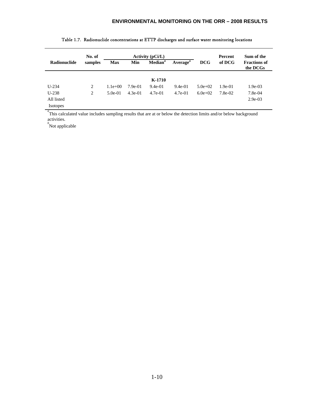|                 | No. of  |            |           | Activity $(pCi/L)$         |                      | Percent     | Sum of the |                                 |  |
|-----------------|---------|------------|-----------|----------------------------|----------------------|-------------|------------|---------------------------------|--|
| Radionuclide    | samples | <b>Max</b> | Min       | <b>Median</b> <sup>a</sup> | Average <sup>a</sup> | <b>DCG</b>  | of DCG     | <b>Fractions of</b><br>the DCGs |  |
|                 |         |            |           |                            |                      |             |            |                                 |  |
|                 |         |            |           | K-1710                     |                      |             |            |                                 |  |
| $U-234$         | 2       | $1.1e+00$  | 7.9e-01   | $9.4e-01$                  | $9.4e-01$            | $5.0e + 02$ | $1.9e-01$  | $1.9e-03$                       |  |
| $U-238$         | 2       | $5.0e-01$  | $4.3e-01$ | $4.7e-01$                  | $4.7e-01$            | $6.0e+02$   | 7.8e-02    | 7.8e-04                         |  |
| All listed      |         |            |           |                            |                      |             |            | $2.9e-03$                       |  |
| <b>Isotopes</b> |         |            |           |                            |                      |             |            |                                 |  |

#### Table 1.7. Radionuclide concentrations at ETTP discharges and surface water monitoring locations

<sup>a</sup> This calculated value includes sampling results that are at or below the detection limits and/or below background activities.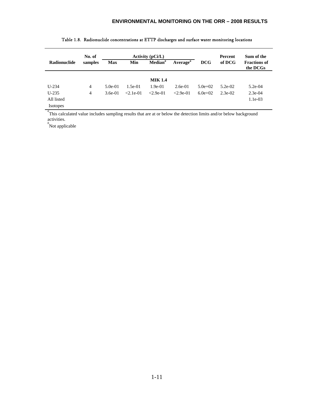| No. of  |            |                        |                          |                                                                  | Percent                  | Sum of the               |                                 |  |
|---------|------------|------------------------|--------------------------|------------------------------------------------------------------|--------------------------|--------------------------|---------------------------------|--|
| samples | <b>Max</b> | Min                    | Median <sup>a</sup>      | Average <sup>a</sup>                                             | <b>DCG</b>               | of DCG                   | <b>Fractions of</b><br>the DCGs |  |
|         |            |                        |                          |                                                                  |                          |                          |                                 |  |
|         |            |                        |                          |                                                                  |                          |                          | $5.2e-04$                       |  |
|         |            |                        |                          |                                                                  |                          |                          | $2.3e-04$                       |  |
|         |            |                        |                          |                                                                  |                          |                          | $1.1e-03$                       |  |
|         |            |                        |                          |                                                                  |                          |                          |                                 |  |
|         | 4<br>4     | $5.0e-01$<br>$3.6e-01$ | $1.5e-01$<br>$< 2.1e-01$ | Activity $(pCi/L)$<br><b>MIK 1.4</b><br>$1.9e-01$<br>$< 2.9e-01$ | $2.6e-01$<br>$< 2.9e-01$ | $5.0e + 02$<br>$6.0e+02$ | $5.2e-02$<br>$2.3e-02$          |  |

#### Table 1.8. Radionuclide concentrations at ETTP discharges and surface water monitoring locations

<sup>a</sup> This calculated value includes sampling results that are at or below the detection limits and/or below background activities.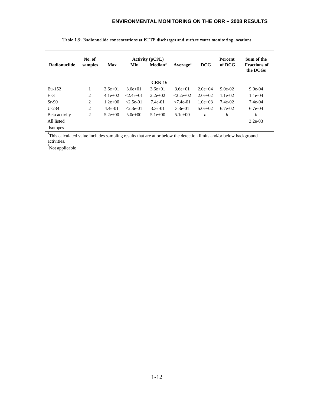|                     | No. of  |             |               | <b>Activity (pCi/L)</b>    |                      | <b>Percent</b> | Sum of the |                                 |
|---------------------|---------|-------------|---------------|----------------------------|----------------------|----------------|------------|---------------------------------|
| <b>Radionuclide</b> | samples | <b>Max</b>  | Min           | <b>Median</b> <sup>a</sup> | Average <sup>a</sup> | <b>DCG</b>     | of DCG     | <b>Fractions of</b><br>the DCGs |
|                     |         |             |               | <b>CRK 16</b>              |                      |                |            |                                 |
| Eu-152              | 1       | $3.6e+01$   | $3.6e+01$     | $3.6e + 01$                | $3.6e+01$            | $2.0e+0.4$     | $9.0e-02$  | $9.0e-04$                       |
| $H-3$               | 2       | $4.1e+02$   | $< 2.4e + 01$ | $2.2e+02$                  | $2.2e+02$            | $2.0e+0.2$     | $1.1e-02$  | $1.1e-04$                       |
| $Sr-90$             | 2       | $1.2e + 00$ | $< 2.5e-01$   | 7.4e-01                    | $< 7.4e-01$          | $1.0e+0.3$     | 7.4e-02    | $7.4e-04$                       |
| $U - 234$           | 2       | $4.4e-01$   | $< 2.3e-01$   | $3.3e-01$                  | $3.3e-01$            | $5.0e+02$      | $6.7e-02$  | $6.7e-0.4$                      |
| Beta activity       | 2       | $5.2e+00$   | $5.0e+00$     | $5.1e+00$                  | $5.1e+00$            | b              | b          | h                               |
| All listed          |         |             |               |                            |                      |                |            | $3.2e-03$                       |
| <b>Isotopes</b>     |         |             |               |                            |                      |                |            |                                 |

|  |  |  |  |  |  | Table 1.9. Radionuclide concentrations at ETTP discharges and surface water monitoring locations |  |  |  |  |  |  |  |  |  |  |  |
|--|--|--|--|--|--|--------------------------------------------------------------------------------------------------|--|--|--|--|--|--|--|--|--|--|--|
|--|--|--|--|--|--|--------------------------------------------------------------------------------------------------|--|--|--|--|--|--|--|--|--|--|--|

<sup>a</sup> This calculated value includes sampling results that are at or below the detection limits and/or below background activities.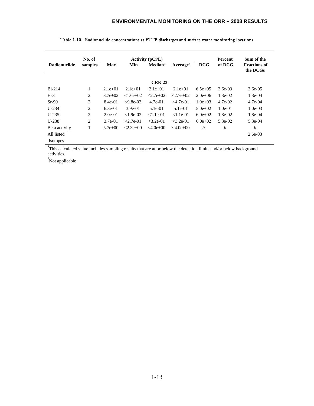|                     | No. of<br>Activity $(pCi/L)$ |           |                            |                      |                |             | Percent                         | Sum of the |
|---------------------|------------------------------|-----------|----------------------------|----------------------|----------------|-------------|---------------------------------|------------|
| <b>Radionuclide</b> | samples<br><b>Max</b><br>Min |           | <b>Median</b> <sup>a</sup> | Average <sup>a</sup> | <b>DCG</b>     | of DCG      | <b>Fractions of</b><br>the DCGs |            |
|                     |                              |           |                            | <b>CRK 23</b>        |                |             |                                 |            |
| $Bi-214$            | л.                           | $2.1e+01$ | $2.1e+01$                  | $2.1e+01$            | $2.1e+01$      | $6.5e+0.5$  | $3.6e-03$                       | $3.6e-0.5$ |
| $H-3$               | 2                            | $3.7e+02$ | $< 1.6e + 02$              | $< 2.7e + 0.2$       | $< 2.7e + 0.2$ | $2.0e+06$   | $1.3e-02$                       | $1.3e-04$  |
| $Sr-90$             | 2                            | 8.4e-01   | $<9.8e-02$                 | $4.7e-01$            | $<$ 4.7e-01    | $1.0e + 03$ | $4.7e-02$                       | $4.7e-04$  |
| $U-234$             | 2                            | $6.3e-01$ | $3.9e-01$                  | $5.1e-01$            | $5.1e-01$      | $5.0e+02$   | $1.0e-01$                       | $1.0e-0.3$ |
| $U-235$             | 2                            | $2.0e-01$ | $< 1.9e-02$                | $< 1.1e-01$          | $< 1.1e-01$    | $6.0e+02$   | $1.8e-02$                       | $1.8e-04$  |
| $U-238$             | 2                            | $3.7e-01$ | $< 2.7e-01$                | $<$ 3.2e-01          | $<$ 3.2e-01    | $6.0e+02$   | $5.3e-02$                       | 5.3e-04    |
| Beta activity       |                              | $5.7e+00$ | $< 2.3e + 0.0$             | $<4.0e+0.0$          | $<4.0e+0.0$    | b           | b                               | b          |
| All listed          |                              |           |                            |                      |                |             |                                 | $2.6e-03$  |
| <b>Isotopes</b>     |                              |           |                            |                      |                |             |                                 |            |

| Table 1.10.  Radionuclide concentrations at ETTP discharges and surface water monitoring locations |  |  |
|----------------------------------------------------------------------------------------------------|--|--|
|----------------------------------------------------------------------------------------------------|--|--|

<sup>a</sup> This calculated value includes sampling results that are at or below the detection limits and/or below background

activities. *b* Not applicable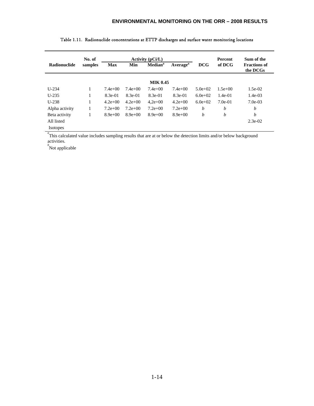|                 | No. of  |            |           | <b>Activity (pCi/L)</b>    |                      |            | <b>Percent</b> | Sum of the                      |
|-----------------|---------|------------|-----------|----------------------------|----------------------|------------|----------------|---------------------------------|
| Radionuclide    | samples | <b>Max</b> | Min       | <b>Median</b> <sup>a</sup> | Average <sup>a</sup> | <b>DCG</b> | of DCG         | <b>Fractions of</b><br>the DCGs |
|                 |         |            |           | <b>MIK 0.45</b>            |                      |            |                |                                 |
| $U-234$         | 1       | $7.4e+00$  | $7.4e+00$ | $7.4e+00$                  | $7.4e+00$            | $5.0e+02$  | $1.5e+00$      | $1.5e-02$                       |
| $U-235$         | 1       | $8.3e-01$  | $8.3e-01$ | 8.3e-01                    | $8.3e-01$            | $6.0e+02$  | $1.4e-01$      | $1.4e-03$                       |
| $U-238$         | 1       | $4.2e+00$  | $4.2e+00$ | $4.2e+00$                  | $4.2e+00$            | $6.0e+02$  | $7.0e-01$      | $7.0e-03$                       |
| Alpha activity  | 1       | $7.2e+00$  | $7.2e+00$ | $7.2e+00$                  | $7.2e+00$            | b          | b              | b                               |
| Beta activity   | 1       | $8.9e+00$  | $8.9e+00$ | $8.9e+00$                  | $8.9e+00$            | b          | b              | b                               |
| All listed      |         |            |           |                            |                      |            |                | $2.3e-02$                       |
| <b>Isotopes</b> |         |            |           |                            |                      |            |                |                                 |

| Table 1.11.  Radionuclide concentrations at ETTP discharges and surface water monitoring locations |  |  |  |
|----------------------------------------------------------------------------------------------------|--|--|--|
|----------------------------------------------------------------------------------------------------|--|--|--|

<sup>a</sup> This calculated value includes sampling results that are at or below the detection limits and/or below background activities.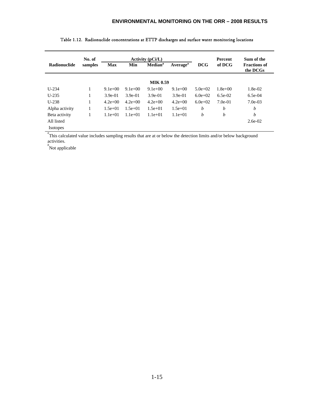|                     | No. of  |            |           | Activity $(pCi/L)$         |                      |            | <b>Percent</b> | Sum of the                      |
|---------------------|---------|------------|-----------|----------------------------|----------------------|------------|----------------|---------------------------------|
| <b>Radionuclide</b> | samples | <b>Max</b> | Min       | <b>Median</b> <sup>a</sup> | Average <sup>a</sup> | <b>DCG</b> | of DCG         | <b>Fractions of</b><br>the DCGs |
|                     |         |            |           | <b>MIK 0.59</b>            |                      |            |                |                                 |
| $U-234$             | -       | $9.1e+00$  | $9.1e+00$ | $9.1e+00$                  | $9.1e+00$            | $5.0e+02$  | $1.8e + 00$    | 1.8e-02                         |
| $U-235$             | 1       | $3.9e-01$  | $3.9e-01$ | $3.9e-01$                  | $3.9e-01$            | $6.0e+02$  | $6.5e-02$      | $6.5e-04$                       |
| $U-238$             | 1       | $4.2e+00$  | $4.2e+00$ | $4.2e+00$                  | $4.2e+00$            | $6.0e+02$  | $7.0e-01$      | $7.0e-03$                       |
| Alpha activity      | -1      | $1.5e+01$  | $1.5e+01$ | $1.5e+01$                  | $1.5e+01$            | b          | b              | b                               |
| Beta activity       | -       | $1.1e+01$  | $1.1e+01$ | $1.1e+01$                  | $1.1e+01$            | b          | b              | b                               |
| All listed          |         |            |           |                            |                      |            |                | $2.6e-02$                       |
| <b>Isotopes</b>     |         |            |           |                            |                      |            |                |                                 |

| Table 1.12. Radionuclide concentrations at ETTP discharges and surface water monitoring locations |  |  |
|---------------------------------------------------------------------------------------------------|--|--|

<sup>a</sup> This calculated value includes sampling results that are at or below the detection limits and/or below background activities.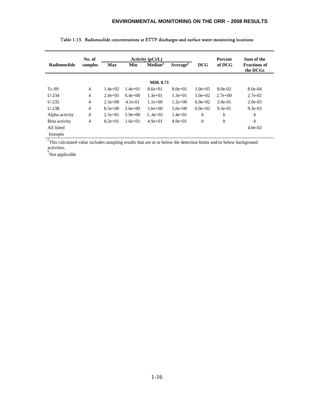|                     | No. of         |            |           | <b>Activity (pCi/L)</b> |                             |              | <b>Percent</b> | Sum of the                      |
|---------------------|----------------|------------|-----------|-------------------------|-----------------------------|--------------|----------------|---------------------------------|
| <b>Radionuclide</b> | samples        | <b>Max</b> | Min       | Median <sup>a</sup>     | <b>Average</b> <sup>a</sup> | <b>DCG</b>   | of DCG         | <b>Fractions of</b><br>the DCGs |
|                     |                |            |           | <b>MIK 0.71</b>         |                             |              |                |                                 |
| $Tc-99$             | 4              | $1.4e+02$  | $1.4e+01$ | $8.6e + 01$             | $8.0e+01$                   | $1.0e + 0.5$ | $8.0e-02$      | 8.0e-04                         |
| $U-234$             | $\overline{4}$ | $2.0e+01$  | $6.4e+00$ | $1.3e+01$               | $1.3e+01$                   | $5.0e+02$    | $2.7e+00$      | $2.7e-02$                       |
| $U-235$             | $\overline{4}$ | $2.3e+00$  | $4.1e-01$ | $1.1e+00$               | $1.2e+00$                   | $6.0e+02$    | $2.0e-01$      | $2.0e-03$                       |
| $U-238$             | $\overline{4}$ | $8.5e+00$  | $2.6e+00$ | $5.6e + 00$             | $5.6e + 00$                 | $6.0e+02$    | $9.3e-01$      | $9.3e-0.3$                      |
| Alpha activity      | $\overline{4}$ | $2.5e+01$  | $5.9e+00$ | $1.4e + 01$             | $1.4e+01$                   | b            | b              | b                               |
| Beta activity       | 4              | $8.2e+01$  | $1.6e+01$ | $4.9e+01$               | $4.9e+01$                   | b            | b              | b                               |
| All listed          |                |            |           |                         |                             |              |                | $4.0e-02$                       |
| <b>Isotopes</b>     |                |            |           |                         |                             |              |                |                                 |

| Table 1.13. Radionuclide concentrations at ETTP discharges and surface water monitoring locations |  |
|---------------------------------------------------------------------------------------------------|--|

<sup>a</sup>This calculated value includes sampling results that are at or below the detection limits and/or below background activities.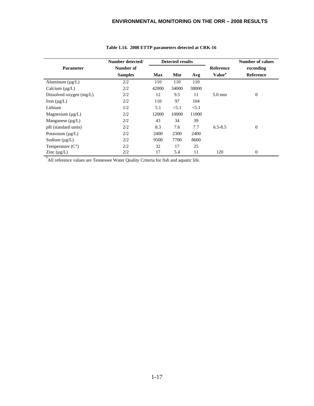|                           | Number detected/ |            | <b>Detected results</b> |       |                           | <b>Number of values</b> |
|---------------------------|------------------|------------|-------------------------|-------|---------------------------|-------------------------|
| Parameter                 | Number of        |            |                         |       | Reference                 | exceeding               |
|                           | <b>Samples</b>   | <b>Max</b> | Min                     | Avg   | <b>Value</b> <sup>a</sup> | <b>Reference</b>        |
| Aluminum $(\mu g/L)$      | 2/2              | 110        | 110                     | 110   |                           |                         |
| Calcium $(\mu g/L)$       | 2/2              | 42000      | 34000                   | 38000 |                           |                         |
| Dissolved oxygen (mg/L)   | 2/2              | 12         | 9.5                     | 11    | $5.0 \text{ min}$         | $\mathbf{0}$            |
| Iron $(\mu g/L)$          | 2/2              | 110        | 97                      | 104   |                           |                         |
| Lithium                   | 1/2              | 5.1        | < 5.1                   | < 5.1 |                           |                         |
| Magnesium $(\mu g/L)$     | 2/2              | 12000      | 10000                   | 11000 |                           |                         |
| Manganese $(\mu g/L)$     | 2/2              | 43         | 34                      | 39    |                           |                         |
| pH (standard units)       | 2/2              | 8.3        | 7.6                     | 7.7   | $6.5 - 8.5$               | $\mathbf{0}$            |
| Potassium $(\mu g/L)$     | 2/2              | 2400       | 2300                    | 2400  |                           |                         |
| Sodium $(\mu g/L)$        | 2/2              | 9500       | 7700                    | 8600  |                           |                         |
| Temperature $(C^{\circ})$ | 2/2              | 32         | 17                      | 25    |                           |                         |
| Zinc $(\mu g/L)$          | 2/2              | 17         | 5.4                     | 11    | 120                       | $\theta$                |

### **Table 1.14. 2008 ETTP parameters detected at CRK-16**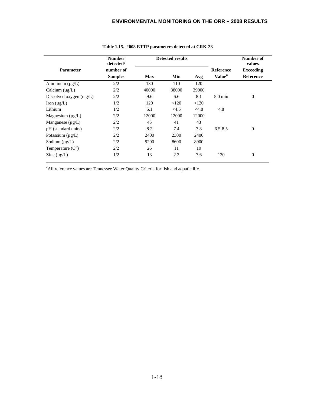|                           | <b>Number</b><br>detected/ |            | <b>Detected results</b> |       | Number of<br>values |                  |
|---------------------------|----------------------------|------------|-------------------------|-------|---------------------|------------------|
| <b>Parameter</b>          | number of                  |            |                         |       | <b>Reference</b>    | <b>Exceeding</b> |
|                           | <b>Samples</b>             | <b>Max</b> | Min                     | Avg   | Value <sup>a</sup>  | <b>Reference</b> |
| Aluminum $(\mu g/L)$      | 2/2                        | 130        | 110                     | 120   |                     |                  |
| Calcium $(\mu g/L)$       | 2/2                        | 40000      | 38000                   | 39000 |                     |                  |
| Dissolved oxygen (mg/L)   | 2/2                        | 9.6        | 6.6                     | 8.1   | $5.0 \text{ min}$   | $\theta$         |
| Iron $(\mu g/L)$          | 1/2                        | 120        | < 120                   | < 120 |                     |                  |
| Lithium                   | 1/2                        | 5.1        | <4.5                    | <4.8  | 4.8                 |                  |
| Magnesium $(\mu g/L)$     | 2/2                        | 12000      | 12000                   | 12000 |                     |                  |
| Manganese $(\mu g/L)$     | 2/2                        | 45         | 41                      | 43    |                     |                  |
| pH (standard units)       | 2/2                        | 8.2        | 7.4                     | 7.8   | $6.5 - 8.5$         | $\theta$         |
| Potassium $(\mu g/L)$     | 2/2                        | 2400       | 2300                    | 2400  |                     |                  |
| Sodium $(\mu g/L)$        | 2/2                        | 9200       | 8600                    | 8900  |                     |                  |
| Temperature $(C^{\circ})$ | 2/2                        | 26         | 11                      | 19    |                     |                  |
| Zinc $(\mu g/L)$          | 1/2                        | 13         | 2.2                     | 7.6   | 120                 | $\theta$         |

#### **Table 1.15. 2008 ETTP parameters detected at CRK-23**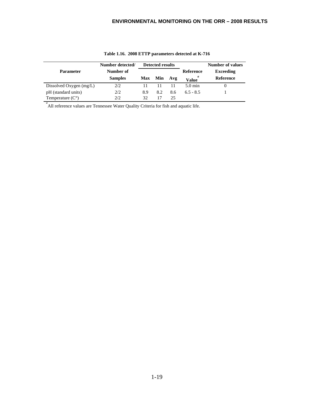|                           | Number detected/ | <b>Detected results</b> |     |     | Number of values  |                  |
|---------------------------|------------------|-------------------------|-----|-----|-------------------|------------------|
| <b>Parameter</b>          | Number of        |                         |     |     | Reference         | <b>Exceeding</b> |
|                           | <b>Samples</b>   | <b>Max</b>              | Min | Avg | Value             | Reference        |
| Dissolved Oxygen $(mg/L)$ | 2/2              |                         |     |     | $5.0 \text{ min}$ |                  |
| pH (standard units)       | 2/2              | 8.9                     | 8.2 | 8.6 | $6.5 - 8.5$       |                  |
| Temperature $(C^{\circ})$ | 2/2.             | 32                      |     | 25  |                   |                  |

**Table 1.16. 2008 ETTP parameters detected at K-716**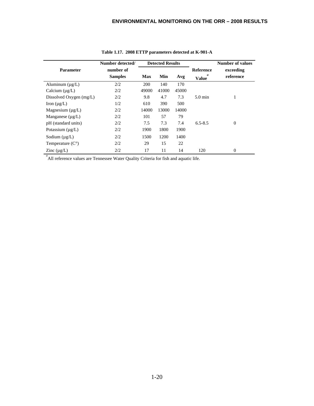|                              | Number detected/ |            | <b>Detected Results</b> |       |                   | <b>Number of values</b> |
|------------------------------|------------------|------------|-------------------------|-------|-------------------|-------------------------|
| <b>Parameter</b>             | number of        |            |                         |       | <b>Reference</b>  | exceeding               |
|                              | <b>Samples</b>   | <b>Max</b> | Min                     | Avg   | a<br><b>Value</b> | reference               |
| Aluminum $(\mu g/L)$         | 2/2              | 200        | 140                     | 170   |                   |                         |
| Calcium $(\mu g/L)$          | 2/2              | 49000      | 41000                   | 45000 |                   |                         |
| Dissolved Oxygen (mg/L)      | 2/2              | 9.8        | 4.7                     | 7.3   | $5.0 \text{ min}$ | 1                       |
| Iron $(\mu g/L)$             | 1/2              | 610        | 390                     | 500   |                   |                         |
| Magnesium $(\mu g/L)$        | 2/2              | 14000      | 13000                   | 14000 |                   |                         |
| Manganese $(\mu g/L)$        | 2/2              | 101        | 57                      | 79    |                   |                         |
| pH (standard units)          | 2/2              | 7.5        | 7.3                     | 7.4   | $6.5 - 8.5$       | $\boldsymbol{0}$        |
| Potassium $(\mu g/L)$        | 2/2              | 1900       | 1800                    | 1900  |                   |                         |
| Sodium $(\mu g/L)$           | 2/2              | 1500       | 1200                    | 1400  |                   |                         |
| Temperature $(C^{\circ})$    | 2/2              | 29         | 15                      | 22    |                   |                         |
| Zinc $(\mu g/L)$<br>$\sigma$ | 2/2              | 17         | 11                      | 14    | 120               | $\mathbf{0}$            |

**Table 1.17. 2008 ETTP parameters detected at K-901-A**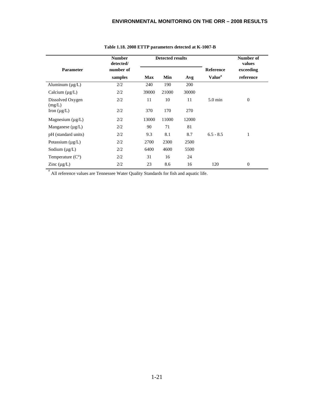|                            | <b>Number</b><br>detected/ | <b>Detected results</b> |       |       |                    | Number of<br>values |  |
|----------------------------|----------------------------|-------------------------|-------|-------|--------------------|---------------------|--|
| <b>Parameter</b>           | number of                  |                         |       |       | <b>Reference</b>   | exceeding           |  |
|                            | samples                    | <b>Max</b>              | Min   | Avg   | Value <sup>a</sup> | reference           |  |
| Aluminum $(\mu g/L)$       | 2/2                        | 240                     | 190   | 200   |                    |                     |  |
| Calcium $(\mu g/L)$        | 2/2                        | 39000                   | 21000 | 30000 |                    |                     |  |
| Dissolved Oxygen<br>(mg/L) | 2/2                        | 11                      | 10    | 11    | $5.0 \text{ min}$  | $\boldsymbol{0}$    |  |
| Iron $(\mu g/L)$           | 2/2                        | 370                     | 170   | 270   |                    |                     |  |
| Magnesium $(\mu g/L)$      | 2/2                        | 13000                   | 11000 | 12000 |                    |                     |  |
| Manganese $(\mu g/L)$      | 2/2                        | 90                      | 71    | 81    |                    |                     |  |
| pH (standard units)        | 2/2                        | 9.3                     | 8.1   | 8.7   | $6.5 - 8.5$        | $\mathbf{1}$        |  |
| Potassium $(\mu g/L)$      | 2/2                        | 2700                    | 2300  | 2500  |                    |                     |  |
| Sodium $(\mu g/L)$         | 2/2                        | 6400                    | 4600  | 5500  |                    |                     |  |
| Temperature $(C^{\circ})$  | 2/2                        | 31                      | 16    | 24    |                    |                     |  |
| Zinc $(\mu g/L)$           | 2/2                        | 23                      | 8.6   | 16    | 120                | $\boldsymbol{0}$    |  |

#### **Table 1.18. 2008 ETTP parameters detected at K-1007-B**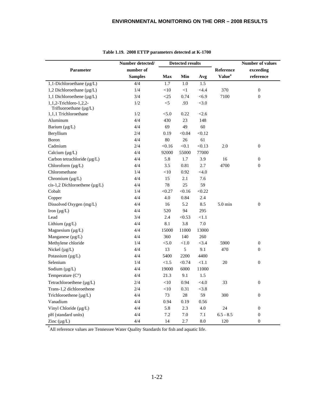|                                                  | Number detected/ | <b>Detected results</b> |          |            | <b>Number of values</b>   |                  |
|--------------------------------------------------|------------------|-------------------------|----------|------------|---------------------------|------------------|
| Parameter                                        | number of        |                         |          |            | Reference                 | exceeding        |
|                                                  | <b>Samples</b>   | <b>Max</b>              | Min      | Avg        | <b>Value</b> <sup>a</sup> | reference        |
| 1,1-Dichloroethane $(\mu g/L)$                   | 4/4              | 1.7                     | 1.0      | 1.5        |                           |                  |
| 1,2 Dichloroethane (µg/L)                        | 1/4              | $<\!\!10$               | $\leq$ 1 | $<$ 4.4    | 370                       | $\boldsymbol{0}$ |
| 1,1 Dichloroethene $(\mu g/L)$                   | 3/4              | $\leq$ 25               | 0.74     | < 6.9      | 7100                      | $\boldsymbol{0}$ |
| 1,1,2-Trichloro-1,2,2-<br>Trifluoroethane (µg/L) | 1/2              | $\leq$                  | .93      | < 3.0      |                           |                  |
| 1,1,1 Trichloroethane                            | 1/2              | < 5.0                   | 0.22     | < 2.6      |                           |                  |
| Aluminum                                         | 4/4              | 430                     | 23       | 148        |                           |                  |
| Barium $(\mu g/L)$                               | 4/4              | 69                      | 49       | 60         |                           |                  |
| Beryllium                                        | 2/4              | 0.19                    | < 0.04   | < 0.12     |                           |                  |
| Boron                                            | 4/4              | $80\,$                  | 26       | 61         |                           |                  |
| Cadmium                                          | 2/4              | < 0.16                  | < 0.1    | < 0.13     | 2.0                       | $\boldsymbol{0}$ |
| Calcium $(\mu g/L)$                              | 4/4              | 92000                   | 55000    | 77000      |                           |                  |
| Carbon tetrachloride (µg/L)                      | 4/4              | 5.8                     | 1.7      | 3.9        | 16                        | $\boldsymbol{0}$ |
| Chloroform (µg/L)                                | 4/4              | 3.5                     | 0.81     | 2.7        | 4700                      | $\boldsymbol{0}$ |
| Chloromethane                                    | 1/4              | $<$ 10                  | 0.92     | < 4.0      |                           |                  |
| Chromium $(\mu g/L)$                             | 4/4              | 15                      | 2.1      | 7.6        |                           |                  |
| cis-1,2 Dichloroethene $(\mu g/L)$               | 4/4              | 78                      | 25       | 59         |                           |                  |
| Cobalt                                           | 1/4              | < 0.27                  | < 0.16   | < 0.22     |                           |                  |
| Copper                                           | 4/4              | 4.0                     | 0.84     | 2.4        |                           |                  |
| Dissolved Oxygen (mg/L)                          | 4/4              | 16                      | 5.2      | 8.5        | $5.0 \text{ min}$         | $\boldsymbol{0}$ |
| Iron $(\mu g/L)$                                 | 4/4              | 520                     | 94       | 295        |                           |                  |
| Lead                                             | 3/4              | 2.4                     | < 0.53   | $<\!\!1.1$ |                           |                  |
| Lithium $(\mu g/L)$                              | 4/4              | 8.1                     | 3.8      | $7.0\,$    |                           |                  |
| Magnesium $(\mu g/L)$                            | 4/4              | 15000                   | 11000    | 13000      |                           |                  |
| Manganese (µg/L)                                 | 4/4              | 360                     | 140      | 260        |                           |                  |
| Methylene chloride                               | 1/4              | < 5.0                   | < 1.0    | < 3.4      | 5900                      | 0                |
| Nickel $(\mu g/L)$                               | 4/4              | 13                      | 5        | 9.1        | 470                       | $\boldsymbol{0}$ |
| Potassium (µg/L)                                 | 4/4              | 5400                    | 2200     | 4400       |                           |                  |
| Selenium                                         | 1/4              | < 1.5                   | < 0.74   | <1.1       | $20\,$                    | $\boldsymbol{0}$ |
| Sodium $(\mu g/L)$                               | 4/4              | 19000                   | 6000     | 11000      |                           |                  |
| Temperature $(C^{\circ})$                        | 4/4              | 21.3                    | 9.1      | 1.5        |                           |                  |
| Tetrachloroethene $(\mu g/L)$                    | 2/4              | $<$ 10                  | 0.94     | < 4.0      | 33                        | $\boldsymbol{0}$ |
| Trans-1,2 dichloroethene                         | 2/4              | $<\!\!10$               | 0.31     | < 3.8      |                           |                  |
| Trichloroethene (µg/L)                           | 4/4              | 73                      | $28\,$   | 59         | 300                       | $\boldsymbol{0}$ |
| Vanadium                                         | 4/4              | 0.94                    | 0.19     | 0.56       |                           |                  |
| Vinyl Chloride (µg/L)                            | 4/4              | 5.8                     | 2.3      | 4.0        | 24                        | $\boldsymbol{0}$ |
| pH (standard units)                              | 4/4              | $7.2\,$                 | 7.0      | 7.1        | $6.5 - 8.5$               | $\boldsymbol{0}$ |
| Zinc $(\mu g/L)$                                 | 4/4              | 14                      | 2.7      | 8.0        | 120                       | $\boldsymbol{0}$ |

|  |  | Table 1.19. 2008 ETTP parameters detected at K-1700 |  |  |
|--|--|-----------------------------------------------------|--|--|
|--|--|-----------------------------------------------------|--|--|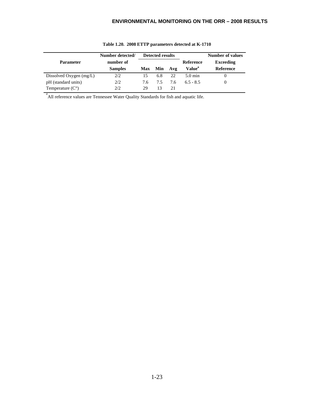|                           | Number detected/ |     | <b>Detected results</b> |     |                    | <b>Number of values</b> |
|---------------------------|------------------|-----|-------------------------|-----|--------------------|-------------------------|
| <b>Parameter</b>          | number of        |     |                         |     | <b>Reference</b>   | <b>Exceeding</b>        |
|                           | <b>Samples</b>   |     | Max Min                 | Avg | Value <sup>a</sup> | <b>Reference</b>        |
| Dissolved Oxygen $(mg/L)$ | 2/2              |     | 6.8                     | 22  | $5.0 \text{ min}$  |                         |
| pH (standard units)       | 2/2              | 7.6 | 7.5                     | 7.6 | $6.5 - 8.5$        |                         |
| Temperature $(C^{\circ})$ | 2/2              | 29  | 13                      | 21  |                    |                         |

#### **Table 1.20. 2008 ETTP parameters detected at K-1710**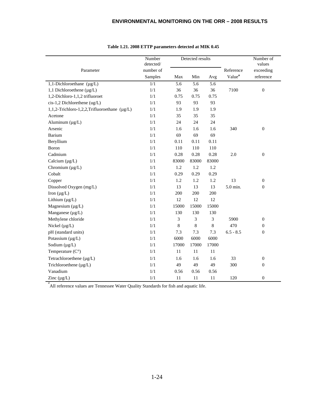|                                              | Number<br>detected/ |       | Detected results |       |                    | Number of<br>values |
|----------------------------------------------|---------------------|-------|------------------|-------|--------------------|---------------------|
| Parameter                                    | number of           |       |                  |       | Reference          | exceeding           |
|                                              | Samples             | Max   | Min              | Avg   | Value <sup>a</sup> | reference           |
| 1,1-Dichloroethane $(\mu g/L)$               | $\overline{1/1}$    | 5.6   | $\overline{5.6}$ | 5.6   |                    |                     |
| 1,1 Dichloroethene (µg/L)                    | $1/1$               | 36    | 36               | 36    | 7100               | $\boldsymbol{0}$    |
| 1,2-Dichloro-1,1,2 trifluoroet               | 1/1                 | 0.75  | 0.75             | 0.75  |                    |                     |
| cis-1,2 Dichlorethene (ug/L)                 | 1/1                 | 93    | 93               | 93    |                    |                     |
| 1,1,2-Trichloro-1,2,2,Trifluoroethane (µg/L) | 1/1                 | 1.9   | 1.9              | 1.9   |                    |                     |
| Acetone                                      | 1/1                 | 35    | 35               | 35    |                    |                     |
| Aluminum $(\mu g/L)$                         | 1/1                 | 24    | 24               | 24    |                    |                     |
| Arsenic                                      | 1/1                 | 1.6   | 1.6              | 1.6   | 340                | $\mathbf{0}$        |
| Barium                                       | 1/1                 | 69    | 69               | 69    |                    |                     |
| Beryllium                                    | 1/1                 | 0.11  | 0.11             | 0.11  |                    |                     |
| Boron                                        | 1/1                 | 110   | 110              | 110   |                    |                     |
| Cadmium                                      | $1/1\,$             | 0.28  | 0.28             | 0.28  | 2.0                | $\boldsymbol{0}$    |
| Calcium $(\mu g/L)$                          | 1/1                 | 83000 | 83000            | 83000 |                    |                     |
| Chromium $(\mu g/L)$                         | 1/1                 | 1.2   | 1.2              | 1.2   |                    |                     |
| Cobalt                                       | 1/1                 | 0.29  | 0.29             | 0.29  |                    |                     |
| Copper                                       | 1/1                 | 1.2   | 1.2              | 1.2   | 13                 | $\mathbf{0}$        |
| Dissolved Oxygen (mg/L)                      | 1/1                 | 13    | 13               | 13    | 5.0 min.           | $\boldsymbol{0}$    |
| Iron $(\mu g/L)$                             | 1/1                 | 200   | 200              | 200   |                    |                     |
| Lithium $(\mu g/L)$                          | 1/1                 | 12    | 12               | 12    |                    |                     |
| Magnesium $(\mu g/L)$                        | 1/1                 | 15000 | 15000            | 15000 |                    |                     |
| Manganese (µg/L)                             | 1/1                 | 130   | 130              | 130   |                    |                     |
| Methylene chloride                           | 1/1                 | 3     | 3                | 3     | 5900               | $\mathbf{0}$        |
| Nickel $(\mu g/L)$                           | 1/1                 | 8     | $\,8\,$          | 8     | 470                | $\boldsymbol{0}$    |
| pH (standard units)                          | 1/1                 | 7.3   | 7.3              | 7.3   | $6.5 - 8.5$        | $\mathbf{0}$        |
| Potassium $(\mu g/L)$                        | 1/1                 | 6000  | 6000             | 6000  |                    |                     |
| Sodium $(\mu g/L)$                           | 1/1                 | 17000 | 17000            | 17000 |                    |                     |
| Temperature $(C^{\circ})$                    | 1/1                 | 11    | 11               | 11    |                    |                     |
| Tetrachloroethene (µg/L)                     | 1/1                 | 1.6   | 1.6              | 1.6   | 33                 | $\boldsymbol{0}$    |
| Trichloroethene (µg/L)                       | 1/1                 | 49    | 49               | 49    | 300                | $\boldsymbol{0}$    |
| Vanadium                                     | 1/1                 | 0.56  | 0.56             | 0.56  |                    |                     |
| Zinc $(\mu g/L)$                             | $1/1\,$             | 11    | 11               | 11    | 120                | $\boldsymbol{0}$    |

#### **Table 1.21. 2008 ETTP parameters detected at MIK 0.45**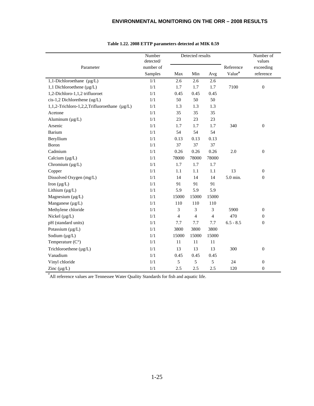|                                              | Number<br>detected/ |                | Detected results         |                |                    | Number of<br>values |
|----------------------------------------------|---------------------|----------------|--------------------------|----------------|--------------------|---------------------|
| Parameter                                    | number of           |                |                          |                | Reference          | exceeding           |
|                                              | Samples             | Max            | Min                      | Avg            | Value <sup>a</sup> | reference           |
| 1,1-Dichloroethane $(\mu g/L)$               | 1/1                 | 2.6            | 2.6                      | 2.6            |                    |                     |
| 1,1 Dichloroethene (µg/L)                    | 1/1                 | 1.7            | 1.7                      | 1.7            | 7100               | $\boldsymbol{0}$    |
| 1,2-Dichloro-1,1,2 trifluoroet               | $1/1$               | 0.45           | 0.45                     | 0.45           |                    |                     |
| cis-1,2 Dichlorethene (ug/L)                 | 1/1                 | 50             | 50                       | 50             |                    |                     |
| 1,1,2-Trichloro-1,2,2,Trifluoroethane (µg/L) | 1/1                 | 1.3            | 1.3                      | 1.3            |                    |                     |
| Acetone                                      | 1/1                 | 35             | 35                       | 35             |                    |                     |
| Aluminum $(\mu g/L)$                         | 1/1                 | 23             | 23                       | 23             |                    |                     |
| Arsenic                                      | 1/1                 | 1.7            | 1.7                      | 1.7            | 340                | $\boldsymbol{0}$    |
| Barium                                       | 1/1                 | 54             | 54                       | 54             |                    |                     |
| Beryllium                                    | 1/1                 | 0.13           | 0.13                     | 0.13           |                    |                     |
| Boron                                        | 1/1                 | 37             | 37                       | 37             |                    |                     |
| Cadmium                                      | 1/1                 | 0.26           | 0.26                     | 0.26           | 2.0                | $\overline{0}$      |
| Calcium $(\mu g/L)$                          | 1/1                 | 78000          | 78000                    | 78000          |                    |                     |
| Chromium $(\mu g/L)$                         | 1/1                 | 1.7            | 1.7                      | 1.7            |                    |                     |
| Copper                                       | 1/1                 | 1.1            | 1.1                      | 1.1            | 13                 | $\boldsymbol{0}$    |
| Dissolved Oxygen (mg/L)                      | 1/1                 | 14             | 14                       | 14             | 5.0 min.           | $\mathbf{0}$        |
| Iron $(\mu g/L)$                             | 1/1                 | 91             | 91                       | 91             |                    |                     |
| Lithium $(\mu g/L)$                          | 1/1                 | 5.9            | 5.9                      | 5.9            |                    |                     |
| Magnesium $(\mu g/L)$                        | 1/1                 | 15000          | 15000                    | 15000          |                    |                     |
| Manganese (µg/L)                             | 1/1                 | 110            | 110                      | 110            |                    |                     |
| Methylene chloride                           | 1/1                 | 3              | 3                        | 3              | 5900               | $\boldsymbol{0}$    |
| Nickel $(\mu g/L)$                           | 1/1                 | $\overline{4}$ | $\overline{\mathcal{L}}$ | $\overline{4}$ | 470                | $\boldsymbol{0}$    |
| pH (standard units)                          | 1/1                 | 7.7            | 7.7                      | 7.7            | $6.5 - 8.5$        | $\mathbf{0}$        |
| Potassium (µg/L)                             | $1/1$               | 3800           | 3800                     | 3800           |                    |                     |
| Sodium $(\mu g/L)$                           | 1/1                 | 15000          | 15000                    | 15000          |                    |                     |
| Temperature $(C^{\circ})$                    | 1/1                 | 11             | 11                       | 11             |                    |                     |
| Trichloroethene $(\mu g/L)$                  | 1/1                 | 13             | 13                       | 13             | 300                | $\boldsymbol{0}$    |
| Vanadium                                     | 1/1                 | 0.45           | 0.45                     | 0.45           |                    |                     |
| Vinyl chloride                               | 1/1                 | 5              | 5                        | 5              | 24                 | $\mathbf{0}$        |
| Zinc $(\mu g/L)$                             | $1/1\,$             | 2.5            | 2.5                      | 2.5            | 120                | $\mathbf{0}$        |

#### **Table 1.22. 2008 ETTP parameters detected at MIK 0.59**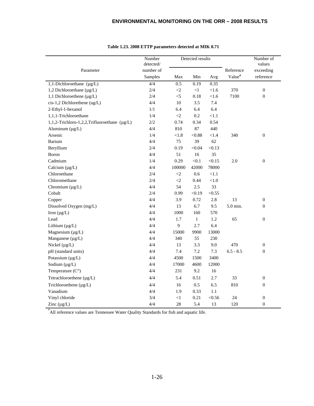|                                              | Number    |          | Detected results |          |                    | Number of        |
|----------------------------------------------|-----------|----------|------------------|----------|--------------------|------------------|
|                                              | detected/ |          |                  |          |                    | values           |
| Parameter                                    | number of |          |                  |          | Reference          | exceeding        |
|                                              | Samples   | Max      | Min              | Avg      | Value <sup>a</sup> | reference        |
| 1,1-Dichloroethane $(\mu g/L)$               | 4/4       | 0.5      | 0.19             | 0.35     |                    |                  |
| 1,2 Dichloroethane (µg/L)                    | 2/4       | $\leq$   | $\leq$ 1         | < 1.6    | 370                | $\boldsymbol{0}$ |
| 1,1 Dichloroethene $(\mu g/L)$               | 2/4       | $<\!\!5$ | 0.18             | $<1.6$   | 7100               | $\boldsymbol{0}$ |
| cis-1,2 Dichlorethene (ug/L)                 | 4/4       | $10\,$   | 3.5              | 7.4      |                    |                  |
| 2-Ethyl-1-hexanol                            | 1/1       | 6.4      | 6.4              | 6.4      |                    |                  |
| 1,1,1-Trichloroethane                        | 1/4       | ${<}2$   | 0.2              | < 1.1    |                    |                  |
| 1,1,2-Trichloro-1,2,2,Trifluoroethane (µg/L) | $2/2\,$   | 0.74     | 0.34             | 0.54     |                    |                  |
| Aluminum $(\mu g/L)$                         | 4/4       | 810      | 87               | 440      |                    |                  |
| Arsenic                                      | 1/4       | < 1.8    | < 0.88           | < 1.4    | 340                | $\boldsymbol{0}$ |
| Barium                                       | 4/4       | 75       | 39               | 62       |                    |                  |
| Beryllium                                    | 2/4       | 0.19     | < 0.04           | < 0.13   |                    |                  |
| Boron                                        | 4/4       | 51       | 16               | 35       |                    |                  |
| Cadmium                                      | 1/4       | 0.29     | < 0.1            | < 0.15   | $2.0\,$            | $\boldsymbol{0}$ |
| Calcium $(\mu g/L)$                          | 4/4       | 100000   | 42000            | 78000    |                    |                  |
| Chloroethane                                 | $2/4$     | $<\!\!2$ | 0.6              | $<1.1\,$ |                    |                  |
| Chloromethane                                | 2/4       | ${<}2$   | 0.44             | $<1.0$   |                    |                  |
| Chromium $(\mu g/L)$                         | 4/4       | 54       | $2.5\,$          | 33       |                    |                  |
| Cobalt                                       | 2/4       | 0.99     | < 0.19           | < 0.55   |                    |                  |
| Copper                                       | 4/4       | 3.9      | 0.72             | 2.8      | 13                 | $\boldsymbol{0}$ |
| Dissolved Oxygen (mg/L)                      | 4/4       | 13       | 6.7              | 9.5      | 5.0 min.           | $\overline{0}$   |
| Iron $(\mu g/L)$                             | 4/4       | 1000     | 160              | 570      |                    |                  |
| Lead                                         | 4/4       | 1.7      | $\mathbf{1}$     | 1.2      | 65                 | $\boldsymbol{0}$ |
| Lithium $(\mu g/L)$                          | 4/4       | 9        | 2.7              | 6.4      |                    |                  |
| Magnesium (µg/L)                             | 4/4       | 15000    | 9900             | 13000    |                    |                  |
| Manganese $(\mu g/L)$                        | 4/4       | 340      | 55               | 230      |                    |                  |
| Nickel $(\mu g/L)$                           | 4/4       | 13       | 3.3              | 9.0      | 470                | $\boldsymbol{0}$ |
| pH (standard units)                          | 4/4       | 7.4      | 7.2              | 7.3      | $6.5 - 8.5$        | $\overline{0}$   |
| Potassium (µg/L)                             | 4/4       | 4500     | 1500             | 3400     |                    |                  |
| Sodium $(\mu g/L)$                           | 4/4       | 17000    | 4600             | 12000    |                    |                  |
| Temperature $(C^{\circ})$                    | 4/4       | 231      | 9.2              | 16       |                    |                  |
| Tetrachloroethene (µg/L)                     | 4/4       | 5.4      | 0.51             | 2.7      | 33                 | $\boldsymbol{0}$ |
| Trichloroethene (µg/L)                       | 4/4       | 16       | 0.5              | 6.5      | 810                | $\overline{0}$   |
| Vanadium                                     | 4/4       | 1.9      | 0.33             | 1.1      |                    |                  |
| Vinyl chloride                               | 3/4       | $\leq$ 1 | 0.21             | < 0.56   | 24                 | $\boldsymbol{0}$ |
| Zinc $(\mu g/L)$                             | 4/4       | 28       | 5.4              | 13       | 120                | $\overline{0}$   |

#### **Table 1.23. 2008 ETTP parameters detected at MIK 0.71**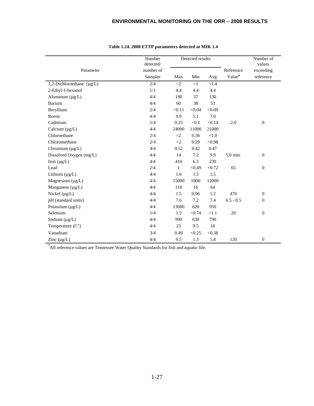|                                | Number<br>detected/ |                     | Detected results |          |                    | Number of<br>values |
|--------------------------------|---------------------|---------------------|------------------|----------|--------------------|---------------------|
| Parameter                      | number of           |                     |                  |          | Reference          | exceeding           |
|                                | Samples             | Max                 | Min              | Avg      | Value <sup>a</sup> | reference           |
|                                | 2/4                 |                     |                  |          |                    |                     |
| 1,2-Dichloroethane $(\mu g/L)$ |                     | $\langle 2$         | $<$ 1            | < 1.4    |                    |                     |
| 2-Ethyl-1-hexanol              | 1/1                 | 4.4                 | 4.4              | 4.4      |                    |                     |
| Aluminum $(\mu g/L)$           | 4/4                 | 190                 | 37               | 130      |                    |                     |
| Barium                         | 4/4                 | 60                  | 38               | 53       |                    |                     |
| Beryllium                      | 2/4                 | < 0.11              | < 0.04           | < 0.09   |                    |                     |
| Boron                          | 4/4                 | 9.9                 | 5.1              | 7.0      |                    |                     |
| Cadmium                        | 1/4                 | 0.23                | < 0.1            | < 0.14   | 2.0                | $\boldsymbol{0}$    |
| Calcium $(\mu g/L)$            | 4/4                 | 24000               | 11000            | 21000    |                    |                     |
| Chloroethane                   | 2/4                 | $\langle 2$         | 0.36             | ${<}1.0$ |                    |                     |
| Chloromethane                  | 2/4                 | $\langle 2 \rangle$ | 0.29             | < 0.98   |                    |                     |
| Chromium (µg/L)                | 4/4                 | 0.52                | 0.42             | 0.47     |                    |                     |
| Dissolved Oxygen (mg/L)        | 4/4                 | 14                  | 7.2              | 9.9      | 5.0 min.           | $\mathbf{0}$        |
| Iron $(\mu g/L)$               | 4/4                 | 410                 | 6.3              | 230      |                    |                     |
| Lead                           | 2/4                 | $\mathbf{1}$        | < 0.49           | < 0.72   | 65                 | $\boldsymbol{0}$    |
| Lithium $(\mu g/L)$            | 4/4                 | 1.6                 | 1.5              | 1.5      |                    |                     |
| Magnesium $(\mu g/L)$          | 4/4                 | 15000               | 5900             | 12000    |                    |                     |
| Manganese (µg/L)               | 4/4                 | 110                 | 16               | 64       |                    |                     |
| Nickel $(\mu g/L)$             | 4/4                 | 1.5                 | 0.96             | 1.2      | 470                | $\boldsymbol{0}$    |
| pH (standard units)            | 4/4                 | 7.6                 | 7.2              | 7.4      | $6.5 - 8.5$        | $\mathbf{0}$        |
| Potassium $(\mu g/L)$          | 4/4                 | 13000               | 620              | 950      |                    |                     |
| Selenium                       | 1/4                 | 1.5                 | < 0.74           | < 1.1    | 20                 | $\boldsymbol{0}$    |
| Sodium $(\mu g/L)$             | 4/4                 | 990                 | 630              | 790      |                    |                     |
| Temperature $(C^{\circ})$      | 4/4                 | 23                  | 9.5              | 16       |                    |                     |
| Vanadium                       | 3/4                 | 0.49                | < 0.25           | < 0.38   |                    |                     |
| Zinc $(\mu g/L)$               | 4/4                 | 9.5                 | 1.3              | 5.4      | 120                | $\mathbf{0}$        |

#### **Table 1.24. 2008 ETTP parameters detected at MIK 1.4**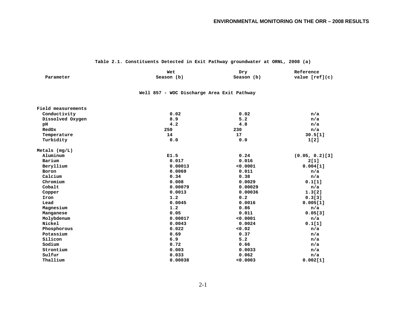#### **Table 2.1. Constituents Detected in Exit Pathway groundwater at ORNL, 2008 (a)**

|                                            | Wet        | Dry        | Reference         |  |  |  |  |
|--------------------------------------------|------------|------------|-------------------|--|--|--|--|
| Parameter                                  | Season (b) | Season (b) | value $[ref](c)$  |  |  |  |  |
| Well 857 - WOC Discharge Area Exit Pathway |            |            |                   |  |  |  |  |
| Field measurements                         |            |            |                   |  |  |  |  |
| Conductivity                               | 0.02       | 0.02       | n/a               |  |  |  |  |
| Dissolved Oxygen                           | 8.9        | 5.2        | n/a               |  |  |  |  |
| pH                                         | 4.2        | 4.8        | n/a               |  |  |  |  |
| RedOx                                      | 250        | 230        | n/a               |  |  |  |  |
| Temperature                                | 14         | 17         | 30.5[1]           |  |  |  |  |
| Turbidity                                  | 0.0        | 0.0        | 1[2]              |  |  |  |  |
| Metals $(mg/L)$                            |            |            |                   |  |  |  |  |
| Aluminum                                   | E1.5       | 0.24       | $(0.05, 0.2)$ [3] |  |  |  |  |
| Barium                                     | 0.017      | 0.016      | 2[1]              |  |  |  |  |
| Beryllium                                  | 0.00013    | 0.0001     | 0.004[1]          |  |  |  |  |
| Boron                                      | 0.0069     | 0.011      | n/a               |  |  |  |  |
| Calcium                                    | 0.34       | 0.38       | n/a               |  |  |  |  |
| Chromium                                   | 0.008      | 0.0029     | 0.1[1]            |  |  |  |  |
| Cobalt                                     | 0.00079    | 0.00029    | n/a               |  |  |  |  |
| Copper                                     | 0.0013     | 0.00036    | 1.3[2]            |  |  |  |  |
| Iron                                       | 1.2        | 0.2        | 0.3[3]            |  |  |  |  |
| Lead                                       | 0.0045     | 0.0016     | 0.005[1]          |  |  |  |  |
| Magnesium                                  | 1.2        | 0.86       | n/a               |  |  |  |  |
| Manganese                                  | 0.05       | 0.011      | 0.05[3]           |  |  |  |  |
| Molybdenum                                 | 0.00017    | 0.0001     | n/a               |  |  |  |  |
| Nickel                                     | 0.0043     | 0.0024     | 0.1[1]            |  |  |  |  |
| Phosphorous                                | 0.022      | 0.02       | n/a               |  |  |  |  |
| Potassium                                  | 0.69       | 0.37       | n/a               |  |  |  |  |
| Silicon                                    | 6.9        | 5.2        | n/a               |  |  |  |  |
| Sodium                                     | 0.72       | 0.66       | n/a               |  |  |  |  |
| Strontium                                  | 0.003      | 0.0033     | n/a               |  |  |  |  |
| Sulfur                                     | 0.033      | 0.062      | n/a               |  |  |  |  |
| Thallium                                   | 0.00038    | 0.0003     | 0.002[1]          |  |  |  |  |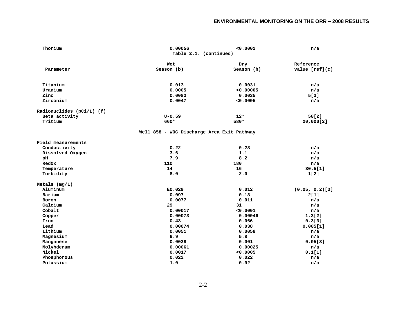| Thorium                   | 0.00056                                    | 0.0002     | n/a               |
|---------------------------|--------------------------------------------|------------|-------------------|
|                           | Table 2.1. (continued)                     |            |                   |
|                           | Wet                                        | Dry        | Reference         |
| Parameter                 | Season (b)                                 | Season (b) | value $[ref](c)$  |
|                           |                                            |            |                   |
| Titanium                  | 0.013                                      | 0.0031     | n/a               |
| Uranium                   | 0.0005                                     | < 0.00005  | n/a               |
| Zinc                      | 0.0083                                     | 0.0035     | 5[3]              |
| Zirconium                 | 0.0047                                     | < 0.0005   | n/a               |
| Radionuclides (pCi/L) (f) |                                            |            |                   |
| Beta activity             | $U - 0.59$                                 | $12*$      | 50[2]             |
| Tritium                   | 660*                                       | 580*       | 20,000[2]         |
|                           | Well 858 - WOC Discharge Area Exit Pathway |            |                   |
| Field measurements        |                                            |            |                   |
| Conductivity              | 0.22                                       | 0.23       | n/a               |
| Dissolved Oxygen          | 3.6                                        | 1.1        | n/a               |
| pH                        | 7.9                                        | 8.2        | n/a               |
| RedOx                     | 110                                        | 180        | n/a               |
| Temperature               | 14                                         | 16         | 30.5[1]           |
| Turbidity                 | 8.0                                        | 2.0        | 1[2]              |
| Metals $(mq/L)$           |                                            |            |                   |
| Aluminum                  | E0.029                                     | 0.012      | $(0.05, 0.2)$ [3] |
| Barium                    | 0.097                                      | 0.13       | 2[1]              |
| Boron                     | 0.0077                                     | 0.011      | n/a               |
| Calcium                   | 29                                         | 31         | n/a               |
| Cobalt                    | 0.00017                                    | 0.0001     | n/a               |
| Copper                    | 0.00073                                    | 0.00046    | 1.3[2]            |
| Iron                      | 0.43                                       | 0.066      | 0.3[3]            |
| Lead                      | 0.00074                                    | 0.038      | 0.005[1]          |
| Lithium                   | 0.0051                                     | 0.0058     | n/a               |
| Magnesium                 | 6.9                                        | 5.8        | n/a               |
| Manganese                 | 0.0038                                     | 0.001      | 0.05[3]           |
| Molybdenum                | 0.00061                                    | 0.00025    | n/a               |
| Nickel                    | 0.0017                                     | 0.0005     | 0.1[1]            |
| Phosphorous               | 0.022                                      | 0.022      | n/a               |
| Potassium                 | 1.0                                        | 0.92       | n/a               |
|                           |                                            |            |                   |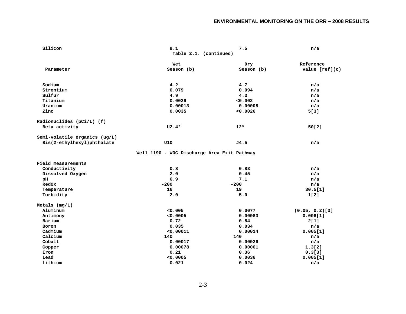| Silicon                       | 9.1                                         | 7.5        | n/a               |  |  |
|-------------------------------|---------------------------------------------|------------|-------------------|--|--|
|                               | Table 2.1. (continued)                      |            |                   |  |  |
|                               | Wet                                         | Dry        | Reference         |  |  |
| Parameter                     | Season (b)                                  | Season (b) | value $[ref](c)$  |  |  |
|                               |                                             |            |                   |  |  |
| Sodium                        | 4.2                                         | 4.7        | n/a               |  |  |
| Strontium                     | 0.079                                       | 0.094      | n/a               |  |  |
| Sulfur                        | 4.9                                         | 4.3        | n/a               |  |  |
| Titanium                      | 0.0029                                      | 0.002      | n/a               |  |  |
| Uranium                       | 0.00013                                     | 0.00008    | n/a               |  |  |
| Zinc                          | 0.0035                                      | 0.0026     | 5[3]              |  |  |
| Radionuclides (pCi/L) (f)     |                                             |            |                   |  |  |
| Beta activity                 | $U2.4*$                                     | $12*$      | 50[2]             |  |  |
| Semi-volatile organics (ug/L) |                                             |            |                   |  |  |
| Bis(2-ethylhexyl)phthalate    | U10                                         | J4.5       | n/a               |  |  |
|                               | Well 1190 - WOC Discharge Area Exit Pathway |            |                   |  |  |
| Field measurements            |                                             |            |                   |  |  |
| Conductivity                  | 0.8                                         | 0.83       | n/a               |  |  |
| Dissolved Oxygen              | 2.0                                         | 0.45       | n/a               |  |  |
| рH                            | 6.9                                         | 7.1        | n/a               |  |  |
| RedOx                         | $-200$                                      | $-200$     | n/a               |  |  |
| Temperature                   | 16                                          | 19         | 30.5[1]           |  |  |
| Turbidity                     | 2.0                                         | 5.0        | 1[2]              |  |  |
| Metals $(mg/L)$               |                                             |            |                   |  |  |
| Aluminum                      | 0.005                                       | 0.0077     | $(0.05, 0.2)$ [3] |  |  |
| Antimony                      | 0.0005                                      | 0.00083    | 0.006[1]          |  |  |
| Barium                        | 0.72                                        | 0.84       | 2[1]              |  |  |
| Boron                         | 0.035                                       | 0.034      | n/a               |  |  |
| Cadmium                       | < 0.00011                                   | 0.00014    | 0.005[1]          |  |  |
| Calcium                       | 140                                         | 140        | n/a               |  |  |
| Cobalt                        | 0.00017                                     | 0.00026    | n/a               |  |  |
| Copper                        | 0.00078                                     | 0.00061    | 1.3[2]            |  |  |
| Iron                          | 0.21                                        | 0.36       | 0.3[3]            |  |  |
| Lead                          | 0.0005                                      | 0.0036     | 0.005[1]          |  |  |
| Lithium                       | 0.021                                       | 0.024      | n/a               |  |  |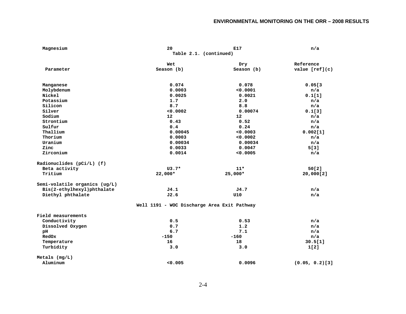| Magnesium                     | 20                                          | E17        | n/a               |
|-------------------------------|---------------------------------------------|------------|-------------------|
|                               | Table 2.1. (continued)                      |            |                   |
|                               | Wet                                         | Dry        | Reference         |
| Parameter                     | Season (b)                                  | Season (b) | value [ref](c)    |
| Manganese                     | 0.074                                       | 0.078      | 0.05[3]           |
| Molybdenum                    | 0.0003                                      | 0.0001     | n/a               |
| Nickel                        | 0.0025                                      | 0.0021     | 0.1[1]            |
| Potassium                     | 1.7                                         | 2.0        | n/a               |
| Silicon                       | 8.7                                         | 8.8        | n/a               |
| Silver                        | 0.0002                                      | 0.00074    | 0.1[3]            |
| Sodium                        | 12                                          | $12 \,$    | n/a               |
| Strontium                     | 0.43                                        | 0.52       | n/a               |
| Sulfur                        | 0.4                                         | 0.24       | n/a               |
| Thallium                      | 0.00045                                     | 0.0003     | 0.002[1]          |
| Thorium                       | 0.0003                                      | 0.0002     | n/a               |
| Uranium                       | 0.00034                                     | 0.00034    | n/a               |
| Zinc                          | 0.0033                                      | 0.0047     | 5[3]              |
| Zirconium                     | 0.0014                                      | 0.0005     | n/a               |
| Radionuclides (pCi/L) (f)     |                                             |            |                   |
| Beta activity                 | $U3.7*$                                     | $11*$      | 50[2]             |
| Tritium                       | 22,000*                                     | 25,000*    | 20,000[2]         |
| Semi-volatile organics (ug/L) |                                             |            |                   |
| Bis(2-ethylhexyl)phthalate    | J4.1                                        | J4.7       | n/a               |
| Diethyl phthalate             | J2.6                                        | U10        | n/a               |
|                               | Well 1191 - WOC Discharge Area Exit Pathway |            |                   |
| Field measurements            |                                             |            |                   |
| Conductivity                  | 0.5                                         | 0.53       | n/a               |
| Dissolved Oxygen              | 0.7                                         | 1.2        | n/a               |
| pH                            | 6.7                                         | 7.1        | n/a               |
| RedOx                         | $-150$                                      | $-160$     | n/a               |
| Temperature                   | 16                                          | 18         | 30.5[1]           |
| Turbidity                     | 3.0                                         | 3.0        | 1[2]              |
| Metals (mg/L)                 |                                             |            |                   |
| Aluminum                      | 0.005                                       | 0.0096     | $(0.05, 0.2)$ [3] |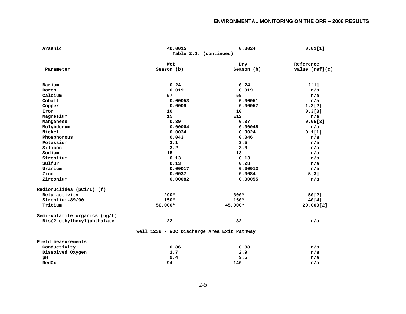| Arsenic                       | < 0.0015                                    | 0.0024     | 0.01[1]          |  |  |  |
|-------------------------------|---------------------------------------------|------------|------------------|--|--|--|
|                               | Table 2.1. (continued)                      |            |                  |  |  |  |
|                               | Wet                                         | Dry        | Reference        |  |  |  |
| Parameter                     | Season (b)                                  | Season (b) | value $[ref](c)$ |  |  |  |
|                               |                                             |            |                  |  |  |  |
| Barium                        | 0.24                                        | 0.24       | 2[1]             |  |  |  |
| Boron                         | 0.019                                       | 0.019      | n/a              |  |  |  |
| Calcium                       | 57                                          | 59         | n/a              |  |  |  |
| Cobalt                        | 0.00053                                     | 0.00051    | n/a              |  |  |  |
| Copper                        | 0.0009                                      | 0.00057    | 1.3[2]           |  |  |  |
| Iron                          | 10                                          | 10         | 0.3[3]           |  |  |  |
| Magnesium                     | 15                                          | E12        | n/a              |  |  |  |
| Manganese                     | 0.39                                        | 0.37       | 0.05[3]          |  |  |  |
| Molybdenum                    | 0.00064                                     | 0.00048    | n/a              |  |  |  |
| Nickel                        | 0.0034                                      | 0.0024     | 0.1[1]           |  |  |  |
| Phosphorous                   | 0.043                                       | 0.046      | n/a              |  |  |  |
| Potassium                     | 3.1                                         | 3.5        | n/a              |  |  |  |
| Silicon                       | 3.2                                         | 3.3        | n/a              |  |  |  |
| Sodium                        | 15                                          | 13         | n/a              |  |  |  |
| Strontium                     | 0.13                                        | 0.13       | n/a              |  |  |  |
| Sulfur                        | 0.13                                        | 0.28       | n/a              |  |  |  |
| Uranium                       | 0.00017                                     | 0.00013    | n/a              |  |  |  |
| Zinc                          | 0.0037                                      | 0.0084     | 5[3]             |  |  |  |
| Zirconium                     | 0.00082                                     | 0.00055    | n/a              |  |  |  |
| Radionuclides $(pCi/L)$ (f)   |                                             |            |                  |  |  |  |
| Beta activity                 | $290*$                                      | $300*$     | 50[2]            |  |  |  |
| Strontium-89/90               | $150*$                                      | $150*$     | 40[4]            |  |  |  |
| Tritium                       | 50,000*                                     | 45,000*    | 20,000[2]        |  |  |  |
| Semi-volatile organics (ug/L) |                                             |            |                  |  |  |  |
| Bis(2-ethylhexyl)phthalate    | 22                                          | 32         | n/a              |  |  |  |
|                               | Well 1239 - WOC Discharge Area Exit Pathway |            |                  |  |  |  |
| Field measurements            |                                             |            |                  |  |  |  |
| Conductivity                  | 0.86                                        | 0.88       | n/a              |  |  |  |
| Dissolved Oxygen              | 1.7                                         | 2.9        | n/a              |  |  |  |
| pH                            | 9.4                                         | 9.5        | n/a              |  |  |  |
| RedOx                         | 94                                          | 140        | n/a              |  |  |  |
|                               |                                             |            |                  |  |  |  |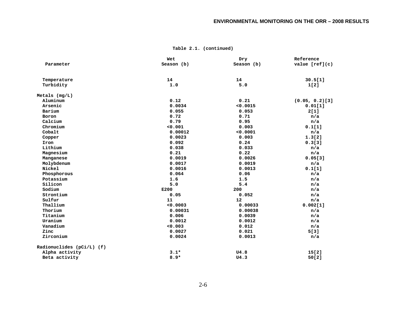|                             | Wet        | Dry        | Reference         |
|-----------------------------|------------|------------|-------------------|
| Parameter                   | Season (b) | Season (b) | value $[ref](c)$  |
|                             |            |            |                   |
| Temperature                 | 14         | 14         | 30.5[1]           |
| Turbidity                   | 1.0        | 5.0        | 1[2]              |
| $Metals$ (mg/L)             |            |            |                   |
| Aluminum                    | 0.12       | 0.21       | $(0.05, 0.2)$ [3] |
| Arsenic                     | 0.0034     | < 0.0015   | 0.01[1]           |
| Barium                      | 0.055      | 0.053      | 2[1]              |
| Boron                       | 0.72       | 0.71       | n/a               |
| Calcium                     | 0.79       | 0.95       | n/a               |
| Chromium                    | 0.001      | 0.003      | 0.1[1]            |
| Cobalt                      | 0.00012    | 0.0001     | n/a               |
| Copper                      | 0.0023     | 0.003      | 1.3[2]            |
| Iron                        | 0.092      | 0.24       | 0.3[3]            |
| Lithium                     | 0.038      | 0.033      | n/a               |
| Magnesium                   | 0.21       | 0.22       | n/a               |
| Manganese                   | 0.0019     | 0.0026     | 0.05[3]           |
| Molybdenum                  | 0.0017     | 0.0019     | n/a               |
| Nickel                      | 0.0016     | 0.0013     | 0.1[1]            |
| Phosphorous                 | 0.064      | 0.06       | n/a               |
| Potassium                   | 1.6        | 1.5        | n/a               |
| Silicon                     | 5.0        | 5.4        | n/a               |
| Sodium                      | E200       | 200        | n/a               |
| Strontium                   | 0.05       | 0.052      | n/a               |
| Sulfur                      | 11         | 12         | n/a               |
| Thallium                    | 0.0003     | 0.00033    | 0.002[1]          |
| Thorium                     | 0.00031    | 0.00038    | n/a               |
| Titanium                    | 0.006      | 0.0039     | n/a               |
| Uranium                     | 0.0012     | 0.0012     | n/a               |
| Vanadium                    | 0.003      | 0.012      | n/a               |
| Zinc                        | 0.0027     | 0.021      | 5[3]              |
| Zirconium                   | 0.0024     | 0.0013     | n/a               |
| Radionuclides $(pCi/L)$ (f) |            |            |                   |
| Alpha activity              | $3.1*$     | U4.8       | 15[2]             |
| Beta activity               | $8.9*$     | U4.3       | 50[2]             |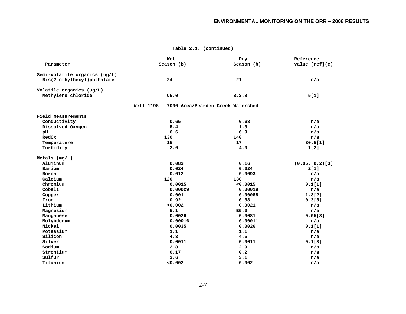|                               | Wet                                           | Dry        | Reference         |
|-------------------------------|-----------------------------------------------|------------|-------------------|
| Parameter                     | Season (b)                                    | Season (b) | value $[ref](c)$  |
| Semi-volatile organics (ug/L) |                                               |            |                   |
| Bis(2-ethylhexyl)phthalate    | 24                                            | 21         | n/a               |
| Volatile organics (ug/L)      |                                               |            |                   |
| Methylene chloride            | U5.0                                          | BJ2.8      | 5[1]              |
|                               | Well 1198 - 7000 Area/Bearden Creek Watershed |            |                   |
| Field measurements            |                                               |            |                   |
| Conductivity                  | 0.65                                          | 0.68       | n/a               |
| Dissolved Oxygen              | 5.4                                           | 1.3        | n/a               |
| pH                            | 6.6                                           | 6.9        | n/a               |
| RedOx                         | 130                                           | 140        | n/a               |
| Temperature                   | 15                                            | 17         | 30.5[1]           |
| Turbidity                     | 2.0                                           | 4.0        | 1[2]              |
| Metals $(mq/L)$               |                                               |            |                   |
| Aluminum                      | 0.083                                         | 0.16       | $(0.05, 0.2)$ [3] |
| Barium                        | 0.024                                         | 0.024      | 2[1]              |
| Boron                         | 0.012                                         | 0.0093     | n/a               |
| Calcium                       | 120                                           | 130        | n/a               |
| Chromium                      | 0.0015                                        | < 0.0015   | 0.1[1]            |
| Cobalt                        | 0.00029                                       | 0.00019    | n/a               |
| Copper                        | 0.001                                         | 0.00088    | 1.3[2]            |
| Iron                          | 0.92                                          | 0.38       | 0.3[3]            |
| Lithium                       | 0.002                                         | 0.0021     | n/a               |
| Magnesium                     | 5.1                                           | E5.0       | n/a               |
| Manganese                     | 0.0026                                        | 0.0081     | 0.05[3]           |
| Molybdenum                    | 0.00016                                       | 0.00011    | n/a               |
| Nickel                        | 0.0035                                        | 0.0026     | 0.1[1]            |
| Potassium                     | 1.1                                           | 1.1        | n/a               |
| Silicon                       | 4.3                                           | 4.5        | n/a               |
| Silver                        | 0.0011                                        | 0.0011     | 0.1[3]            |
| Sodium                        | 2.8                                           | 2.9        | n/a               |
| Strontium                     | 0.17                                          | 0.2        | n/a               |
| Sulfur                        | 3.6                                           | 3.1        | n/a               |
| Titanium                      | 0.002                                         | 0.002      | n/a               |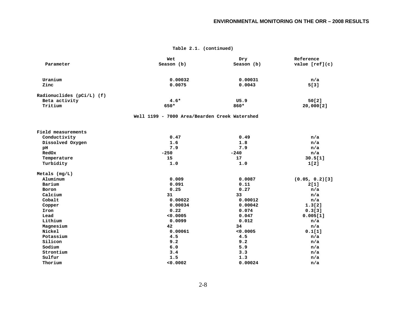|                           | Wet                                           | Dry        | Reference         |
|---------------------------|-----------------------------------------------|------------|-------------------|
| Parameter                 | Season (b)                                    | Season (b) | value $[ref](c)$  |
|                           |                                               |            |                   |
| Uranium                   | 0.00032                                       | 0.00031    | n/a               |
| Zinc                      | 0.0075                                        | 0.0043     | 5[3]              |
| Radionuclides (pCi/L) (f) |                                               |            |                   |
| Beta activity             | $4.6*$                                        | U5.9       | 50[2]             |
| Tritium                   | 650*                                          | 860*       | 20,000[2]         |
|                           | Well 1199 - 7000 Area/Bearden Creek Watershed |            |                   |
| Field measurements        |                                               |            |                   |
| Conductivity              | 0.47                                          | 0.49       | n/a               |
| Dissolved Oxygen          | 1.6                                           | 1.8        | n/a               |
| pH                        | 7.9                                           | 7.9        | n/a               |
| RedOx                     | $-250$                                        | $-240$     | n/a               |
| Temperature               | 15                                            | 17         | 30.5[1]           |
| Turbidity                 | 1.0                                           | 1.0        | 1[2]              |
| Metals $(mg/L)$           |                                               |            |                   |
| Aluminum                  | 0.009                                         | 0.0087     | $(0.05, 0.2)$ [3] |
| Barium                    | 0.091                                         | 0.11       | 2[1]              |
| Boron                     | 0.25                                          | 0.27       | n/a               |
| Calcium                   | 31                                            | 33         | n/a               |
| Cobalt                    | 0.00022                                       | 0.00012    | n/a               |
| Copper                    | 0.00034                                       | 0.00042    | 1.3[2]            |
| Iron                      | 0.22                                          | 0.074      | 0.3[3]            |
| Lead                      | 0.0005                                        | 0.047      | 0.005[1]          |
| Lithium                   | 0.0099                                        | 0.012      | n/a               |
| Magnesium                 | 42                                            | 34         | n/a               |
| Nickel                    | 0.00061                                       | 0.0005     | 0.1[1]            |
| Potassium                 | 4.5                                           | 4.5        | n/a               |
| Silicon                   | 9.2                                           | 9.2        | n/a               |
| Sodium                    | 6.0                                           | 5.9        | n/a               |
| Strontium                 | 3.4                                           | 3.3        | n/a               |
| Sulfur                    | 1.5                                           | 1.3        | n/a               |
| Thorium                   | 0.0002                                        | 0.00024    | n/a               |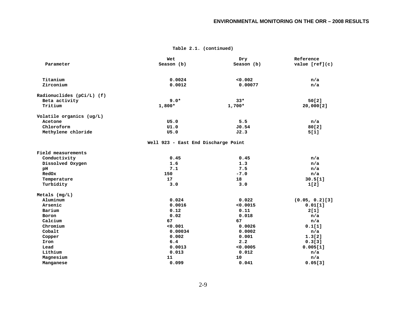|                           | Wet                                 | Dry        | Reference         |
|---------------------------|-------------------------------------|------------|-------------------|
| Parameter                 | Season (b)                          | Season (b) | value $[ref](c)$  |
|                           |                                     |            |                   |
| Titanium                  | 0.0024                              | 0.002      | n/a               |
| Zirconium                 | 0.0012                              | 0.00077    | n/a               |
| Radionuclides (pCi/L) (f) |                                     |            |                   |
| Beta activity             | $9.0*$                              | $33*$      | 50[2]             |
| Tritium                   | $1,800*$                            | $1,700*$   | 20,000[2]         |
| Volatile organics (ug/L)  |                                     |            |                   |
| Acetone                   | U5.0                                | 5.5        | n/a               |
| Chloroform                | UI.0                                | J0.54      | 80[2]             |
| Methylene chloride        | U5.0                                | J2.3       | 5[1]              |
|                           | Well 923 - East End Discharge Point |            |                   |
| Field measurements        |                                     |            |                   |
| Conductivity              | 0.45                                | 0.45       | n/a               |
| Dissolved Oxygen          | 1.6                                 | 1.3        | n/a               |
| pH                        | 7.1                                 | 7.5        | n/a               |
| <b>RedOx</b>              | 150                                 | $-7.0$     | n/a               |
| Temperature               | 17                                  | 18         | 30.5[1]           |
| Turbidity                 | 3.0                                 | 3.0        | 1[2]              |
| Metals $(mg/L)$           |                                     |            |                   |
| Aluminum                  | 0.024                               | 0.022      | $(0.05, 0.2)$ [3] |
| Arsenic                   | 0.0016                              | < 0.0015   | 0.01[1]           |
| Barium                    | 0.12                                | 0.11       | 2[1]              |
| Boron                     | 0.02                                | 0.018      | n/a               |
| Calcium                   | 67                                  | 67         | n/a               |
| Chromium                  | 0.001                               | 0.0026     | 0.1[1]            |
| Cobalt                    | 0.00034                             | 0.0002     | n/a               |
| Copper                    | 0.002                               | 0.001      | 1.3[2]            |
| Iron                      | 6.4                                 | 2.2        | 0.3[3]            |
| Lead                      | 0.0013                              | 0.0005     | 0.005[1]          |
| Lithium                   | 0.013                               | 0.012      | n/a               |
| Magnesium                 | 11                                  | 10         | n/a               |
| Manganese                 | 0.099                               | 0.041      | 0.05[3]           |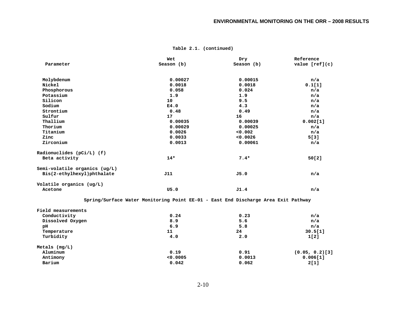|                               | Wet                                                                                | Dry        | Reference      |
|-------------------------------|------------------------------------------------------------------------------------|------------|----------------|
| Parameter                     | Season (b)                                                                         | Season (b) | value [ref](c) |
| Molybdenum                    | 0.00027                                                                            | 0.00015    | n/a            |
| Nickel                        | 0.0018                                                                             | 0.0018     | 0.1[1]         |
| Phosphorous                   | 0.058                                                                              | 0.024      | n/a            |
| Potassium                     | 1.9                                                                                | 1.9        | n/a            |
| Silicon                       | 10                                                                                 | 9.5        | n/a            |
| Sodium                        | E4.0                                                                               | 4.3        | n/a            |
| Strontium                     | 0.48                                                                               | 0.49       | n/a            |
| Sulfur                        | 17                                                                                 | 16         | n/a            |
| Thallium                      | 0.00035                                                                            | 0.00039    | 0.002[1]       |
| Thorium                       | 0.00029                                                                            | 0.00025    | n/a            |
| Titanium                      | 0.0026                                                                             | 0.002      | n/a            |
| Zinc                          | 0.0033                                                                             | 0.0026     | 5[3]           |
| Zirconium                     | 0.0013                                                                             | 0.00061    | n/a            |
| Radionuclides $(pCi/L)$ (f)   |                                                                                    |            |                |
| Beta activity                 | $14*$                                                                              | $7.4*$     | 50[2]          |
| Semi-volatile organics (ug/L) |                                                                                    |            |                |
| Bis(2-ethylhexyl)phthalate    | J11                                                                                | J5.0       | n/a            |
| Volatile organics $(ug/L)$    |                                                                                    |            |                |
| Acetone                       | U5.0                                                                               | J1.4       | n/a            |
|                               | Spring/Surface Water Monitoring Point EE-01 - East End Discharge Area Exit Pathway |            |                |
| Field measurements            |                                                                                    |            |                |
| Conductivity                  | 0.24                                                                               | 0.23       | n/a            |
| Dissolved Oxygen              | 8.9                                                                                | 5.6        | n/a            |
| рH                            | 6.9                                                                                | 5.8        | n/a            |
| Temperature                   | 11                                                                                 | 24         | 30.5[1]        |
| Turbidity                     | 4.0                                                                                | 2.0        | 1[2]           |
| Metals $(mg/L)$               |                                                                                    |            |                |

 **Aluminum 0.19 0.91 (0.05, 0.2)[3] Antimony <0.0005 0.0013 0.006[1] Barium 0.042 0.062 2[1]**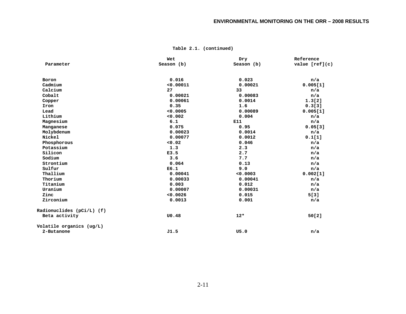|                           | Wet        | Dry        | Reference        |
|---------------------------|------------|------------|------------------|
| Parameter                 | Season (b) | Season (b) | value $[ref](c)$ |
|                           |            |            |                  |
| Boron                     | 0.016      | 0.023      | n/a              |
| Cadmium                   | < 0.00011  | 0.00021    | 0.005[1]         |
| Calcium                   | 27         | 33         | n/a              |
| Cobalt                    | 0.00021    | 0.00083    | n/a              |
| Copper                    | 0.00061    | 0.0014     | 1.3[2]           |
| Iron                      | 0.35       | 1.6        | 0.3[3]           |
| Lead                      | < 0.0005   | 0.00089    | 0.005[1]         |
| Lithium                   | 0.002      | 0.004      | n/a              |
| Magnesium                 | 6.1        | E11        | n/a              |
| Manganese                 | 0.075      | 0.95       | 0.05[3]          |
| Molybdenum                | 0.00023    | 0.0014     | n/a              |
| Nickel                    | 0.00077    | 0.0012     | 0.1[1]           |
| Phosphorous               | 0.02       | 0.046      | n/a              |
| Potassium                 | 1.3        | 2.3        | n/a              |
| Silicon                   | E3.5       | 2.7        | n/a              |
| Sodium                    | 3.6        | 7.7        | n/a              |
| Strontium                 | 0.064      | 0.13       | n/a              |
| Sulfur                    | E6.1       | 9.0        | n/a              |
| Thallium                  | 0.00041    | 0.0003     | 0.002[1]         |
| Thorium                   | 0.00033    | 0.00041    | n/a              |
| Titanium                  | 0.003      | 0.012      | n/a              |
| Uranium                   | 0.00007    | 0.00031    | n/a              |
| Zinc                      | 0.0026     | 0.015      | 5[3]             |
| Zirconium                 | 0.0013     | 0.001      | n/a              |
| Radionuclides (pCi/L) (f) |            |            |                  |
| Beta activity             | U0.48      | $12*$      | 50[2]            |
| Volatile organics (ug/L)  |            |            |                  |
| 2-Butanone                | J1.5       | U5.0       | n/a              |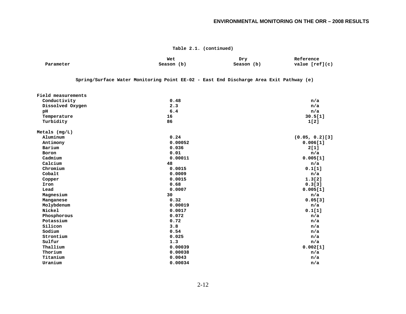#### **ENVIRONMENTAL MONITORING ON THE ORR – 2008 RESULTS**

|                    | Wet                                                                                    | Dry        | Reference         |
|--------------------|----------------------------------------------------------------------------------------|------------|-------------------|
| Parameter          | Season (b)                                                                             | Season (b) | value $[ref](c)$  |
|                    |                                                                                        |            |                   |
|                    | Spring/Surface Water Monitoring Point EE-02 - East End Discharge Area Exit Pathway (e) |            |                   |
| Field measurements |                                                                                        |            |                   |
| Conductivity       | 0.48                                                                                   |            | n/a               |
| Dissolved Oxygen   | 2.3                                                                                    |            | n/a               |
| pH                 | 6.4                                                                                    |            | n/a               |
| Temperature        | 16                                                                                     |            | 30.5[1]           |
| Turbidity          | 86                                                                                     |            | 1[2]              |
| Metals $(mq/L)$    |                                                                                        |            |                   |
| Aluminum           | 0.24                                                                                   |            | $(0.05, 0.2)$ [3] |
| Antimony           | 0.00052                                                                                |            | 0.006[1]          |
| Barium             | 0.036                                                                                  |            | 2[1]              |
| Boron              | 0.01                                                                                   |            | n/a               |
| Cadmium            | 0.00011                                                                                |            | 0.005[1]          |
| Calcium            | 48                                                                                     |            | n/a               |
| Chromium           | 0.0015                                                                                 |            | 0.1[1]            |
| Cobalt             | 0.0009                                                                                 |            | n/a               |
| Copper             | 0.0015                                                                                 |            | 1.3[2]            |
| Iron               | 0.68                                                                                   |            | 0.3[3]            |
| Lead               | 0.0007                                                                                 |            | 0.005[1]          |
| Magnesium          | 30                                                                                     |            | n/a               |
| Manganese          | 0.32                                                                                   |            | 0.05[3]           |
| Molybdenum         | 0.00019                                                                                |            | n/a               |
| Nickel             | 0.0017                                                                                 |            | 0.1[1]            |
| Phosphorous        | 0.072                                                                                  |            | n/a               |
| Potassium          | 0.72                                                                                   |            | n/a               |
| Silicon            | 3.8                                                                                    |            | n/a               |
| Sodium             | 0.54                                                                                   |            | n/a               |
| Strontium          | 0.025                                                                                  |            | n/a               |
| Sulfur             | 1.3                                                                                    |            | n/a               |
| Thallium           | 0.00039                                                                                |            | 0.002[1]          |
| Thorium            | 0.00038                                                                                |            | n/a               |
| Titanium           | 0.0043                                                                                 |            | n/a               |
| Uranium            | 0.00034                                                                                |            | n/a               |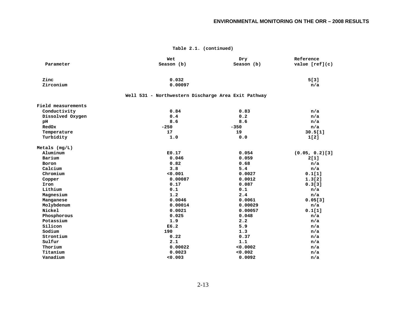|                    | Wet                                                 | Dry        | Reference         |
|--------------------|-----------------------------------------------------|------------|-------------------|
| Parameter          | Season (b)                                          | Season (b) | value $[ref](c)$  |
| Zinc               | 0.032                                               |            | 5[3]              |
| Zirconium          | 0.00097                                             |            | n/a               |
|                    | Well 531 - Northwestern Discharge Area Exit Pathway |            |                   |
| Field measurements |                                                     |            |                   |
| Conductivity       | 0.84                                                | 0.83       | n/a               |
| Dissolved Oxygen   | 0.4                                                 | 0.2        | n/a               |
| pH                 | 8.6                                                 | 8.6        | n/a               |
| RedOx              | $-250$                                              | $-350$     | n/a               |
| Temperature        | 17                                                  | 19         | 30.5[1]           |
| Turbidity          | 1.0                                                 | 0.0        | 1[2]              |
| Metals $(mg/L)$    |                                                     |            |                   |
| Aluminum           | E0.17                                               | 0.054      | $(0.05, 0.2)$ [3] |
| Barium             | 0.046                                               | 0.059      | 2[1]              |
| Boron              | 0.82                                                | 0.68       | n/a               |
| Calcium            | 3.8                                                 | 5.4        | n/a               |
| Chromium           | 0.001                                               | 0.0027     | 0.1[1]            |
| Copper             | 0.00087                                             | 0.0012     | 1.3[2]            |
| Iron               | 0.17                                                | 0.087      | 0.3[3]            |
| Lithium            | 0.1                                                 | 0.1        | n/a               |
| Magnesium          | 1.2                                                 | 2.4        | n/a               |
| Manganese          | 0.0046                                              | 0.0061     | 0.05[3]           |
| Molybdenum         | 0.00014                                             | 0.00029    | n/a               |
| Nickel             | 0.0021                                              | 0.00057    | 0.1[1]            |
| Phosphorous        | 0.025                                               | 0.048      | n/a               |
| Potassium          | 1.9                                                 | 2.2        | n/a               |
| Silicon            | E6.2                                                | 5.9        | n/a               |
| Sodium             | 190                                                 | 1.3        | n/a               |
| Strontium          | 0.22                                                | 0.37       | n/a               |
| Sulfur             | 2.1                                                 | 1.1        | n/a               |
| Thorium            | 0.00022                                             | 0.0002     | n/a               |
| Titanium           | 0.0023                                              | 0.002      | n/a               |
| Vanadium           | 0.003                                               | 0.0092     | n/a               |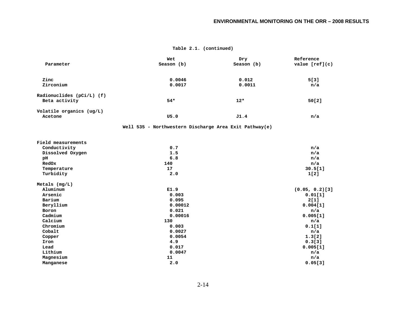|                           | Wet                                                    | Dry        | Reference         |
|---------------------------|--------------------------------------------------------|------------|-------------------|
| Parameter                 | Season (b)                                             | Season (b) | value $[ref](c)$  |
|                           |                                                        |            |                   |
| Zinc                      | 0.0046                                                 | 0.012      | 5[3]              |
| Zirconium                 | 0.0017                                                 | 0.0011     | n/a               |
| Radionuclides (pCi/L) (f) |                                                        |            |                   |
| Beta activity             | $54*$                                                  | $12*$      | 50[2]             |
|                           |                                                        |            |                   |
| Volatile organics (ug/L)  |                                                        |            |                   |
| Acetone                   | U5.0                                                   | J1.4       | n/a               |
|                           | Well 535 - Northwestern Discharge Area Exit Pathway(e) |            |                   |
| Field measurements        |                                                        |            |                   |
| Conductivity              | 0.7                                                    |            | n/a               |
| Dissolved Oxygen          | 1.5                                                    |            | n/a               |
| pH                        | 6.8                                                    |            | n/a               |
| RedOx                     | 140                                                    |            | n/a               |
| Temperature               | 17                                                     |            | 30.5[1]           |
| Turbidity                 | 2.0                                                    |            | 1[2]              |
| Metals $(mg/L)$           |                                                        |            |                   |
| Aluminum                  | E1.9                                                   |            | $(0.05, 0.2)$ [3] |
| Arsenic                   | 0.003                                                  |            | 0.01[1]           |
| Barium                    | 0.095                                                  |            | 2[1]              |
| Beryllium                 | 0.00012                                                |            | 0.004[1]          |
| Boron                     | 0.021                                                  |            | n/a               |
| Cadmium                   | 0.00016                                                |            | 0.005[1]          |
| Calcium                   | 130                                                    |            | n/a               |
| Chromium                  | 0.003                                                  |            | 0.1[1]            |
| Cobalt                    | 0.0027                                                 |            | n/a               |
| Copper                    | 0.0054                                                 |            | 1.3[2]            |
| Iron                      | 4.9                                                    |            | 0.3[3]            |
| Lead                      | 0.017                                                  |            | 0.005[1]          |
| Lithium                   | 0.0047                                                 |            | n/a               |
| Magnesium                 | 11                                                     |            | n/a               |
| Manganese                 | 2.0                                                    |            | 0.05[3]           |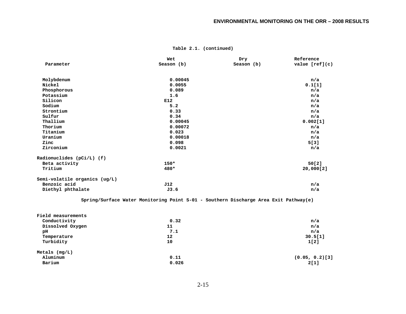| Parameter                     | Wet<br>Season (b) | Dry<br>Season (b) | Reference<br>value $[ref](c)$ |
|-------------------------------|-------------------|-------------------|-------------------------------|
| Molybdenum                    | 0.00045           |                   | n/a                           |
| Nickel                        | 0.0055            |                   | 0.1[1]                        |
| Phosphorous                   | 0.089             |                   | n/a                           |
| Potassium                     | 1.6               |                   | n/a                           |
| Silicon                       | E12               |                   | n/a                           |
| Sodium                        | 5.2               |                   | n/a                           |
| Strontium                     | 0.33              |                   | n/a                           |
| Sulfur                        | 0.34              |                   | n/a                           |
| Thallium                      | 0.00045           |                   | 0.002[1]                      |
| Thorium                       | 0.00072           |                   | n/a                           |
| Titanium                      | 0.023             |                   | n/a                           |
| Uranium                       | 0.00018           |                   | n/a                           |
| Zinc                          | 0.098             |                   | 5[3]                          |
| Zirconium                     | 0.0021            |                   | n/a                           |
| Radionuclides (pCi/L) (f)     |                   |                   |                               |
| Beta activity                 | $150*$            |                   | 50[2]                         |
| Tritium                       | 480*              |                   | 20,000[2]                     |
| Semi-volatile organics (ug/L) |                   |                   |                               |
| Benzoic acid                  | J12               |                   | n/a                           |
| Diethyl phthalate             | J3.6              |                   | n/a                           |

 **Spring/Surface Water Monitoring Point S-01 - Southern Discharge Area Exit Pathway(e)** 

| Field measurements |       |                   |  |
|--------------------|-------|-------------------|--|
| Conductivity       | 0.32  | n/a               |  |
| Dissolved Oxygen   | 11    | n/a               |  |
| рH                 | 7.1   | n/a               |  |
| Temperature        | 12    | 30.5[1]           |  |
| Turbidity          | 10    | 1[2]              |  |
| Metals $(mg/L)$    |       |                   |  |
| Aluminum           | 0.11  | $(0.05, 0.2)$ [3] |  |
| Barium             | 0.026 | 2[1]              |  |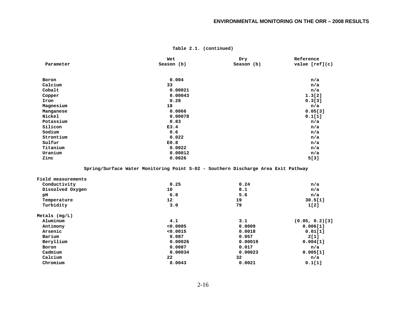|           | Wet        | Dry        | Reference        |
|-----------|------------|------------|------------------|
| Parameter | Season (b) | Season (b) | value $[ref](c)$ |
|           |            |            |                  |
| Boron     | 0.004      |            | n/a              |
| Calcium   | 33         |            | n/a              |
| Cobalt    | 0.00021    |            | n/a              |
| Copper    | 0.00043    |            | 1.3[2]           |
| Iron      | 0.28       |            | 0.3[3]           |
| Magnesium | 18         |            | n/a              |
| Manganese | 0.0066     |            | 0.05[3]          |
| Nickel    | 0.00078    |            | 0.1[1]           |
| Potassium | 0.83       |            | n/a              |
| Silicon   | E3.4       |            | n/a              |
| Sodium    | 0.6        |            | n/a              |
| Strontium | 0.022      |            | n/a              |
| Sulfur    | E0.8       |            | n/a              |
| Titanium  | 0.0022     |            | n/a              |
| Uranium   | 0.00012    |            | n/a              |
| Zinc      | 0.0026     |            | 5[3]             |
|           |            |            |                  |

 **Spring/Surface Water Monitoring Point S-02 - Southern Discharge Area Exit Pathway** 

| Field measurements |                 |         |                   |
|--------------------|-----------------|---------|-------------------|
| Conductivity       | 0.25            | 0.24    | n/a               |
| Dissolved Oxygen   | 10              | 8.1     | n/a               |
| рH                 | 6.8             | 5.6     | n/a               |
| Temperature        | 12 <sup>°</sup> | 19      | 30.5[1]           |
| Turbidity          | 3.0             | 79      | 1[2]              |
| Metals $(mq/L)$    |                 |         |                   |
| Aluminum           | 4.1             | 3.1     | $(0.05, 0.2)$ [3] |
| Antimony           | < 0.0005        | 0.0009  | 0.006[1]          |
| Arsenic            | < 0.0015        | 0.0018  | 0.01[1]           |
| Barium             | 0.087           | 0.057   | 2[1]              |
| Beryllium          | 0.00026         | 0.00019 | 0.004[1]          |
| Boron              | 0.0087          | 0.017   | n/a               |
| Cadmium            | 0.00034         | 0.00023 | 0.005[1]          |
| Calcium            | $22^{\circ}$    | 32      | n/a               |
| Chromium           | 0.0043          | 0.0021  | 0.1[1]            |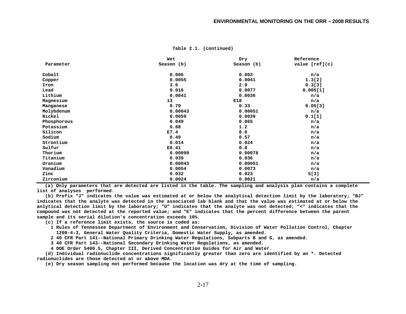|             | Wet        | Dry        | Reference        |
|-------------|------------|------------|------------------|
| Parameter   | Season (b) | Season (b) | value $[ref](c)$ |
| Cobalt      | 0.006      | 0.003      | n/a              |
| Copper      | 0.0055     | 0.0041     | 1.3[2]           |
| Iron        | 3.6        | 2.9        | 0.3[3]           |
| Lead        | 0.016      | 0.0077     | 0.005[1]         |
| Lithium     | 0.0041     | 0.0036     | n/a              |
| Magnesium   | 13         | E18        | n/a              |
| Manganese   | 0.79       | 0.33       | 0.05[3]          |
| Molybdenum  | 0.00043    | 0.00051    | n/a              |
| Nickel      | 0.0059     | 0.0039     | 0.1[1]           |
| Phosphorous | 0.049      | 0.065      | n/a              |
| Potassium   | 0.88       | 1.2        | n/a              |
| Silicon     | E7.4       | 8.0        | n/a              |
| Sodium      | 0.49       | 0.57       | n/a              |
| Strontium   | 0.014      | 0.024      | n/a              |
| Sulfur      | E0.41      | 0.8        | n/a              |
| Thorium     | 0.00099    | 0.00078    | n/a              |
| Titanium    | 0.039      | 0.036      | n/a              |
| Uranium     | 0.00043    | 0.00051    | n/a              |
| Vanadium    | 0.0054     | 0.0073     | n/a              |
| Zinc        | 0.032      | 0.023      | 5[3]             |
| Zirconium   | 0.0024     | 0.0021     | n/a              |

**(a) Only parameters that are detected are listed in the table. The sampling and analysis plan contains a complete list of analyses performed.** 

 **(b) Prefix "J" indicates the value was estimated at or below the analytical detection limit by the laboratory; "BJ" indicates that the analyte was detected in the associated lab blank and that the value was estimated at or below the anlytical detection limit by the laboratory; "U" indicates that the analyte was not detected; "<" indicates that the compound was not detected at the reported value; and "E" indicates that the percent difference between the parent sample and its serial dilution's concentration exceeds 10%.** 

 **(c) If a reference limit exists, the source is coded as:** 

 **1 Rules of Tennessee Department of Environment and Conservation, Division of Water Pollution Control, Chapter 1200-4-3, General Water Quality Criteria, Domestic Water Supply, as amended.** 

 **2 40 CFR Part 141--National Primary Drinking Water Regulations, Subparts B and G, as amended.** 

 **3 40 CFR Part 143--National Secondary Drinking Water Regulations, as amended.** 

 **4 DOE Order 5400.5, Chapter III, Derived Concentration Guides for Air and Water.** 

 **(d) Individual radionuclide concentrations significantly greater than zero are identified by an \*. Detected radionuclides are those detected at or above MDA.** 

 **(e) Dry season sampling not performed because the location was dry at the time of sampling.**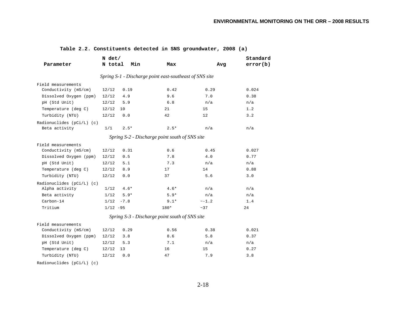| Parameter                   | N det/<br>N total | Min    | Max                                                     | Avg     | Standard<br>error(b) |
|-----------------------------|-------------------|--------|---------------------------------------------------------|---------|----------------------|
|                             |                   |        | Spring S-1 - Discharge point east-southeast of SNS site |         |                      |
| Field measurements          |                   |        |                                                         |         |                      |
| Conductivity (mS/cm)        | 12/12             | 0.19   | 0.42                                                    | 0.29    | 0.024                |
| Dissolved Oxygen (ppm)      | 12/12             | 4.9    | 9.6                                                     | 7.0     | 0.38                 |
| pH (Std Unit)               | 12/12             | 5.9    | 6.8                                                     | n/a     | n/a                  |
| Temperature (deg C)         | 12/12             | 10     | 21                                                      | 15      | 1.2                  |
| Turbidity (NTU)             | 12/12             | 0.0    | 42                                                      | 12      | 3.2                  |
| Radionuclides $(pCi/L)$ (c) |                   |        |                                                         |         |                      |
| Beta activity               | 1/1               | $2.5*$ | $2.5*$                                                  | n/a     | n/a                  |
|                             |                   |        | Spring S-2 - Discharge point south of SNS site          |         |                      |
| Field measurements          |                   |        |                                                         |         |                      |
| Conductivity (mS/cm)        | 12/12             | 0.31   | 0.6                                                     | 0.45    | 0.027                |
| Dissolved Oxygen (ppm)      | 12/12             | 0.5    | 7.8                                                     | 4.0     | 0.77                 |
| pH (Std Unit)               | 12/12             | 5.1    | 7.3                                                     | n/a     | n/a                  |
| Temperature (deg C)         | 12/12             | 8.9    | 17                                                      | 14      | 0.88                 |
| Turbidity (NTU)             | 12/12             | 0.0    | 37                                                      | 5.6     | 3.0                  |
| Radionuclides (pCi/L) (c)   |                   |        |                                                         |         |                      |
| Alpha activity              | 1/12              | $4.6*$ | $4.6*$                                                  | n/a     | n/a                  |
| Beta activity               | 1/12              | $5.9*$ | $5.9*$                                                  | n/a     | n/a                  |
| Carbon-14                   | 1/12              | $-7.8$ | $9.1*$                                                  | $~-1.2$ | 1.4                  |
| Tritium                     | $1/12 -95$        |        | 180*                                                    | ~127    | 24                   |
|                             |                   |        | Spring S-3 - Discharge point south of SNS site          |         |                      |
| Field measurements          |                   |        |                                                         |         |                      |
| Conductivity (mS/cm)        | 12/12             | 0.29   | 0.56                                                    | 0.38    | 0.021                |
| Dissolved Oxygen (ppm)      | 12/12             | 3.8    | 8.6                                                     | 5.8     | 0.37                 |
| pH (Std Unit)               | 12/12             | 5.3    | 7.1                                                     | n/a     | n/a                  |
| Temperature (deg C)         | 12/12             | 13     | 16                                                      | 15      | 0.27                 |
| Turbidity (NTU)             | 12/12             | 0.0    | 47                                                      | 7.9     | 3.8                  |
| Radionuclides (pCi/L) (c)   |                   |        |                                                         |         |                      |

#### **Table 2.2. Constituents detected in SNS groundwater, 2008 (a)**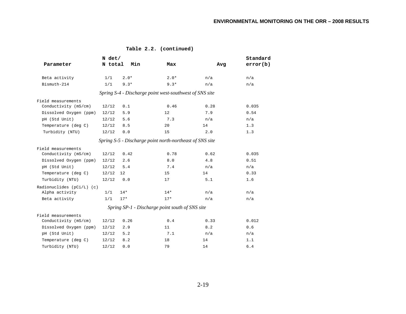|                             | N det/  |        |                                                          |      | Standard |
|-----------------------------|---------|--------|----------------------------------------------------------|------|----------|
| Parameter                   | N total | Min    | Max                                                      | Avg  | error(b) |
| Beta activity               | 1/1     | $2.0*$ | $2.0*$                                                   | n/a  | n/a      |
| Bismuth-214                 | 1/1     | $9.3*$ | $9.3*$                                                   | n/a  | n/a      |
|                             |         |        | Spring S-4 - Discharge point west-southwest of SNS site  |      |          |
| Field measurements          |         |        |                                                          |      |          |
| Conductivity (mS/cm)        | 12/12   | 0.1    | 0.46                                                     | 0.28 | 0.035    |
| Dissolved Oxygen (ppm)      | 12/12   | 5.9    | 12                                                       | 7.9  | 0.54     |
| pH (Std Unit)               | 12/12   | 5.6    | 7.3                                                      | n/a  | n/a      |
| Temperature (deg C)         | 12/12   | 8.5    | 20                                                       | 14   | 1.3      |
| Turbidity (NTU)             | 12/12   | 0.0    | 15                                                       | 2.0  | 1.3      |
|                             |         |        | Spring S-5 - Discharge point north-northeast of SNS site |      |          |
| Field measurements          |         |        |                                                          |      |          |
| Conductivity (mS/cm)        | 12/12   | 0.42   | 0.78                                                     | 0.62 | 0.035    |
| Dissolved Oxygen (ppm)      | 12/12   | 2.6    | 8.0                                                      | 4.8  | 0.51     |
| pH (Std Unit)               | 12/12   | 5.4    | 7.4                                                      | n/a  | n/a      |
| Temperature (deg C)         | 12/12   | 12     | 15                                                       | 14   | 0.33     |
| Turbidity (NTU)             | 12/12   | 0.0    | 17                                                       | 5.1  | 1.6      |
| Radionuclides $(pCi/L)$ (c) |         |        |                                                          |      |          |
| Alpha activity              | 1/1     | $14*$  | $14*$                                                    | n/a  | n/a      |
| Beta activity               | 1/1     | $17*$  | $17*$                                                    | n/a  | n/a      |
|                             |         |        | Spring SP-1 - Discharge point south of SNS site          |      |          |
| Field measurements          |         |        |                                                          |      |          |
| Conductivity (mS/cm)        | 12/12   | 0.26   | 0.4                                                      | 0.33 | 0.012    |
| Dissolved Oxygen (ppm)      | 12/12   | 2.9    | 11                                                       | 8.2  | 0.6      |
| pH (Std Unit)               | 12/12   | 5.2    | 7.1                                                      | n/a  | n/a      |
| Temperature (deg C)         | 12/12   | 8.2    | 18                                                       | 14   | 1.1      |
| Turbidity (NTU)             | 12/12   | 0.0    | 79                                                       | 14   | 6.4      |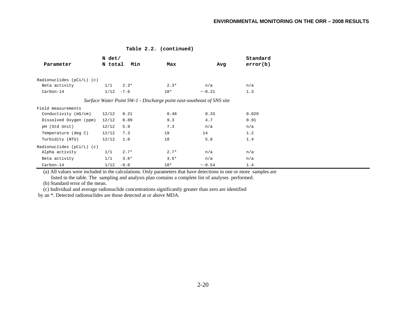|  |  | Table 2.2. (continued) |
|--|--|------------------------|
|--|--|------------------------|

|                             | N det/       |        |        |                                                                       | Standard |  |
|-----------------------------|--------------|--------|--------|-----------------------------------------------------------------------|----------|--|
| Parameter                   | N total      | Min    | Max    | Avq                                                                   | error(b) |  |
|                             |              |        |        |                                                                       |          |  |
| Radionuclides $(pCi/L)$ (c) |              |        |        |                                                                       |          |  |
| Beta activity               | 1/1          | $2.3*$ | $2.3*$ | n/a                                                                   | n/a      |  |
| Carbon-14                   | $1/12 - 7.6$ |        | $10*$  | $\sim -0.21$                                                          | 1.3      |  |
|                             |              |        |        | Surface Water Point SW-1 - Discharge point east-southeast of SNS site |          |  |
| Field measurements          |              |        |        |                                                                       |          |  |
| Conductivity (mS/cm)        | 12/12        | 0.21   | 0.48   | 0.33                                                                  | 0.029    |  |
| Dissolved Oxygen (ppm)      | 12/12        | 0.89   | 9.3    | 4.7                                                                   | 0.91     |  |
| pH (Std Unit)               | 12/12        | 5.9    | 7.3    | n/a                                                                   | n/a      |  |
| Temperature (deg C)         | 12/12        | 7.3    | 19     | 14                                                                    | 1.2      |  |
| Turbidity (NTU)             | 12/12        | 1.0    | 18     | 5.8                                                                   | 1.4      |  |
| Radionuclides $(pCi/L)$ (c) |              |        |        |                                                                       |          |  |
| Alpha activity              | 1/1          | $2.7*$ | $2.7*$ | n/a                                                                   | n/a      |  |
| Beta activity               | 1/1          | $3.6*$ | $3.6*$ | n/a                                                                   | n/a      |  |
| Carbon-14                   | 1/12         | $-9.0$ | $10*$  | $\sim -0.54$                                                          | 1.4      |  |

(a) All values were included in the calculations. Only parameters that have detections in one or more samples are listed in the table. The sampling and analysis plan contains a complete list of analyses performed.

(b) Standard error of the mean.

(c) Individual and average radionuclide concentrations significantly greater than zero are identified

by an \*. Detected radionuclides are those detected at or above MDA.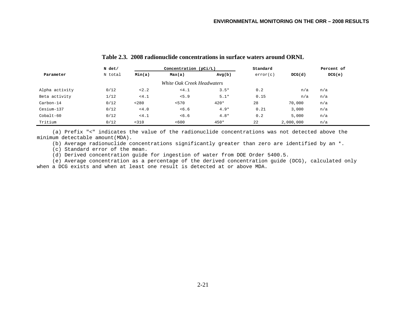| N det/         |         | Concentration $(pCi/L)$ |                            | Standard |          |           |        |
|----------------|---------|-------------------------|----------------------------|----------|----------|-----------|--------|
| Parameter      | N total | Min(a)                  | Max(a)                     | Avg(b)   | error(c) | DCG(d)    | DCG(e) |
|                |         |                         | White Oak Creek Headwaters |          |          |           |        |
| Alpha activity | 0/12    | < 2.2                   | < 4.1                      | $3.5*$   | 0.2      | n/a       | n/a    |
| Beta activity  | 1/12    | < 4.1                   | < 5.9                      | $5.1*$   | 0.15     | n/a       | n/a    |
| Carbon-14      | 0/12    | < 280                   | < 570                      | $420*$   | 28       | 70,000    | n/a    |
| Cesium-137     | 0/12    | < 4.0                   | < 6.6                      | $4.9*$   | 0.21     | 3,000     | n/a    |
| $Cobalt-60$    | 0/12    | < 4.1                   | < 6.6                      | $4.8*$   | 0.2      | 5,000     | n/a    |
| Tritium        | 0/12    | < 310                   | < 600                      | $450*$   | 22       | 2,000,000 | n/a    |

# **Table 2.3. 2008 radionuclide concentrations in surface waters around ORNL**

 (a) Prefix "<" indicates the value of the radionuclide concentrations was not detected above the minimum detectable amount(MDA).

(b) Average radionuclide concentrations significantly greater than zero are identified by an \*.

(c) Standard error of the mean.

(d) Derived concentration guide for ingestion of water from DOE Order 5400.5.

 (e) Average concentration as a percentage of the derived concentration guide (DCG), calculated only when a DCG exists and when at least one result is detected at or above MDA.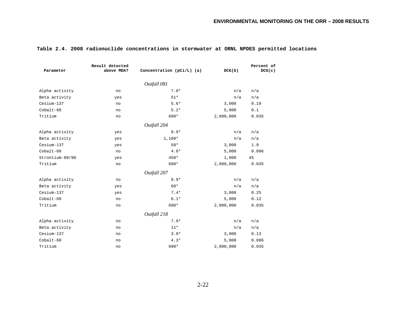|                 | Result detected |                             |           | Percent of |
|-----------------|-----------------|-----------------------------|-----------|------------|
| Parameter       | above MDA?      | Concentration $(pCi/L)$ (a) | DCG(b)    | DCG(c)     |
|                 |                 | Outfall 081                 |           |            |
| Alpha activity  | no              | $7.0*$                      | n/a       | n/a        |
| Beta activity   | yes             | $51*$                       | n/a       | n/a        |
| Cesium-137      | no              | $5.6*$                      | 3,000     | 0.19       |
| $Cobalt-60$     | no              | $5.2*$                      | 5,000     | 0.1        |
| Tritium         | no              | 690*                        | 2,000,000 | 0.035      |
|                 |                 | Outfall 204                 |           |            |
| Alpha activity  | yes             | $9.9*$                      | n/a       | n/a        |
| Beta activity   | yes             | 1,100*                      | n/a       | n/a        |
| Cesium-137      | yes             | $58*$                       | 3,000     | 1.9        |
| $Cobalt-60$     | no              | $4.8*$                      | 5,000     | 0.096      |
| Strontium-89/90 | yes             | 450*                        | 1,000     | 45         |
| Tritium         | no              | 690*                        | 2,000,000 | 0.035      |
|                 |                 | Outfall 207                 |           |            |
| Alpha activity  | no              | $9.9*$                      | n/a       | n/a        |
| Beta activity   | yes             | 68*                         | n/a       | n/a        |
| Cesium-137      | yes             | $7.4*$                      | 3,000     | 0.25       |
| $Cobalt-60$     | no              | $6.1*$                      | 5,000     | 0.12       |
| Tritium         | no              | 690*                        | 2,000,000 | 0.035      |
|                 |                 | Outfall 218                 |           |            |
| Alpha activity  | no              | $7.9*$                      | n/a       | n/a        |
| Beta activity   | no              | $11*$                       | n/a       | n/a        |
| Cesium-137      | no              | $3.9*$                      | 3,000     | 0.13       |
| $Cobalt-60$     | no              | $4.3*$                      | 5,000     | 0.086      |
| Tritium         | no              | 690*                        | 2,000,000 | 0.035      |

### **Table 2.4. 2008 radionuclide concentrations in stormwater at ORNL NPDES permitted locations**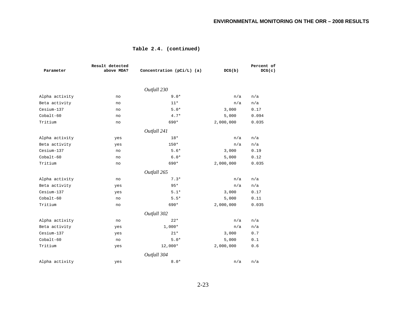| Parameter      | Result detected<br>above MDA? | Concentration $(pCi/L)$ (a) | DCG(b)    | Percent of<br>DCG(c) |
|----------------|-------------------------------|-----------------------------|-----------|----------------------|
|                |                               | Outfall 230                 |           |                      |
| Alpha activity | no                            | $9.0*$                      | n/a       | n/a                  |
| Beta activity  | no                            | $11*$                       | n/a       | n/a                  |
| Cesium-137     | no                            | $5.0*$                      | 3,000     | 0.17                 |
| $Cobalt-60$    | no                            | $4.7*$                      | 5,000     | 0.094                |
| Tritium        | no                            | 690*                        | 2,000,000 | 0.035                |
|                |                               | Outfall 241                 |           |                      |
| Alpha activity | yes                           | $18*$                       | n/a       | n/a                  |
| Beta activity  | yes                           | $150*$                      | n/a       | n/a                  |
| Cesium-137     | no                            | $5.6*$                      | 3,000     | 0.19                 |
| $Cobalt-60$    | no                            | $6.0*$                      | 5,000     | 0.12                 |
| Tritium        | no                            | 690*                        | 2,000,000 | 0.035                |
|                |                               | Outfall 265                 |           |                      |
| Alpha activity | no                            | $7.3*$                      | n/a       | n/a                  |
| Beta activity  | yes                           | $95*$                       | n/a       | n/a                  |
| Cesium-137     | yes                           | $5.1*$                      | 3,000     | 0.17                 |
| $Cobalt-60$    | no                            | $5.5*$                      | 5,000     | 0.11                 |
| Tritium        | no                            | 690*                        | 2,000,000 | 0.035                |
|                |                               | Outfall 302                 |           |                      |
| Alpha activity | no                            | $22*$                       | n/a       | n/a                  |
| Beta activity  | yes                           | $1,000*$                    | n/a       | n/a                  |
| Cesium-137     | yes                           | $21*$                       | 3,000     | 0.7                  |
| Cobalt-60      | no                            | $5.0*$                      | 5,000     | 0.1                  |
| Tritium        | yes                           | $12,000*$                   | 2,000,000 | 0.6                  |
|                |                               | Outfall 304                 |           |                      |
| Alpha activity | yes                           | $8 \, . \, 0 \, {}^{\star}$ | n/a       | n/a                  |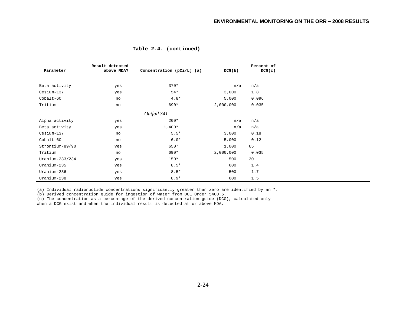| Table 2.4. (continued) |  |
|------------------------|--|
|------------------------|--|

|                   | Result detected |                           |           | Percent of |
|-------------------|-----------------|---------------------------|-----------|------------|
| Parameter         | above MDA?      | Concentration (pCi/L) (a) | DCG(b)    | DCG(c)     |
|                   |                 |                           |           |            |
| Beta activity     | yes             | $370*$                    | n/a       | n/a        |
| Cesium-137        | yes             | $54*$                     | 3,000     | 1.8        |
| $Cobalt-60$       | no              | $4.8*$                    | 5,000     | 0.096      |
| Tritium           | no              | 690*                      | 2,000,000 | 0.035      |
|                   |                 | Outfall 341               |           |            |
| Alpha activity    | yes             | $200*$                    | n/a       | n/a        |
| Beta activity     | yes             | $1,400*$                  | n/a       | n/a        |
| Cesium-137        | no              | $5.5*$                    | 3,000     | 0.18       |
| $Cobalt-60$       | no              | $6.0*$                    | 5,000     | 0.12       |
| Strontium-89/90   | yes             | 650*                      | 1,000     | 65         |
| Tritium           | no              | 690*                      | 2,000,000 | 0.035      |
| $Uranium-233/234$ | yes             | $150*$                    | 500       | 30         |
| Uranium-235       | yes             | $8.5*$                    | 600       | 1.4        |
| Uranium-236       | yes             | $8.5*$                    | 500       | 1.7        |
| Uranium-238       | yes             | $8.9*$                    | 600       | 1.5        |

(a) Individual radionuclide concentrations significantly greater than zero are identified by an \*.

(b) Derived concentration guide for ingestion of water from DOE Order 5400.5.

(c) The concentration as a percentage of the derived concentration guide (DCG), calculated only when a DCG exist and when the individual result is detected at or above MDA.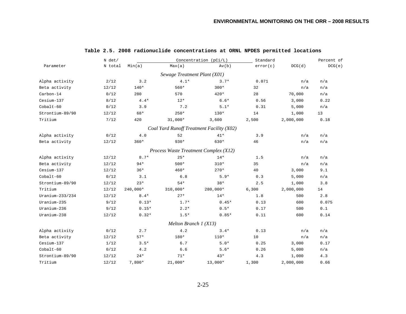|                 | N det/  |            |                                       | Concentration (pCi/L)                     | Standard |           | Percent of |
|-----------------|---------|------------|---------------------------------------|-------------------------------------------|----------|-----------|------------|
| Parameter       | N total | Min(a)     | Max(a)                                | Av(b)                                     | error(c) | DCG(d)    | DCG(e)     |
|                 |         |            | Sewage Treatment Plant (X01)          |                                           |          |           |            |
| Alpha activity  | 2/12    | 3.2        | $4.1*$                                | $3.7*$                                    | 0.071    | n/a       | n/a        |
| Beta activity   | 12/12   | $140*$     | $560*$                                | $300*$                                    | 32       | n/a       | n/a        |
| Carbon-14       | 0/12    | 280        | 570                                   | $420*$                                    | 28       | 70,000    | n/a        |
| Cesium-137      | 8/12    | $4.4*$     | $12*$                                 | $6.6*$                                    | 0.56     | 3,000     | 0.22       |
| Cobalt-60       | 0/12    | 3.9        | 7.2                                   | $5.1*$                                    | 0.31     | 5,000     | n/a        |
| Strontium-89/90 | 12/12   | 68*        | $250*$                                | $130*$                                    | 14       | 1,000     | 13         |
| Tritium         | 7/12    | 420        | $31,000*$                             | 3,600                                     | 2,500    | 2,000,000 | 0.18       |
|                 |         |            |                                       | Coal Yard Runoff Treatment Facility (X02) |          |           |            |
| Alpha activity  | 0/12    | 4.0        | 52                                    | $41*$                                     | 3.9      | n/a       | n/a        |
| Beta activity   | 12/12   | $360*$     | $930*$                                | 630*                                      | 46       | n/a       | n/a        |
|                 |         |            | Process Waste Treatment Complex (X12) |                                           |          |           |            |
| Alpha activity  | 12/12   | $8.7*$     | $25*$                                 | $14*$                                     | 1.5      | n/a       | n/a        |
| Beta activity   | 12/12   | $94*$      | $500*$                                | $310*$                                    | 35       | n/a       | n/a        |
| Cesium-137      | 12/12   | $36*$      | $460*$                                | $270*$                                    | 40       | 3,000     | 9.1        |
| Cobalt-60       | 0/12    | 3.1        | 6.8                                   | $5.9*$                                    | 0.3      | 5,000     | n/a        |
| Strontium-89/90 | 12/12   | $23*$      | $54*$                                 | $38*$                                     | 2.5      | 1,000     | 3.8        |
| Tritium         | 12/12   | $240,000*$ | 310,000*                              | 280,000*                                  | 6,300    | 2,000,000 | 14         |
| Uranium-233/234 | 12/12   | $8.4*$     | $27*$                                 | $14*$                                     | 1.8      | 500       | 2.8        |
| Uranium-235     | 9/12    | $0.13*$    | $1.7*$                                | $0.45*$                                   | 0.13     | 600       | 0.075      |
| Uranium-236     | 9/12    | $0.15*$    | $2.2*$                                | $0.5*$                                    | 0.17     | 500       | 0.1        |
| Uranium-238     | 12/12   | $0.32*$    | $1.5*$                                | $0.85*$                                   | 0.11     | 600       | 0.14       |
|                 |         |            | Melton Branch $1(X13)$                |                                           |          |           |            |
| Alpha activity  | 0/12    | 2.7        | 4.2                                   | $3.4*$                                    | 0.13     | n/a       | n/a        |
| Beta activity   | 12/12   | $57*$      | 180*                                  | $110*$                                    | 10       | n/a       | n/a        |
| Cesium-137      | 1/12    | $3.5*$     | 6.7                                   | $5.0*$                                    | 0.25     | 3,000     | 0.17       |
| Cobalt-60       | 0/12    | 4.2        | 6.6                                   | $5.6*$                                    | 0.26     | 5,000     | n/a        |
| Strontium-89/90 | 12/12   | $24*$      | $71*$                                 | $43*$                                     | 4.3      | 1,000     | 4.3        |
| Tritium         | 12/12   | 7,800*     | $21,000*$                             | 13,000*                                   | 1,300    | 2,000,000 | 0.66       |

# **Table 2.5. 2008 radionuclide concentrations at ORNL NPDES permitted locations**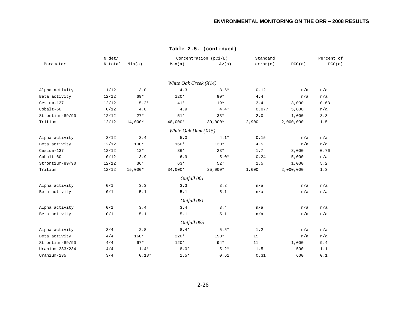| N det/          |         |           |                       | Concentration $(pCi/L)$ | Standard |           |        |
|-----------------|---------|-----------|-----------------------|-------------------------|----------|-----------|--------|
| Parameter       | N total | Min(a)    | Max(a)                | Av(b)                   | error(c) | DCG(d)    | DCG(e) |
|                 |         |           |                       |                         |          |           |        |
|                 |         |           | White Oak Creek (X14) |                         |          |           |        |
| Alpha activity  | 1/12    | 3.0       | 4.3                   | $3.6*$                  | 0.12     | n/a       | n/a    |
| Beta activity   | 12/12   | $69*$     | $120*$                | $90*$                   | 4.4      | n/a       | n/a    |
| Cesium-137      | 12/12   | $5.2*$    | $41*$                 | $19*$                   | 3.4      | 3,000     | 0.63   |
| Cobalt-60       | 0/12    | 4.0       | 4.9                   | $4.4*$                  | 0.077    | 5,000     | n/a    |
| Strontium-89/90 | 12/12   | $27*$     | $51*$                 | $33*$                   | 2.0      | 1,000     | 3.3    |
| Tritium         | 12/12   | 14,000*   | 48,000*               | $30,000*$               | 2,900    | 2,000,000 | 1.5    |
|                 |         |           | White Oak Dam (X15)   |                         |          |           |        |
| Alpha activity  | 3/12    | 3.4       | 5.0                   | $4.1*$                  | 0.15     | n/a       | n/a    |
| Beta activity   | 12/12   | $100*$    | $160*$                | $130*$                  | 4.5      | n/a       | n/a    |
| Cesium-137      | 12/12   | $12*$     | $36*$                 | $23*$                   | 1.7      | 3,000     | 0.76   |
| Cobalt-60       | 0/12    | 3.9       | 6.9                   | $5.0*$                  | 0.24     | 5,000     | n/a    |
| Strontium-89/90 | 12/12   | $36*$     | $63*$                 | $52*$                   | 2.5      | 1,000     | 5.2    |
| Tritium         | 12/12   | $15,000*$ | $34,000*$             | $25,000*$               | 1,600    | 2,000,000 | 1.3    |
|                 |         |           | Outfall 001           |                         |          |           |        |
| Alpha activity  | 0/1     | 3.3       | 3.3                   | 3.3                     | n/a      | n/a       | n/a    |
| Beta activity   | 0/1     | 5.1       | 5.1                   | 5.1                     | n/a      | n/a       | n/a    |
|                 |         |           | Outfall 081           |                         |          |           |        |
| Alpha activity  | 0/1     | 3.4       | 3.4                   | 3.4                     | n/a      | n/a       | n/a    |
| Beta activity   | 0/1     | 5.1       | 5.1                   | 5.1                     | n/a      | n/a       | n/a    |
|                 |         |           | Outfall 085           |                         |          |           |        |
| Alpha activity  | 3/4     | 2.8       | $8.4*$                | $5.5*$                  | 1.2      | n/a       | n/a    |
| Beta activity   | 4/4     | 160*      | $220*$                | 190*                    | 15       | n/a       | n/a    |
| Strontium-89/90 | 4/4     | $67*$     | 120*                  | $94*$                   | 11       | 1,000     | 9.4    |
| Uranium-233/234 | 4/4     | $1.4*$    | $8.0*$                | $5.2*$                  | 1.5      | 500       | 1.1    |
| Uranium-235     | 3/4     | $0.18*$   | $1.5*$                | 0.61                    | 0.31     | 600       | 0.1    |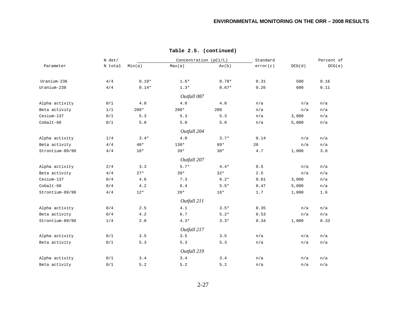|                 | N det/  |         |             | Concentration (pCi/L) |          | Standard |        |
|-----------------|---------|---------|-------------|-----------------------|----------|----------|--------|
| Parameter       | N total | Min(a)  | Max(a)      | Av(b)                 | error(c) | DCG(d)   | DCG(e) |
| Uranium-236     | 4/4     | $0.19*$ | $1.6*$      | $0.78*$               | 0.31     | 500      | 0.16   |
| Uranium-238     | 4/4     | $0.14*$ | $1.3*$      | $0.67*$               | 0.26     | 600      | 0.11   |
|                 |         |         |             |                       |          |          |        |
|                 |         |         | Outfall 087 |                       |          |          |        |
| Alpha activity  | 0/1     | $4.0$   | 4.0         | 4.0                   | n/a      | n/a      | n/a    |
| Beta activity   | 1/1     | $200*$  | $200*$      | 200                   | n/a      | n/a      | n/a    |
| Cesium-137      | 0/1     | 5.3     | 5.3         | 5.3                   | n/a      | 3,000    | n/a    |
| $Cobalt-60$     | 0/1     | 5.0     | 5.0         | 5.0                   | n/a      | 5,000    | n/a    |
|                 |         |         | Outfall 204 |                       |          |          |        |
| Alpha activity  | 1/4     | $3.4*$  | 4.0         | $3.7*$                | 0.14     | n/a      | n/a    |
| Beta activity   | 4/4     | $40*$   | $130*$      | $89*$                 | 20       | n/a      | n/a    |
| Strontium-89/90 | 4/4     | $18*$   | $39*$       | $30*$                 | 4.7      | 1,000    | 3.0    |
|                 |         |         | Outfall 207 |                       |          |          |        |
| Alpha activity  | 2/4     | 3.3     | $5.7*$      | $4.4*$                | 0.5      | n/a      | n/a    |
| Beta activity   | 4/4     | $27*$   | $39*$       | $32*$                 | 2.5      | n/a      | n/a    |
| Cesium-137      | 0/4     | 4.6     | 7.3         | $6.2*$                | 0.61     | 3,000    | n/a    |
| $Cobalt-60$     | 0/4     | 4.2     | $6.4$       | $5.5*$                | $0.47$   | 5,000    | n/a    |
| Strontium-89/90 | 4/4     | $12*$   | $20*$       | $16*$                 | 1.7      | 1,000    | 1.6    |
|                 |         |         |             |                       |          |          |        |
|                 |         |         | Outfall 211 |                       |          |          |        |
| Alpha activity  | 0/4     | 2.5     | 4.1         | $3.5*$                | 0.35     | n/a      | n/a    |
| Beta activity   | 0/4     | 4.2     | 6.7         | $5.2*$                | 0.53     | n/a      | n/a    |
| Strontium-89/90 | 1/4     | 2.8     | $4.3*$      | $3.3*$                | 0.34     | 1,000    | 0.33   |
|                 |         |         | Outfall 217 |                       |          |          |        |
| Alpha activity  | 0/1     | 3.5     | 3.5         | 3.5                   | n/a      | n/a      | n/a    |
| Beta activity   | 0/1     | 5.3     | 5.3         | 5.3                   | n/a      | n/a      | n/a    |
|                 |         |         | Outfall 219 |                       |          |          |        |
| Alpha activity  | 0/1     | 3.4     | 3.4         | 3.4                   | n/a      | n/a      | n/a    |
| Beta activity   | 0/1     | 5.2     | 5.2         | 5.2                   | n/a      | n/a      | n/a    |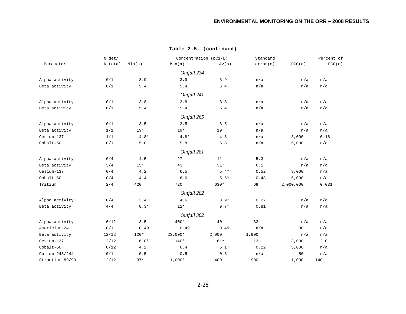| N det/          |         |        |             | Concentration (pCi/L) | Standard |           | Percent of |
|-----------------|---------|--------|-------------|-----------------------|----------|-----------|------------|
| Parameter       | N total | Min(a) | Max(a)      | Av(b)                 | error(c) | DCG(d)    | DCG(e)     |
|                 |         |        | Outfall 234 |                       |          |           |            |
| Alpha activity  | 0/1     | 3.9    | 3.9         | 3.9                   | n/a      | n/a       | n/a        |
| Beta activity   | 0/1     | 5.4    | 5.4         | 5.4                   | n/a      | n/a       | n/a        |
|                 |         |        | Outfall 241 |                       |          |           |            |
| Alpha activity  | 0/1     | 3.8    | 3.8         | 3.8                   | n/a      | n/a       | n/a        |
| Beta activity   | 0/1     | 5.4    | 5.4         | 5.4                   | n/a      | n/a       | n/a        |
|                 |         |        | Outfall 265 |                       |          |           |            |
| Alpha activity  | 0/1     | 3.5    | 3.5         | 3.5                   | n/a      | n/a       | n/a        |
| Beta activity   | 1/1     | $19*$  | $19*$       | 19                    | n/a      | n/a       | n/a        |
| Cesium-137      | 1/1     | $4.8*$ | $4.8*$      | $4.8$                 | n/a      | 3,000     | 0.16       |
| $Cobalt-60$     | 0/1     | 5.8    | 5.8         | 5.8                   | n/a      | 5,000     | n/a        |
|                 |         |        | Outfall 281 |                       |          |           |            |
| Alpha activity  | 0/4     | 4.5    | 27          | 11                    | 5.3      | n/a       | n/a        |
| Beta activity   | 3/4     | $15*$  | 43          | $31*$                 | 6.1      | n/a       | n/a        |
| Cesium-137      | 0/4     | 4.2    | 6.5         | $5.4*$                | 0.52     | 3,000     | n/a        |
| $Cobalt-60$     | 0/4     | 4.4    | $6.6$       | $5.6*$                | 0.48     | 5,000     | n/a        |
| Tritium         | 2/4     | 420    | 720         | 630*                  | 69       | 2,000,000 | 0.031      |
|                 |         |        | Outfall 282 |                       |          |           |            |
| Alpha activity  | 0/4     | 3.4    | 4.6         | $3.9*$                | 0.27     | n/a       | n/a        |
| Beta activity   | 4/4     | $8.3*$ | $12*$       | $9.7*$                | 0.81     | n/a       | n/a        |
|                 |         |        | Outfall 302 |                       |          |           |            |
| Alpha activity  | 6/12    | 3.5    | $400*$      | 40                    | 33       | n/a       | n/a        |
| Americium-241   | 0/1     | 0.49   | 0.49        | 0.49                  | n/a      | 30        | n/a        |
| Beta activity   | 12/12   | $120*$ | $23,000*$   | 2,900                 | 1,900    | n/a       | n/a        |
| Cesium-137      | 12/12   | $6.8*$ | $140*$      | $61*$                 | 13       | 3,000     | 2.0        |
| Cobalt-60       | 0/12    | 4.2    | 6.4         | $5.1*$                | 0.22     | 5,000     | n/a        |
| Curium-243/244  | 0/1     | 0.5    | 0.5         | 0.5                   | n/a      | 50        | n/a        |
| Strontium-89/90 | 12/12   | $37*$  | $11,000*$   | 1,400                 | 900      | 1,000     | 140        |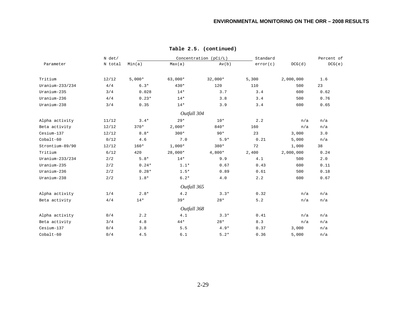|                 | N det/  |          |             | Concentration (pCi/L) |          |           | Percent of |
|-----------------|---------|----------|-------------|-----------------------|----------|-----------|------------|
| Parameter       | N total | Min(a)   | Max(a)      | Av(b)                 | error(c) | DCG(d)    | DCG(e)     |
| Tritium         | 12/12   | $5,000*$ | $63,000*$   | $32,000*$             | 5,300    | 2,000,000 | 1.6        |
| Uranium-233/234 | 4/4     | $6.3*$   | $430*$      | 120                   | 110      | 500       | 23         |
| Uranium-235     | 3/4     | 0.028    | $14*$       | 3.7                   | 3.4      | 600       | 0.62       |
| Uranium-236     | 4/4     | $0.23*$  | $14*$       | 3.8                   | 3.4      | 500       | 0.76       |
| Uranium-238     | 3/4     | 0.35     | $14*$       | 3.9                   | 3.4      | 600       | 0.65       |
|                 |         |          | Outfall 304 |                       |          |           |            |
| Alpha activity  | 11/12   | $3.4*$   | $29*$       | $10*$                 | 2.2      | n/a       | n/a        |
| Beta activity   | 12/12   | $370*$   | $2,000*$    | 840*                  | 160      | n/a       | n/a        |
| Cesium-137      | 12/12   | $8.8*$   | $300*$      | $90*$                 | 23       | 3,000     | 3.0        |
| $Cobalt-60$     | 0/12    | 4.6      | 7.0         | $5.9*$                | 0.21     | 5,000     | n/a        |
| Strontium-89/90 | 12/12   | $160*$   | $1,000*$    | $380*$                | 72       | 1,000     | 38         |
| Tritium         | 6/12    | 420      | $28,000*$   | $4,800*$              | 2,400    | 2,000,000 | 0.24       |
| Uranium-233/234 | 2/2     | $5.8*$   | $14*$       | 9.9                   | 4.1      | 500       | 2.0        |
| Uranium-235     | 2/2     | $0.24*$  | $1.1*$      | 0.67                  | 0.43     | 600       | 0.11       |
| Uranium-236     | 2/2     | $0.28*$  | $1.5*$      | 0.89                  | 0.61     | 500       | 0.18       |
| Uranium-238     | 2/2     | $1.8*$   | $6.2*$      | 4.0                   | 2.2      | 600       | 0.67       |
|                 |         |          | Outfall 365 |                       |          |           |            |
| Alpha activity  | 1/4     | $2.8*$   | 4.2         | $3.3*$                | 0.32     | n/a       | n/a        |
| Beta activity   | 4/4     | $14*$    | $39*$       | $28*$                 | 5.2      | n/a       | n/a        |
|                 |         |          | Outfall 368 |                       |          |           |            |
| Alpha activity  | 0/4     | 2.2      | 4.1         | $3.3*$                | 0.41     | n/a       | n/a        |
| Beta activity   | 3/4     | $4.8$    | $44*$       | $28*$                 | 8.3      | n/a       | n/a        |
| Cesium-137      | 0/4     | 3.8      | 5.5         | $4.9*$                | 0.37     | 3,000     | n/a        |
| Cobalt-60       | 0/4     | 4.5      | 6.1         | $5.2*$                | 0.36     | 5,000     | n/a        |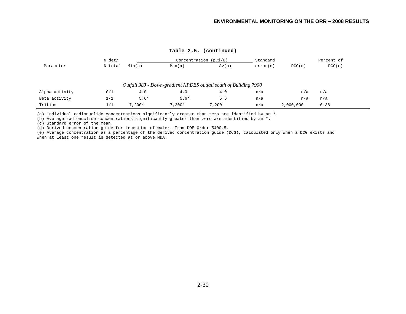|                | $N$ det/ |          | Concentration $(pCi/L)$ |                                                                  |          |           | Percent of |  |
|----------------|----------|----------|-------------------------|------------------------------------------------------------------|----------|-----------|------------|--|
| Parameter      | N total  | Min(a)   | Max(a)                  | Av(b)                                                            | error(c) | DCG(d)    | DCG(e)     |  |
|                |          |          |                         |                                                                  |          |           |            |  |
|                |          |          |                         |                                                                  |          |           |            |  |
|                |          |          |                         | Outfall 383 - Down-gradient NPDES outfall south of Building 7900 |          |           |            |  |
| Alpha activity | 0/1      | 4.0      | 4.0                     | 4.0                                                              | n/a      | n/a       | n/a        |  |
| Beta activity  | 1/1      | $5.6*$   | $5.6*$                  | 5.6                                                              | n/a      | n/a       | n/a        |  |
| Tritium        | 1/1      | $7.200*$ | $7.200*$                | 7,200                                                            | n/a      | 2,000,000 | 0.36       |  |

(a) Individual radionuclide concentrations significantly greater than zero are identified by an \*.

(b) Average radionuclide concentrations significantly greater than zero are identified by an \*.

(c) Standard error of the mean.

(d) Derived concentration guide for ingestion of water. From DOE Order 5400.5.

(e) Average concentration as a percentage of the derived concentration guide (DCG), calculated only when a DCG exists and when at least one result is detected at or above MDA.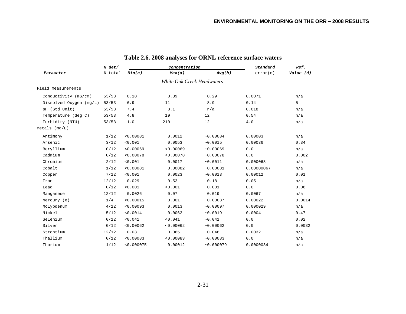|                         | $N$ det/ |            | Concentration |            | Standard   | Ref.      |  |
|-------------------------|----------|------------|---------------|------------|------------|-----------|--|
| Parameter               | N total  | Min(a)     | Max(a)        | Avg(b)     | error(c)   | Value (d) |  |
|                         |          |            |               |            |            |           |  |
| Field measurements      |          |            |               |            |            |           |  |
| Conductivity (mS/cm)    | 53/53    | 0.18       | 0.39          | 0.29       | 0.0071     | n/a       |  |
| Dissolved Oxygen (mg/L) | 53/53    | 6.9        | 11            | 8.9        | 0.14       | 5         |  |
| pH (Std Unit)           | 53/53    | 7.4        | 8.1           | n/a        | 0.018      | n/a       |  |
| Temperature (deg C)     | 53/53    | 4.8        | 19            | 12         | 0.54       | n/a       |  |
| Turbidity (NTU)         | 53/53    | 1.0        | 210           | 12         | $4.0$      | n/a       |  |
| Metals (mg/L)           |          |            |               |            |            |           |  |
| Antimony                | 1/12     | < 0.00081  | 0.0012        | ~10.00084  | 0.00003    | n/a       |  |
| Arsenic                 | 3/12     | < 0.001    | 0.0053        | ~0.0015    | 0.00036    | 0.34      |  |
| Beryllium               | 0/12     | < 0.00069  | < 0.00069     | ~10.00069  | 0.0        | n/a       |  |
| Cadmium                 | 0/12     | < 0.00078  | < 0.00078     | ~10.00078  | 0.0        | 0.002     |  |
| Chromium                | 2/12     | < 0.001    | 0.0017        | ~10.0011   | 0.000068   | n/a       |  |
| Cobalt                  | 1/12     | < 0.00081  | 0.00082       | ~0.00081   | 0.00000067 | n/a       |  |
| Copper                  | 7/12     | < 0.001    | 0.0023        | ~10.0013   | 0.00012    | 0.01      |  |
| Iron                    | 12/12    | 0.029      | 0.53          | 0.18       | 0.05       | n/a       |  |
| Lead                    | 0/12     | < 0.001    | < 0.001       | ~10.001    | 0.0        | 0.06      |  |
| Manganese               | 12/12    | 0.0026     | 0.07          | 0.019      | 0.0067     | n/a       |  |
| Mercury (e)             | 1/4      | < 0.00015  | 0.001         | ~10.00037  | 0.00022    | 0.0014    |  |
| Molybdenum              | 4/12     | < 0.00093  | 0.0013        | ~10.00097  | 0.000029   | n/a       |  |
| Nickel                  | 5/12     | < 0.0014   | 0.0062        | ~0.0019    | 0.0004     | 0.47      |  |
| Selenium                | 0/12     | < 0.041    | < 0.041       | ~10.041    | 0.0        | 0.02      |  |
| Silver                  | 0/12     | < 0.00062  | < 0.00062     | ~10.00062  | 0.0        | 0.0032    |  |
| Strontium               | 12/12    | 0.03       | 0.065         | 0.048      | 0.0032     | n/a       |  |
| Thallium                | 0/12     | < 0.00083  | < 0.00083     | ~10.00083  | 0.0        | n/a       |  |
| Thorium                 | 1/12     | < 0.000075 | 0.00012       | ~10.000079 | 0.0000034  | n/a       |  |

# **Table 2.6. 2008 analyses for ORNL reference surface waters**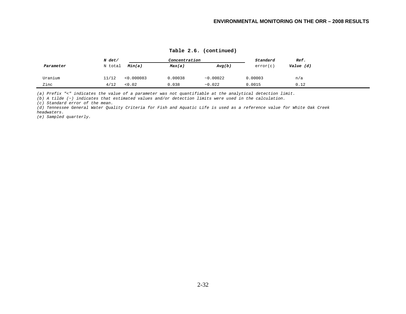|           | N det/  |            | Concentration |           | Standard | Ref.      |
|-----------|---------|------------|---------------|-----------|----------|-----------|
| Parameter | N total | Min(a)     | Max(a)        | Avg(b)    | error(c) | Value (d) |
|           |         |            |               |           |          |           |
| Uranium   | 11/12   | < 0.000083 | 0.00038       | ~10.00022 | 0.00003  | n/a       |
| Zinc      | 4/12    | < 0.02     | 0.038         | ~10.022   | 0.0015   | 0.12      |

**Table 2.6. (continued)** 

*(a) Prefix "<" indicates the value of a parameter was not quantifiable at the analytical detection limit.* 

*(b) A tilde (~) indicates that estimated values and/or detection limits were used in the calculation.* 

*(c) Standard error of the mean.* 

*(d) Tennessee General Water Quality Criteria for Fish and Aquatic Life is used as a reference value for White Oak Creek headwaters.* 

*(e) Sampled quarterly.*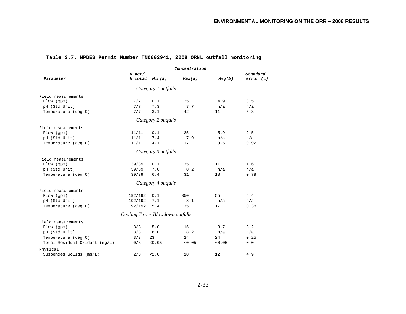| Parameter                     | $N$ det/<br>N total             | Min(a)              | Max(a) | Avg(b) | Standard<br>error(c) |
|-------------------------------|---------------------------------|---------------------|--------|--------|----------------------|
|                               |                                 | Category 1 outfalls |        |        |                      |
| Field measurements            |                                 |                     |        |        |                      |
| Flow (gpm)                    | 7/7                             | 0.1                 | 25     | 4.9    | 3.5                  |
| pH (Std Unit)                 | 7/7                             | 7.3                 | 7.7    | n/a    | n/a                  |
| Temperature (deg C)           | 7/7                             | 3.1                 | 42     | 11     | 5.3                  |
|                               |                                 | Category 2 outfalls |        |        |                      |
| Field measurements            |                                 |                     |        |        |                      |
| Flow (gpm)                    | 11/11                           | 0.1                 | 25     | 5.9    | 2.5                  |
| pH (Std Unit)                 | 11/11                           | 7.4                 | 7.9    | n/a    | n/a                  |
| Temperature (deg C)           | 11/11                           | 4.1                 | 17     | 9.6    | 0.92                 |
|                               |                                 | Category 3 outfalls |        |        |                      |
| Field measurements            |                                 |                     |        |        |                      |
| Flow (gpm)                    | 39/39                           | 0.1                 | 35     | 11     | 1.6                  |
| pH (Std Unit)                 | 39/39                           | 7.0                 | 8.2    | n/a    | n/a                  |
| Temperature (deg C)           | 39/39                           | 6.4                 | 31     | 18     | 0.79                 |
|                               |                                 | Category 4 outfalls |        |        |                      |
| Field measurements            |                                 |                     |        |        |                      |
| Flow (gpm)                    | 192/192                         | 0.1                 | 350    | 55     | 5.4                  |
| pH (Std Unit)                 | 192/192                         | 7.1                 | 8.1    | n/a    | n/a                  |
| Temperature (deg C)           | 192/192                         | 5.4                 | 35     | 17     | 0.38                 |
|                               | Cooling Tower Blowdown outfalls |                     |        |        |                      |
| Field measurements            |                                 |                     |        |        |                      |
| Flow (gpm)                    | 3/3                             | 5.0                 | 15     | 8.7    | 3.2                  |
| pH (Std Unit)                 | 3/3                             | 8.0                 | 8.2    | n/a    | n/a                  |
| Temperature (deg C)           | 3/3                             | 23                  | 24     | 24     | 0.25                 |
| Total Residual Oxidant (mg/L) | 0/3                             | < 0.05              | < 0.05 | ~10.05 | 0.0                  |
| Physical                      |                                 |                     |        |        |                      |
| Suspended Solids (mg/L)       | 2/3                             | < 2.0               | 18     | ~12    | 4.9                  |

# **Table 2.7. NPDES Permit Number TN0002941, 2008 ORNL outfall monitoring**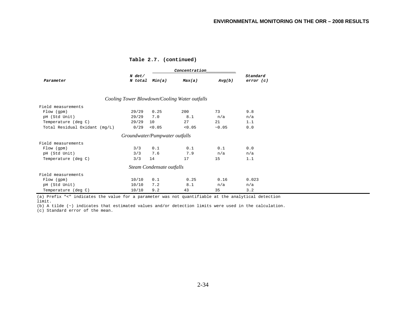|                               |                            |                                | Concentration                                 | Standard<br>error(c) |       |
|-------------------------------|----------------------------|--------------------------------|-----------------------------------------------|----------------------|-------|
| Parameter                     | $N$ det/<br>N total Min(a) |                                | Max(a)                                        |                      |       |
|                               |                            |                                | Cooling Tower Blowdown/Cooling Water outfalls |                      |       |
| Field measurements            |                            |                                |                                               |                      |       |
| Flow (gpm)                    | 29/29                      | 0.25                           | 200                                           | 73                   | 9.8   |
| pH (Std Unit)                 | 29/29                      | 7.0                            | 8.1                                           | n/a                  | n/a   |
| Temperature (deg C)           | 29/29                      | 10                             | 27                                            | 21                   | 1.1   |
| Total Residual Oxidant (mg/L) | 0/29                       | < 0.05                         | < 0.05                                        | ~10.05               | 0.0   |
|                               |                            | Groundwater/Pumpwater outfalls |                                               |                      |       |
| Field measurements            |                            |                                |                                               |                      |       |
| Flow (gpm)                    | 3/3                        | 0.1                            | 0.1                                           | 0.1                  | 0.0   |
| pH (Std Unit)                 | 3/3                        | 7.6                            | 7.9                                           | n/a                  | n/a   |
| Temperature (deg C)           | 3/3                        | 14                             | 17                                            | 15                   | 1.1   |
|                               |                            | Steam Condensate outfalls      |                                               |                      |       |
| Field measurements            |                            |                                |                                               |                      |       |
| Flow (gpm)                    | 10/10                      | 0.1                            | 0.25                                          | 0.16                 | 0.023 |
| pH (Std Unit)                 | 10/10                      | 7.2                            | 8.1                                           | n/a                  | n/a   |
| Temperature (deg C)           | 10/10                      | 9.2                            | 43                                            | 35                   | 3.2   |

(a) Prefix "<" indicates the value for a parameter was not quantifiable at the analytical detection limit.

(b) A tilde (~) indicates that estimated values and/or detection limits were used in the calculation.

(c) Standard error of the mean.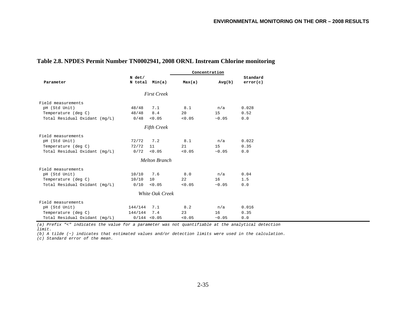| Table 2.8. NPDES Permit Number TN0002941, 2008 ORNL Instream Chlorine monitoring |  |  |
|----------------------------------------------------------------------------------|--|--|
|                                                                                  |  |  |

|                               |               |                      |        | Concentration |          |  |  |  |  |
|-------------------------------|---------------|----------------------|--------|---------------|----------|--|--|--|--|
|                               | N det/        |                      |        |               | Standard |  |  |  |  |
| Parameter                     |               | N total Min(a)       | Max(a) | Avg(b)        | error(c) |  |  |  |  |
|                               |               |                      |        |               |          |  |  |  |  |
|                               |               | <b>First Creek</b>   |        |               |          |  |  |  |  |
| Field measurements            |               |                      |        |               |          |  |  |  |  |
| pH (Std Unit)                 | 48/48         | 7.1                  | 8.1    | n/a           | 0.028    |  |  |  |  |
| Temperature (deg C)           | 48/48         | 8.4                  | 20     | 15            | 0.52     |  |  |  |  |
| Total Residual Oxidant (mg/L) | 0/48          | < 0.05               | < 0.05 | ~10.05        | 0.0      |  |  |  |  |
| <b>Fifth Creek</b>            |               |                      |        |               |          |  |  |  |  |
| Field measurements            |               |                      |        |               |          |  |  |  |  |
| pH (Std Unit)                 | 72/72         | 7.2                  | 8.1    | n/a           | 0.022    |  |  |  |  |
| Temperature (deg C)           | 72/72         | 11                   | 21     | 15            | 0.35     |  |  |  |  |
| Total Residual Oxidant (mg/L) | 0/72          | < 0.05               | < 0.05 | ~10.05        | 0.0      |  |  |  |  |
|                               |               | <b>Melton Branch</b> |        |               |          |  |  |  |  |
| Field measurements            |               |                      |        |               |          |  |  |  |  |
| pH (Std Unit)                 | 10/10         | 7.6                  | 8.0    | n/a           | 0.04     |  |  |  |  |
| Temperature (deg C)           | 10/10         | 10                   | 22     | 16            | 1.5      |  |  |  |  |
| Total Residual Oxidant (mq/L) | 0/10          | < 0.05               | < 0.05 | ~10.05        | 0.0      |  |  |  |  |
|                               |               | White Oak Creek      |        |               |          |  |  |  |  |
| Field measurements            |               |                      |        |               |          |  |  |  |  |
| pH (Std Unit)                 | $144/144$ 7.1 |                      | 8.2    | n/a           | 0.016    |  |  |  |  |
| Temperature (deg C)           | 144/144       | 7.4                  | 23     | 16            | 0.35     |  |  |  |  |
| Total Residual Oxidant (mg/L) |               | $0/144$ < 0.05       | < 0.05 | ~10.05        | 0.0      |  |  |  |  |

*(a) Prefix "<" indicates the value for a parameter was not quantifiable at the analytical detection limit.* 

*(b) A tilde (~) indicates that estimated values and/or detection limits were used in the calculation.* 

*(c) Standard error of the mean.*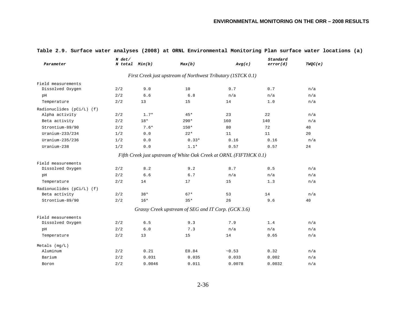| Parameter                 | N det/<br>N total Min(b) |        | Max(b)                                                             | Avg(c) | Standard<br>error(d) | TWQC(e) |
|---------------------------|--------------------------|--------|--------------------------------------------------------------------|--------|----------------------|---------|
|                           |                          |        | First Creek just upstream of Northwest Tributary (1STCK 0.1)       |        |                      |         |
| Field measurements        |                          |        |                                                                    |        |                      |         |
| Dissolved Oxygen          | 2/2                      | 9.0    | 10                                                                 | 9.7    | 0.7                  | n/a     |
| рH                        | 2/2                      | 6.6    | 6.8                                                                | n/a    | n/a                  | n/a     |
| Temperature               | 2/2                      | 13     | 15                                                                 | 14     | 1.0                  | n/a     |
| Radionuclides (pCi/L) (f) |                          |        |                                                                    |        |                      |         |
| Alpha activity            | 2/2                      | $1.7*$ | $45*$                                                              | 23     | 22                   | n/a     |
| Beta activity             | 2/2                      | $18*$  | $290*$                                                             | 160    | 140                  | n/a     |
| Strontium-89/90           | 2/2                      | $7.6*$ | $150*$                                                             | 80     | 72                   | 40      |
| $Uranium-233/234$         | 1/2                      | 0.0    | $22*$                                                              | 11     | 11                   | 20      |
| Uranium-235/236           | 1/2                      | 0.0    | $0.33*$                                                            | 0.16   | 0.16                 | n/a     |
| Uranium-238               | 1/2                      | 0.0    | $1.1*$                                                             | 0.57   | 0.57                 | 24      |
|                           |                          |        | Fifth Creek just upstream of White Oak Creek at ORNL (FIFTHCK 0.1) |        |                      |         |
| Field measurements        |                          |        |                                                                    |        |                      |         |
| Dissolved Oxygen          | 2/2                      | 8.2    | 9.2                                                                | 8.7    | 0.5                  | n/a     |
| pH                        | 2/2                      | 6.6    | 6.7                                                                | n/a    | n/a                  | n/a     |
| Temperature               | 2/2                      | 14     | 17                                                                 | 15     | 1.3                  | n/a     |
| Radionuclides (pCi/L) (f) |                          |        |                                                                    |        |                      |         |
| Beta activity             | 2/2                      | $38*$  | $67*$                                                              | 53     | 14                   | n/a     |
| Strontium-89/90           | 2/2                      | $16*$  | $35*$                                                              | 26     | 9.6                  | 40      |
|                           |                          |        | Grassy Creek upstream of SEG and IT Corp. (GCK 3.6)                |        |                      |         |
| Field measurements        |                          |        |                                                                    |        |                      |         |
| Dissolved Oxygen          | 2/2                      | 6.5    | 9.3                                                                | 7.9    | 1.4                  | n/a     |
| рH                        | 2/2                      | 6.0    | 7.3                                                                | n/a    | n/a                  | n/a     |
| Temperature               | 2/2                      | 13     | 15                                                                 | 14     | 0.65                 | n/a     |
| $Metals$ ( $mq/L$ )       |                          |        |                                                                    |        |                      |         |
| Aluminum                  | 2/2                      | 0.21   | E0.84                                                              | ~10.53 | 0.32                 | n/a     |
| Barium                    | 2/2                      | 0.031  | 0.035                                                              | 0.033  | 0.002                | n/a     |
| Boron                     | 2/2                      | 0.0046 | 0.011                                                              | 0.0078 | 0.0032               | n/a     |

### **Table 2.9. Surface water analyses (2008) at ORNL Environmental Monitoring Plan surface water locations (a)**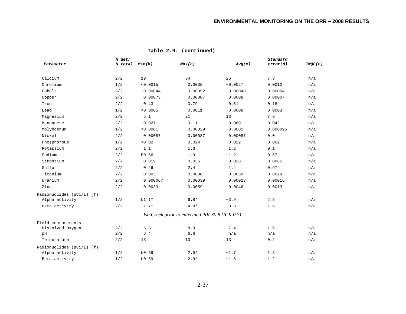| Parameter                 | $N$ det/ | N total Min(b) | Max(b)                                         | Avg(c)   | Standard<br>error(d) | TWQC(e) |
|---------------------------|----------|----------------|------------------------------------------------|----------|----------------------|---------|
| Calcium                   | 2/2      | 19             | 34                                             | 26       | 7.3                  | n/a     |
| Chromium                  | 1/2      | < 0.0015       | 0.0038                                         | ~10.0027 | 0.0012               | n/a     |
| Cobalt                    | 2/2      | 0.00044        | 0.00052                                        | 0.00048  | 0.00004              | n/a     |
| Copper                    | 2/2      | 0.00073        | 0.00087                                        | 0.0008   | 0.00007              | n/a     |
| Iron                      | 2/2      | 0.43           | 0.79                                           | 0.61     | 0.18                 | n/a     |
| Lead                      | 1/2      | < 0.0005       | 0.0011                                         | ~0.0008  | 0.0003               | n/a     |
| Magnesium                 | 2/2      | 5.1            | 21                                             | 13       | 7.9                  | n/a     |
| Manganese                 | 2/2      | 0.027          | 0.11                                           | 0.069    | 0.042                | n/a     |
| Molybdenum                | 1/2      | < 0.0001       | 0.00029                                        | ~10.0002 | 0.000095             | n/a     |
| Nickel                    | 2/2      | 0.00087        | 0.00087                                        | 0.00087  | $0.0$                | n/a     |
| Phosphorous               | 1/2      | < 0.02         | 0.024                                          | ~0.022   | 0.002                | n/a     |
| Potassium                 | 2/2      | 1.1            | 1.3                                            | 1.2      | 0.1                  | n/a     |
| Sodium                    | 2/2      | E0.56          | 1.9                                            | ~1.2     | 0.67                 | n/a     |
| Strontium                 | 2/2      | 0.019          | 0.036                                          | 0.028    | 0.0085               | n/a     |
| Sulfur                    | 2/2      | 0.46           | 2.4                                            | 1.4      | 0.97                 | n/a     |
| Titanium                  | 2/2      | 0.003          | 0.0088                                         | 0.0059   | 0.0029               | n/a     |
| Uranium                   | 2/2      | 0.000067       | 0.00039                                        | 0.00023  | 0.00016              | n/a     |
| Zinc                      | 2/2      | 0.0033         | 0.0059                                         | 0.0046   | 0.0013               | n/a     |
| Radionuclides (pCi/L) (f) |          |                |                                                |          |                      |         |
| Alpha activity            | 1/2      | $U1.1*$        | $6.8*$                                         | ~1.9     | 2.8                  | n/a     |
| Beta activity             | 2/2      | $1.7*$         | $4.9*$                                         | 3.3      | 1.6                  | n/a     |
|                           |          |                | Ish Creek prior to entering CRK 30.8 (ICK 0.7) |          |                      |         |
| Field measurements        |          |                |                                                |          |                      |         |
| Dissolved Oxygen          | 2/2      | 5.8            | 8.9                                            | 7.4      | 1.6                  | n/a     |
| pH                        | 2/2      | 6.4            | 6.6                                            | n/a      | n/a                  | n/a     |
| Temperature               | 2/2      | 13             | 13                                             | 13       | 0.2                  | n/a     |
| Radionuclides (pCi/L) (f) |          |                |                                                |          |                      |         |
| Alpha activity            | 1/2      | U0.39          | $2.9*$                                         | ~1.7     | 1.3                  | n/a     |
| Beta activity             | 1/2      | U0.59          | $2.9*$                                         | ~1.8     | 1.2                  | n/a     |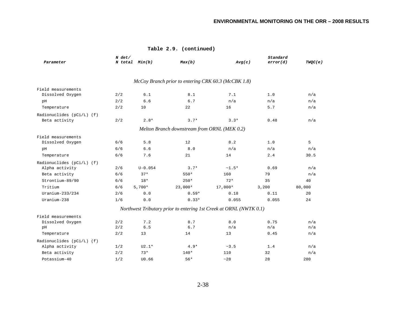|                           | $N$ det/ |                |                                                                    | Standard |          |         |
|---------------------------|----------|----------------|--------------------------------------------------------------------|----------|----------|---------|
| Parameter                 |          | N total Min(b) | Max(b)                                                             | Avg(c)   | error(d) | TWQC(e) |
|                           |          |                | McCoy Branch prior to entering CRK 60.3 (McCBK 1.8)                |          |          |         |
|                           |          |                |                                                                    |          |          |         |
| Field measurements        |          |                |                                                                    |          |          |         |
| Dissolved Oxygen          | 2/2      | 6.1            | 8.1                                                                | 7.1      | 1.0      | n/a     |
| pH                        | 2/2      | 6.6            | 6.7                                                                | n/a      | n/a      | n/a     |
| Temperature               | 2/2      | 10             | 22                                                                 | 16       | 5.7      | n/a     |
| Radionuclides (pCi/L) (f) |          |                |                                                                    |          |          |         |
| Beta activity             | 2/2      | $2.8*$         | $3.7*$                                                             | $3.3*$   | 0.48     | n/a     |
|                           |          |                | Melton Branch downstream from ORNL (MEK 0.2)                       |          |          |         |
| Field measurements        |          |                |                                                                    |          |          |         |
| Dissolved Oxygen          | 6/6      | 5.8            | 12                                                                 | 8.2      | 1.0      | 5       |
| pH                        | 6/6      | 6.6            | 8.0                                                                | n/a      | n/a      | n/a     |
| Temperature               | 6/6      | 7.6            | 21                                                                 | 14       | 2.4      | 30.5    |
| Radionuclides (pCi/L) (f) |          |                |                                                                    |          |          |         |
| Alpha activity            | 2/6      | $U - 0.054$    | $3.7*$                                                             | $~1.5*$  | 0.69     | n/a     |
| Beta activity             | 6/6      | $37*$          | 550*                                                               | 160      | 79       | n/a     |
| Strontium-89/90           | 6/6      | $18*$          | $250*$                                                             | $72*$    | 35       | 40      |
| Tritium                   | 6/6      | $5,700*$       | $23,000*$                                                          | 17,000*  | 3,200    | 80,000  |
| $Uranium-233/234$         | 2/6      | 0.0            | $0.59*$                                                            | 0.18     | 0.11     | 20      |
| Uranium-238               | 1/6      | 0.0            | $0.33*$                                                            | 0.055    | 0.055    | 24      |
|                           |          |                | Northwest Tributary prior to entering 1st Creek at ORNL (NWTK 0.1) |          |          |         |
| Field measurements        |          |                |                                                                    |          |          |         |
| Dissolved Oxygen          | 2/2      | 7.2            | 8.7                                                                | 8.0      | 0.75     | n/a     |
| pH                        | 2/2      | 6.5            | $6.7$                                                              | n/a      | n/a      | n/a     |
| Temperature               | 2/2      | 13             | 14                                                                 | 13       | 0.45     | n/a     |
| Radionuclides (pCi/L) (f) |          |                |                                                                    |          |          |         |
| Alpha activity            | 1/2      | $U2.1*$        | $4.9*$                                                             | ~23.5    | 1.4      | n/a     |
| Beta activity             | 2/2      | $73*$          | $140*$                                                             | 110      | 32       | n/a     |
| Potassium-40              | 1/2      | U0.66          | $56*$                                                              | ~28      | 28       | 280     |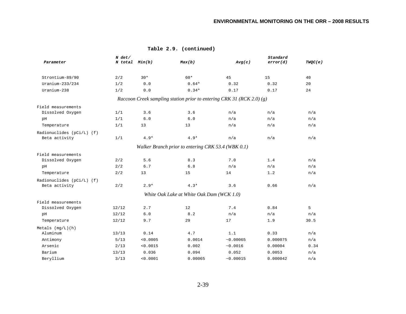| Parameter                                  | N det/<br>N total Min(b) |          | Max(b)                                                                | Avg(c)   | Standard<br>error(d) | TWQC(e) |
|--------------------------------------------|--------------------------|----------|-----------------------------------------------------------------------|----------|----------------------|---------|
| Strontium-89/90                            | 2/2                      | $30*$    | 60*                                                                   | 45       | 15                   | 40      |
| Uranium-233/234                            | 1/2                      | 0.0      | $0.64*$                                                               | 0.32     | 0.32                 | 20      |
| Uranium-238                                | 1/2                      | 0.0      | $0.34*$                                                               | 0.17     | 0.17                 | 24      |
|                                            |                          |          | Raccoon Creek sampling station prior to entering CRK 31 (RCK 2.0) (g) |          |                      |         |
| Field measurements                         |                          |          |                                                                       |          |                      |         |
| Dissolved Oxygen                           | 1/1                      | 3.6      | 3.6                                                                   | n/a      | n/a                  | n/a     |
| pH                                         | 1/1                      | 6.0      | 6.0                                                                   | n/a      | n/a                  | n/a     |
| Temperature                                | 1/1                      | 13       | 13                                                                    | n/a      | n/a                  | n/a     |
| Radionuclides (pCi/L) (f)<br>Beta activity | 1/1                      | $4.9*$   | $4.9*$                                                                | n/a      | n/a                  | n/a     |
|                                            |                          |          | Walker Branch prior to entering CRK 53.4 (WBK 0.1)                    |          |                      |         |
| Field measurements                         |                          |          |                                                                       |          |                      |         |
| Dissolved Oxygen                           | 2/2                      | 5.6      | 8.3                                                                   | 7.0      | 1.4                  | n/a     |
| pH                                         | 2/2                      | 6.7      | 6.8                                                                   | n/a      | n/a                  | n/a     |
| Temperature                                | 2/2                      | 13       | 15                                                                    | 14       | 1.2                  | n/a     |
| Radionuclides (pCi/L) (f)                  |                          |          |                                                                       |          |                      |         |
| Beta activity                              | 2/2                      | $2.9*$   | $4.3*$                                                                | 3.6      | 0.66                 | n/a     |
|                                            |                          |          | White Oak Lake at White Oak Dam (WCK 1.0)                             |          |                      |         |
| Field measurements                         |                          |          |                                                                       |          |                      |         |
| Dissolved Oxygen                           | 12/12                    | 2.7      | 12                                                                    | 7.4      | 0.84                 | 5       |
| pH                                         | 12/12                    | $6.0$    | 8.2                                                                   | n/a      | n/a                  | n/a     |
| Temperature                                | 12/12                    | 9.7      | 29                                                                    | 17       | 1.9                  | 30.5    |
| Metals (mg/L)(h)                           |                          |          |                                                                       |          |                      |         |
| Aluminum                                   | 13/13                    | 0.14     | 4.7                                                                   | 1.1      | 0.33                 | n/a     |
| Antimony                                   | 5/13                     | < 0.0005 | 0.0014                                                                | ~0.00065 | 0.000075             | n/a     |
| Arsenic                                    | 2/13                     | < 0.0015 | 0.002                                                                 | ~0.0016  | 0.00004              | 0.34    |
| Barium                                     | 13/13                    | 0.036    | 0.094                                                                 | 0.052    | 0.0053               | n/a     |
| Beryllium                                  | 3/13                     | < 0.0001 | 0.00065                                                               | ~0.00015 | 0.000042             | n/a     |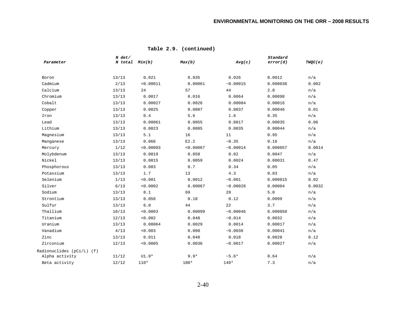|                           | $N$ det/ |                |           |                | Standard |         |
|---------------------------|----------|----------------|-----------|----------------|----------|---------|
| Parameter                 |          | N total Min(b) | Max(b)    | Avg(c)         | error(d) | TWQC(e) |
| Boron                     | 13/13    | 0.021          | 0.035     | 0.026          | 0.0012   | n/a     |
| Cadmium                   | 2/13     | < 0.00011      | 0.00061   | ~0.00015       | 0.000038 | 0.002   |
| Calcium                   | 13/13    | 24             | 57        | 44             | 2.8      | n/a     |
| Chromium                  | 13/13    | 0.0017         | 0.016     | 0.0064         | 0.00098  | n/a     |
| Cobalt                    | 13/13    | 0.00027        | 0.0026    | 0.00084        | 0.00016  | n/a     |
| Copper                    | 13/13    | 0.0025         | 0.0087    | 0.0037         | 0.00046  | 0.01    |
| Iron                      | 13/13    | 0.4            | 5.6       | 1.6            | 0.35     | n/a     |
| Lead                      | 13/13    | 0.00061        | 0.0055    | 0.0017         | 0.00035  | 0.06    |
| Lithium                   | 13/13    | 0.0023         | 0.0085    | 0.0035         | 0.00044  | n/a     |
| Magnesium                 | 13/13    | 5.1            | 16        | 11             | 0.95     | n/a     |
| Manganese                 | 13/13    | 0.066          | E2.2      | $\sim\!0$ . 35 | 0.16     | n/a     |
| Mercury                   | 1/12     | < 0.00003      | < 0.00067 | ~10.00014      | 0.000057 | 0.0014  |
| Molybdenum                | 13/13    | 0.0019         | 0.058     | 0.02           | 0.0047   | n/a     |
| Nickel                    | 13/13    | 0.0015         | 0.0059    | 0.0024         | 0.00031  | 0.47    |
| Phosphorous               | 13/13    | 0.083          | 0.7       | 0.34           | 0.05     | n/a     |
| Potassium                 | 13/13    | 1.7            | 13        | 4.3            | 0.83     | n/a     |
| Selenium                  | 1/13     | < 0.001        | 0.0012    | ~10.001        | 0.000015 | 0.02    |
| Silver                    | 6/13     | < 0.0002       | 0.00067   | ~10.00028      | 0.00004  | 0.0032  |
| Sodium                    | 13/13    | 8.1            | 69        | 28             | 5.0      | n/a     |
| Strontium                 | 13/13    | 0.056          | 0.18      | 0.12           | 0.0099   | n/a     |
| Sulfur                    | 13/13    | $6.0\,$        | 44        | 22             | 3.7      | n/a     |
| Thallium                  | 10/13    | < 0.0003       | 0.00099   | ~10.00046      | 0.000058 | n/a     |
| Titanium                  | 12/13    | < 0.002        | 0.048     | ~10.014        | 0.0032   | n/a     |
| Uranium                   | 13/13    | 0.00064        | 0.0029    | 0.0014         | 0.00017  | n/a     |
| Vanadium                  | 4/13     | 0.003          | 0.008     | ~10.0036       | 0.00041  | n/a     |
| Zinc                      | 13/13    | 0.011          | 0.048     | 0.018          | 0.0028   | 0.12    |
| Zirconium                 | 12/13    | < 0.0005       | 0.0036    | ~10.0017       | 0.00027  | n/a     |
| Radionuclides (pCi/L) (f) |          |                |           |                |          |         |
| Alpha activity            | 11/12    | $UI.9*$        | $9.9*$    | $~5.6*$        | 0.64     | n/a     |
| Beta activity             | 12/12    | $110*$         | 180*      | $140*$         | 7.3      | n/a     |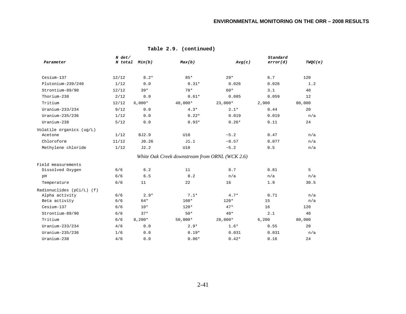| Parameter                 | $N$ det/ | N total Min(b) | Max(b)                                         | Avg(c)    | Standard<br>error(d) | TWQC(e) |
|---------------------------|----------|----------------|------------------------------------------------|-----------|----------------------|---------|
| Cesium-137                | 12/12    | $8.2*$         | $85*$                                          | $29*$     | 6.7                  | 120     |
| Plutonium-239/240         | 1/12     | 0.0            | $0.31*$                                        | 0.026     | 0.026                | 1.2     |
| Strontium-89/90           | 12/12    | $39*$          | $78*$                                          | $60*$     | 3.1                  | 40      |
| Thorium-230               | 2/12     | 0.0            | $0.61*$                                        | 0.085     | 0.059                | 12      |
| Tritium                   | 12/12    | $6,000*$       | 40,000*                                        | $23,000*$ | 2,900                | 80,000  |
| Uranium- $233/234$        | 9/12     | 0.0            | $4.3*$                                         | $2.1*$    | 0.44                 | 20      |
| $Uranium-235/236$         | 1/12     | 0.0            | $0.22*$                                        | 0.019     | 0.019                | n/a     |
| Uranium-238               | 5/12     | 0.0            | $0.93*$                                        | $0.26*$   | 0.11                 | 24      |
| Volatile organics (ug/L)  |          |                |                                                |           |                      |         |
| Acetone                   | 1/12     | BJ2.9          | U10                                            | ~5.2      | 0.47                 | n/a     |
| Chloroform                | 11/12    | J0.26          | J1.1                                           | ~10.57    | 0.077                | n/a     |
| Methylene chloride        | 1/12     | J2.2           | U10                                            | ~5.2      | 0.5                  | n/a     |
|                           |          |                | White Oak Creek downstream from ORNL (WCK 2.6) |           |                      |         |
| Field measurements        |          |                |                                                |           |                      |         |
| Dissolved Oxygen          | 6/6      | 6.2            | 11                                             | 8.7       | 0.81                 | 5       |
| pH                        | 6/6      | 6.5            | 8.2                                            | n/a       | n/a                  | n/a     |
| Temperature               | 6/6      | 11             | 22                                             | 16        | 1.9                  | 30.5    |
| Radionuclides (pCi/L) (f) |          |                |                                                |           |                      |         |
| Alpha activity            | 6/6      | $2.9*$         | $7.1*$                                         | $4.7*$    | 0.71                 | n/a     |
| Beta activity             | 6/6      | $64*$          | $160*$                                         | $120*$    | 15                   | n/a     |
| Cesium-137                | 6/6      | $10*$          | $120*$                                         | $47*$     | 16                   | 120     |
| Strontium-89/90           | 6/6      | $37*$          | $50*$                                          | $40*$     | 2.1                  | 40      |
| Tritium                   | 6/6      | $8,200*$       | $50,000*$                                      | $28,000*$ | 6,200                | 80,000  |
| Uranium- $233/234$        | 4/6      | 0.0            | $2.9*$                                         | $1.6*$    | 0.55                 | 20      |
| Uranium-235/236           | 1/6      | 0.0            | $0.19*$                                        | 0.031     | 0.031                | n/a     |
| Uranium-238               | 4/6      | 0.0            | $0.86*$                                        | $0.42*$   | 0.16                 | 24      |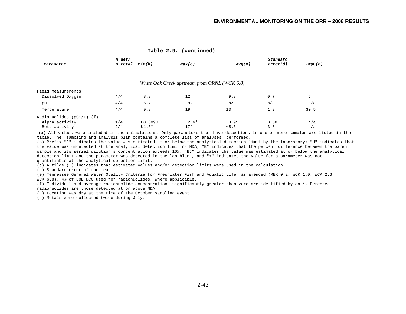#### **Table 2.9. (continued)**

|                             | N det/  |         |                                              |        | Standard |         |
|-----------------------------|---------|---------|----------------------------------------------|--------|----------|---------|
| Parameter                   | N total | Min(b)  | Max(b)                                       | Avg(c) | error(d) | TWOC(e) |
|                             |         |         |                                              |        |          |         |
|                             |         |         | White Oak Creek upstream from ORNL (WCK 6.8) |        |          |         |
| Field measurements          |         |         |                                              |        |          |         |
| Dissolved Oxygen            | 4/4     | 8.8     | 12                                           | 9.8    | 0.7      | 5       |
| pH                          | 4/4     | 6.7     | 8.1                                          | n/a    | n/a      | n/a     |
| Temperature                 | 4/4     | 9.8     | 19                                           | 13     | 1.9      | 30.5    |
| Radionuclides $(pCi/L)$ (f) |         |         |                                              |        |          |         |
| Alpha activity              | 1/4     | U0.0093 | $2.6*$                                       | ~10.95 | 0.58     | n/a     |
| Beta activity               | 2/4     | U1.6*   | $17*$                                        | ~5.6   | 3.8      | n/a     |

(a) All values were included in the calculations. Only parameters that have detections in one or more samples are listed in the table. The sampling and analysis plan contains a complete list of analyses performed.

(b) Prefix "J" indicates the value was estimated at or below the analytical detection limit by the laboratory; "U" indicates that the value was undetected at the analytical detection limit or MDA; "E" indicates that the percent difference between the parent sample and its serial dilution's concentration exceeds 10%; "BJ" indicates the value was estimated at or below the analytical detection limit and the parameter was detected in the lab blank, and "<" indicates the value for a parameter was not quantifiable at the analytical detection limit.

(c) A tilde (~) indicates that estimated values and/or detection limits were used in the calculation.

(d) Standard error of the mean.

(e) Tennessee General Water Quality Criteria for Freshwater Fish and Aquatic Life, as amended (MEK 0.2, WCK 1.0, WCK 2.6, WCK 6.8). 4% of DOE DCG used for radionuclides, where applicable.

(f) Individual and average radionuclide concentrations significantly greater than zero are identified by an \*. Detected radionuclides are those detected at or above MDA.

(g) Location was dry at the time of the October sampling event.

(h) Metals were collected twice during July.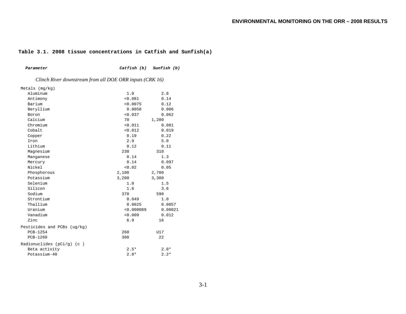### **Table 3.1. 2008 tissue concentrations in Catfish and Sunfish(a)**

| Parameter                                                | Catfish (b) | Sunfish (b) |  |  |  |  |  |  |
|----------------------------------------------------------|-------------|-------------|--|--|--|--|--|--|
| Clinch River downstream from all DOE ORR inputs (CRK 16) |             |             |  |  |  |  |  |  |
| Metals (mg/kg)                                           |             |             |  |  |  |  |  |  |
| Aluminum                                                 | 1.0         | 2.8         |  |  |  |  |  |  |
| Antimony                                                 | < 0.081     | 0.14        |  |  |  |  |  |  |
| Barium                                                   | < 0.0075    | 0.12        |  |  |  |  |  |  |
| Beryllium                                                | 0.0058      | 0.006       |  |  |  |  |  |  |
| Boron                                                    | < 0.037     | 0.062       |  |  |  |  |  |  |
| Calcium                                                  | 70          | 1,200       |  |  |  |  |  |  |
| Chromium                                                 | < 0.011     | 0.081       |  |  |  |  |  |  |
| Cobalt                                                   | < 0.012     | 0.019       |  |  |  |  |  |  |
| Copper                                                   | 0.19        | 0.22        |  |  |  |  |  |  |
| Iron                                                     | 2.9         | 5.0         |  |  |  |  |  |  |
| Lithium                                                  | 0.12        | 0.11        |  |  |  |  |  |  |
| Magnesium                                                | 230         | 310         |  |  |  |  |  |  |
| Manganese                                                | 0.14        | 1.3         |  |  |  |  |  |  |
| Mercury                                                  | 0.14        | 0.097       |  |  |  |  |  |  |
| Nickel                                                   | < 0.02      | 0.05        |  |  |  |  |  |  |
| Phosphorous                                              | 2,100       | 2,700       |  |  |  |  |  |  |
| Potassium                                                | 3,200       | 3,300       |  |  |  |  |  |  |
| Selenium                                                 | 1.0         | 1.5         |  |  |  |  |  |  |
| Silicon                                                  | 1.6         | 3.6         |  |  |  |  |  |  |
| Sodium                                                   | 370         | 590         |  |  |  |  |  |  |
| Strontium                                                | 0.049       | 1.0         |  |  |  |  |  |  |
| Thallium                                                 | 0.0025      | 0.0057      |  |  |  |  |  |  |
| Uranium                                                  | < 0.000089  | 0.00021     |  |  |  |  |  |  |
| Vanadium                                                 | < 0.009     | 0.012       |  |  |  |  |  |  |
| Zinc                                                     | 6.9         | 16          |  |  |  |  |  |  |
| Pesticides and PCBs (ug/kg)                              |             |             |  |  |  |  |  |  |
| PCB-1254                                                 | 260         | U17         |  |  |  |  |  |  |
| <b>PCB-1260</b>                                          | 300         | 22          |  |  |  |  |  |  |
| Radionuclides $(pCi/q)$ (c)                              |             |             |  |  |  |  |  |  |
| Beta activity                                            | $2.5*$      | $2.0*$      |  |  |  |  |  |  |
| Potassium-40                                             | $2.8*$      | $2.2*$      |  |  |  |  |  |  |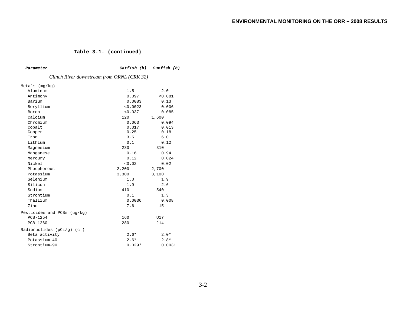#### **Table 3.1. (continued)**

| Parameter                                  |          | Catfish (b) Sunfish (b) |  |  |  |  |  |  |
|--------------------------------------------|----------|-------------------------|--|--|--|--|--|--|
| Clinch River downstream from ORNL (CRK 32) |          |                         |  |  |  |  |  |  |
| Metals $(mq/kg)$                           |          |                         |  |  |  |  |  |  |
| Aluminum                                   | 1.5      | 2.0                     |  |  |  |  |  |  |
| Antimony                                   | 0.097    | < 0.081                 |  |  |  |  |  |  |
| Barium                                     | 0.0083   | 0.13                    |  |  |  |  |  |  |
| Beryllium                                  | < 0.0023 | 0.006                   |  |  |  |  |  |  |
| Boron                                      | < 0.037  | 0.085                   |  |  |  |  |  |  |
| Calcium                                    | 120      | 1,600                   |  |  |  |  |  |  |
| Chromium                                   | 0.063    | 0.094                   |  |  |  |  |  |  |
| Cobalt                                     | 0.017    | 0.013                   |  |  |  |  |  |  |
| Copper                                     | 0.25     | 0.18                    |  |  |  |  |  |  |
| Iron                                       | 3.5      | 6.0                     |  |  |  |  |  |  |
| Lithium                                    | 0.1      | 0.12                    |  |  |  |  |  |  |
| Magnesium                                  | 230      | 310                     |  |  |  |  |  |  |
| Manganese                                  | 0.16     | 0.94                    |  |  |  |  |  |  |
| Mercury                                    | 0.12     | 0.024                   |  |  |  |  |  |  |
| Nickel                                     | < 0.02   | 0.02                    |  |  |  |  |  |  |
| Phosphorous                                | 2,200    | 2,700                   |  |  |  |  |  |  |
| Potassium                                  | 3,300    | 3,100                   |  |  |  |  |  |  |
| Selenium                                   | 1.0      | 1.9                     |  |  |  |  |  |  |
| Silicon                                    | 1.9      | 2.6                     |  |  |  |  |  |  |
| Sodium                                     | 410      | 540                     |  |  |  |  |  |  |
| Strontium                                  | 0.1      | 1.3                     |  |  |  |  |  |  |
| Thallium                                   | 0.0036   | 0.008                   |  |  |  |  |  |  |
| Zinc                                       | 7.6      | 15                      |  |  |  |  |  |  |
| Pesticides and PCBs (uq/kq)                |          |                         |  |  |  |  |  |  |
| PCB-1254                                   | 160      | U17                     |  |  |  |  |  |  |
| <b>PCB-1260</b>                            | 280      | J14                     |  |  |  |  |  |  |
| Radionuclides $(pCi/q)$ (c)                |          |                         |  |  |  |  |  |  |
| Beta activity                              | $2.6*$   | $2.0*$                  |  |  |  |  |  |  |
| Potassium-40                               | $2.6*$   | $2.8*$                  |  |  |  |  |  |  |
| Strontium-90                               | $0.029*$ | 0.0031                  |  |  |  |  |  |  |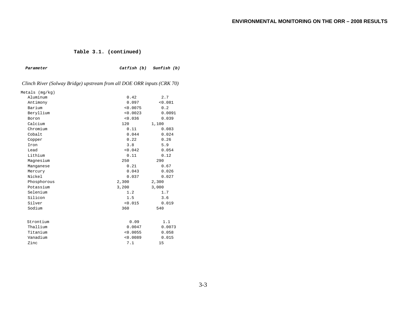#### **Table 3.1. (continued)**

| Parameter                                                              | Catfish (b) | Sunfish (b) |  |
|------------------------------------------------------------------------|-------------|-------------|--|
| Clinch River (Solway Bridge) upstream from all DOE ORR inputs (CRK 70) |             |             |  |
| Metals (mg/kg)                                                         |             |             |  |
| Aluminum                                                               | 0.42        | 2.7         |  |
| Antimony                                                               | 0.097       | < 0.081     |  |
| Barium                                                                 | < 0.0075    | 0.2         |  |
| Beryllium                                                              | < 0.0023    | 0.0091      |  |
| Boron                                                                  | < 0.036     | 0.039       |  |
| Calcium                                                                | 120         | 1,100       |  |
| Chromium                                                               | 0.11        | 0.083       |  |
| Cobalt                                                                 | 0.044       | 0.024       |  |
| Copper                                                                 | 0.22        | 0.26        |  |
| Iron                                                                   | 3.8         | 5.9         |  |
| Lead                                                                   | < 0.042     | 0.054       |  |
| Lithium                                                                | 0.11        | 0.12        |  |
| Magnesium                                                              | 250         | 290         |  |
| Manganese                                                              | 0.21        | 0.67        |  |
| Mercury                                                                | 0.043       | 0.026       |  |
| Nickel                                                                 | 0.037       | 0.027       |  |
| Phosphorous                                                            | 2,300       | 2,300       |  |
| Potassium                                                              | 3,200       | 3,000       |  |
| Selenium                                                               | 1.2         | 1.7         |  |
| Silicon                                                                | 1.5         | 3.6         |  |
| Silver                                                                 | < 0.015     | 0.019       |  |
| Sodium                                                                 | 360         | 540         |  |
| Strontium                                                              | 0.09        | 1.1         |  |
| Thallium                                                               | 0.0047      | 0.0073      |  |
| Titanium                                                               | < 0.0055    | 0.058       |  |
| Vanadium                                                               | < 0.0089    | 0.015       |  |
| Zinc                                                                   | 7.1         | 15          |  |
|                                                                        |             |             |  |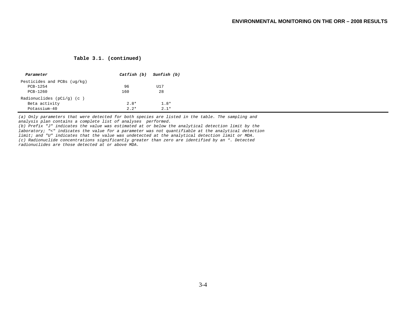#### **Table 3.1. (continued)**

| Parameter                   | Catfish (b) Sunfish (b) |        |
|-----------------------------|-------------------------|--------|
| Pesticides and PCBs (uq/kq) |                         |        |
| $PCB-1254$                  | 96                      | U17    |
| $PCB-1260$                  | 160                     | 28     |
| Radionuclides $(pCi/q)$ (c) |                         |        |
| Beta activity               | $2.8*$                  | $1.8*$ |
| Potassium-40                | $2.2*$                  | $2.1*$ |

*(a) Only parameters that were detected for both species are listed in the table. The sampling and analysis plan contains a complete list of analyses performed.* 

*(b) Prefix "J" indicates the value was estimated at or below the analytical detection limit by the laboratory; "<" indicates the value for a parameter was not quantifiable at the analytical detection limit; and "U" indicates that the value was undetected at the analytical detection limit or MDA. (c) Radionuclide concentrations significantly greater than zero are identified by an \*. Detected radionuclides are those detected at or above MDA.*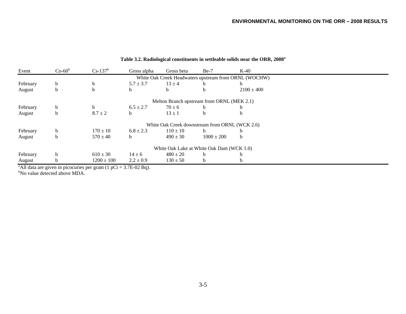| Event                              | $Co-60^b$ | $Cs-137^b$                                | Gross alpha                | Gross beta   | $Be-7$                                         | $K-40$                                                |  |
|------------------------------------|-----------|-------------------------------------------|----------------------------|--------------|------------------------------------------------|-------------------------------------------------------|--|
|                                    |           |                                           |                            |              |                                                | White Oak Creek Headwaters upstream from ORNL (WOCHW) |  |
| February                           | b.        | b                                         | $5.7 \pm 3.7$              | $13 \pm 4$   |                                                |                                                       |  |
| August                             | b         | b                                         |                            | b.           | b.                                             | $2100 \pm 400$                                        |  |
|                                    |           |                                           |                            |              | Melton Branch upstream from ORNL (MEK 2.1)     |                                                       |  |
| February                           | b         | b.                                        | $6.5 \pm 2.7$              | $70 \pm 6$   | b                                              |                                                       |  |
| August                             | h         | $8.7 \pm 2$                               | h.                         | $13 \pm 1$   | b                                              |                                                       |  |
|                                    |           |                                           |                            |              | White Oak Creek downstream from ORNL (WCK 2.6) |                                                       |  |
| February                           | b         | $170 \pm 10$                              | $6.8 \pm 2.3$              | $110 \pm 10$ | <sub>b</sub>                                   |                                                       |  |
| August                             | b         | $570 \pm 40$                              | h.                         | $490 \pm 30$ | $1000 \pm 200$                                 | h.                                                    |  |
|                                    |           |                                           |                            |              | White Oak Lake at White Oak Dam (WCK 1.0)      |                                                       |  |
| February                           | h         | $610 \pm 30$                              | $14 \pm 6$                 | $480 \pm 20$ | b.                                             |                                                       |  |
| August<br>$2 \times 11$ $1 \times$ | n         | $1200 \pm 100$<br>$\sim$ $(1 - \alpha)^2$ | $2.2 \pm 0.9$<br>2.75.02.5 | $130 \pm 50$ | b                                              |                                                       |  |

# **Table 3.2. Radiological constituents in settleable solids near the ORR, 2008a**

<sup>a</sup>All data are given in picocuries per gram  $(1 pCi = 3.7E-02 Bq)$ .

<sup>b</sup>No value detected above MDA.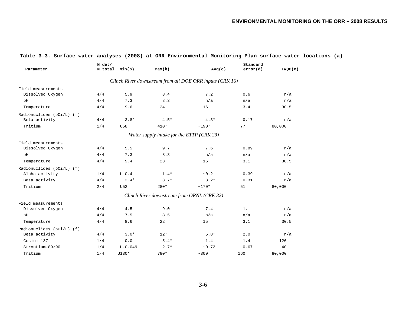#### **ENVIRONMENTAL MONITORING ON THE ORR – 2008 RESULTS**

| Parameter                 | $N$ det/<br>N total Min(b) |             | Max(b)                                     | Avg(c)                                                   | Standard<br>error(d) | TWQC(e) |
|---------------------------|----------------------------|-------------|--------------------------------------------|----------------------------------------------------------|----------------------|---------|
|                           |                            |             |                                            | Clinch River downstream from all DOE ORR inputs (CRK 16) |                      |         |
| Field measurements        |                            |             |                                            |                                                          |                      |         |
| Dissolved Oxygen          | 4/4                        | 5.9         | 8.4                                        | 7.2                                                      | 0.6                  | n/a     |
| pH                        | 4/4                        | 7.3         | 8.3                                        | n/a                                                      | n/a                  | n/a     |
| Temperature               | 4/4                        | 9.6         | 24                                         | 16                                                       | 3.4                  | 30.5    |
| Radionuclides (pCi/L) (f) |                            |             |                                            |                                                          |                      |         |
| Beta activity             | 4/4                        | $3.8*$      | $4.5*$                                     | $4.3*$                                                   | 0.17                 | n/a     |
| Tritium                   | 1/4                        | U58         | $410*$                                     | $~190*$                                                  | 77                   | 80,000  |
|                           |                            |             | Water supply intake for the ETTP (CRK 23)  |                                                          |                      |         |
| Field measurements        |                            |             |                                            |                                                          |                      |         |
| Dissolved Oxygen          | 4/4                        | 5.5         | 9.7                                        | 7.6                                                      | 0.89                 | n/a     |
| pH                        | 4/4                        | 7.3         | 8.3                                        | n/a                                                      | n/a                  | n/a     |
| Temperature               | 4/4                        | 9.4         | 23                                         | 16                                                       | 3.1                  | 30.5    |
| Radionuclides (pCi/L) (f) |                            |             |                                            |                                                          |                      |         |
| Alpha activity            | 1/4                        | $U-0.4$     | $1.4*$                                     | ~10.2                                                    | 0.39                 | n/a     |
| Beta activity             | 4/4                        | $2.4*$      | $3.7*$                                     | $3.2*$                                                   | 0.31                 | n/a     |
| Tritium                   | 2/4                        | U52         | $280*$                                     | $~170*$                                                  | 51                   | 80,000  |
|                           |                            |             | Clinch River downstream from ORNL (CRK 32) |                                                          |                      |         |
| Field measurements        |                            |             |                                            |                                                          |                      |         |
| Dissolved Oxygen          | 4/4                        | 4.5         | 9.0                                        | 7.4                                                      | 1.1                  | n/a     |
| pH                        | 4/4                        | 7.5         | 8.5                                        | n/a                                                      | n/a                  | n/a     |
| Temperature               | 4/4                        | 8.6         | 22                                         | 15                                                       | 3.1                  | 30.5    |
| Radionuclides (pCi/L) (f) |                            |             |                                            |                                                          |                      |         |
| Beta activity             | 4/4                        | $3.0*$      | $12*$                                      | $5.8*$                                                   | 2.0                  | n/a     |
| Cesium-137                | 1/4                        | 0.0         | $5.4*$                                     | 1.4                                                      | 1.4                  | 120     |
| Strontium-89/90           | 1/4                        | $U - 0.049$ | $2.7*$                                     | ~10.72                                                   | 0.67                 | 40      |
| Tritium                   | 1/4                        | U130*       | 780*                                       | ~100                                                     | 160                  | 80,000  |

### **Table 3.3. Surface water analyses (2008) at ORR Environmental Monitoring Plan surface water locations (a)**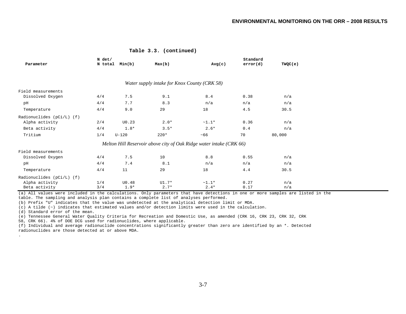#### **Table 3.3. (continued)**

| Parameter                 | N det/<br>N total | Min(b)  | Max(b)                                       | Avg(c)                                                              | Standard<br>error(d) | TWQC(e) |
|---------------------------|-------------------|---------|----------------------------------------------|---------------------------------------------------------------------|----------------------|---------|
|                           |                   |         |                                              |                                                                     |                      |         |
|                           |                   |         | Water supply intake for Knox County (CRK 58) |                                                                     |                      |         |
| Field measurements        |                   |         |                                              |                                                                     |                      |         |
| Dissolved Oxygen          | 4/4               | 7.5     | 9.1                                          | 8.4                                                                 | 0.38                 | n/a     |
| pH                        | 4/4               | 7.7     | 8.3                                          | n/a                                                                 | n/a                  | n/a     |
| Temperature               | 4/4               | 9.0     | 29                                           | 18                                                                  | 4.5                  | 30.5    |
| Radionuclides (pCi/L) (f) |                   |         |                                              |                                                                     |                      |         |
| Alpha activity            | 2/4               | U0.23   | $2.0*$                                       | $~1.1*$                                                             | 0.36                 | n/a     |
| Beta activity             | 4/4               | $1.8*$  | $3.5*$                                       | $2.6*$                                                              | 0.4                  | n/a     |
| Tritium                   | 1/4               | $U-120$ | $220*$                                       | ~56                                                                 | 70                   | 80,000  |
|                           |                   |         |                                              | Melton Hill Reservoir above city of Oak Ridge water intake (CRK 66) |                      |         |
| Field measurements        |                   |         |                                              |                                                                     |                      |         |
| Dissolved Oxygen          | 4/4               | 7.5     | 10                                           | 8.8                                                                 | 0.55                 | n/a     |
| pH                        | 4/4               | 7.4     | 8.1                                          | n/a                                                                 | n/a                  | n/a     |
| Temperature               | 4/4               | 11      | 29                                           | 18                                                                  | 4.4                  | 30.5    |
| Radionuclides (pCi/L) (f) |                   |         |                                              |                                                                     |                      |         |
| Alpha activity            | 1/4               | U0.48   | $UI.7*$                                      | $~1.1*$                                                             | 0.27                 | n/a     |
| Beta activity             | 3/4               | $1.9*$  | $2.7*$                                       | $2.4*$                                                              | 0.17                 | n/a     |

(a) All values were included in the calculations. Only parameters that have detections in one or more samples are listed in the table. The sampling and analysis plan contains a complete list of analyses performed.

(b) Prefix "U" indicates that the value was undetected at the analytical detection limit or MDA.

(c) A tilde (~) indicates that estimated values and/or detection limits were used in the calculation.

(d) Standard error of the mean.

(e) Tennessee General Water Quality Criteria for Recreation and Domestic Use, as amended (CRK 16, CRK 23, CRK 32, CRK

58, CRK 66). 4% of DOE DCG used for radionuclides, where applicable.

(f) Individual and average radionuclide concentrations significantly greater than zero are identified by an \*. Detected radionuclides are those detected at or above MDA.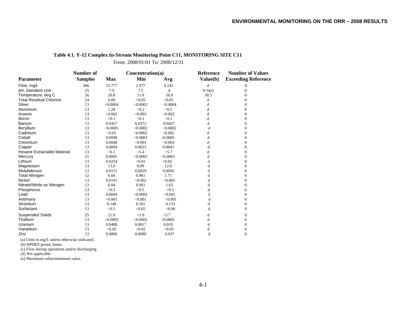### **Table 4.1. Y-12 Complex In-Stream Monitoring Point C11, MONITORING SITE C11**

From: 2008/01/01 To: 2008/12/31

|                                | Number of      |            | Concentration(a) |          | Reference | <b>Number of Values</b>    |  |
|--------------------------------|----------------|------------|------------------|----------|-----------|----------------------------|--|
| <b>Parameter</b>               | <b>Samples</b> | <b>Max</b> | Min              | Avg      | Value(b)  | <b>Exceeding Reference</b> |  |
| Flow, mgd                      | 366            | 15.777     | 2.977            | 6.242    | d         | 0                          |  |
| pH, Standard Unit              | 25             | 7.9        | 7.5              | d        | 9/6(e)    | 0                          |  |
| Temperature, deg C             | 26             | 20.8       | 11.0             | 16.0     | 30.5      | 0                          |  |
| <b>Total Residual Chlorine</b> | 24             | 0.09       | < 0.05           | < 0.05   | d         | 0                          |  |
| Silver                         | 13             | < 0.0004   | < 0.0002         | < 0.0004 | d         | 0                          |  |
| Aluminum                       | 13             | 1.28       | < 0.2            | < 0.5    | d         | $\Omega$                   |  |
| Arsenic                        | 13             | < 0.002    | < 0.002          | < 0.002  | d         | $\overline{0}$             |  |
| Boron                          | 13             | < 0.1      | < 0.1            | < 0.1    | d         | $\Omega$                   |  |
| <b>Barium</b>                  | 13             | 0.0457     | 0.0372           | 0.0427   | d         | 0                          |  |
| Beryllium                      | 13             | < 0.0005   | < 0.0002         | < 0.0002 | d         | $\Omega$                   |  |
| Cadmium                        | 13             | < 0.01     | < 0.0002         | < 0.002  | d         | 0                          |  |
| Cobalt                         | 13             | 0.0008     | < 0.0002         | < 0.0005 | d         | 0                          |  |
| Chromium                       | 13             | 0.0048     | < 0.001          | < 0.003  | d         | $\Omega$                   |  |
| Copper                         | 13             | 0.0094     | 0.0023           | 0.0043   | d         | $\boldsymbol{0}$           |  |
| Hexane Extractable Material    | 13             | < 6.1      | < 5.4            | < 5.7    | d         | 0                          |  |
| Mercury                        | 25             | 0.0005     | < 0.0002         | < 0.0003 | d         | $\Omega$                   |  |
| Lithium                        | 13             | 0.0254     | < 0.01           | < 0.02   | d         | 0                          |  |
| Magnesium                      | 13             | 13.0       | 9.09             | 12.0     | d         | 0                          |  |
| Molybdenum                     | 13             | 0.0151     | 0.0029           | 0.0056   | d         | $\Omega$                   |  |
| <b>Total Nitrogen</b>          | 12             | 6.04       | 0.961            | 1.71     | d         | $\Omega$                   |  |
| Nickel                         | 13             | 0.0191     | < 0.002          | < 0.005  | d         | $\boldsymbol{0}$           |  |
| Nitrate/Nitrite as Nitrogen    | 13             | 6.04       | 0.961            | 1.63     | d         | $\overline{0}$             |  |
| Phosphorus                     | 13             | < 0.5      | < 0.5            | < 0.5    | d         | 0                          |  |
| Lead                           | 13             | 0.0049     | < 0.0002         | < 0.001  | d         | $\Omega$                   |  |
| Antimony                       | 13             | < 0.001    | < 0.001          | < 0.001  | d         | $\Omega$                   |  |
| Strontium                      | 13             | 0.148      | 0.101            | 0.133    | d         | $\Omega$                   |  |
| Surfactant                     | 13             | < 0.1      | < 0.05           | < 0.06   | d         | $\Omega$                   |  |
| <b>Suspended Solids</b>        | 25             | 21.0       | < 1.0            | < 5.7    | d         | 0                          |  |
| Thallium                       | 13             | < 0.0002   | < 0.0002         | < 0.0002 | d         | $\Omega$                   |  |
| Uranium                        | 13             | 0.0488     | 0.0017           | 0.010    | d         | $\overline{0}$             |  |
| Vanadium                       | 13             | < 0.02     | < 0.02           | < 0.02   | d         | $\overline{0}$             |  |
| Zinc                           | 13             | 0.0886     | 0.0089           | 0.037    | d         | $\Omega$                   |  |

(a) Units in mg/L unless otherwise indicated.

(b) NPDES permit limits.

(c) Flow during operations and/or discharging.

(d) Not applicable.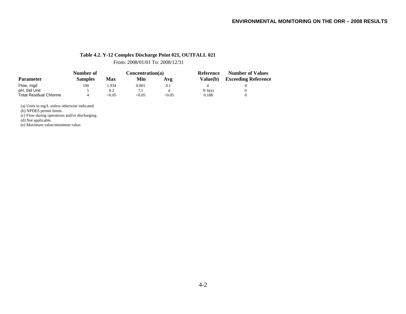### **Table 4.2. Y-12 Complex Discharge Point 021, OUTFALL 021**

From: 2008/01/01 To: 2008/12/31

| <b>Parameter</b>               | Number of      |        | Concentration(a) |       | Reference | <b>Number of Values</b>    |  |
|--------------------------------|----------------|--------|------------------|-------|-----------|----------------------------|--|
|                                | <b>Samples</b> | Max    | Min              | Avg   | Value(b)  | <b>Exceeding Reference</b> |  |
| Flow, mgd                      | 190            | .934   | 0.001            | 0.1   |           |                            |  |
| pH, Std Unit                   |                | 8.2    |                  |       | 9/6(e)    |                            |  |
| <b>Total Residual Chlorine</b> |                | < 0.05 | < 0.05           | <0.05 | 0.188     |                            |  |

(a) Units in mg/L unless otherwise indicated.

(b) NPDES permit limits.

(c) Flow during operations and/or discharging.

(d) Not applicable.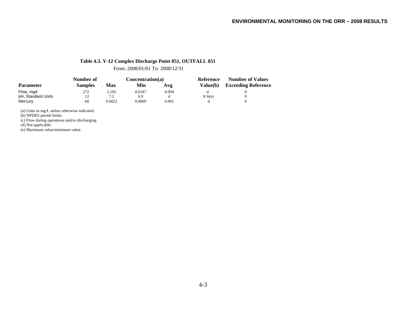### **Table 4.3. Y-12 Complex Discharge Point 051, OUTFALL 051**

From: 2008/01/01 To: 2008/12/31

|                    | Number of      |        | Concentration(a) |       | Reference       | <b>Number of Values</b>    |  |
|--------------------|----------------|--------|------------------|-------|-----------------|----------------------------|--|
| <b>Parameter</b>   | <b>Samples</b> | Max    | Min              | Avg   | <b>Value(b)</b> | <b>Exceeding Reference</b> |  |
| Flow, mgd          | 272            | 2.105  | 0.0187           | 0.094 |                 |                            |  |
| pH, Standard Units | 12             | 7.2    | 6.9              |       | 9/6(e)          |                            |  |
| Mercury            | 60             | 0.0022 | 0.0009           | 0.001 |                 |                            |  |

(a) Units in mg/L unless otherwise indicated.

(b) NPDES permit limits.

(c) Flow during operations and/or discharging.

(d) Not applicable.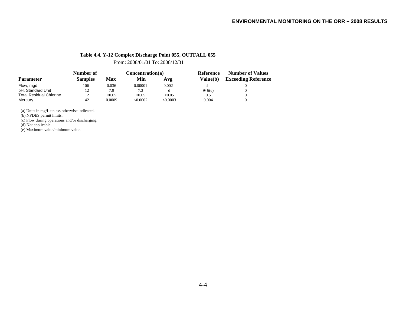### **Table 4.4. Y-12 Complex Discharge Point 055, OUTFALL 055**

From: 2008/01/01 To: 2008/12/31

|                                | Number of      |            | Concentration(a) |         | Reference | <b>Number of Values</b>    |  |
|--------------------------------|----------------|------------|------------------|---------|-----------|----------------------------|--|
| <b>Parameter</b>               | <b>Samples</b> | <b>Max</b> | Min              | Avg     | Value(b)  | <b>Exceeding Reference</b> |  |
| Flow, mgd                      | 106            | 0.036      | 0.00001          | 0.002   |           |                            |  |
| pH, Standard Unit              | 12             | 7.9        | 7.3              |         | 9/6(e)    |                            |  |
| <b>Total Residual Chlorine</b> |                | < 0.05     | < 0.05           | < 0.05  | 0.5       |                            |  |
| Mercury                        | 42             | 0.0009     | <0.0002          | <0.0003 | 0.004     |                            |  |

(a) Units in mg/L unless otherwise indicated.

(b) NPDES permit limits.

(c) Flow during operations and/or discharging.

(d) Not applicable.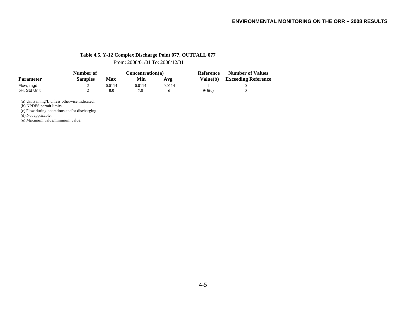### **Table 4.5. Y-12 Complex Discharge Point 077, OUTFALL 077**

From: 2008/01/01 To: 2008/12/31

|                  | Number of      |        | Concentration(a) |        | Reference | <b>Number of Values</b>    |
|------------------|----------------|--------|------------------|--------|-----------|----------------------------|
| <b>Parameter</b> | <b>Samples</b> | Max    | Min              | Avg    | Value(b)  | <b>Exceeding Reference</b> |
| Flow, mgd        |                | 0.0114 | 0.0114           | 0.0114 |           |                            |
| pH, Std Unit     |                | 8.0    | 7.9              |        | 9/6(e)    |                            |

(a) Units in mg/L unless otherwise indicated.

(b) NPDES permit limits.

(c) Flow during operations and/or discharging.

(d) Not applicable.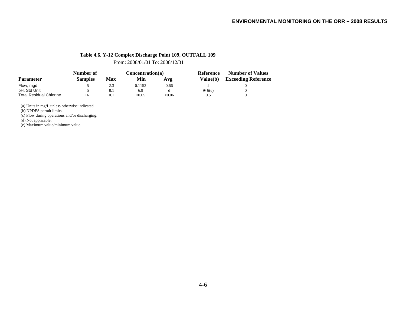### **Table 4.6. Y-12 Complex Discharge Point 109, OUTFALL 109**

From: 2008/01/01 To: 2008/12/31

|                                | Number of      |     | Concentration(a) |       | Reference       | <b>Number of Values</b>    |  |
|--------------------------------|----------------|-----|------------------|-------|-----------------|----------------------------|--|
| <b>Parameter</b>               | <b>Samples</b> | Max | Min              | Avg   | <b>Value(b)</b> | <b>Exceeding Reference</b> |  |
| Flow, mgd                      |                | 2.3 | 0.1152           | 0.66  |                 |                            |  |
| pH, Std Unit                   |                | 8.1 | 6.9              |       | 9/6(e)          |                            |  |
| <b>Total Residual Chlorine</b> | 16             | 0.1 | < 0.05           | <0.06 | 0.5             |                            |  |

(a) Units in mg/L unless otherwise indicated.

(b) NPDES permit limits.

(c) Flow during operations and/or discharging.

(d) Not applicable.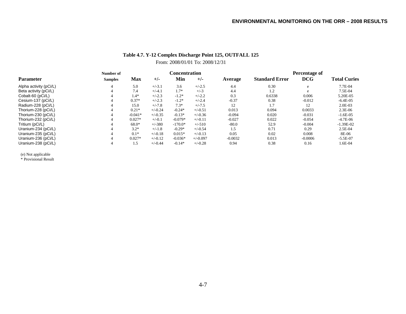# **Table 4.7. Y-12 Complex Discharge Point 125, OUTFALL 125** From: 2008/01/01 To: 2008/12/31

|                        | Number of      |           | Concentration |           |            | Percentage of |                       |            |                     |
|------------------------|----------------|-----------|---------------|-----------|------------|---------------|-----------------------|------------|---------------------|
| <b>Parameter</b>       | <b>Samples</b> | Max       | $+/-$         | Min       | $+/-$      | Average       | <b>Standard Error</b> | <b>DCG</b> | <b>Total Curies</b> |
| Alpha activity (pCi/L) | 4              | 5.0       | $+/-3.1$      | 3.6       | $+/-2.5$   | 4.4           | 0.30                  | e          | 7.7E-04             |
| Beta activity (pCi/L)  |                | 7.4       | $+/-4.1$      | $1.7*$    | $+/-3$     | 4.4           | 1.2                   | e          | 7.5E-04             |
| Cobalt-60 (pCi/L)      |                | $1.4*$    | $+/-2.3$      | $-1.2*$   | $+/-2.2$   | 0.3           | 0.6338                | 0.006      | 5.20E-05            |
| Cesium-137 (pCi/L)     |                | $0.37*$   | $+/-2.3$      | $-1.2*$   | $+/-2.4$   | $-0.37$       | 0.38                  | $-0.012$   | $-6.4E-0.5$         |
| Radium-228 (pCi/L)     |                | 15.0      | $+/-7.8$      | $7.3*$    | $+/-7.5$   | 12            | 1.7                   | 12         | $2.0E-03$           |
| Thorium-228 (pCi/L)    |                | $0.21*$   | $+/-0.24$     | $-0.24*$  | $+/-0.51$  | 0.013         | 0.094                 | 0.0033     | $2.3E-06$           |
| Thorium-230 (pCi/L)    |                | $-0.041*$ | $+/-0.35$     | $-0.13*$  | $+/-0.36$  | $-0.094$      | 0.020                 | $-0.031$   | $-1.6E-0.5$         |
| Thorium-232 (pCi/L)    |                | $0.027*$  | $+/-0.1$      | $-0.079*$ | $+/-0.11$  | $-0.027$      | 0.022                 | $-0.054$   | $-4.7E-06$          |
| Tritium (pCi/L)        |                | 68.0*     | $+/-380$      | $-170.0*$ | $+/-510$   | $-80.0$       | 52.9                  | $-0.004$   | $-1.39E-02$         |
| Uranium-234 (pCi/L)    |                | $3.2*$    | $+/-1.8$      | $-0.29*$  | $+/-0.54$  | 1.5           | 0.71                  | 0.29       | $2.5E-04$           |
| Uranium-235 (pCi/L)    |                | $0.1*$    | $+/-0.18$     | $0.015*$  | $+/-0.13$  | 0.05          | 0.02                  | 0.008      | 8E-06               |
| Uranium-236 (pCi/L)    |                | $0.027*$  | $+/-0.12$     | $-0.036*$ | $+/-0.097$ | $-0.0032$     | 0.013                 | $-0.0006$  | $-5.5E-07$          |
| Uranium-238 (pCi/L)    |                | l.5       | $+/-0.44$     | $-0.14*$  | $+/-0.28$  | 0.94          | 0.38                  | 0.16       | 1.6E-04             |

(e) Not applicable \* Provisional Result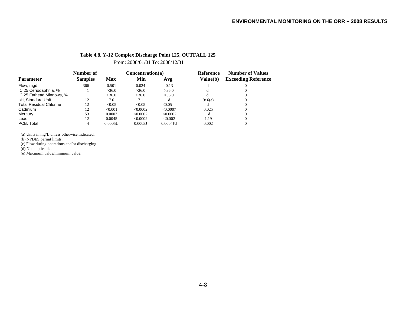### **Table 4.8. Y-12 Complex Discharge Point 125, OUTFALL 125**

From: 2008/01/01 To: 2008/12/31

|                                | Number of      |            | Concentration(a) |             | <b>Reference</b> | <b>Number of Values</b>    |
|--------------------------------|----------------|------------|------------------|-------------|------------------|----------------------------|
| <b>Parameter</b>               | <b>Samples</b> | <b>Max</b> | Min              | Avg         | Value(b)         | <b>Exceeding Reference</b> |
| Flow, mgd                      | 366            | 0.501      | 0.024            | 0.13        |                  |                            |
| IC 25 Ceriodaphnia, %          |                | >36.0      | >36.0            | >36.0       |                  |                            |
| IC 25 Fathead Minnows, %       |                | >36.0      | >36.0            | >36.0       |                  |                            |
| pH, Standard Unit              | 12             | 7.6        | 7.1              |             | 9/6(e)           |                            |
| <b>Total Residual Chlorine</b> | 12             | < 0.05     | < 0.05           | < 0.05      |                  |                            |
| Cadmium                        | 12             | < 0.001    | < 0.0002         | < 0.0007    | 0.025            |                            |
| Mercury                        | 53             | 0.0003     | < 0.0002         | < 0.0002    | d                |                            |
| Lead                           | 12             | 0.0045     | < 0.0002         | < 0.002     | 1.19             |                            |
| PCB. Total                     |                | 0.0005U    | 0.0003J          | $0.0004$ JU | 0.002            |                            |

(a) Units in mg/L unless otherwise indicated.

(b) NPDES permit limits.

(c) Flow during operations and/or discharging.

(d) Not applicable.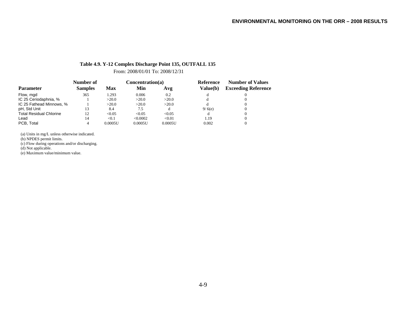### **Table 4.9. Y-12 Complex Discharge Point 135, OUTFALL 135**

From: 2008/01/01 To: 2008/12/31

|                                | Number of      |         | Concentration(a) |         | Reference | <b>Number of Values</b>    |  |
|--------------------------------|----------------|---------|------------------|---------|-----------|----------------------------|--|
| <b>Parameter</b>               | <b>Samples</b> | Max     | Min              | Avg     | Value(b)  | <b>Exceeding Reference</b> |  |
| Flow, mgd                      | 365            | 1.293   | 0.006            | 0.2     |           |                            |  |
| IC 25 Ceriodaphnia, %          |                | >20.0   | >20.0            | >20.0   |           |                            |  |
| IC 25 Fathead Minnows, %       |                | >20.0   | >20.0            | >20.0   |           |                            |  |
| pH, Std Unit                   | 13             | 8.4     | 7.5              |         | 9/6(e)    |                            |  |
| <b>Total Residual Chlorine</b> | 12             | < 0.05  | < 0.05           | < 0.05  |           |                            |  |
| Lead                           | 14             | < 0.1   | < 0.0002         | < 0.01  | 1.19      |                            |  |
| PCB. Total                     | 4              | 0.0005U | 0.0005U          | 0.0005U | 0.002     |                            |  |

(a) Units in mg/L unless otherwise indicated.

(b) NPDES permit limits.

(c) Flow during operations and/or discharging.

(d) Not applicable.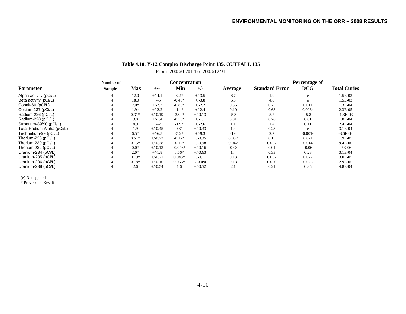# **Table 4.10. Y-12 Complex Discharge Point 135, OUTFALL 135**

From: 2008/01/01 To: 2008/12/31

|                            | Number of      |         |           | Concentration |            |         | Percentage of         |            |                     |
|----------------------------|----------------|---------|-----------|---------------|------------|---------|-----------------------|------------|---------------------|
| <b>Parameter</b>           | <b>Samples</b> | Max     | $+/-$     | Min           | $+/-$      | Average | <b>Standard Error</b> | <b>DCG</b> | <b>Total Curies</b> |
| Alpha activity (pCi/L)     | 4              | 12.0    | $+/-4.1$  | $3.2*$        | $+/-3.5$   | 6.7     | 1.9                   | e          | 1.5E-03             |
| Beta activity (pCi/L)      |                | 18.0    | $+/-5$    | $-0.46*$      | $+/-3.8$   | 6.5     | 4.0                   | e          | 1.5E-03             |
| Cobalt-60 (pCi/L)          |                | $2.0*$  | $+/-2.3$  | $-0.85*$      | $+/-2.2$   | 0.56    | 0.75                  | 0.011      | 1.3E-04             |
| Cesium-137 (pCi/L)         |                | $1.9*$  | $+/-2.2$  | $-1.4*$       | $+/-2.4$   | 0.10    | 0.68                  | 0.0034     | 2.3E-05             |
| Radium-226 (pCi/L)         |                | $0.31*$ | $+/-0.19$ | $-23.0*$      | $+/-0.13$  | $-5.8$  | 5.7                   | $-5.8$     | $-1.3E-03$          |
| Radium-228 (pCi/L)         |                | 3.0     | $+/-1.4$  | $-0.55*$      | $+/-1.1$   | 0.81    | 0.76                  | 0.81       | 1.8E-04             |
| Strontium-89/90 (pCi/L)    |                | 4.9     | $+/-2$    | $-1.9*$       | $+/-2.6$   | $1.1\,$ | 1.4                   | 0.11       | 2.4E-04             |
| Total Radium Alpha (pCi/L) |                | 1.9     | $+/-0.45$ | 0.81          | $+/-0.33$  | 1.4     | 0.23                  | e          | 3.1E-04             |
| Technetium-99 (pCi/L)      |                | $6.5*$  | $+/-6.5$  | $-5.2*$       | $+/-9.3$   | $-1.6$  | 2.7                   | $-0.0016$  | $-3.6E-04$          |
| Thorium-228 (pCi/L)        | 4              | $0.51*$ | $+/-0.72$ | $-0.17*$      | $+/-0.35$  | 0.082   | 0.15                  | 0.021      | 1.9E-05             |
| Thorium-230 (pCi/L)        |                | $0.15*$ | $+/-0.38$ | $-0.12*$      | $+/-0.98$  | 0.042   | 0.057                 | 0.014      | 9.4E-06             |
| Thorium-232 (pCi/L)        |                | $0.0*$  | $+/-0.13$ | $-0.046*$     | $+/-0.16$  | $-0.03$ | 0.01                  | $-0.06$    | $-7E-06$            |
| Uranium-234 (pCi/L)        |                | $2.0*$  | $+/-1.8$  | $0.66*$       | $+/-0.63$  | 1.4     | 0.33                  | 0.28       | 3.1E-04             |
| Uranium-235 (pCi/L)        |                | $0.19*$ | $+/-0.21$ | $0.043*$      | $+/-0.11$  | 0.13    | 0.032                 | 0.022      | 3.0E-05             |
| Uranium-236 (pCi/L)        |                | $0.18*$ | $+/-0.16$ | $0.056*$      | $+/-0.096$ | 0.13    | 0.030                 | 0.025      | 2.9E-05             |
| Uranium-238 (pCi/L)        |                | 2.6     | $+/-0.54$ | 1.6           | $+/-0.52$  | 2.1     | 0.21                  | 0.35       | 4.8E-04             |

(e) Not applicable \* Provisional Result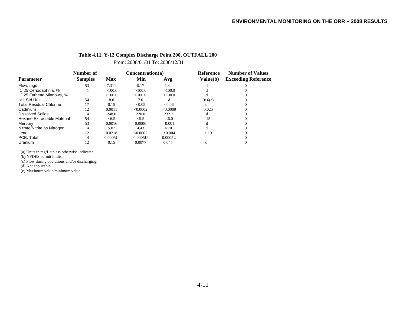### **Table 4.11. Y-12 Complex Discharge Point 200, OUTFALL 200**

From: 2008/01/01 To: 2008/12/31

|                                | Number of      |            | Concentration(a) |          | <b>Reference</b> | <b>Number of Values</b>    |
|--------------------------------|----------------|------------|------------------|----------|------------------|----------------------------|
| <b>Parameter</b>               | <b>Samples</b> | <b>Max</b> | Min              | Avg      | Value(b)         | <b>Exceeding Reference</b> |
| Flow, mgd                      | 53             | 7.311      | 0.17             | 1.4      |                  |                            |
| IC 25 Ceriodaphnia, %          |                | >100.0     | >100.0           | >100.0   |                  |                            |
| IC 25 Fathead Minnows, %       |                | >100.0     | >100.0           | >100.0   |                  |                            |
| pH, Std Unit                   | 54             | 8.0        | 7.0              | đ        | 9/6(e)           |                            |
| <b>Total Residual Chlorine</b> | 17             | 0.15       | < 0.05           | < 0.06   | đ                |                            |
| Cadmium                        | 12             | 0.0011     | < 0.0002         | < 0.0009 | 0.025            |                            |
| <b>Dissolved Solids</b>        | 4              | 248.0      | 220.0            | 232.2    |                  |                            |
| Hexane Extractable Material    | 54             | <6.5       | < 5.5            | < 6.0    | 15               |                            |
| Mercury                        | 53             | 0.0016     | 0.0006           | 0.001    |                  |                            |
| Nitrate/Nitrite as Nitrogen    | 4              | 5.07       | 4.43             | 4.70     |                  |                            |
| Lead                           | 12             | 0.0218     | < 0.0002         | < 0.004  | 1.19             |                            |
| PCB. Total                     | 4              | 0.0005U    | 0.0005U          | 0.0005U  |                  |                            |
| Uranium                        |                | 0.15       | 0.0077           | 0.047    |                  |                            |

(a) Units in mg/L unless otherwise indicated.

(b) NPDES permit limits.

(c) Flow during operations and/or discharging.

(d) Not applicable.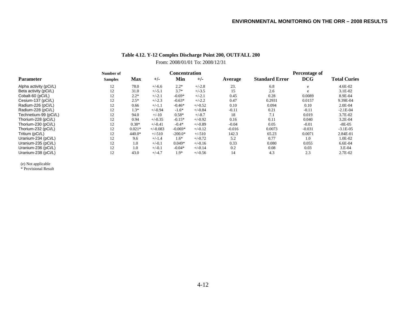# **Table 4.12. Y-12 Complex Discharge Point 200, OUTFALL 200** From: 2008/01/01 To: 2008/12/31

|                        | Number of      |          | Concentration |           |           | <b>Percentage of</b> |                       |            |                     |
|------------------------|----------------|----------|---------------|-----------|-----------|----------------------|-----------------------|------------|---------------------|
| <b>Parameter</b>       | <b>Samples</b> | Max      | $+/-$         | Min       | $+/-$     | Average              | <b>Standard Error</b> | <b>DCG</b> | <b>Total Curies</b> |
| Alpha activity (pCi/L) | 12             | 78.0     | $+/-6.6$      | $2.2*$    | $+/-2.8$  | 23.                  | 6.8                   | e          | 4.6E-02             |
| Beta activity (pCi/L)  | 12             | 31.0     | $+/-5.1$      | $3.7*$    | $+/-3.5$  | 15                   | 2.6                   | e          | $3.1E-02$           |
| Cobalt-60 (pCi/L)      | 12             | $2.2*$   | $+/-2.1$      | $-0.69*$  | $+/-2.1$  | 0.45                 | 0.28                  | 0.0089     | 8.9E-04             |
| Cesium-137 (pCi/L)     | 12             | $2.5*$   | $+/-2.3$      | $-0.63*$  | $+/-2.2$  | 0.47                 | 0.2931                | 0.0157     | 9.39E-04            |
| Radium-226 (pCi/L)     | 12             | 0.66     | $+/-1.1$      | $-0.46*$  | $+/-0.52$ | 0.10                 | 0.094                 | 0.10       | $2.0E-04$           |
| Radium-228 (pCi/L)     | 12             | $1.3*$   | $+/-0.94$     | $-1.6*$   | $+/-0.84$ | $-0.11$              | 0.21                  | $-0.11$    | $-2.1E-04$          |
| Technetium-99 (pCi/L)  | 12             | 94.0     | $+/-10$       | $0.58*$   | $+/-8.7$  | 18                   | 7.1                   | 0.019      | 3.7E-02             |
| Thorium-228 (pCi/L)    | 12             | 0.94     | $+/-0.35$     | $-0.15*$  | $+/-0.92$ | 0.16                 | 0.11                  | 0.040      | 3.2E-04             |
| Thorium-230 (pCi/L)    | 12             | $0.38*$  | $+/-0.41$     | $-0.4*$   | $+/-0.89$ | $-0.04$              | 0.05                  | $-0.01$    | $-8E-05$            |
| Thorium-232 (pCi/L)    | 12             | $0.021*$ | $+/-0.083$    | $-0.069*$ | $+/-0.12$ | $-0.016$             | 0.0073                | $-0.031$   | $-3.1E-05$          |
| Tritium (pCi/L)        | 12             | $440.0*$ | $+/-510$      | $-200.0*$ | $+/-510$  | 142.3                | 65.23                 | 0.0071     | 2.84E-01            |
| Uranium-234 (pCi/L)    | 12             | 9.6      | $+/-1.4$      | $1.6*$    | $+/-0.72$ | 5.2                  | 0.77                  | 1.0        | 1.0E-02             |
| Uranium-235 (pCi/L)    | 12             | 1.0      | $+/-0.1$      | $0.049*$  | $+/-0.16$ | 0.33                 | 0.080                 | 0.055      | 6.6E-04             |
| Uranium-236 (pCi/L)    | 12             | 1.0      | $+/-0.1$      | $-0.04*$  | $+/-0.14$ | 0.2                  | 0.08                  | 0.03       | $3.E-04$            |
| Uranium-238 (pCi/L)    | 12             | 43.0     | $+/-4.7$      | $1.9*$    | $+/-0.56$ | 14                   | 4.3                   | 2.3        | 2.7E-02             |

(e) Not applicable \* Provisional Result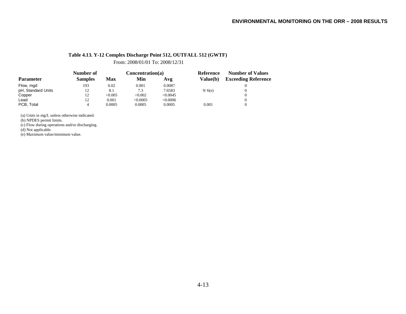### **Table 4.13. Y-12 Complex Discharge Point 512, OUTFALL 512 (GWTF)**

From: 2008/01/01 To: 2008/12/31

|                    | Number of      |        | Concentration(a) |          | Reference       | <b>Number of Values</b>    |
|--------------------|----------------|--------|------------------|----------|-----------------|----------------------------|
| <b>Parameter</b>   | <b>Samples</b> | Max    | Min              | Avg      | <b>Value(b)</b> | <b>Exceeding Reference</b> |
| Flow, mgd          | 193            | 0.02   | 0.001            | 0.0087   |                 |                            |
| pH, Standard Units | 12             | 8.1    | 7.3              | 7.6583   | 9/6(e)          |                            |
| Copper             | 12             | <0.005 | < 0.002          | < 0.0045 |                 |                            |
| Lead               | 12             | 0.001  | < 0.0005         | <0.0006  |                 |                            |
| PCB, Total         | 4              | 0.0005 | 0.0005           | 0.0005   | 0.001           |                            |

(a) Units in mg/L unless otherwise indicated.

(b) NPDES permit limits.

(c) Flow during operations and/or discharging.

(d) Not applicable.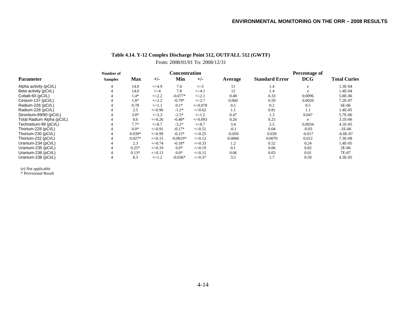# **Table 4.14. Y-12 Complex Discharge Point 512, OUTFALL 512 (GWTF)** From: 2008/01/01 To: 2008/12/31

|                            | Number of      |            |           | <b>Concentration</b> |            |          | Percentage of         |            |                     |
|----------------------------|----------------|------------|-----------|----------------------|------------|----------|-----------------------|------------|---------------------|
| <b>Parameter</b>           | <b>Samples</b> | <b>Max</b> | $+/-$     | Min                  | $+/-$      | Average  | <b>Standard Error</b> | <b>DCG</b> | <b>Total Curies</b> |
| Alpha activity (pCi/L)     | 4              | 14.0       | $+/-4.9$  | 7.4                  | $+/-3$     | 11       | 1.4                   | e          | 1.3E-04             |
| Beta activity (pCi/L)      |                | 14.0       | $+/-4$    | 7.8                  | $+/-4.1$   | 12       | 1.4                   | e          | 1.4E-04             |
| Cobalt-60 (pCi/L)          |                | $1.4*$     | $+/-2.2$  | $-0.077*$            | $+/-2.1$   | 0.48     | 0.33                  | 0.0096     | 5.8E-06             |
| Cesium-137 (pCi/L)         |                | 1.8*       | $+/-2.2$  | $-0.79*$             | $+/-2.7$   | 0.060    | 0.59                  | 0.0020     | 7.2E-07             |
| Radium-226 (pCi/L)         |                | 0.78       | $+/-1.1$  | $0.1*$               | $+/-0.078$ | 0.5      | 0.2                   | 0.5        | 6E-06               |
| Radium-228 (pCi/L)         |                | 2.5        | $+/-0.96$ | $-1.2*$              | $+/-0.62$  | 1.1      | 0.81                  | 1.1        | 1.4E-05             |
| Strontium-89/90 (pCi/L)    |                | $3.0*$     | $+/-3.3$  | $-2.5*$              | $+/-1.2$   | 0.47     | 1.3                   | 0.047      | 5.7E-06             |
| Total Radium Alpha (pCi/L) |                | 0.6        | $+/-0.26$ | $-0.48*$             | $+/-0.093$ | 0.26     | 0.25                  | e          | 3.1E-06             |
| Technetium-99 (pCi/L)      |                | $7.7*$     | $+/-8.7$  | $-3.2*$              | $+/-8.7$   | 3.4      | 2.5                   | 0.0034     | $4.1E-05$           |
| Thorium-228 (pCi/L)        |                | $0.0*$     | $+/-0.91$ | $-0.17*$             | $+/-0.51$  | $-0.1$   | 0.04                  | $-0.03$    | $-1E-06$            |
| Thorium-230 (pCi/L)        |                | $0.039*$   | $+/-0.99$ | $-0.15*$             | $+/-0.25$  | $-0.050$ | 0.039                 | $-0.017$   | $-6.0E-07$          |
| Thorium-232 (pCi/L)        |                | $0.027*$   | $+/-0.15$ | $-0.0019*$           | $+/-0.12$  | 0.0060   | 0.0070                | 0.012      | 7.3E-08             |
| Uranium-234 (pCi/L)        |                | 2.3        | $+/-0.74$ | $-0.18*$             | $+/-0.33$  | 1.2      | 0.52                  | 0.24       | 1.4E-05             |
| Uranium-235 (pCi/L)        |                | $0.25*$    | $+/-0.19$ | $0.0*$               | $+/-0.19$  | 0.1      | 0.06                  | 0.02       | 2E-06               |
| Uranium-236 (pCi/L)        |                | $0.13*$    | $+/-0.13$ | $0.0*$               | $+/-0.15$  | 0.06     | 0.03                  | 0.01       | 7E-07               |
| Uranium-238 (pCi/L)        |                | 8.3        | $+/-1.2$  | $-0.036*$            | $+/-0.37$  | 3.5      | 1.7                   | 0.59       | 4.3E-05             |

(e) Not applicable \* Provisional Result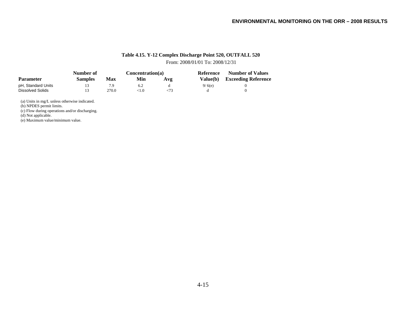# **Table 4.15. Y-12 Complex Discharge Point 520, OUTFALL 520**

From: 2008/01/01 To: 2008/12/31

|                    | Number of      |       | Concentration(a) |     | Reference | <b>Number of Values</b>    |
|--------------------|----------------|-------|------------------|-----|-----------|----------------------------|
| <b>Parameter</b>   | <b>Samples</b> | Max   | Min              | Avg | Value(b)  | <b>Exceeding Reference</b> |
| pH, Standard Units |                |       |                  |     | 9/6(e)    |                            |
| Dissolved Solids   |                | 270.0 | <1.0             |     |           |                            |

(a) Units in mg/L unless otherwise indicated.

(b) NPDES permit limits.

(c) Flow during operations and/or discharging.

(d) Not applicable.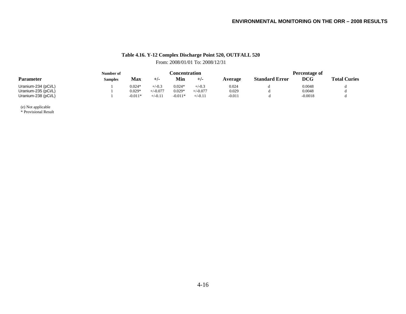# **Table 4.16. Y-12 Complex Discharge Point 520, OUTFALL 520** From: 2008/01/01 To: 2008/12/31

|                     | Number of      |           |            |           | <b>Concentration</b> |          | Percentage of         |            |                     |
|---------------------|----------------|-----------|------------|-----------|----------------------|----------|-----------------------|------------|---------------------|
| <b>Parameter</b>    | <b>Samples</b> | Max       | $+$ /-     | Min       | $+/-$                | Average  | <b>Standard Error</b> | <b>DCG</b> | <b>Total Curies</b> |
| Uranium-234 (pCi/L) |                | $0.024*$  | $+/-0.3$   | $0.024*$  | $+/-0.3$             | 0.024    |                       | 0.0048     |                     |
| Uranium-235 (pCi/L) |                | $0.029*$  | $+/-0.077$ | $0.029*$  | $+/-0.077$           | 0.029    |                       | 0.0048     |                     |
| Uranium-238 (pCi/L) |                | $-0.011*$ | $+/-0.11$  | $-0.011*$ | $+/-0.11$            | $-0.011$ |                       | $-0.0018$  |                     |

(e) Not applicable \* Provisional Result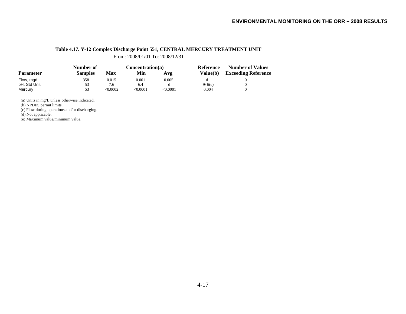### **Table 4.17. Y-12 Complex Discharge Point 551, CENTRAL MERCURY TREATMENT UNIT**

From: 2008/01/01 To: 2008/12/31

|                  | Number of      |            | Concentration(a) |                 | Reference       | <b>Number of Values</b>    |  |
|------------------|----------------|------------|------------------|-----------------|-----------------|----------------------------|--|
| <b>Parameter</b> | <b>Samples</b> | <b>Max</b> | Min              | Avg             | <b>Value(b)</b> | <b>Exceeding Reference</b> |  |
| Flow, mgd        | 358            | 0.015      | 0.001            | 0.005           |                 |                            |  |
| pH, Std Unit     | 53             | 7.6        | 6.4              |                 | 9/6(e)          |                            |  |
| Mercury          | 53             | < 0.0002   | < 0.0001         | $<$ 0.0001 $\,$ | 0.004           |                            |  |

(a) Units in mg/L unless otherwise indicated.

(b) NPDES permit limits.

(c) Flow during operations and/or discharging.

(d) Not applicable.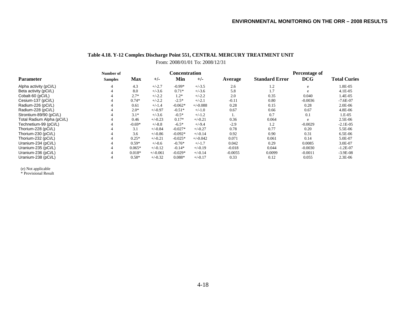### **Table 4.18. Y-12 Complex Discharge Point 551, CENTRAL MERCURY TREATMENT UNIT** From: 2008/01/01 To: 2008/12/31

|                            | Number of      |          |            |           | Concentration |           | Percentage of         |            |                     |
|----------------------------|----------------|----------|------------|-----------|---------------|-----------|-----------------------|------------|---------------------|
| <b>Parameter</b>           | <b>Samples</b> | Max      | $+/-$      | Min       | $+/-$         | Average   | <b>Standard Error</b> | <b>DCG</b> | <b>Total Curies</b> |
| Alpha activity (pCi/L)     | 4              | 4.3      | $+/-2.7$   | $-0.99*$  | $+/-3.5$      | 2.6       | 1.2                   | e          | 1.8E-05             |
| Beta activity (pCi/L)      | $\overline{4}$ | 8.0      | $+/-3.6$   | $0.71*$   | $+/-3.6$      | 5.8       | 1.7                   | e          | $4.1E-05$           |
| Cobalt-60 (pCi/L)          |                | $2.7*$   | $+/-2.2$   | $1.2*$    | $+/-2.2$      | 2.0       | 0.35                  | 0.040      | 1.4E-05             |
| Cesium-137 (pCi/L)         |                | $0.74*$  | $+/-2.2$   | $-2.5*$   | $+/-2.1$      | $-0.11$   | 0.80                  | $-0.0036$  | $-7.6E-07$          |
| Radium-226 (pCi/L)         |                | 0.61     | $+/-1.4$   | $-0.062*$ | $+/-0.088$    | 0.28      | 0.15                  | 0.28       | 2.0E-06             |
| Radium-228 (pCi/L)         |                | $2.0*$   | $+/-0.97$  | $-0.51*$  | $+/-1.0$      | 0.67      | 0.66                  | 0.67       | 4.8E-06             |
| Strontium-89/90 (pCi/L)    |                | $3.1*$   | $+/-3.6$   | $-0.5*$   | $+/-1.2$      |           | 0.7                   | 0.1        | 1.E-05              |
| Total Radium Alpha (pCi/L) |                | 0.46     | $+/-0.23$  | $0.17*$   | $+/-0.21$     | 0.36      | 0.064                 | e          | 2.5E-06             |
| Technetium-99 (pCi/L)      |                | $-0.69*$ | $+/-8.8$   | $-6.5*$   | $+/-9.4$      | $-2.9$    | 1.2                   | $-0.0029$  | $-2.1E-05$          |
| Thorium-228 (pCi/L)        |                | 3.1      | $+/-0.84$  | $-0.027*$ | $+/-0.27$     | 0.78      | 0.77                  | 0.20       | 5.5E-06             |
| Thorium-230 (pCi/L)        |                | 3.6      | $+/-0.86$  | $-0.092*$ | $+/-0.14$     | 0.92      | 0.90                  | 0.31       | 6.5E-06             |
| Thorium-232 (pCi/L)        |                | $0.25*$  | $+/-0.21$  | $-0.025*$ | $+/-0.042$    | 0.071     | 0.061                 | 0.14       | 5.0E-07             |
| Uranium-234 (pCi/L)        |                | $0.59*$  | $+/-0.6$   | $-0.76*$  | $+/-1.7$      | 0.042     | 0.29                  | 0.0085     | 3.0E-07             |
| Uranium-235 (pCi/L)        |                | $0.065*$ | $+/-0.12$  | $-0.14*$  | $+/-0.19$     | $-0.018$  | 0.044                 | $-0.0030$  | $-1.2E-07$          |
| Uranium-236 (pCi/L)        |                | $0.018*$ | $+/-0.061$ | $-0.029*$ | $+/-0.14$     | $-0.0055$ | 0.0099                | $-0.0011$  | $-3.9E-08$          |
| Uranium-238 (pCi/L)        |                | $0.58*$  | $+/-0.32$  | $0.088*$  | $+/-0.17$     | 0.33      | 0.12                  | 0.055      | 2.3E-06             |

(e) Not applicable \* Provisional Result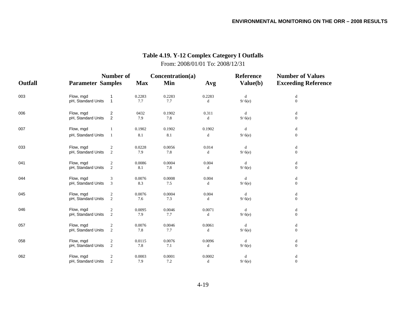# **Number of Concentration(a) Reference Number of Values Outfall Parameter Samples Samples Max Min Avg Value(b) Exceeding Reference** 003 Flow, mgd 1 0.2283 0.2283 0.2283 d d pH, Standard Units 1 7.7 7.7 d 9/6(e) 0 0 006 Flow, mgd 2 0432 0.1902 0.311 d d pH, Standard Units 2 7.9 7.8 d 9/6(e) 0 0 007 Flow, mgd 1 0.1902 0.1902 0.1902 d d pH, Standard Units 1 8.1 8.1 d 9/6(e) 0 0 033 Flow, mgd 2 0.0228 0.0056 0.014 d d pH, Standard Units  $\begin{array}{ccc} 2 & 7.9 & 7.8 & d & 9/6 \end{array}$  (b) 041 Flow, mgd 2 0.0086 0.0004 0.004 d d pH, Standard Units 2 8.1 7.8 d 9/6(e) 0 0 044 Flow, mgd 3 0.0076 0.0008 0.004 d d pH, Standard Units  $\overline{3}$   $\overline{8}$   $\overline{3}$   $\overline{7}$ .5 d  $\overline{9/6}$  (e) 0 0 045 Flow, mgd 2 0.0076 0.0004 0.004 d d pH, Standard Units 2 7.6 7.3 d 9/6(e) 0 046 Flow, mgd 2 0.0095 0.0046 0.0071 d d pH, Standard Units 2 7.9 7.7 d 9/6(e) 0 0 057 Flow, mgd 2 0.0076 0.0046 0.0061 d d pH, Standard Units 2 7.8 7.7 d 9/ 6(e) 0 058 Flow, mgd 2 0.0115 0.0076 0.0096 d d pH, Standard Units 2 7.8 7.1 d 9/6(e) 0 0 062 Flow, mgd 2 0.0003 0.0001 0.0002 d d pH, Standard Units 2 7.9 7.2 d 9/6(e) 0 0

# **Table 4.19. Y-12 Complex Category I Outfalls** From: 2008/01/01 To: 2008/12/31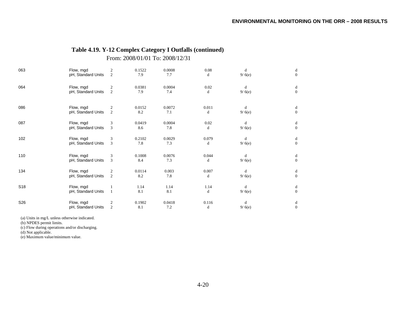# **Table 4.19. Y-12 Complex Category I Outfalls (continued)**

From: 2008/01/01 To: 2008/12/31

| 063             | Flow, mgd                       | 2              | 0.1522        | 0.0008        | 0.08                | d           | d                   |
|-----------------|---------------------------------|----------------|---------------|---------------|---------------------|-------------|---------------------|
|                 | pH, Standard Units              | $\overline{c}$ | 7.9           | 7.7           | $\mathbf d$         | 9/6(e)      | $\mathbf{0}$        |
| 064             | Flow, mgd                       | 2              | 0.0381        | 0.0004        | 0.02                | d           | d                   |
|                 | pH, Standard Units              | $\overline{2}$ | 7.9           | 7.4           | d                   | 9/6(e)      | $\mathbf{0}$        |
| 086             | Flow, mgd<br>pH, Standard Units | 2              | 0.0152<br>8.2 | 0.0072<br>7.1 | 0.011<br>d          | d<br>9/6(e) | d<br>$\overline{0}$ |
| 087             | Flow, mgd                       | 3              | 0.0419        | 0.0004        | 0.02                | d           | d                   |
|                 | pH, Standard Units              | $\overline{3}$ | 8.6           | 7.8           | d                   | 9/6(e)      | $\mathbf{0}$        |
| 102             | Flow, mgd                       | 3              | 0.2102        | 0.0029        | 0.079               | d           | d                   |
|                 | pH, Standard Units              | 3              | 7.8           | 7.3           | $\mathbf d$         | 9/6(e)      | $\mathbf{0}$        |
| 110             | Flow, mgd                       | 3              | 0.1008        | 0.0076        | 0.044               | d           | d                   |
|                 | pH, Standard Units              | 3              | 8.4           | 7.3           | d                   | 9/6(e)      | $\mathbf{0}$        |
| 134             | Flow, mgd                       | 2              | 0.0114        | 0.003         | 0.007               | d           | d                   |
|                 | pH, Standard Units              | $\overline{2}$ | 8.2           | 7.8           | d                   | 9/6(e)      | $\mathbf{0}$        |
| S18             | Flow, mgd<br>pH, Standard Units |                | 1.14<br>8.1   | 1.14<br>8.1   | 1.14<br>$\mathbf d$ | d<br>9/6(e) | d<br>$\mathbf{0}$   |
| S <sub>26</sub> | Flow, mgd                       | 2              | 0.1902        | 0.0418        | 0.116               | d           | d                   |
|                 | pH, Standard Units              | 2              | 8.1           | 7.2           | $\mathbf d$         | 9/6(e)      | $\theta$            |

(a) Units in mg/L unless otherwise indicated.

(b) NPDES permit limits.

(c) Flow during operations and/or discharging.

(d) Not applicable.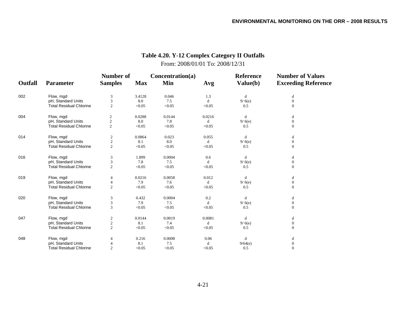#### **Number of Concentration(a) Reference Number of Values Outfall Parameter Samples Max Min Avg Value(b) Exceeding Reference** 002 Flow, mgd 3 3.4128 0.046 1.3 d d pH, Standard Units 3 8.0 7.5 d 9/6(e) 0<br>
Total Residual Chlorine 2 < 0.05 < 0.05 < 0.05 0.5 0 0.5 0 Total Residual Chlorine 2 2  $< 0.05$   $< 0.05$   $< 0.05$  0.5 0.5 004 Flow, mgd 2 0.0288 0.0144 0.0216 d d pH, Standard Units 2 8.0 7.8 d 9/6(e) 0 9 Total Residual Chlorine 2 2  $< 0.05$   $< 0.05$   $< 0.05$  0.5 0 014 Flow, mgd 2 0.0864 0.023 0.055 d d pH, Standard Units 2 8.1 8.0 d 9/6(e) 0 9 Total Residual Chlorine 2 2  $< 0.05$   $< 0.05$   $< 0.05$  0.5 0 016 Flow, mgd 3 1.899 0.0004 0.6 d d pH, Standard Units 3 7.8 7.5 d 9/ 6(e) 0<br>
Total Residual Chlorine 2 < 0.05 < 0.05 0.5 0.5 0 Total Residual Chlorine 22  $< 0.05$   $< 0.05$   $< 0.05$  0.5 0 019 Flow, mgd 4 0.0216 0.0058 0.012 d d pH, Standard Units 4 7.9 7.6 d 9/ 6(e) 0<br>
Total Residual Chlorine 2 < 0.05 < 0.05 < 0.05 0.5 0.5 0 0.5 0.97 d Total Residual Chlorine 22  $< 0.05$   $< 0.05$   $< 0.05$  0.5 0.5 020 Flow, mgd 3 0.432 0.0004 0.2 d d pH, Standard Units 3 3 7.9 7.5 d 9/ 6(e) 0<br>Total Residual Chlorine 3 <0.05 <0.05 <0.05 0.5 0 0.5 0 Total Residual Chlorine 33  $< 0.05$   $< 0.05$   $< 0.05$  0.5 0 047 Flow, mgd 2 0.0144 0.0019 0.0081 d d pH, Standard Units 2 8.1 7.4 d 9/ 6(e) 0<br>
Total Residual Chlorine 2 <0.05 <0.05 <0.05 0.5 0 Total Residual Chlorine 22  $< 0.05$   $< 0.05$   $< 0.05$  0.5 0 048 Flow, mgd 4 0.216 0.0008 0.06 d d pH, Standard Units 4 8.1 7.5 d 9/64(e) 0 Total Residual Chlorine 2 2  $< 0.05$   $< 0.05$   $< 0.05$  0.5 0

# **Table 4.20. Y-12 Complex Category II Outfalls** From: 2008/01/01 To: 2008/12/31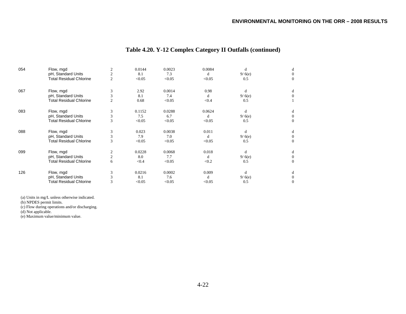| 054 | Flow, mgd<br>pH, Standard Units                      | $\overline{2}$<br>$\mathfrak{2}$ | 0.0144<br>8.1 | 0.0023<br>7.3 | 0.0084<br>d | d<br>9/6(e)   | d                        |
|-----|------------------------------------------------------|----------------------------------|---------------|---------------|-------------|---------------|--------------------------|
|     | <b>Total Residual Chlorine</b>                       | $\overline{2}$                   | < 0.05        | < 0.05        | < 0.05      | 0.5           | $\Omega$                 |
| 067 | Flow, mgd                                            | 3                                | 2.92          | 0.0014        | 0.98        | d             | d                        |
|     | pH, Standard Units<br><b>Total Residual Chlorine</b> | 3<br>$\overline{2}$              | 8.1<br>0.68   | 7.4<br>< 0.05 | d<br>< 0.4  | 9/6(e)<br>0.5 |                          |
| 083 | Flow, mgd                                            | 3                                | 0.1152        | 0.0288        | 0.0624      | d             | d                        |
|     | pH, Standard Units<br><b>Total Residual Chlorine</b> | 3<br>3                           | 7.5<br>< 0.05 | 6.7<br>< 0.05 | d<br>< 0.05 | 9/6(e)<br>0.5 | $\Omega$<br>$\mathbf{0}$ |
| 088 | Flow, mgd                                            | 3                                | 0.023         | 0.0038        | 0.011       | d             | d                        |
|     | pH, Standard Units<br><b>Total Residual Chlorine</b> | 3<br>3                           | 7.9<br>< 0.05 | 7.0<br>< 0.05 | d<br>< 0.05 | 9/6(e)<br>0.5 | $\Omega$<br>$\mathbf{0}$ |
| 099 | Flow, mgd                                            | 2                                | 0.0228        | 0.0068        | 0.018       | d             | d                        |
|     | pH, Standard Units<br><b>Total Residual Chlorine</b> | $\mathfrak{2}$<br>6              | 8.0<br>< 0.4  | 7.7<br>< 0.05 | d<br>< 0.2  | 9/6(e)<br>0.5 | $\Omega$                 |
| 126 | Flow, mgd                                            | 3                                | 0.0216        | 0.0002        | 0.009       | d             | d                        |
|     | pH, Standard Units<br><b>Total Residual Chlorine</b> | 3<br>3                           | 8.1<br>< 0.05 | 7.6<br>< 0.05 | d<br>< 0.05 | 9/6(e)<br>0.5 | $^{0}$<br>$\mathbf{0}$   |

# **Table 4.20. Y-12 Complex Category II Outfalls (continued)**

(a) Units in mg/L unless otherwise indicated.

(b) NPDES permit limits.

(c) Flow during operations and/or discharging.

(d) Not applicable.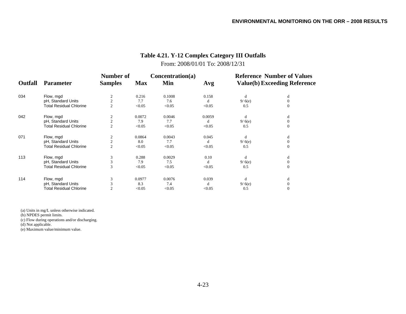| <b>Outfall</b> | <b>Parameter</b>               | Number of<br><b>Samples</b> | <b>Max</b> | Concentration(a)<br>Min | Avg    |        | <b>Reference Number of Values</b><br><b>Value(b) Exceeding Reference</b> |
|----------------|--------------------------------|-----------------------------|------------|-------------------------|--------|--------|--------------------------------------------------------------------------|
| 034            | Flow, mgd                      |                             | 0.216      | 0.1008                  | 0.158  | d      | d                                                                        |
|                | pH, Standard Units             | $\overline{2}$              | 7.7        | 7.6                     | d      | 9/6(e) | $\Omega$                                                                 |
|                | <b>Total Residual Chlorine</b> | $\overline{c}$              | < 0.05     | < 0.05                  | < 0.05 | 0.5    | $\mathbf{0}$                                                             |
| 042            | Flow, mgd                      |                             | 0.0072     | 0.0046                  | 0.0059 | d      | d                                                                        |
|                | pH, Standard Units             |                             | 7.9        | 7.7                     | d      | 9/6(e) | $\mathbf{0}$                                                             |
|                | <b>Total Residual Chlorine</b> | $\overline{2}$              | < 0.05     | < 0.05                  | < 0.05 | 0.5    | $\mathbf{0}$                                                             |
| 071            | Flow, mgd                      |                             | 0.0864     | 0.0043                  | 0.045  | d      | d                                                                        |
|                | pH, Standard Units             | $\overline{2}$              | 8.0        | 7.7                     | d      | 9/6(e) | $\mathbf{0}$                                                             |
|                | <b>Total Residual Chlorine</b> | $\overline{c}$              | < 0.05     | < 0.05                  | < 0.05 | 0.5    | $\mathbf{0}$                                                             |
| 113            | Flow, mgd                      | 3                           | 0.288      | 0.0029                  | 0.10   | d      | d                                                                        |
|                | pH, Standard Units             | 3                           | 7.9        | 7.5                     |        | 9/6(e) | $\mathbf{0}$                                                             |
|                | <b>Total Residual Chlorine</b> | 3                           | < 0.05     | < 0.05                  | < 0.05 | 0.5    | $\Omega$                                                                 |
| 114            | Flow, mgd                      |                             | 0.0977     | 0.0076                  | 0.039  | d      | d                                                                        |
|                | pH, Standard Units             |                             | 8.3        | 7.4                     | d      | 9/6(e) | $\Omega$                                                                 |
|                | <b>Total Residual Chlorine</b> |                             | < 0.05     | < 0.05                  | < 0.05 | 0.5    | $\mathbf{0}$                                                             |

# **Table 4.21. Y-12 Complex Category III Outfalls** From: 2008/01/01 To: 2008/12/31

(a) Units in mg/L unless otherwise indicated.

(b) NPDES permit limits.

(c) Flow during operations and/or discharging.

(d) Not applicable.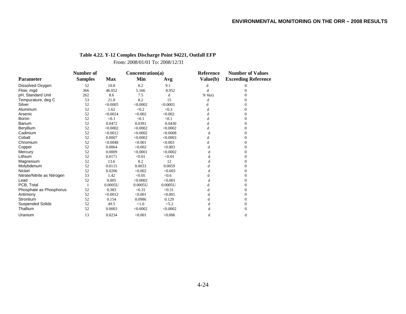# **Table 4.22. Y-12 Complex Discharge Point 94221, Outfall EFP**

From: 2008/01/01 To: 2008/12/31

|                             | Number of      |            | Concentration(a) |          | Reference | <b>Number of Values</b>    |
|-----------------------------|----------------|------------|------------------|----------|-----------|----------------------------|
| <b>Parameter</b>            | <b>Samples</b> | <b>Max</b> | Min              | Avg      | Value(b)  | <b>Exceeding Reference</b> |
| Dissolved Oxygen            | 52             | 10.8       | 8.2              | 9.1      | d         |                            |
| Flow, mgd                   | 366            | 46.052     | 5.166            | 8.952    | d         |                            |
| pH, Standard Unit           | 262            | 8.6        | 7.5              | d        | 9/6(e)    |                            |
| Tempurature, deg C          | 53             | 21.0       | 8.2              | 15       | d         |                            |
| Silver                      | 52             | < 0.0005   | < 0.0002         | < 0.0003 | d         | 0                          |
| Aluminum                    | 52             | 1.62       | < 0.2            | < 0.3    | d         |                            |
| Arsenic                     | 52             | < 0.0024   | < 0.002          | < 0.002  | d         |                            |
| Boron                       | 52             | < 0.1      | < 0.1            | < 0.1    | d         |                            |
| <b>Barium</b>               | 52             | 0.0472     | 0.0391           | 0.0430   | d         |                            |
| Beryllium                   | 52             | < 0.0002   | < 0.0002         | < 0.0002 | d         |                            |
| Cadmium                     | 52             | < 0.0012   | < 0.0002         | < 0.0008 | d         |                            |
| Cobalt                      | 52             | 0.0007     | < 0.0002         | < 0.0003 | d         | 0                          |
| Chromium                    | 52             | < 0.0048   | < 0.001          | < 0.003  | d         |                            |
| Copper                      | 52             | 0.0064     | < 0.002          | < 0.003  | d         |                            |
| Mercury                     | 52             | 0.0009     | < 0.0001         | < 0.0002 | d         |                            |
| Lithium                     | 52             | 0.0171     | < 0.01           | < 0.01   | d         |                            |
| Magnesium                   | 52             | 13.6       | 8.2              | 12       | đ         | 0                          |
| Molybdenum                  | 52             | 0.0115     | 0.0033           | 0.0059   | d         |                            |
| Nickel                      | 52             | 0.0206     | < 0.002          | < 0.003  | d         | 0                          |
| Nitrate/Nitrite as Nitrogen | 53             | 1.42       | < 0.05           | < 0.6    |           |                            |
| Lead                        | 52             | 0.005      | < 0.0002         | < 0.001  | d         |                            |
| PCB. Total                  |                | 0.0005U    | 0.0005U          | 0.0005U  | d         | 0                          |
| Phosphate as Phosphorus     | 52             | 0.383      | < 0.31           | < 0.31   | d         |                            |
| Antimony                    | 52             | < 0.0012   | < 0.001          | < 0.001  | d         | 0                          |
| Strontium                   | 52             | 0.154      | 0.0986           | 0.129    | d         | 0                          |
| <b>Suspended Solids</b>     | 52             | 49.5       | $<1.0$           | < 5.2    | d         |                            |
| Thallium                    | 52             | 0.0003     | < 0.0002         | < 0.0002 | d         | $\Omega$                   |
| Uranium                     | 13             | 0.0234     | < 0.001          | < 0.006  | d         | d                          |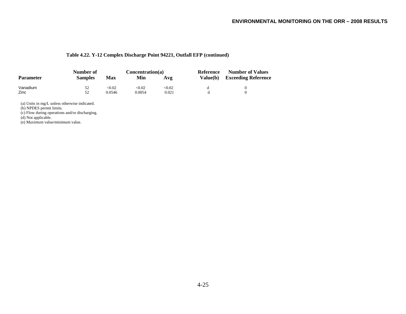### **Table 4.22. Y-12 Complex Discharge Point 94221, Outfall EFP (continued)**

|                  | Number of      |        | Concentration(a) |        | Reference | <b>Number of Values</b>    |  |
|------------------|----------------|--------|------------------|--------|-----------|----------------------------|--|
| <b>Parameter</b> | <b>Samples</b> | Max    | Min              | Avg    | Value(b)  | <b>Exceeding Reference</b> |  |
| Vanadium         | 52             | <0.02  | <0.02            | < 0.02 |           |                            |  |
| Zinc             | 52             | 0.0546 | 0.0054           | 0.021  |           |                            |  |

(a) Units in mg/L unless otherwise indicated.

(b) NPDES permit limits.

(c) Flow during operations and/or discharging.

(d) Not applicable.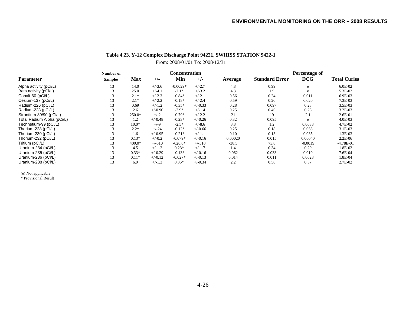### **Table 4.23. Y-12 Complex Discharge Point 94221, SWHISS STATION 9422-1**

From: 2008/01/01 To: 2008/12/31

|                            | Number of      |            |           | <b>Concentration</b> |           |         |                       | Percentage of |                     |
|----------------------------|----------------|------------|-----------|----------------------|-----------|---------|-----------------------|---------------|---------------------|
| <b>Parameter</b>           | <b>Samples</b> | <b>Max</b> | $+/-$     | Min                  | $+/-$     | Average | <b>Standard Error</b> | <b>DCG</b>    | <b>Total Curies</b> |
| Alpha activity (pCi/L)     | 13             | 14.0       | $+/-3.6$  | $-0.0029*$           | $+/-2.7$  | 4.8     | 0.99                  | e             | $6.0E-02$           |
| Beta activity (pCi/L)      | 13             | 25.0       | $+/-4.1$  | $-2.1*$              | $+/-3.2$  | 4.3     | 1.9                   | e             | $5.3E-02$           |
| Cobalt-60 (pCi/L)          | 13             | $2.1*$     | $+/-2.3$  | $-0.84*$             | $+/-2.1$  | 0.56    | 0.24                  | 0.011         | $6.9E-03$           |
| Cesium-137 (pCi/L)         | 13             | $2.1*$     | $+/-2.2$  | $-0.18*$             | $+/-2.4$  | 0.59    | 0.20                  | 0.020         | 7.3E-03             |
| Radium-226 (pCi/L)         | 13             | 0.69       | $+/-1.2$  | $-0.35*$             | $+/-0.33$ | 0.28    | 0.097                 | 0.28          | $3.5E-03$           |
| Radium-228 (pCi/L)         | 13             | 2.6        | $+/-0.90$ | $-3.9*$              | $+/-1.4$  | 0.25    | 0.46                  | 0.25          | $3.2E-03$           |
| Strontium-89/90 (pCi/L)    | 13             | 250.0*     | $+/-2$    | $-0.79*$             | $+/-2.2$  | 21      | 19                    | 2.1           | $2.6E-01$           |
| Total Radium Alpha (pCi/L) | 13             | 1.2        | $+/-0.48$ | $-0.23*$             | $+/-0.26$ | 0.32    | 0.095                 | e             | $4.0E-03$           |
| Technetium-99 (pCi/L)      | 13             | $10.0*$    | $+/-9$    | $-2.5*$              | $+/-8.6$  | 3.8     | 1.2                   | 0.0038        | 4.7E-02             |
| Thorium-228 (pCi/L)        | 13             | $2.2*$     | $+/-24$   | $-0.12*$             | $+/-0.66$ | 0.25    | 0.18                  | 0.063         | $3.1E-03$           |
| Thorium-230 (pCi/L)        | 13             | 1.6        | $+/-0.95$ | $-0.21*$             | $+/-1.1$  | 0.10    | 0.13                  | 0.035         | 1.3E-03             |
| Thorium-232 (pCi/L)        | 13             | $0.13*$    | $+/-0.2$  | $-0.079*$            | $+/-0.16$ | 0.00020 | 0.015                 | 0.00040       | $2.2E-06$           |
| Tritium (pCi/L)            | 13             | $400.0*$   | $+/-510$  | $-620.0*$            | $+/-510$  | $-38.5$ | 73.8                  | $-0.0019$     | $-4.78E-01$         |
| Uranium-234 (pCi/L)        | 13             | 4.5        | $+/-1.2$  | $0.23*$              | $+/-1.7$  | 1.4     | 0.34                  | 0.29          | 1.8E-02             |
| Uranium-235 (pCi/L)        | 13             | $0.33*$    | $+/-0.29$ | $-0.13*$             | $+/-0.16$ | 0.062   | 0.033                 | 0.010         | 7.6E-04             |
| Uranium-236 (pCi/L)        | 13             | $0.11*$    | $+/-0.12$ | $-0.027*$            | $+/-0.13$ | 0.014   | 0.011                 | 0.0028        | 1.8E-04             |
| Uranium-238 (pCi/L)        | 13             | 6.9        | $+/-1.3$  | $0.35*$              | $+/-0.34$ | 2.2     | 0.58                  | 0.37          | 2.7E-02             |

(e) Not applicable \* Provisional Result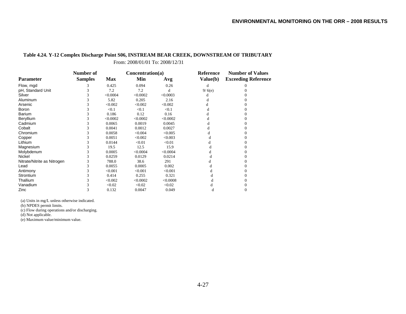### **Table 4.24. Y-12 Complex Discharge Point S06, INSTREAM BEAR CREEK, DOWNSTREAM OF TRIBUTARY**

From: 2008/01/01 To: 2008/12/31

|                             | Number of      |            | Concentration(a) |          | Reference | <b>Number of Values</b>    |  |
|-----------------------------|----------------|------------|------------------|----------|-----------|----------------------------|--|
| <b>Parameter</b>            | <b>Samples</b> | <b>Max</b> | Min              | Avg      | Value(b)  | <b>Exceeding Reference</b> |  |
| Flow, mgd                   |                | 0.425      | 0.094            | 0.26     | d         |                            |  |
| pH, Standard Unit           |                | 7.2        | 7.2              | đ        | 9/6(e)    |                            |  |
| Silver                      |                | < 0.0004   | < 0.0002         | < 0.0003 | d         |                            |  |
| Aluminum                    |                | 5.82       | 0.205            | 2.16     |           |                            |  |
| Arsenic                     |                | < 0.002    | < 0.002          | < 0.002  |           |                            |  |
| <b>Boron</b>                |                | < 0.1      | < 0.1            | < 0.1    | đ         |                            |  |
| Barium                      |                | 0.186      | 0.12             | 0.16     |           |                            |  |
| Beryllium                   |                | < 0.0002   | < 0.0002         | < 0.0002 |           |                            |  |
| Cadmium                     |                | 0.0065     | 0.0019           | 0.0045   |           |                            |  |
| Cobalt                      |                | 0.0041     | 0.0012           | 0.0027   |           |                            |  |
| Chromium                    |                | 0.0058     | < 0.004          | < 0.005  |           |                            |  |
| Copper                      |                | 0.0051     | < 0.002          | < 0.003  |           |                            |  |
| Lithium                     |                | 0.0144     | < 0.01           | < 0.01   |           |                            |  |
| Magnesium                   |                | 19.5       | 12.5             | 15.9     |           |                            |  |
| Molybdenum                  |                | 0.0005     | < 0.0004         | < 0.0004 |           |                            |  |
| Nickel                      |                | 0.0259     | 0.0129           | 0.0214   |           |                            |  |
| Nitrate/Nitrite as Nitrogen |                | 788.0      | 38.6             | 291      |           |                            |  |
| Lead                        |                | 0.0055     | 0.0005           | 0.002    |           |                            |  |
| Antimony                    |                | < 0.001    | < 0.001          | < 0.001  |           |                            |  |
| Strontium                   |                | 0.414      | 0.255            | 0.321    |           |                            |  |
| Thallium                    |                | < 0.002    | < 0.0002         | < 0.0008 |           |                            |  |
| Vanadium                    |                | < 0.02     | < 0.02           | < 0.02   |           |                            |  |
| Zinc                        |                | 0.132      | 0.0047           | 0.049    |           |                            |  |

(a) Units in mg/L unless otherwise indicated.

(b) NPDES permit limits.

(c) Flow during operations and/or discharging.

(d) Not applicable.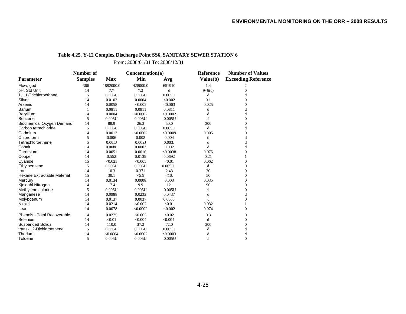# **Table 4.25. Y-12 Complex Discharge Point SS6, SANITARY SEWER STATION 6**

From: 2008/01/01 To: 2008/12/31

|                                  | Number of      |            | Concentration(a) |          | <b>Reference</b> | <b>Number of Values</b>    |  |
|----------------------------------|----------------|------------|------------------|----------|------------------|----------------------------|--|
| <b>Parameter</b>                 | <b>Samples</b> | <b>Max</b> | Min              | Avg      | Value(b)         | <b>Exceeding Reference</b> |  |
| Flow, gpd                        | 366            | 1882000.0  | 428000.0         | 651910   | 1.4              | 2                          |  |
| pH, Std Unit                     | 14             | 7.7        | 7.3              | d        | 9/6(e)           | $\Omega$                   |  |
| 1,1,1-Trichloroethane            | 5              | 0.005U     | 0.005U           | 0.005U   | d                | d                          |  |
| Silver                           | 14             | 0.0103     | 0.0004           | < 0.002  | 0.1              | $\theta$                   |  |
| Arsenic                          | 14             | 0.0058     | < 0.002          | < 0.003  | 0.025            | $\overline{0}$             |  |
| <b>Barium</b>                    |                | 0.0811     | 0.0811           | 0.0811   | d                | d                          |  |
| Beryllium                        | 14             | 0.0004     | < 0.0002         | < 0.0002 | d                | d                          |  |
| Benzene                          | 5              | 0.005U     | 0.005U           | 0.005U   | d                | $\Omega$                   |  |
| <b>Biochemical Oxygen Demand</b> | 14             | 88.9       | 26.3             | 50.0     | 300              | 0                          |  |
| Carbon tetrachloride             | 5              | 0.005U     | 0.005U           | 0.005U   | d                | d                          |  |
| Cadmium                          | 14             | 0.0013     | < 0.0002         | < 0.0009 | 0.005            | $\Omega$                   |  |
| Chloroform                       | 5              | 0.006      | 0.002            | 0.004    | d                | d                          |  |
| Tetrachloroethene                | 5              | 0.005J     | 0.002J           | 0.003J   | d                | d                          |  |
| Cobalt                           | 14             | 0.0086     | 0.0003           | 0.002    | d                | d                          |  |
| Chromium                         | 14             | 0.0051     | 0.0016           | < 0.0038 | 0.075            | $\theta$                   |  |
| Copper                           | 14             | 0.552      | 0.0139           | 0.0692   | 0.21             |                            |  |
| Cyanide                          | 15             | < 0.025    | < 0.005          | < 0.01   | 0.062            | $\overline{0}$             |  |
| Ethylbenzene                     | 5              | 0.005U     | 0.005U           | 0.005U   | d                | $\boldsymbol{0}$           |  |
| Iron                             | 14             | 10.3       | 0.371            | 2.43     | 30               | $\Omega$                   |  |
| Hexane Extractable Material      | 15             | 30.1       | < 5.9            | <10.     | 50               | $\Omega$                   |  |
| Mercury                          | 14             | 0.0134     | 0.0008           | 0.003    | 0.035            | $\Omega$                   |  |
| Kjeldahl Nitrogen                | 14             | 17.4       | 9.9              | 12.      | 90               | 0                          |  |
| Methylene chloride               | 5              | 0.005U     | 0.005U           | 0.005U   | d                | $\Omega$                   |  |
| Manganese                        | 14             | 0.0988     | 0.0233           | 0.0437   | d                | d                          |  |
| Molybdenum                       | 14             | 0.0137     | 0.0037           | 0.0065   | d                | 0                          |  |
| Nickel                           | 14             | 0.0214     | < 0.002          | < 0.01   | 0.032            |                            |  |
| Lead                             | 14             | 0.0078     | < 0.0002         | < 0.002  | 0.074            | $\Omega$                   |  |
| Phenols - Total Recoverable      | 14             | 0.0275     | < 0.005          | < 0.02   | 0.3              | $\overline{0}$             |  |
| Selenium                         | 14             | < 0.01     | < 0.004          | < 0.004  | $\mathbf d$      | $\Omega$                   |  |
| <b>Suspended Solids</b>          | 14             | 110.0      | 37.2             | 72.0     | 300              | $\theta$                   |  |
| trans-1,2-Dichloroethene         | 5              | 0.005U     | 0.005U           | 0.005U   | d                | d                          |  |
| Thorium                          | 14             | < 0.0004   | < 0.0002         | < 0.0003 | d                | d                          |  |
| Toluene                          | 5              | 0.005U     | 0.005U           | 0.005U   | d                | $\theta$                   |  |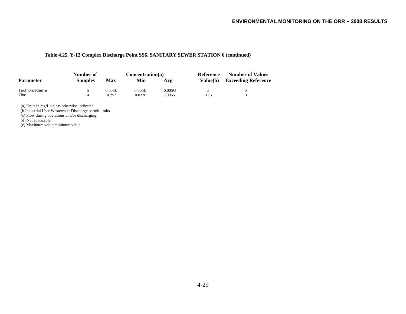### **Table 4.25. Y-12 Complex Discharge Point SS6, SANITARY SEWER STATION 6 (continued)**

|                  | Number of      |        | Concentration(a) |        | Reference       | <b>Number of Values</b>    |  |
|------------------|----------------|--------|------------------|--------|-----------------|----------------------------|--|
| <b>Parameter</b> | <b>Samples</b> | Max    | Min              | Avg    | <b>Value(b)</b> | <b>Exceeding Reference</b> |  |
| Trichloroethene  |                | 0.005U | 0.005U           | 0.005U |                 |                            |  |
| Zinc             | 14             | 0.252  | 0.0328           | 0.0965 | 0.75            |                            |  |

(a) Units in mg/L unless otherwise indicated.

(b Industrial User Wastewater Discharge permit limits.

(c) Flow during operations and/or discharging.

(d) Not applicable.

(e) Maximum value/minimum value.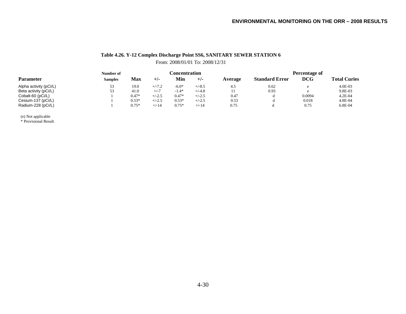# **Table 4.26. Y-12 Complex Discharge Point SS6, SANITARY SEWER STATION 6** From: 2008/01/01 To: 2008/12/31

|                        | Number of      |         | <b>Concentration</b> |         |          |         | Percentage of         |             |                     |  |
|------------------------|----------------|---------|----------------------|---------|----------|---------|-----------------------|-------------|---------------------|--|
| <b>Parameter</b>       | <b>Samples</b> | Max     | +/-                  | Min     | $+/-$    | Average | <b>Standard Error</b> | <b>DCG</b>  | <b>Total Curies</b> |  |
| Alpha activity (pCi/L) | ر ر            | 19.0    | $+/-7.2$             | $-6.0*$ | $+/-8.5$ | 4.5     | 0.62                  | $\triangle$ | $4.0E-03$           |  |
| Beta activity (pCi/L)  | ັ              | 41.0    | $+/-7$               | $-1.4*$ | $+/-4.8$ |         | 0.93                  | $\Delta$    | 9.8E-03             |  |
| Cobalt-60 (pCi/L)      |                | $0.47*$ | $+/-2.5$             | $0.47*$ | $+/-2.5$ | 0.47    | d                     | 0.0094      | $4.2E - 04$         |  |
| Cesium-137 (pCi/L)     |                | $0.53*$ | $+/-2.5$             | $0.53*$ | $+/-2.5$ | 0.53    | d                     | 0.018       | 4.8E-04             |  |
| Radium-228 (pCi/L)     |                | $0.75*$ | $+/-14$              | $0.75*$ | $+/-14$  | 0.75    |                       | 0.75        | $6.8E-04$           |  |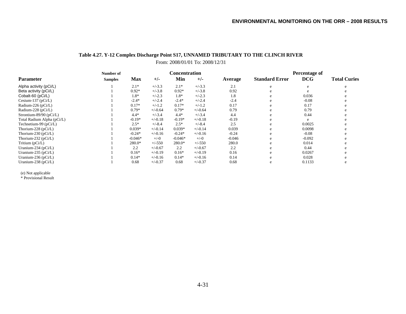## **Table 4.27. Y-12 Complex Discharge Point S17, UNNAMED TRIBUTARY TO THE CLINCH RIVER** From: 2008/01/01 To: 2008/12/31

|                            | Number of      |            |           | <b>Concentration</b> |           |          | <b>Percentage of</b>  |            |                     |
|----------------------------|----------------|------------|-----------|----------------------|-----------|----------|-----------------------|------------|---------------------|
| <b>Parameter</b>           | <b>Samples</b> | <b>Max</b> | $+/-$     | Min                  | $+/-$     | Average  | <b>Standard Error</b> | <b>DCG</b> | <b>Total Curies</b> |
| Alpha activity (pCi/L)     |                | $2.1*$     | $+/-3.3$  | $2.1*$               | $+/-3.3$  | 2.1      | e                     |            |                     |
| Beta activity (pCi/L)      |                | $0.92*$    | $+/-3.8$  | $0.92*$              | $+/-3.8$  | 0.92     |                       |            |                     |
| Cobalt-60 (pCi/L)          |                | 1.8*       | $+/-2.3$  | $1.8*$               | $+/-2.3$  | 1.8      |                       | 0.036      |                     |
| Cesium-137 ( $pCi/L$ )     |                | $-2.4*$    | $+/-2.4$  | $-2.4*$              | $+/-2.4$  | $-2.4$   | e                     | $-0.08$    |                     |
| Radium-226 (pCi/L)         |                | $0.17*$    | $+/-1.2$  | $0.17*$              | $+/-1.2$  | 0.17     |                       | 0.17       |                     |
| Radium-228 (pCi/L)         |                | $0.79*$    | $+/-0.64$ | $0.79*$              | $+/-0.64$ | 0.79     |                       | 0.79       |                     |
| Strontium-89/90 (pCi/L)    |                | $4.4*$     | $+/-3.4$  | $4.4*$               | $+/-3.4$  | 4.4      |                       | 0.44       |                     |
| Total Radium Alpha (pCi/L) |                | $-0.19*$   | $+/-0.18$ | $-0.19*$             | $+/-0.18$ | $-0.19$  |                       | e          |                     |
| Technetium-99 (pCi/L)      |                | $2.5*$     | $+/-8.4$  | $2.5*$               | $+/-8.4$  | 2.5      | e                     | 0.0025     |                     |
| Thorium-228 (pCi/L)        |                | $0.039*$   | $+/-0.14$ | $0.039*$             | $+/-0.14$ | 0.039    | e                     | 0.0098     |                     |
| Thorium-230 (pCi/L)        |                | $-0.24*$   | $+/-0.16$ | $-0.24*$             | $+/-0.16$ | $-0.24$  | e                     | $-0.08$    |                     |
| Thorium-232 ( $pCi/L$ )    |                | $-0.046*$  | $+/-0$    | $-0.046*$            | $+/-0$    | $-0.046$ |                       | $-0.092$   |                     |
| Tritium (pCi/L)            |                | 280.0*     | $+/-550$  | 280.0*               | $+/-550$  | 280.0    |                       | 0.014      |                     |
| Uranium-234 ( $pCi/L$ )    |                | 2.2        | $+/-0.67$ | 2.2                  | $+/-0.67$ | 2.2      |                       | 0.44       |                     |
| Uranium-235 ( $pCi/L$ )    |                | $0.16*$    | $+/-0.19$ | $0.16*$              | $+/-0.19$ | 0.16     |                       | 0.0267     |                     |
| Uranium-236 (pCi/L)        |                | $0.14*$    | $+/-0.16$ | $0.14*$              | $+/-0.16$ | 0.14     | e                     | 0.028      |                     |
| Uranium-238 (pCi/L)        |                | 0.68       | $+/-0.37$ | 0.68                 | $+/-0.37$ | 0.68     | e                     | 0.1133     |                     |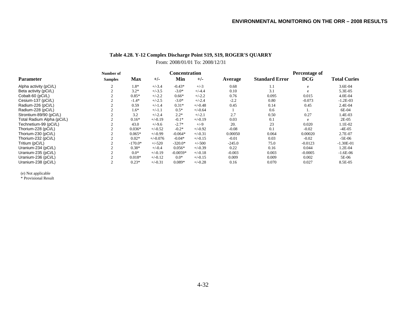## **Table 4.28. Y-12 Complex Discharge Point S19, S19, ROGER'S QUARRY**

# From: 2008/01/01 To: 2008/12/31

|                            | Number of      |            |            | <b>Concentration</b> |           |          |                       | Percentage of |                     |  |
|----------------------------|----------------|------------|------------|----------------------|-----------|----------|-----------------------|---------------|---------------------|--|
| <b>Parameter</b>           | <b>Samples</b> | <b>Max</b> | $+/-$      | Min                  | $+/-$     | Average  | <b>Standard Error</b> | <b>DCG</b>    | <b>Total Curies</b> |  |
| Alpha activity (pCi/L)     | $\sim$         | $1.8*$     | $+/-3.4$   | $-0.43*$             | $+/-3$    | 0.68     | 1.1                   | e             | 3.6E-04             |  |
| Beta activity (pCi/L)      |                | $3.2*$     | $+/-3.5$   | $-3.0*$              | $+/-4.4$  | 0.10     | 3.1                   | e             | 5.3E-05             |  |
| Cobalt-60 (pCi/L)          |                | $0.85*$    | $+/-2.2$   | $0.66*$              | $+/-2.2$  | 0.76     | 0.095                 | 0.015         | 4.0E-04             |  |
| Cesium-137 (pCi/L)         |                | $-1.4*$    | $+/-2.5$   | $-3.0*$              | $+/-2.4$  | $-2.2$   | 0.80                  | $-0.073$      | $-1.2E-03$          |  |
| Radium-226 (pCi/L)         |                | 0.59       | $+/-1.4$   | $0.31*$              | $+/-0.48$ | 0.45     | 0.14                  | 0.45          | 2.4E-04             |  |
| Radium-228 (pCi/L)         |                | $1.6*$     | $+/-1.1$   | $0.5*$               | $+/-0.64$ |          | 0.6                   |               | 6E-04               |  |
| Strontium-89/90 (pCi/L)    |                | 3.2        | $+/-2.4$   | $2.2*$               | $+/-2.1$  | 2.7      | 0.50                  | 0.27          | 1.4E-03             |  |
| Total Radium Alpha (pCi/L) |                | $0.16*$    | $+/-0.19$  | $-0.1*$              | $+/-0.19$ | 0.03     | 0.1                   | e             | $2E-05$             |  |
| Technetium-99 (pCi/L)      |                | 43.0       | $+/-9.6$   | $-2.7*$              | $+/-9$    | 20.      | 23                    | 0.020         | 1.1E-02             |  |
| Thorium-228 (pCi/L)        |                | $0.036*$   | $+/-0.52$  | $-0.2*$              | $+/-0.92$ | $-0.08$  | 0.1                   | $-0.02$       | $-4E-05$            |  |
| Thorium-230 (pCi/L)        |                | $0.065*$   | $+/-0.99$  | $-0.064*$            | $+/-0.31$ | 0.00050  | 0.064                 | 0.00020       | 2.7E-07             |  |
| Thorium-232 (pCi/L)        |                | $0.02*$    | $+/-0.076$ | $-0.04*$             | $+/-0.15$ | $-0.01$  | 0.03                  | $-0.02$       | -5E-06              |  |
| Tritium (pCi/L)            |                | $-170.0*$  | $+/-520$   | $-320.0*$            | $+/-500$  | $-245.0$ | 75.0                  | $-0.0123$     | $-1.30E-01$         |  |
| Uranium-234 (pCi/L)        |                | $0.38*$    | $+/-0.4$   | $0.056*$             | $+/-0.39$ | 0.22     | 0.16                  | 0.044         | 1.2E-04             |  |
| Uranium-235 (pCi/L)        |                | $0.0*$     | $+/-0.19$  | $-0.0059*$           | $+/-0.18$ | $-0.003$ | 0.003                 | $-0.0005$     | $-1.6E-06$          |  |
| Uranium-236 (pCi/L)        |                | $0.018*$   | $+/-0.12$  | $0.0*$               | $+/-0.15$ | 0.009    | 0.009                 | 0.002         | 5E-06               |  |
| Uranium-238 (pCi/L)        |                | $0.23*$    | $+/-0.31$  | $0.089*$             | $+/-0.28$ | 0.16     | 0.070                 | 0.027         | 8.5E-05             |  |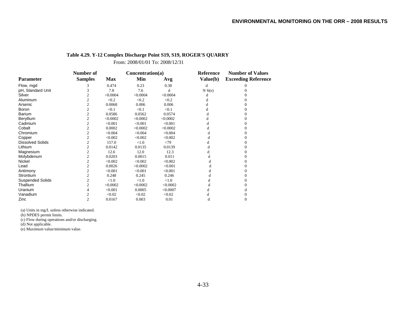### **Table 4.29. Y-12 Complex Discharge Point S19, S19, ROGER'S QUARRY**

From: 2008/01/01 To: 2008/12/31

|                         | Number of      |            | Concentration(a) |          | Reference | <b>Number of Values</b>    |
|-------------------------|----------------|------------|------------------|----------|-----------|----------------------------|
| <b>Parameter</b>        | <b>Samples</b> | <b>Max</b> | Min              | Avg      | Value(b)  | <b>Exceeding Reference</b> |
| Flow, mgd               | 3              | 0.474      | 0.23             | 0.38     | d         | $\Omega$                   |
| pH, Standard Unit       | 3              | 7.8        | 7.6              | d        | 9/6(e)    |                            |
| Silver                  | 2              | < 0.0004   | < 0.0004         | < 0.0004 | d         |                            |
| Aluminum                | $\overline{c}$ | < 0.2      | < 0.2            | < 0.2    |           |                            |
| Arsenic                 | $\overline{c}$ | 0.0068     | 0.006            | 0.006    | d         |                            |
| <b>Boron</b>            | $\overline{c}$ | < 0.1      | < 0.1            | < 0.1    | d         |                            |
| <b>Barium</b>           | $\overline{2}$ | 0.0586     | 0.0562           | 0.0574   | d         |                            |
| Beryllium               | 2              | < 0.0002   | < 0.0002         | < 0.0002 | d         |                            |
| Cadmium                 | $\overline{c}$ | < 0.001    | < 0.001          | < 0.001  | d         |                            |
| Cobalt                  | $\overline{c}$ | 0.0002     | < 0.0002         | < 0.0002 | d         |                            |
| Chromium                | 2              | < 0.004    | < 0.004          | < 0.004  | d         |                            |
| Copper                  | 2              | < 0.002    | < 0.002          | < 0.002  | d         |                            |
| <b>Dissolved Solids</b> | $\overline{c}$ | 157.0      | < 1.0            | <79      | d         |                            |
| Lithium                 | $\overline{c}$ | 0.0142     | 0.0135           | 0.0139   | d         |                            |
| Magnesium               | $\overline{c}$ | 12.6       | 12.0             | 12.3     |           |                            |
| Molybdenum              | $\overline{c}$ | 0.0203     | 0.0015           | 0.011    |           |                            |
| Nickel                  | $\overline{c}$ | < 0.002    | < 0.002          | < 0.002  |           |                            |
| Lead                    | 2              | 0.0026     | < 0.0002         | < 0.001  |           |                            |
| Antimony                | $\overline{c}$ | < 0.001    | < 0.001          | < 0.001  |           |                            |
| Strontium               | $\overline{c}$ | 0.248      | 0.245            | 0.246    |           |                            |
| <b>Suspended Solids</b> | 2              | < 1.0      | < 1.0            | < 1.0    |           |                            |
| Thallium                | $\overline{c}$ | < 0.0002   | < 0.0002         | < 0.0002 |           |                            |
| Uranium                 | 4              | < 0.001    | 0.0005           | < 0.0007 |           |                            |
| Vanadium                | $\overline{c}$ | < 0.02     | < 0.02           | < 0.02   | d         |                            |
| Zinc                    | $\overline{c}$ | 0.0167     | 0.003            | 0.01     | d         | 0                          |

(a) Units in mg/L unless otherwise indicated.

(b) NPDES permit limits.

(c) Flow during operations and/or discharging.

(d) Not applicable.

(e) Maximum value/minimum value.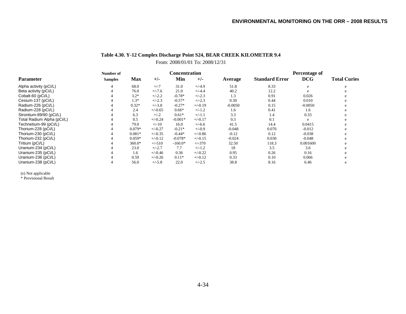# **Table 4.30. Y-12 Complex Discharge Point S24, BEAR CREEK KILOMETER 9.4**

From: 2008/01/01 To: 2008/12/31

|                            | Number of      |            |           | <b>Concentration</b> |           |           | Percentage of         |            |                     |
|----------------------------|----------------|------------|-----------|----------------------|-----------|-----------|-----------------------|------------|---------------------|
| Parameter                  | <b>Samples</b> | <b>Max</b> | $+/-$     | Min                  | $+/-$     | Average   | <b>Standard Error</b> | <b>DCG</b> | <b>Total Curies</b> |
| Alpha activity (pCi/L)     | 4              | 68.0       | $+/-7$    | 31.0                 | $+/-4.9$  | 51.8      | 8.33                  | e          |                     |
| Beta activity (pCi/L)      |                | 76.0       | $+/-7.6$  | 21.0                 | $+/-4.4$  | 40.2      | 12.2                  |            |                     |
| Cobalt-60 (pCi/L)          |                | $3.2*$     | $+/-2.2$  | $-0.78*$             | $+/-2.3$  | 1.3       | 0.91                  | 0.026      |                     |
| Cesium-137 (pCi/L)         |                | $1.3*$     | $+/-2.3$  | $-0.57*$             | $+/-2.3$  | 0.30      | 0.44                  | 0.010      |                     |
| Radium-226 (pCi/L)         |                | $0.32*$    | $+/-3.8$  | $-0.27*$             | $+/-0.19$ | $-0.0050$ | 0.15                  | $-0.0050$  |                     |
| Radium-228 (pCi/L)         |                | 2.4        | $+/-0.65$ | $0.66*$              | $+/-1.2$  | 1.6       | 0.41                  | 1.6        |                     |
| Strontium-89/90 (pCi/L)    |                | 6.3        | $+/-2$    | $0.61*$              | $+/-1.1$  | 3.3       | 1.4                   | 0.33       |                     |
| Total Radium Alpha (pCi/L) |                | 0.5        | $+/-0.24$ | $-0.001*$            | $+/-0.17$ | 0.3       | 0.1                   | e          | e                   |
| Technetium-99 (pCi/L)      |                | 79.0       | $+/-10$   | 16.0                 | $+/-6.6$  | 41.5      | 14.4                  | 0.0415     | e                   |
| Thorium-228 (pCi/L)        |                | $0.079*$   | $+/-0.27$ | $-0.21*$             | $+/-0.9$  | $-0.048$  | 0.070                 | $-0.012$   | e                   |
| Thorium-230 (pCi/L)        |                | $0.081*$   | $+/-0.35$ | $-0.44*$             | $+/-0.86$ | $-0.12$   | 0.12                  | $-0.038$   |                     |
| Thorium-232 (pCi/L)        |                | $0.059*$   | $+/-0.12$ | $-0.078*$            | $+/-0.15$ | $-0.024$  | 0.030                 | $-0.048$   | e                   |
| Tritium (pCi/L)            |                | 360.0*     | $+/-510$  | $-160.0*$            | $+/-370$  | 32.50     | 118.3                 | 0.001600   |                     |
| Uranium-234 (pCi/L)        |                | 23.0       | $+/-2.7$  | 7.7                  | $+/-1.2$  | 18        | 3.5                   | 3.6        |                     |
| Uranium-235 (pCi/L)        |                | 1.6        | $+/-0.46$ | 0.36                 | $+/-0.22$ | 0.95      | 0.26                  | 0.16       |                     |
| Uranium-236 (pCi/L)        |                | 0.59       | $+/-0.26$ | $0.11*$              | $+/-0.12$ | 0.33      | 0.10                  | 0.066      |                     |
| Uranium-238 (pCi/L)        |                | 56.0       | $+/-5.8$  | 22.0                 | $+/-2.5$  | 38.8      | 8.16                  | 6.46       | e                   |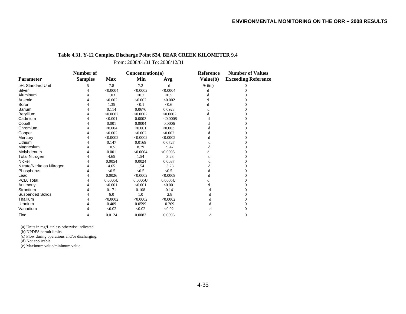### **Table 4.31. Y-12 Complex Discharge Point S24, BEAR CREEK KILOMETER 9.4**

From: 2008/01/01 To: 2008/12/31

|                             | Number of      |            | Concentration(a) |          | Reference | <b>Number of Values</b>    |  |
|-----------------------------|----------------|------------|------------------|----------|-----------|----------------------------|--|
| <b>Parameter</b>            | <b>Samples</b> | <b>Max</b> | Min              | Avg      | Value(b)  | <b>Exceeding Reference</b> |  |
| pH, Standard Unit           | 5              | 7.8        | 7.2              | d        | 9/6(e)    | 0                          |  |
| Silver                      | 4              | < 0.0004   | < 0.0002         | < 0.0004 | d         | 0                          |  |
| Aluminum                    |                | 1.03       | < 0.2            | < 0.5    | d         |                            |  |
| Arsenic                     | 4              | < 0.002    | < 0.002          | < 0.002  | d         |                            |  |
| <b>Boron</b>                | 4              | 1.35       | < 0.1            | < 0.6    | d         |                            |  |
| <b>Barium</b>               | 4              | 0.114      | 0.0676           | 0.0923   | d         |                            |  |
| Beryllium                   | 4              | < 0.0002   | < 0.0002         | < 0.0002 | d         |                            |  |
| Cadmium                     |                | < 0.001    | 0.0003           | < 0.0008 | d         |                            |  |
| Cobalt                      | 4              | 0.001      | 0.0004           | 0.0006   | d         | 0                          |  |
| Chromium                    | 4              | < 0.004    | < 0.001          | < 0.003  | d         |                            |  |
| Copper                      | 4              | < 0.002    | < 0.002          | < 0.002  |           |                            |  |
| Mercury                     | 4              | < 0.0002   | < 0.0002         | < 0.0002 |           |                            |  |
| Lithium                     |                | 0.147      | 0.0169           | 0.0727   |           |                            |  |
| Magnesium                   | 4              | 10.5       | 8.79             | 9.47     | đ         | 0                          |  |
| Molybdenum                  |                | 0.001      | < 0.0004         | < 0.0006 |           |                            |  |
| <b>Total Nitrogen</b>       | 4              | 4.65       | 1.54             | 3.23     | d         |                            |  |
| Nickel                      | 4              | 0.0054     | 0.0024           | 0.0037   |           |                            |  |
| Nitrate/Nitrite as Nitrogen | 4              | 4.65       | 1.54             | 3.23     |           |                            |  |
| Phosphorus                  | 4              | < 0.5      | < 0.5            | < 0.5    | d         | 0                          |  |
| Lead                        |                | 0.0026     | < 0.0002         | < 0.0009 |           |                            |  |
| PCB, Total                  | 4              | 0.0005U    | 0.0005U          | 0.0005U  | d         |                            |  |
| Antimony                    | 4              | < 0.001    | < 0.001          | < 0.001  | d         |                            |  |
| Strontium                   |                | 0.171      | 0.108            | 0.141    |           |                            |  |
| <b>Suspended Solids</b>     | 4              | 6.0        | 1.0              | 2.8      | đ         | 0                          |  |
| Thallium                    |                | < 0.0002   | < 0.0002         | < 0.0002 |           |                            |  |
| Uranium                     | 4              | 0.409      | 0.0599           | 0.209    |           | 0                          |  |
| Vanadium                    | 4              | < 0.02     | < 0.02           | < 0.02   | d         | 0                          |  |
| Zinc                        | 4              | 0.0124     | 0.0083           | 0.0096   | d         | $\Omega$                   |  |

(a) Units in mg/L unless otherwise indicated.

(b) NPDES permit limits.

(c) Flow during operations and/or discharging.

(d) Not applicable.

(e) Maximum value/minimum value.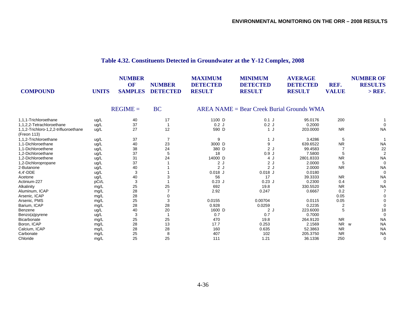# **Table 4.32. Constituents Detected in Groundwater at the Y-12 Complex, 2008**

| <b>COMPOUND</b>                                      | <b>UNITS</b> | <b>NUMBER</b><br>OF<br><b>SAMPLES</b> | <b>NUMBER</b><br><b>DETECTED</b> | <b>MAXIMUM</b><br><b>DETECTED</b><br><b>RESULT</b> | <b>MINIMUM</b><br><b>DETECTED</b><br><b>RESULT</b> | <b>AVERAGE</b><br><b>DETECTED</b><br><b>RESULT</b> | REF.<br><b>VALUE</b> | <b>NUMBER OF</b><br><b>RESULTS</b><br>$>$ REF. |
|------------------------------------------------------|--------------|---------------------------------------|----------------------------------|----------------------------------------------------|----------------------------------------------------|----------------------------------------------------|----------------------|------------------------------------------------|
|                                                      |              | $REGIME =$                            | <b>BC</b>                        |                                                    | $AREA NAME = Bear Creek Burial Groups WMA$         |                                                    |                      |                                                |
| 1,1,1-Trichloroethane                                | ug/L         | 40                                    | 17                               | 1100 D                                             | $0.1$ J                                            | 95.0176                                            | 200                  |                                                |
| 1,1,2,2-Tetrachloroethane                            | ug/L         | 37                                    | $\overline{1}$                   | $0.2$ J                                            | 0.2J                                               | 0.2000                                             |                      |                                                |
| 1,1,2-Trichloro-1,2,2-trifluoroethane<br>(Freon 113) | ug/L         | 27                                    | 12                               | 590 D                                              | 1J                                                 | 203.0000                                           | <b>NR</b>            | <b>NA</b>                                      |
| 1.1.2-Trichloroethane                                | ug/L         | 37                                    | 7                                | 9                                                  | 1 J                                                | 3.4286                                             | 5                    |                                                |
| 1,1-Dichloroethane                                   | ug/L         | 40                                    | 23                               | 3000 D                                             | 9                                                  | 639.6522                                           | <b>NR</b>            | <b>NA</b>                                      |
| 1,1-Dichloroethene                                   | ug/L         | 38                                    | 24                               | 380 D                                              | 2J                                                 | 99.4583                                            |                      | 22                                             |
| 1,2-Dichloroethane                                   | ug/L         | 37                                    | 5                                | 18                                                 | 0.9J                                               | 7.5800                                             |                      | $\overline{2}$                                 |
| 1.2-Dichloroethene                                   | ug/L         | 31                                    | 24                               | 14000 D                                            | 4 J                                                | 2801.8333                                          | <b>NR</b>            | <b>NA</b>                                      |
| 1,2-Dichloropropane                                  | ug/L         | 37                                    |                                  | 2J                                                 | 2J                                                 | 2.0000                                             |                      | $\Omega$                                       |
| 2-Butanone                                           | ug/L         | 40                                    |                                  | 2J                                                 | 2J                                                 | 2.0000                                             | <b>NR</b>            | <b>NA</b>                                      |
| 4,4'-DDE                                             | ug/L         | 3                                     |                                  | $0.018$ J                                          | $0.018$ J                                          | 0.0180                                             |                      | $\Omega$                                       |
| Acetone                                              | ug/L         | 40                                    |                                  | 56                                                 | 17                                                 | 39.3333                                            | <b>NR</b>            | <b>NA</b>                                      |
| Actinium-227                                         | pCi/L        | 3                                     |                                  | $0.23$ J                                           | $0.23$ J                                           | 0.2300                                             | 0.4                  | $\Omega$                                       |
| Alkalinity                                           | mg/L         | 25                                    | 25                               | 692                                                | 19.8                                               | 330.5520                                           | <b>NR</b>            | <b>NA</b>                                      |
| Aluminum, ICAP                                       | mg/L         | 28                                    |                                  | 2.92                                               | 0.247                                              | 0.6667                                             | 0.2                  |                                                |
| Arsenic, ICAP                                        | mg/L         | 28                                    | 0                                |                                                    |                                                    |                                                    | 0.05                 |                                                |
| Arsenic, PMS                                         | mg/L         | 25                                    | 3                                | 0.0155                                             | 0.00704                                            | 0.0115                                             | 0.05                 |                                                |
| Barium, ICAP                                         | mg/L         | 28                                    | 28                               | 0.928                                              | 0.0259                                             | 0.2235                                             | 2                    |                                                |
| Benzene                                              | ug/L         | 40                                    | 20                               | 1600 D                                             | 2J                                                 | 223.6000                                           |                      | 18                                             |
| Benzo(a)pyrene                                       | ug/L         | 3                                     | -1                               | 0.7                                                | 0.7                                                | 0.7000                                             |                      | $\Omega$                                       |
| Bicarbonate                                          | mg/L         | 25                                    | 25                               | 470                                                | 19.8                                               | 264.9120                                           | <b>NR</b>            | <b>NA</b>                                      |
| Boron, ICAP                                          | mg/L         | 28                                    | 13                               | 17.7                                               | 0.253                                              | 2.1569                                             | NR w                 | <b>NA</b>                                      |
| Calcium, ICAP                                        | mg/L         | 28                                    | 28                               | 160                                                | 0.635                                              | 52.3863                                            | <b>NR</b>            | <b>NA</b>                                      |
| Carbonate                                            | mg/L         | 25                                    | 8                                | 407                                                | 102                                                | 205.3750                                           | <b>NR</b>            | <b>NA</b>                                      |
| Chloride                                             | mg/L         | 25                                    | 25                               | 111                                                | 1.21                                               | 36.1336                                            | 250                  | $\mathbf 0$                                    |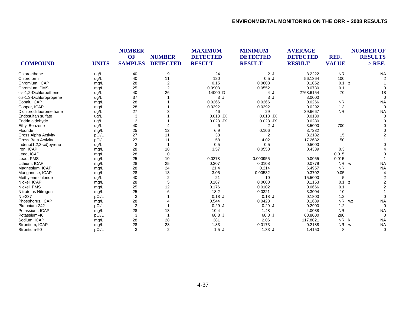| <b>COMPOUND</b>            | <b>UNITS</b> | <b>NUMBER</b><br>OF<br><b>SAMPLES</b> | <b>NUMBER</b><br><b>DETECTED</b> | <b>MAXIMUM</b><br><b>DETECTED</b><br><b>RESULT</b> | <b>MINIMUM</b><br><b>DETECTED</b><br><b>RESULT</b> | <b>AVERAGE</b><br><b>DETECTED</b><br><b>RESULT</b> | REF.<br><b>VALUE</b> | <b>NUMBER OF</b><br><b>RESULTS</b><br>$>$ REF. |
|----------------------------|--------------|---------------------------------------|----------------------------------|----------------------------------------------------|----------------------------------------------------|----------------------------------------------------|----------------------|------------------------------------------------|
| Chloroethane               | ug/L         | 40                                    | 9                                | 24                                                 | 2J                                                 | 8.2222                                             | <b>NR</b>            | <b>NA</b>                                      |
| Chloroform                 | ug/L         | 40                                    | 11                               | 120                                                | 0.5J                                               | 56.1364                                            | 100                  |                                                |
| Chromium, ICAP             | mg/L         | 28                                    | $\overline{\mathbf{c}}$          | 0.15                                               | 0.0603                                             | 0.1052                                             | 0.1<br>z             |                                                |
| Chromium, PMS              | mg/L         | 25                                    | $\overline{2}$                   | 0.0908                                             | 0.0552                                             | 0.0730                                             | 0.1                  |                                                |
| cis-1,2-Dichloroethene     | ug/L         | 40                                    | 26                               | 14000 D                                            | 4 J                                                | 2768.6154                                          | 70                   | 18                                             |
| cis-1,3-Dichloropropene    | ug/L         | 37                                    |                                  | 3J                                                 | 3 <sub>l</sub>                                     | 3.0000                                             |                      |                                                |
| Cobalt, ICAP               | mg/L         | 28                                    |                                  | 0.0266                                             | 0.0266                                             | 0.0266                                             | <b>NR</b>            | <b>NA</b>                                      |
| Copper, ICAP               | mg/L         | 28                                    |                                  | 0.0292                                             | 0.0292                                             | 0.0292                                             | 1.3                  | $\Omega$                                       |
| Dichlorodifluoromethane    | ug/L         | 27                                    |                                  | 46                                                 | 29                                                 | 39.6667                                            | <b>NR</b>            | <b>NA</b>                                      |
| Endosulfan sulfate         | ug/L         | 3                                     |                                  | $0.013$ JX                                         | $0.013$ JX                                         | 0.0130                                             |                      |                                                |
| Endrin aldehyde            | ug/L         | 3                                     |                                  | $0.028$ JX                                         | $0.028$ JX                                         | 0.0280                                             |                      |                                                |
| Ethyl Benzene              | ug/L         | 40                                    |                                  | 6                                                  | 2J                                                 | 3.5000                                             | 700                  |                                                |
| Flouride                   | mg/L         | 25                                    | 12                               | 6.9                                                | 0.106                                              | 3.7232                                             |                      |                                                |
| Gross Alpha Activity       | pCi/L        | 27                                    | 11                               | 33                                                 | 2                                                  | 8.2182                                             | 15                   |                                                |
| <b>Gross Beta Activity</b> | pCi/L        | 27                                    | 11                               | 58                                                 | 4.02                                               | 17.2682                                            | 50                   |                                                |
| Indeno(1,2,3-cd)pyrene     | ug/L         | 3                                     |                                  | 0.5                                                | 0.5                                                | 0.5000                                             |                      |                                                |
| Iron, ICAP                 | mg/L         | 28                                    | 18                               | 3.57                                               | 0.0558                                             | 0.4339                                             | 0.3                  |                                                |
| Lead, ICAP                 | mg/L         | 28                                    | $\mathbf 0$                      |                                                    |                                                    |                                                    | 0.015                |                                                |
| Lead, PMS                  | mg/L         | 25                                    | 10                               | 0.0278                                             | 0.000955                                           | 0.0055                                             | 0.015                |                                                |
| Lithium, ICAP              | mg/L         | 28                                    | 25                               | 0.307                                              | 0.0108                                             | 0.0779                                             | NR w                 | <b>NA</b>                                      |
| Magnesium, ICAP            | mg/L         | 28                                    | 24                               | 21.4                                               | 0.214                                              | 6.4957                                             | <b>NR</b>            | <b>NA</b>                                      |
| Manganese, ICAP            | mg/L         | 28                                    | 13                               | 3.05                                               | 0.00532                                            | 0.3702                                             | 0.05                 |                                                |
| Methylene chloride         | ug/L         | 40                                    | $\overline{2}$                   | 21                                                 | 10                                                 | 15.5000                                            | 5                    |                                                |
| Nickel, ICAP               | mg/L         | 28                                    | 5                                | 0.187                                              | 0.0608                                             | 0.1153                                             | 0.1<br>z             |                                                |
| Nickel, PMS                | mg/L         | 25                                    | 12                               | 0.176                                              | 0.0102                                             | 0.0666                                             | 0.1                  |                                                |
| Nitrate as Nitrogen        | mg/L         | 25                                    | 6                                | 18.2                                               | 0.0321                                             | 3.3004                                             | 10                   |                                                |
| <b>Np-237</b>              | pCi/L        | 3                                     |                                  | $0.18$ J                                           | $0.18$ J                                           | 0.1800                                             | 1.2                  |                                                |
| Phosphorus, ICAP           | mg/L         | 28                                    |                                  | 0.544                                              | 0.0423                                             | 0.1689                                             | <b>NR</b>            | <b>NA</b><br>WZ                                |
| Plutonium-242              | pCi/L        | 3                                     |                                  | 0.29J                                              | 0.29J                                              | 0.2900                                             | 1.2                  | $\Omega$                                       |
| Potassium, ICAP            | mg/L         | 28                                    | 13                               | 10.4                                               | 1.48                                               | 4.0038                                             | <b>NR</b>            | <b>NA</b>                                      |
| Potassium-40               | pCi/L        | $\mathbf{3}$                          |                                  | 68.8 J                                             | 68.8 J                                             | 68.8000                                            | 280                  | $\Omega$                                       |
| Sodium, ICAP               | mg/L         | 28                                    | 28                               | 381                                                | 2.06                                               | 117.8021                                           | <b>NR</b><br>k       | <b>NA</b>                                      |
| Strontium, ICAP            | mg/L         | 28                                    | 28                               | 1.83                                               | 0.0173                                             | 0.2188                                             | <b>NR</b>            | <b>NA</b><br>W                                 |
| Strontium-90               | pCi/L        | 3                                     | 2                                | 1.5J                                               | 1.33J                                              | 1.4150                                             | 8                    | 0                                              |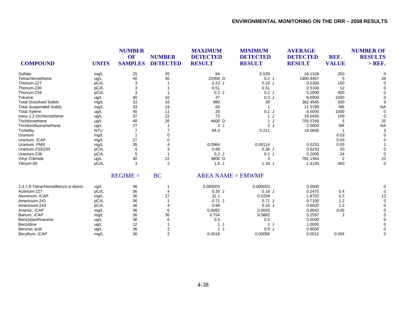| <b>COMPOUND</b>                     | <b>UNITS</b> | <b>NUMBER</b><br>OF<br><b>SAMPLES</b> | <b>NUMBER</b><br><b>DETECTED</b> | <b>MAXIMUM</b><br><b>DETECTED</b><br><b>RESULT</b> | <b>MINIMUM</b><br><b>DETECTED</b><br><b>RESULT</b> | <b>AVERAGE</b><br><b>DETECTED</b><br><b>RESULT</b> | REF.<br><b>VALUE</b> | <b>NUMBER OF</b><br><b>RESULTS</b><br>$>$ REF. |
|-------------------------------------|--------------|---------------------------------------|----------------------------------|----------------------------------------------------|----------------------------------------------------|----------------------------------------------------|----------------------|------------------------------------------------|
| Sulfate                             | mg/L         | 25                                    | 25                               | 84                                                 | 0.539                                              | 16.1328                                            | 250                  |                                                |
| Tetrachloroethene                   | ug/L         | 40                                    | 30                               | 22000 D                                            | 0.2J                                               | 1900.9467                                          | 5                    | 26                                             |
| Thorium-227                         | pCi/L        | 3                                     |                                  | $0.23$ J                                           | $0.23$ J                                           | 0.2300                                             | 160                  | $\Omega$                                       |
| Thorium-230                         | pCi/L        | 3                                     |                                  | 0.51                                               | 0.51                                               | 0.5100                                             | 12                   |                                                |
| Thorium-234                         | pCi/L        | 3                                     |                                  | 0.2J                                               | 0.2J                                               | 0.2000                                             | 400                  |                                                |
| Toluene                             | ug/L         | 40                                    | 10                               | 37                                                 | 0.2J                                               | 8.6900                                             | 1000                 |                                                |
| <b>Total Dissolved Solids</b>       | mg/L         | 33                                    | 33                               | 880                                                | 39                                                 | 382.4545                                           | 500                  |                                                |
| <b>Total Suspended Solids</b>       | mg/L         | 33                                    | 19                               | 60                                                 |                                                    | 11.5789                                            | <b>NR</b>            | <b>NA</b>                                      |
| <b>Total Xylene</b>                 | ug/L         | 40                                    | 11                               | 25                                                 | $0.1$ J                                            | 6.5000                                             | 1000                 |                                                |
| trans-1,2-Dichloroethene            | ug/L         | 37                                    | 22                               | 73                                                 | 1 J                                                | 16.0455                                            | 100                  |                                                |
| Trichloroethene                     | ug/L         | 40                                    | 26                               | 4600 D                                             | 1J                                                 | 755.5769                                           | 5                    | 25                                             |
| Trichlorofluoromethane              | ug/L         | 27                                    |                                  | 2J                                                 | 2J                                                 | 2.0000                                             | <b>NR</b>            | <b>NA</b>                                      |
| Turbidity                           | <b>NTU</b>   |                                       |                                  | 94.4                                               | 0.211                                              | 14.0656                                            |                      |                                                |
| Uranium                             | mg/L         |                                       |                                  |                                                    |                                                    |                                                    | 0.03                 |                                                |
| Uranium, ICAP                       | mg/L         | 27                                    |                                  |                                                    |                                                    |                                                    | 0.03                 |                                                |
| Uranium, PMS                        | mg/L         | 35                                    |                                  | 0.0964                                             | 0.00114                                            | 0.0253                                             | 0.03                 |                                                |
| Uranium-233/234                     | pCi/L        | 5                                     | 3                                | 0.88                                               | 0.36J                                              | 0.6233                                             | 20                   |                                                |
| Uranium-238                         | pCi/L        | 5                                     |                                  | 0.2J                                               | 0.2J                                               | 0.2000                                             | 24                   | $\Omega$                                       |
| Vinyl Chloride                      | ug/L         | 40                                    | 22                               | 3800 D                                             | 3                                                  | 781.1364                                           | 2                    | 22                                             |
| Yttrium-90                          | pCi/L        | 3                                     | 2                                | 1.5J                                               | 1.33J                                              | 1.4150                                             | 400                  | $\mathbf 0$                                    |
|                                     |              | $REGIME =$                            | <b>BC</b>                        | $AREA NAME = EMWMF$                                |                                                    |                                                    |                      |                                                |
| 2,3,7,8-Tetrachlorodibenzo-p-dioxin | ug/L         | 36                                    |                                  | 0.000003                                           | 0.000003                                           | 0.0000                                             |                      |                                                |
| Actinium-227                        | pCi/L        | 36                                    | 4                                | $0.35$ J                                           | $0.18$ J                                           | 0.2475                                             | 0.4                  | $\Omega$                                       |
| Aluminum, ICAP                      | mg/L         | 36                                    | 27                               | 32.1                                               | 0.0258                                             | 1.8702                                             | 0.2                  | 13                                             |
| Americium-241                       | pCi/L        | 36                                    |                                  | 0.71J                                              | 0.71J                                              | 0.7100                                             | 1.2                  |                                                |
| Americium-243                       | pCi/L        | 36                                    |                                  | 0.99                                               | 0.24J                                              | 0.6025                                             | 1.2                  |                                                |
| Arsenic, ICAP                       | mg/L         | 36                                    | 6                                | 0.0082                                             | 0.0025                                             | 0.0042                                             | 0.05                 |                                                |
| Barium, ICAP                        | mg/L         | 36                                    | 36                               | 0.754                                              | 0.0882                                             | 0.2597                                             | 2                    |                                                |
| Benz(a)anthracene                   | ug/L         | 36                                    |                                  | 0.5                                                | 0.5                                                | 0.5000                                             |                      |                                                |
| Benzidine                           | ug/L         | 12                                    |                                  |                                                    | 1 J                                                | 1.0000                                             |                      |                                                |
| Benzoic acid                        | ug/L         | 36                                    | $\overline{2}$                   | 1 J                                                | 0.9J                                               | 0.9500                                             |                      |                                                |

Beryllium, ICAP mg/L 36 2 0.0018 0.00056 0.0012 0.004 0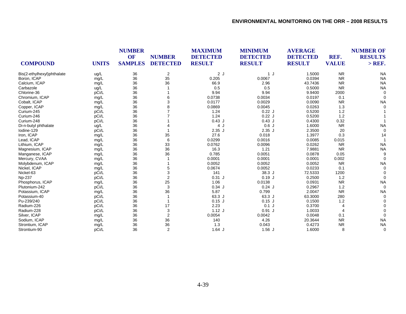| <b>COMPOUND</b>            | <b>UNITS</b> | <b>NUMBER</b><br><b>OF</b><br><b>SAMPLES</b> | <b>NUMBER</b><br><b>DETECTED</b> | <b>MAXIMUM</b><br><b>DETECTED</b><br><b>RESULT</b> | <b>MINIMUM</b><br><b>DETECTED</b><br><b>RESULT</b> | <b>AVERAGE</b><br><b>DETECTED</b><br><b>RESULT</b> | REF.<br><b>VALUE</b> | <b>NUMBER OF</b><br><b>RESULTS</b><br>$>$ REF. |
|----------------------------|--------------|----------------------------------------------|----------------------------------|----------------------------------------------------|----------------------------------------------------|----------------------------------------------------|----------------------|------------------------------------------------|
|                            |              |                                              |                                  |                                                    |                                                    |                                                    |                      |                                                |
| Bis(2-ethylhexyl)phthalate | ug/L         | 36                                           | $\overline{2}$                   | 2J                                                 | 1J                                                 | 1.5000                                             | <b>NR</b>            | <b>NA</b>                                      |
| Boron, ICAP                | mg/L         | 36                                           | 35                               | 0.205                                              | 0.0067                                             | 0.0394                                             | <b>NR</b>            | <b>NA</b>                                      |
| Calcium, ICAP              | mg/L         | 36                                           | 36                               | 66.9                                               | 2.96                                               | 43.7436                                            | <b>NR</b>            | <b>NA</b>                                      |
| Carbazole                  | ug/L         | 36                                           |                                  | 0.5                                                | 0.5                                                | 0.5000                                             | <b>NR</b>            | <b>NA</b>                                      |
| Chlorine-36                | pCi/L        | 36                                           |                                  | 9.94                                               | 9.94                                               | 9.9400                                             | 2000                 |                                                |
| Chromium, ICAP             | mg/L         | 36                                           | 6                                | 0.0738                                             | 0.0034                                             | 0.0197                                             | 0.1                  |                                                |
| Cobalt, ICAP               | mg/L         | 36                                           | 3                                | 0.0177                                             | 0.0029                                             | 0.0090                                             | <b>NR</b>            | <b>NA</b>                                      |
| Copper, ICAP               | mg/L         | 36                                           | 8                                | 0.0869                                             | 0.0045                                             | 0.0263                                             | 1.3                  |                                                |
| Curium-245                 | pCi/L        | 36                                           |                                  | 1.24                                               | 0.22J                                              | 0.5200                                             | 1.2                  |                                                |
| Curium-246                 | pCi/L        | 36                                           |                                  | 1.24                                               | 0.22J                                              | 0.5200                                             | 1.2                  |                                                |
| Curium-248                 | pCi/L        | 36                                           |                                  | 0.43J                                              | $0.43$ J                                           | 0.4300                                             | 0.32                 |                                                |
| Di-n-butyl phthalate       | ug/L         | 36                                           |                                  | 4 J                                                | 0.6J                                               | 1.6000                                             | <b>NR</b>            | <b>NA</b>                                      |
| lodine-129                 | pCi/L        | 36                                           |                                  | $2.35$ J                                           | $2.35$ J                                           | 2.3500                                             | 20                   |                                                |
| Iron, ICAP                 | mg/L         | 36                                           | 35                               | 27.6                                               | 0.018                                              | 1.3977                                             | 0.3                  | 14                                             |
| Lead, ICAP                 | mg/L         | 36                                           | 6                                | 0.0299                                             | 0.0016                                             | 0.0085                                             | 0.015                |                                                |
| Lithium, ICAP              | mg/L         | 36                                           | 33                               | 0.0762                                             | 0.0096                                             | 0.0262                                             | <b>NR</b>            | <b>NA</b>                                      |
| Magnesium, ICAP            | mg/L         | 36                                           | 36                               | 16.3                                               | 1.21                                               | 7.9881                                             | <b>NR</b>            | <b>NA</b>                                      |
| Manganese, ICAP            | mg/L         | 36                                           | 36                               | 0.785                                              | 0.0051                                             | 0.0878                                             | 0.05                 |                                                |
| Mercury, CVAA              | mg/L         | 36                                           |                                  | 0.0001                                             | 0.0001                                             | 0.0001                                             | 0.002                |                                                |
| Molybdenum, ICAP           | mg/L         | 36                                           |                                  | 0.0052                                             | 0.0052                                             | 0.0052                                             | <b>NR</b>            | <b>NA</b>                                      |
| Nickel, ICAP               | mg/L         | 36                                           | 5                                | 0.0674                                             | 0.0052                                             | 0.0233                                             | 0.1                  |                                                |
| Nickel-63                  | pCi/L        | 36                                           | 3                                | 141                                                | 38.3 J                                             | 72.5333                                            | 1200                 |                                                |
| Np-237                     | pCi/L        | 36                                           | $\overline{2}$                   | $0.31$ J                                           | $0.19$ J                                           | 0.2500                                             | 1.2                  |                                                |
| Phosphorus, ICAP           | mg/L         | 36                                           | 25                               | 1.06                                               | 0.0138                                             | 0.0931                                             | <b>NR</b>            | <b>NA</b>                                      |
| Plutonium-242              | pCi/L        | 36                                           | 3                                | $0.34$ J                                           | $0.24$ J                                           | 0.2967                                             | 1.2                  | $\Omega$                                       |
| Potassium, ICAP            | mg/L         | 36                                           | 36                               | 5.87                                               | 0.799                                              | 2.0047                                             | <b>NR</b>            | <b>NA</b>                                      |
| Potassium-40               | pCi/L        | 36                                           |                                  | 63.3 J                                             | 63.3 J                                             | 63.3000                                            | 280                  |                                                |
| Pu-239/240                 | pCi/L        | 36                                           |                                  | $0.15$ J                                           | $0.15$ J                                           | 0.1500                                             | 1.2                  |                                                |
| Radium-226                 | pCi/L        | 36                                           | 17                               | 2.23                                               | $0.1$ J                                            | 0.3700                                             |                      |                                                |
| Radium-228                 | pCi/L        | 36                                           | 3                                | $1.12$ J                                           | $0.91$ J                                           | 1.0033                                             | $\overline{4}$       |                                                |
| Silver, ICAP               | mg/L         | 36                                           | $\overline{2}$                   | 0.0054                                             | 0.0042                                             | 0.0048                                             | 0.1                  |                                                |
| Sodium, ICAP               | mg/L         | 36                                           | 36                               | 140                                                | 4.26                                               | 20.3644                                            | <b>NR</b>            | <b>NA</b>                                      |
| Strontium, ICAP            | mg/L         | 36                                           | 36                               | 1.3                                                | 0.043                                              | 0.4273                                             | <b>NR</b>            | <b>NA</b>                                      |
| Strontium-90               | pCi/L        | 36                                           | $\overline{2}$                   | $1.64$ J                                           | $1.56$ J                                           | 1.6000                                             | 8                    | 0                                              |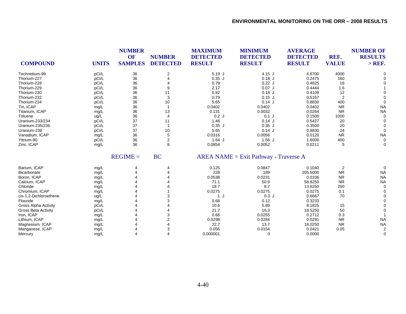|                             |              | <b>NUMBER</b>               |                                  | <b>MAXIMUM</b>                   | <b>MINIMUM</b>                           | <b>AVERAGE</b>                   |                      | <b>NUMBER OF</b>           |
|-----------------------------|--------------|-----------------------------|----------------------------------|----------------------------------|------------------------------------------|----------------------------------|----------------------|----------------------------|
| <b>COMPOUND</b>             | <b>UNITS</b> | <b>OF</b><br><b>SAMPLES</b> | <b>NUMBER</b><br><b>DETECTED</b> | <b>DETECTED</b><br><b>RESULT</b> | <b>DETECTED</b><br><b>RESULT</b>         | <b>DETECTED</b><br><b>RESULT</b> | REF.<br><b>VALUE</b> | <b>RESULTS</b><br>$>$ REF. |
|                             |              |                             |                                  |                                  |                                          |                                  |                      |                            |
| Technetium-99               | pCi/L        | 36                          | 2                                | $5.19$ J                         | $4.15$ J                                 | 4.6700                           | 4000                 |                            |
| Thorium-227                 | pCi/L        | 36                          |                                  | $0.35$ J                         | $0.18$ J                                 | 0.2475                           | 160                  |                            |
| Thorium-228                 | pCi/L        | 36                          |                                  | 0.79                             | 0.22J                                    | 0.4825                           | 16                   |                            |
| Thorium-229                 | pCi/L        | 36                          |                                  | 2.17                             | $0.07$ J                                 | 0.4444                           | 1.6                  |                            |
| Thorium-230                 | pCi/L        | 36                          | 11                               | 0.92                             | $0.18$ J                                 | 0.4109                           | 12                   |                            |
| Thorium-232                 | pCi/L        | 36                          | 3                                | 0.79                             | $0.15$ J                                 | 0.5167                           | $\overline{2}$       |                            |
| Thorium-234                 | pCi/L        | 36                          | 10                               | 5.65                             | 0.14J                                    | 0.8830                           | 400                  | $\Omega$                   |
| Tin, ICAP                   | mg/L         | 36                          |                                  | 0.0402                           | 0.0402                                   | 0.0402                           | <b>NR</b>            | <b>NA</b>                  |
| Titanium, ICAP              | mg/L         | 36                          | 13                               | 0.131                            | 0.0032                                   | 0.0264                           | <b>NR</b>            | <b>NA</b>                  |
| Toluene                     | ug/L         | 36                          | 4                                | 0.2J                             | $0.1$ J                                  | 0.1500                           | 1000                 | $\Omega$                   |
| Uranium-233/234             | pCi/L        | 37                          | 11                               | 1.46                             | 0.14J                                    | 0.5427                           | 20                   | $\Omega$                   |
| Uranium-235/236             | pCi/L        | 37                          |                                  | $0.35$ J                         | $0.35$ J                                 | 0.3500                           | 20                   | $\Omega$                   |
| Uranium-238                 | pCi/L        | 37                          | 10                               | 5.65                             | 0.14J                                    | 0.8830                           | 24                   | $\Omega$                   |
| Vanadium, ICAP              | mg/L         | 36                          | 5                                | 0.0316                           | 0.0056                                   | 0.0120                           | <b>NR</b>            | <b>NA</b>                  |
| Yttrium-90                  | pCi/L        | 36                          | $\overline{2}$                   | $1.64$ J                         | $1.56$ J                                 | 1.6000                           | 400                  | 0                          |
| Zinc, ICAP                  | mg/L         | 36                          | 8                                | 0.0854                           | 0.0052                                   | 0.0211                           | 5                    | 0                          |
|                             |              | $REGIME =$                  | <b>BC</b>                        |                                  | $AREA NAME = Exist Pathway - Traverse A$ |                                  |                      |                            |
| Barium, ICAP                | mg/L         |                             |                                  | 0.125                            | 0.0847                                   | 0.1040                           | 2                    | $\Omega$                   |
| Bicarbonate                 | mg/L         |                             |                                  | 228                              | 189                                      | 205.5000                         | <b>NR</b>            | <b>NA</b>                  |
| Boron, ICAP                 | mg/L         |                             |                                  | 0.0538                           | 0.0231                                   | 0.0336                           | <b>NR</b>            | <b>NA</b>                  |
| Calcium, ICAP               | mg/L         |                             |                                  | 71.1                             | 50.9                                     | 58.8250                          | <b>NR</b>            | <b>NA</b>                  |
| Chloride                    | mg/L         |                             |                                  | 18.7                             | 8.7                                      | 13.6250                          | 250                  | $\Omega$                   |
| Chromium, ICAP              | mg/L         |                             |                                  | 0.0275                           | 0.0275                                   | 0.0275                           | 0.1                  | $\Omega$                   |
| cis-1,2-Dichloroethene      | ug/L         |                             |                                  |                                  | 0.3J                                     | 0.6667                           | 70                   |                            |
| Flouride                    | mg/L         |                             |                                  | 0.68                             | 0.12                                     | 0.3233                           |                      | $\Omega$                   |
| <b>Gross Alpha Activity</b> | pCi/L        |                             |                                  | 10.6                             | 5.89                                     | 8.1825                           | 15                   | $\Omega$                   |

Gross Beta Activity pCi/L 4 21.7 16.3 18.5250 50 0 Iron, ICAP mg/L 4 3 0.66 0.0255 0.2712 0.3 1 Lithium, ICAP mg/L 4 2 0.0298 0.0284 0.0291 NR NA Magnesium, ICAP mg/L 4 4 22.7 13.7 18.0250 NR NA Manganese, ICAP mg/L 4 3 0.056 0.0154 0.0421 0.05 2 Mercury mg/L 4 4 0.000001 0 0.0000 0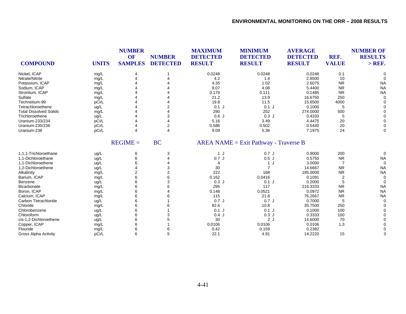| <b>COMPOUND</b>               | <b>UNITS</b> | <b>NUMBER</b><br>OF<br><b>SAMPLES</b> | <b>NUMBER</b><br><b>DETECTED</b> | <b>MAXIMUM</b><br><b>DETECTED</b><br><b>RESULT</b> | <b>MINIMUM</b><br><b>DETECTED</b><br><b>RESULT</b> | <b>AVERAGE</b><br><b>DETECTED</b><br><b>RESULT</b> | REF.<br><b>VALUE</b> | <b>NUMBER OF</b><br><b>RESULTS</b><br>$>$ REF. |
|-------------------------------|--------------|---------------------------------------|----------------------------------|----------------------------------------------------|----------------------------------------------------|----------------------------------------------------|----------------------|------------------------------------------------|
| Nickel, ICAP                  | mg/L         |                                       |                                  | 0.0248                                             | 0.0248                                             | 0.0248                                             | 0.1                  | $\Omega$                                       |
| Nitrate/Nitrite               | mg/L         |                                       |                                  | 4.2                                                | 1.4                                                | 2.8500                                             | 10                   |                                                |
| Potassium, ICAP               | mg/L         |                                       |                                  | 4.35                                               | 1.02                                               | 2.6075                                             | <b>NR</b>            | <b>NA</b>                                      |
| Sodium, ICAP                  | mg/L         |                                       |                                  | 8.07                                               | 4.08                                               | 5.4400                                             | <b>NR</b>            | <b>NA</b>                                      |
| Strontium, ICAP               | mg/L         |                                       |                                  | 0.179                                              | 0.111                                              | 0.1485                                             | <b>NR</b>            | <b>NA</b>                                      |
| Sulfate                       | mg/L         |                                       |                                  | 21.2                                               | 13.9                                               | 16.6750                                            | 250                  | $\Omega$                                       |
| Technetium-99                 | pCi/L        |                                       |                                  | 19.8                                               | 11.5                                               | 15.6500                                            | 4000                 |                                                |
| Tetrachloroethene             | ug/L         |                                       |                                  | $0.1$ J                                            | $0.1$ J                                            | 0.1000                                             | 5                    | 0                                              |
| <b>Total Dissolved Solids</b> | mg/L         |                                       |                                  | 290                                                | 252                                                | 274.0000                                           | 500                  | 0                                              |
| Trichloroethene               | ug/L         |                                       | 3                                | 0.6J                                               | 0.3J                                               | 0.4333                                             |                      | 0                                              |
| Uranium-233/234               | pCi/L        |                                       |                                  | 5.16                                               | 3.49                                               | 4.4475                                             | 20                   | 0                                              |
| Uranium-235/236               | pCi/L        |                                       | 2                                | 0.586                                              | 0.502                                              | 0.5440                                             | 20                   |                                                |
| Uranium-238                   | pCi/L        |                                       | 4                                | 9.09                                               | 5.36                                               | 7.1975                                             | 24                   | $\Omega$                                       |
|                               |              | $REGIME =$                            | <b>BC</b>                        |                                                    | $AREA NAME = Exist Pathway - Traverse B$           |                                                    |                      |                                                |
| 1,1,1-Trichloroethane         | ug/L         | 6                                     | 3                                | 1 J                                                | 0.7J                                               | 0.9000                                             | 200                  | 0                                              |
| 1.1-Dichloroethane            | ug/L         | 6                                     |                                  | 0.7J                                               | 0.5J                                               | 0.5750                                             | <b>NR</b>            | <b>NA</b>                                      |
| 1.1-Dichloroethene            | ug/L         | 6                                     |                                  | $\overline{4}$                                     | 1 J                                                | 3.0000                                             | $\overline{7}$       | $\Omega$                                       |
| 1,2-Dichloroethene            | ug/L         |                                       |                                  | 30                                                 | $\overline{7}$                                     | 14.6667                                            | <b>NR</b>            | <b>NA</b>                                      |
| Alkalinity                    | mg/L         | $\overline{2}$                        |                                  | 222                                                | 168                                                | 195.0000                                           | <b>NR</b>            | <b>NA</b>                                      |
| Barium, ICAP                  | mg/L         | 6                                     | 6                                | 0.162                                              | 0.0416                                             | 0.1091                                             | 2                    | $\Omega$                                       |
| Benzene                       | ug/L         | 6                                     | 3                                | 0.3J                                               | $0.1$ J                                            | 0.2000                                             |                      | 0                                              |
| Bicarbonate                   | mg/L         | 6                                     |                                  | 295                                                | 117                                                | 216.3333                                           | <b>NR</b>            | <b>NA</b>                                      |
| Boron, ICAP                   | mg/L         | 6                                     |                                  | 0.148                                              | 0.0521                                             | 0.0972                                             | <b>NR</b>            | <b>NA</b>                                      |
| Calcium, ICAP                 | mg/L         | 6                                     |                                  | 115                                                | 21.8                                               | 76.2667                                            | <b>NR</b>            | <b>NA</b>                                      |
| Carbon Tetrachloride          | ug/L         | 6                                     |                                  | 0.7J                                               | 0.7J                                               | 0.7000                                             | 5                    | 0                                              |
| Chloride                      | mg/L         | 6                                     |                                  | 82.6                                               | 10.8                                               | 35.7500                                            | 250                  | $\Omega$                                       |
| Chlorobenzene                 | ug/L         | 6                                     |                                  | $0.1$ J                                            | $0.1$ J                                            | 0.1000                                             | 100                  | 0                                              |
| Chloroform                    | ug/L         | 6                                     |                                  | 0.4J                                               | 0.3J                                               | 0.3333                                             | 100                  |                                                |
| cis-1,2-Dichloroethene        | ug/L         | 6                                     |                                  | 30                                                 | 2J                                                 | 14.6000                                            | 70                   |                                                |
| Copper, ICAP                  | mg/L         | 6                                     |                                  | 0.0106                                             | 0.0106                                             | 0.0106                                             | 1.3                  |                                                |
| Flouride                      | mg/L         | 6                                     |                                  | 0.42                                               | 0.159                                              | 0.2382                                             |                      |                                                |
| <b>Gross Alpha Activity</b>   | pCi/L        | 6                                     | 5                                | 22.1                                               | 4.91                                               | 14.2220                                            | 15                   |                                                |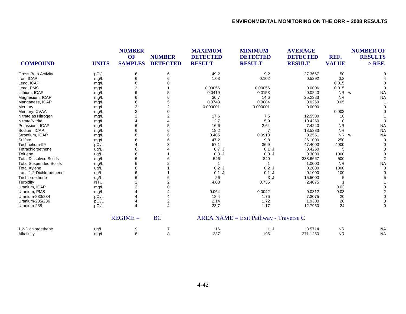| <b>COMPOUND</b>               | <b>UNITS</b> | <b>NUMBER</b><br><b>OF</b><br><b>SAMPLES</b> | <b>NUMBER</b><br><b>DETECTED</b> | <b>MAXIMUM</b><br><b>DETECTED</b><br><b>RESULT</b> | <b>MINIMUM</b><br><b>DETECTED</b><br><b>RESULT</b> | <b>AVERAGE</b><br><b>DETECTED</b><br><b>RESULT</b> | REF.<br><b>VALUE</b>  | <b>NUMBER OF</b><br><b>RESULTS</b><br>$>$ REF. |
|-------------------------------|--------------|----------------------------------------------|----------------------------------|----------------------------------------------------|----------------------------------------------------|----------------------------------------------------|-----------------------|------------------------------------------------|
| <b>Gross Beta Activity</b>    | pCi/L        | 6                                            | 6                                | 49.2                                               | 9.2                                                | 27.3667                                            | 50                    | O                                              |
| Iron, ICAP                    | mg/L         | 6                                            | 6                                | 1.03                                               | 0.102                                              | 0.5292                                             | 0.3                   |                                                |
| Lead, ICAP                    | mg/L         | 6                                            |                                  |                                                    |                                                    |                                                    | 0.015                 |                                                |
| Lead, PMS                     | mg/L         | $\overline{2}$                               |                                  | 0.00056                                            | 0.00056                                            | 0.0006                                             | 0.015                 |                                                |
| Lithium, ICAP                 | mg/L         | 6                                            | 5                                | 0.0419                                             | 0.0153                                             | 0.0240                                             | NR w                  | <b>NA</b>                                      |
| Magnesium, ICAP               | mg/L         | 6                                            | 6                                | 30.7                                               | 14.6                                               | 25.2333                                            | <b>NR</b>             | <b>NA</b>                                      |
| Manganese, ICAP               | mg/L         | 6                                            |                                  | 0.0743                                             | 0.0084                                             | 0.0269                                             | 0.05                  |                                                |
| Mercury                       | mg/L         | $\overline{2}$                               | $\overline{2}$                   | 0.000001                                           | 0.000001                                           | 0.0000                                             |                       | $\Omega$                                       |
| Mercury, CVAA                 | mg/L         | $\overline{2}$                               | $\Omega$                         |                                                    |                                                    |                                                    | 0.002                 |                                                |
| Nitrate as Nitrogen           | mg/L         | $\overline{2}$                               | $\overline{2}$                   | 17.6                                               | 7.5                                                | 12.5500                                            | 10                    |                                                |
| Nitrate/Nitrite               | mg/L         |                                              |                                  | 12.7                                               | 5.9                                                | 10.4250                                            | 10                    |                                                |
| Potassium, ICAP               | mg/L         | 6                                            | 5                                | 16.6                                               | 2.64                                               | 7.4240                                             | <b>NR</b>             | <b>NA</b>                                      |
| Sodium, ICAP                  | mg/L         |                                              | 6                                | 18.2                                               | $\overline{7}$                                     | 13.5333                                            | <b>NR</b>             | <b>NA</b>                                      |
| Strontium, ICAP               | mg/L         |                                              |                                  | 0.405                                              | 0.0913                                             | 0.2551                                             | <b>NR</b><br><b>W</b> | <b>NA</b>                                      |
| Sulfate                       | mg/L         |                                              |                                  | 47.2                                               | 9.8                                                | 26.1000                                            | 250                   | $\Omega$                                       |
| Technetium-99                 | pCi/L        |                                              |                                  | 57.1                                               | 36.9                                               | 47.4000                                            | 4000                  |                                                |
| Tetrachloroethene             | ug/L         | 6                                            |                                  | 0.7J                                               | $0.1$ J                                            | 0.4250                                             | 5                     |                                                |
| Toluene                       | ug/L         | 6                                            |                                  | 0.3J                                               | 0.3J                                               | 0.3000                                             | 1000                  |                                                |
| <b>Total Dissolved Solids</b> | mg/L         | 6                                            |                                  | 546                                                | 240                                                | 383.6667                                           | 500                   |                                                |
| <b>Total Suspended Solids</b> | mg/L         | 6                                            |                                  |                                                    | $\overline{\mathbf{1}}$                            | 1.0000                                             | <b>NR</b>             | <b>NA</b>                                      |
| <b>Total Xylene</b>           | ug/L         | 6                                            |                                  | 0.2J                                               | 0.2J                                               | 0.2000                                             | 1000                  | $\Omega$                                       |
| trans-1,2-Dichloroethene      | ug/L         |                                              |                                  | $0.1$ J                                            | $0.1$ J                                            | 0.1000                                             | 100                   |                                                |
| Trichloroethene               | ug/L         | 6                                            |                                  | 26                                                 | 3J                                                 | 15.5000                                            |                       |                                                |
| Turbidity                     | <b>NTU</b>   | $\overline{2}$                               |                                  | 4.08                                               | 0.735                                              | 2.4075                                             |                       |                                                |
| Uranium, ICAP                 | mg/L         | 2                                            |                                  |                                                    |                                                    |                                                    | 0.03                  |                                                |
| Uranium, PMS                  | mg/L         |                                              |                                  | 0.064                                              | 0.0042                                             | 0.0312                                             | 0.03                  |                                                |
| Uranium-233/234               | pCi/L        |                                              |                                  | 12.4                                               | 1.76                                               | 7.3075                                             | 20                    |                                                |
| Uranium-235/236               | pCi/L        |                                              | 2                                | 2.14                                               | 1.72                                               | 1.9300                                             | 20                    | $\Omega$                                       |
| Uranium-238                   | pCi/L        |                                              | $\overline{\mathbf{A}}$          | 23.7                                               | 1.17                                               | 12.7950                                            | 24                    | $\Omega$                                       |
|                               |              | $REGIME =$                                   | <b>BC</b>                        |                                                    | $AREA NAME = Exist Pathway - Traverse C$           |                                                    |                       |                                                |
| 1,2-Dichloroethene            | ug/L         | 9                                            | 7                                | 16                                                 | 1 J                                                | 3.5714                                             | <b>NR</b>             | <b>NA</b>                                      |
| Alkalinity                    | mg/L         | 8                                            | 8                                | 337                                                | 195                                                | 271.1250                                           | <b>NR</b>             | <b>NA</b>                                      |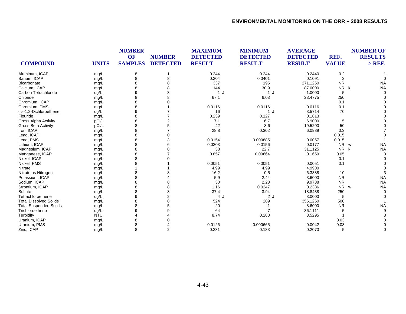| <b>COMPOUND</b>               | <b>UNITS</b> | <b>NUMBER</b><br>OF<br><b>SAMPLES</b> | <b>NUMBER</b><br><b>DETECTED</b> | <b>MAXIMUM</b><br><b>DETECTED</b><br><b>RESULT</b> | <b>MINIMUM</b><br><b>DETECTED</b><br><b>RESULT</b> | <b>AVERAGE</b><br><b>DETECTED</b><br><b>RESULT</b> | REF.<br><b>VALUE</b>  | <b>NUMBER OF</b><br><b>RESULTS</b><br>$>$ REF. |
|-------------------------------|--------------|---------------------------------------|----------------------------------|----------------------------------------------------|----------------------------------------------------|----------------------------------------------------|-----------------------|------------------------------------------------|
|                               |              |                                       |                                  |                                                    |                                                    |                                                    |                       |                                                |
| Aluminum, ICAP                | mg/L         | 8                                     |                                  | 0.244                                              | 0.244                                              | 0.2440                                             | $0.2\,$               |                                                |
| Barium, ICAP                  | mg/L         | 8                                     | 8                                | 0.204                                              | 0.0401                                             | 0.1091                                             | 2                     |                                                |
| <b>Bicarbonate</b>            | mg/L         | 8                                     |                                  | 337                                                | 195                                                | 271.1250                                           | <b>NR</b>             | <b>NA</b>                                      |
| Calcium, ICAP                 | mg/L         | 8                                     |                                  | 144                                                | 30.9                                               | 87.0000                                            | <b>NR</b><br>k        | <b>NA</b>                                      |
| Carbon Tetrachloride          | ug/L         | 9                                     | 3                                | $\mathbf{1}$                                       | 1 J                                                | 1.0000                                             | 5                     |                                                |
| Chloride                      | mg/L         | 8                                     |                                  | 67.1                                               | 6.03                                               | 23.4775                                            | 250                   |                                                |
| Chromium, ICAP                | mg/L         | 8                                     |                                  |                                                    |                                                    |                                                    | 0.1                   |                                                |
| Chromium, PMS                 | mg/L         | 8                                     |                                  | 0.0116                                             | 0.0116                                             | 0.0116                                             | 0.1                   |                                                |
| cis-1,2-Dichloroethene        | ug/L         | 9                                     |                                  | 16                                                 | 1J                                                 | 3.5714                                             | 70                    |                                                |
| Flouride                      | mg/L         | 8                                     |                                  | 0.239                                              | 0.127                                              | 0.1813                                             |                       |                                                |
| <b>Gross Alpha Activity</b>   | pCi/L        | 8                                     |                                  | 7.1                                                | 6.7                                                | 6.9000                                             | 15                    |                                                |
| <b>Gross Beta Activity</b>    | pCi/L        | 8                                     |                                  | 42                                                 | 8.6                                                | 19.5200                                            | 50                    |                                                |
| Iron, ICAP                    | mg/L         | 8                                     |                                  | 28.8                                               | 0.302                                              | 6.0989                                             | 0.3                   |                                                |
| Lead, ICAP                    | mg/L         | 8                                     |                                  |                                                    |                                                    |                                                    | 0.015                 |                                                |
| Lead, PMS                     | mg/L         | 8                                     | 3                                | 0.0154                                             | 0.000885                                           | 0.0057                                             | 0.015                 |                                                |
| Lithium, ICAP                 | mg/L         | 8                                     |                                  | 0.0203                                             | 0.0156                                             | 0.0177                                             | <b>NR</b><br><b>W</b> | <b>NA</b>                                      |
| Magnesium, ICAP               | mg/L         | 8                                     |                                  | 38                                                 | 22.7                                               | 31.1125                                            | N <sub>R</sub><br>k   | <b>NA</b>                                      |
| Manganese, ICAP               | mg/L         | 8                                     |                                  | 0.857                                              | 0.00664                                            | 0.1659                                             | 0.05                  |                                                |
| Nickel, ICAP                  | mg/L         | 8                                     |                                  |                                                    |                                                    |                                                    | 0.1                   |                                                |
| Nickel, PMS                   | mg/L         | 8                                     |                                  | 0.0051                                             | 0.0051                                             | 0.0051                                             | 0.1                   |                                                |
| Nitrate                       | mg/L         |                                       |                                  | 4.99                                               | 4.99                                               | 4.9900                                             |                       |                                                |
| Nitrate as Nitrogen           | mg/L         | 8                                     |                                  | 16.2                                               | 0.5                                                | 6.3388                                             | 10                    |                                                |
| Potassium, ICAP               | mg/L         | 8                                     |                                  | 5.9                                                | 2.44                                               | 3.6000                                             | <b>NR</b>             | <b>NA</b>                                      |
| Sodium, ICAP                  | mg/L         | 8                                     |                                  | 30                                                 | 2.23                                               | 9.9738                                             | <b>NR</b>             | <b>NA</b>                                      |
| Strontium, ICAP               | mg/L         | 8                                     |                                  | 1.16                                               | 0.0247                                             | 0.2386                                             | <b>NR</b><br>W        | <b>NA</b>                                      |
| Sulfate                       | mg/L         | 8                                     |                                  | 37.4                                               | 3.94                                               | 18.8438                                            | 250                   |                                                |
| Tetrachloroethene             | ug/L         | 9                                     | $\overline{2}$                   | 4 J                                                | 2J                                                 | 3.0000                                             | 5                     |                                                |
| <b>Total Dissolved Solids</b> | mg/L         | 8                                     |                                  | 524                                                | 209                                                | 356.1250                                           | 500                   |                                                |
| <b>Total Suspended Solids</b> | mg/L         | 8                                     |                                  | 20                                                 |                                                    | 8.6000                                             | <b>NR</b>             | <b>NA</b>                                      |
| Trichloroethene               | ug/L         | 9                                     |                                  | 64                                                 |                                                    | 36.1111                                            | 5                     |                                                |
| Turbidity                     | <b>NTU</b>   |                                       |                                  | 8.74                                               | 0.288                                              | 3.5295                                             |                       |                                                |
| Uranium, ICAP                 | mg/L         | 8                                     |                                  |                                                    |                                                    |                                                    | 0.03                  |                                                |
| Uranium, PMS                  | mg/L         | 8                                     |                                  | 0.0126                                             | 0.000665                                           | 0.0042                                             | 0.03                  |                                                |
| Zinc, ICAP                    | mg/L         | 8                                     | $\overline{2}$                   | 0.231                                              | 0.183                                              | 0.2070                                             | 5                     | $\Omega$                                       |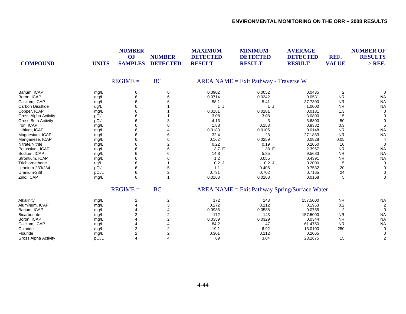| <b>COMPOUND</b>             | <b>UNITS</b> | <b>NUMBER</b><br>OF<br><b>SAMPLES</b> | <b>NUMBER</b><br><b>DETECTED</b> | <b>MAXIMUM</b><br><b>DETECTED</b><br><b>RESULT</b> | <b>MINIMUM</b><br><b>DETECTED</b><br><b>RESULT</b> | <b>AVERAGE</b><br><b>DETECTED</b><br><b>RESULT</b> | REF.<br><b>VALUE</b> | <b>NUMBER OF</b><br><b>RESULTS</b><br>$>$ REF. |
|-----------------------------|--------------|---------------------------------------|----------------------------------|----------------------------------------------------|----------------------------------------------------|----------------------------------------------------|----------------------|------------------------------------------------|
|                             |              | $REGIME =$                            | <b>BC</b>                        |                                                    | $AREA NAME = Exist Pathway - Traverse W$           |                                                    |                      |                                                |
| Barium, ICAP                | mg/L         | 6                                     | 6                                | 0.0902                                             | 0.0052                                             | 0.0435                                             | $\overline{2}$       | $\Omega$                                       |
| Boron, ICAP                 | mg/L         | 6                                     | 6                                | 0.0714                                             | 0.0342                                             | 0.0531                                             | <b>NR</b>            | <b>NA</b>                                      |
| Calcium, ICAP               | mg/L         | 6                                     |                                  | 58.1                                               | 5.41                                               | 37.7300                                            | <b>NR</b>            | <b>NA</b>                                      |
| Carbon Disulfide            | ug/L         | 6                                     |                                  | 1J                                                 | 1 J                                                | 1.0000                                             | <b>NR</b>            | <b>NA</b>                                      |
| Copper, ICAP                | mg/L         | 6                                     |                                  | 0.0181                                             | 0.0181                                             | 0.0181                                             | 1.3                  | $\Omega$                                       |
| Gross Alpha Activity        | pCi/L        | 6                                     |                                  | 3.08                                               | 3.08                                               | 3.0800                                             | 15                   |                                                |
| <b>Gross Beta Activity</b>  | pCi/L        | 6                                     | 3                                | 4.13                                               | 3                                                  | 3.6800                                             | 50                   | $\Omega$                                       |
| Iron, ICAP                  | mg/L         | 6                                     |                                  | 1.88                                               | 0.153                                              | 0.8382                                             | 0.3                  | 5                                              |
| Lithium, ICAP               | mg/L         | 6                                     |                                  | 0.0183                                             | 0.0105                                             | 0.0148                                             | <b>NR</b>            | <b>NA</b>                                      |
| Magnesium, ICAP             | mg/L         | 6                                     | 6                                | 32.4                                               | 23                                                 | 27.1833                                            | <b>NR</b>            | <b>NA</b>                                      |
| Manganese, ICAP             | mg/L         | 6                                     | 6                                | 0.162                                              | 0.0259                                             | 0.0828                                             | 0.05                 |                                                |
| Nitrate/Nitrite             | mg/L         | 6                                     | 2                                | 0.22                                               | 0.19                                               | 0.2050                                             | 10                   | $\Omega$                                       |
| Potassium, ICAP             | mg/L         | 6                                     | 6                                | 3.7 E                                              | 1.38 E                                             | 2.3967                                             | <b>NR</b>            | <b>NA</b>                                      |
| Sodium, ICAP                | mg/L         | 6                                     | 6                                | 14.8                                               | 5.85                                               | 9.5683                                             | <b>NR</b>            | <b>NA</b>                                      |
| Strontium, ICAP             | mg/L         | 6                                     | 6                                | 1.2                                                | 0.055                                              | 0.4391                                             | <b>NR</b>            | <b>NA</b>                                      |
| Trichloroethene             | ug/L         | 6                                     |                                  | 0.2J                                               | 0.2J                                               | 0.2000                                             | 5                    | 0                                              |
| Uranium-233/234             | pCi/L        | 6                                     | 5                                | 1.1                                                | 0.405                                              | 0.7532                                             | 20                   |                                                |
| Uranium-238                 | pCi/L        | 6                                     | 2                                | 0.731                                              | 0.702                                              | 0.7165                                             | 24                   | $\Omega$                                       |
| Zinc, ICAP                  | mg/L         | 6                                     |                                  | 0.0168                                             | 0.0168                                             | 0.0168                                             | 5                    | $\Omega$                                       |
|                             |              | $REGIME =$                            | <b>BC</b>                        |                                                    | $AREA NAME = Exist Pathway Spring/Surface Water$   |                                                    |                      |                                                |
| Alkalinity                  | mg/L         | 2                                     | 2                                | 172                                                | 143                                                | 157.5000                                           | <b>NR</b>            | <b>NA</b>                                      |
| Aluminum, ICAP              | mg/L         | $\overline{4}$                        | 3                                | 0.272                                              | 0.112                                              | 0.1963                                             | 0.2                  | 2                                              |
| Barium, ICAP                | mg/L         | 4                                     |                                  | 0.0986                                             | 0.0538                                             | 0.0755                                             | $\overline{2}$       | $\Omega$                                       |
| Bicarbonate                 | mg/L         | 2                                     | 2                                | 172                                                | 143                                                | 157.5000                                           | <b>NR</b>            | <b>NA</b>                                      |
| Boron, ICAP                 | mg/L         |                                       | 2                                | 0.0359                                             | 0.0329                                             | 0.0344                                             | <b>NR</b>            | <b>NA</b>                                      |
| Calcium, ICAP               | mg/L         |                                       | 4                                | 84.2                                               | 47                                                 | 61.4750                                            | <b>NR</b>            | <b>NA</b>                                      |
| Chloride                    | mg/L         | 2                                     | 2                                | 19.1                                               | 6.92                                               | 13.0100                                            | 250                  |                                                |
| Flouride                    | mg/L         | $\overline{2}$                        | 2                                | 0.301                                              | 0.112                                              | 0.2065                                             |                      | $\Omega$                                       |
| <b>Gross Alpha Activity</b> | pCi/L        | $\overline{4}$                        | 4                                | 69                                                 | 3.04                                               | 23.2675                                            | 15                   | $\overline{2}$                                 |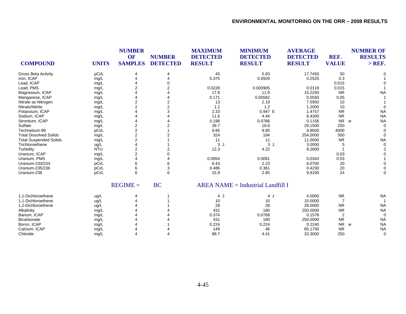| <b>COMPOUND</b>               | <b>UNITS</b> | <b>NUMBER</b><br><b>OF</b><br><b>SAMPLES</b> | <b>NUMBER</b><br><b>DETECTED</b> | <b>MAXIMUM</b><br><b>DETECTED</b><br><b>RESULT</b> | <b>MINIMUM</b><br><b>DETECTED</b><br><b>RESULT</b> | <b>AVERAGE</b><br><b>DETECTED</b><br><b>RESULT</b> | REF.<br><b>VALUE</b> | <b>NUMBER OF</b><br><b>RESULTS</b><br>$>$ REF. |
|-------------------------------|--------------|----------------------------------------------|----------------------------------|----------------------------------------------------|----------------------------------------------------|----------------------------------------------------|----------------------|------------------------------------------------|
| <b>Gross Beta Activity</b>    | pCi/L        |                                              | 4                                | 45                                                 | 5.83                                               | 17.7450                                            | 50                   |                                                |
| Iron, ICAP                    | mg/L         |                                              |                                  | 0.375                                              | 0.0929                                             | 0.2525                                             | 0.3                  |                                                |
| Lead, ICAP                    | mg/L         |                                              |                                  |                                                    |                                                    |                                                    | 0.015                |                                                |
| Lead, PMS                     | mg/L         | 2                                            | 2                                | 0.0228                                             | 0.000905                                           | 0.0119                                             | 0.015                |                                                |
| Magnesium, ICAP               | mg/L         |                                              |                                  | 17.8                                               | 11.9                                               | 15.2250                                            | <b>NR</b>            | <b>NA</b>                                      |
| Manganese, ICAP               | mg/L         |                                              |                                  | 0.171                                              | 0.00582                                            | 0.0593                                             | 0.05                 |                                                |
| Nitrate as Nitrogen           | mg/L         | $\overline{2}$                               |                                  | 13                                                 | 2.19                                               | 7.5950                                             | 10                   |                                                |
| Nitrate/Nitrite               | mg/L         |                                              |                                  | 1.2                                                | 1.2                                                | 1.2000                                             | 10                   |                                                |
| Potassium, ICAP               | mg/L         |                                              |                                  | 2.33                                               | 0.947 E                                            | 1.4757                                             | <b>NR</b>            | <b>NA</b>                                      |
| Sodium, ICAP                  | mg/L         |                                              |                                  | 11.6                                               | 4.44                                               | 6.4300                                             | <b>NR</b>            | <b>NA</b>                                      |
| Strontium, ICAP               | mg/L         |                                              |                                  | 0.198                                              | 0.0786                                             | 0.1156                                             | <b>NR</b>            | <b>NA</b><br>W                                 |
| Sulfate                       | mg/L         | 2                                            |                                  | 39.7                                               | 18.6                                               | 29.1500                                            | 250                  | $\Omega$                                       |
| Technetium-99                 | pCi/L        | $\overline{c}$                               |                                  | 9.85                                               | 9.85                                               | 9.8500                                             | 4000                 |                                                |
| <b>Total Dissolved Solids</b> | mg/L         | $\overline{2}$                               |                                  | 324                                                | 184                                                | 254.0000                                           | 500                  | $\Omega$                                       |
| <b>Total Suspended Solids</b> | mg/L         | $\overline{2}$                               |                                  | 11                                                 | 11                                                 | 11.0000                                            | <b>NR</b>            | <b>NA</b>                                      |
| Trichloroethene               | ug/L         |                                              |                                  | 3J                                                 | 3J                                                 | 3.0000                                             |                      | $\Omega$                                       |
| Turbidity                     | <b>NTU</b>   | $\overline{2}$                               |                                  | 12.3                                               | 4.22                                               | 8.2600                                             |                      |                                                |
| Uranium, ICAP                 | mg/L         | $\overline{2}$                               |                                  |                                                    |                                                    |                                                    | 0.03                 |                                                |
| Uranium, PMS                  | mg/L         |                                              |                                  | 0.0954                                             | 0.0091                                             | 0.0343                                             | 0.03                 |                                                |
| Uranium-233/234               | pCi/L        | 6                                            | 6                                | 8.43                                               | 2.23                                               | 6.0700                                             | 20                   |                                                |
| Uranium-235/236               | pCi/L        | 6                                            | 3                                | 0.486                                              | 0.361                                              | 0.4230                                             | 20                   |                                                |
| Uranium-238                   | pCi/L        | 6                                            | 6                                | 15.9                                               | 2.85                                               | 9.9100                                             | 24                   | $\Omega$                                       |
|                               |              | $REGIME =$                                   | <b>BC</b>                        |                                                    | $AREA NAME = Industrial Landfill$ I                |                                                    |                      |                                                |
| 1.1-Dichloroethane            | ug/L         |                                              |                                  | 4 J                                                | 4 J                                                | 4.0000                                             | <b>NR</b>            | <b>NA</b>                                      |
| 1.1-Dichloroethene            | ug/L         |                                              |                                  | 10                                                 | 10                                                 | 10.0000                                            | $\overline{7}$       |                                                |
| 1,2-Dichloroethene            | ug/L         |                                              |                                  | 28                                                 | 28                                                 | 28.0000                                            | <b>NR</b>            | <b>NA</b>                                      |
| Alkalinity                    | mg/L         |                                              |                                  | 431                                                | 180                                                | 250.0000                                           | <b>NR</b>            | <b>NA</b>                                      |
| Barium, ICAP                  | mg/L         |                                              |                                  | 0.374                                              | 0.0768                                             | 0.1576                                             | $\overline{2}$       | $\Omega$                                       |
| Bicarbonate                   | mg/L         |                                              |                                  | 431                                                | 180                                                | 250.0000                                           | <b>NR</b>            | <b>NA</b>                                      |
| Boron, ICAP                   | mg/L         |                                              |                                  | 0.224                                              | 0.224                                              | 0.2240                                             | <b>NR</b>            | <b>NA</b><br>W                                 |
| Calcium, ICAP                 | mg/L         |                                              |                                  | 149                                                | 46                                                 | 85.1750                                            | <b>NR</b>            | <b>NA</b>                                      |
| Chloride                      | mq/L         |                                              |                                  | 88.7                                               | 4.41                                               | 33.3000                                            | 250                  | $\Omega$                                       |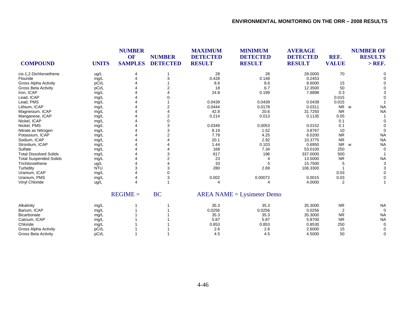| <b>COMPOUND</b>               | <b>UNITS</b> | <b>NUMBER</b><br>OF<br><b>SAMPLES</b> | <b>NUMBER</b><br><b>DETECTED</b> | <b>MAXIMUM</b><br><b>DETECTED</b><br><b>RESULT</b> | <b>MINIMUM</b><br><b>DETECTED</b><br><b>RESULT</b> | <b>AVERAGE</b><br><b>DETECTED</b><br><b>RESULT</b> | REF.<br><b>VALUE</b> | <b>NUMBER OF</b><br><b>RESULTS</b><br>$>$ REF. |
|-------------------------------|--------------|---------------------------------------|----------------------------------|----------------------------------------------------|----------------------------------------------------|----------------------------------------------------|----------------------|------------------------------------------------|
| cis-1,2-Dichloroethene        | ug/L         | 4                                     |                                  | 28                                                 | 28                                                 | 28.0000                                            | 70                   |                                                |
| Flouride                      | mg/L         |                                       |                                  | 0.428                                              | 0.148                                              | 0.2453                                             |                      |                                                |
| <b>Gross Alpha Activity</b>   | pCi/L        |                                       |                                  | 8.6                                                | 8.6                                                | 8.6000                                             | 15                   |                                                |
| <b>Gross Beta Activity</b>    | pCi/L        |                                       |                                  | 18                                                 | 6.7                                                | 12.3500                                            | 50                   |                                                |
| Iron, ICAP                    | mg/L         |                                       |                                  | 24.8                                               | 0.199                                              | 7.8898                                             | 0.3                  |                                                |
| Lead, ICAP                    | mg/L         |                                       |                                  |                                                    |                                                    |                                                    | 0.015                |                                                |
| Lead, PMS                     | mg/L         |                                       |                                  | 0.0439                                             | 0.0439                                             | 0.0439                                             | 0.015                |                                                |
| Lithium, ICAP                 | mg/L         |                                       |                                  | 0.0444                                             | 0.0178                                             | 0.0311                                             | <b>NR</b>            | <b>NA</b><br><b>W</b>                          |
| Magnesium, ICAP               | mg/L         |                                       |                                  | 42.8                                               | 20.6                                               | 31.7250                                            | <b>NR</b>            | <b>NA</b>                                      |
| Manganese, ICAP               | mg/L         |                                       |                                  | 0.214                                              | 0.013                                              | 0.1135                                             | 0.05                 |                                                |
| Nickel, ICAP                  | mg/L         |                                       |                                  |                                                    |                                                    |                                                    | 0.1                  |                                                |
| Nickel, PMS                   | mg/L         |                                       |                                  | 0.0349                                             | 0.0053                                             | 0.0152                                             | 0.1                  |                                                |
| Nitrate as Nitrogen           | mg/L         |                                       |                                  | 8.19                                               | 1.52                                               | 3.8767                                             | 10                   | $\Omega$                                       |
| Potassium, ICAP               | mg/L         |                                       |                                  | 7.79                                               | 4.25                                               | 6.0200                                             | <b>NR</b>            | <b>NA</b>                                      |
| Sodium, ICAP                  | mg/L         |                                       |                                  | 20.1                                               | 2.92                                               | 10.3775                                            | <b>NR</b>            | <b>NA</b>                                      |
| Strontium, ICAP               | mg/L         |                                       |                                  | 1.44                                               | 0.103                                              | 0.6950                                             | <b>NR</b>            | <b>NA</b><br>W                                 |
| Sulfate                       | mg/L         |                                       |                                  | 168                                                | 7.34                                               | 53.0100                                            | 250                  | $\Omega$                                       |
| <b>Total Dissolved Solids</b> | mg/L         |                                       |                                  | 617                                                | 196                                                | 337.0000                                           | 500                  |                                                |
| <b>Total Suspended Solids</b> | mg/L         |                                       |                                  | 23                                                 | 4                                                  | 13.5000                                            | <b>NR</b>            | <b>NA</b>                                      |
| Trichloroethene               | ug/L         |                                       |                                  | 33                                                 | 5                                                  | 15.7500                                            | 5                    | 3                                              |
| Turbidity                     | <b>NTU</b>   |                                       |                                  | 280                                                | 2.69                                               | 106.3300                                           |                      |                                                |
| Uranium, ICAP                 | mg/L         |                                       |                                  |                                                    |                                                    |                                                    | 0.03                 |                                                |
| Uranium, PMS                  | mg/L         | 4                                     |                                  | 0.002                                              | 0.00072                                            | 0.0015                                             | 0.03                 | $\Omega$                                       |
| <b>Vinyl Chloride</b>         | ug/L         |                                       |                                  |                                                    | 4                                                  | 4.0000                                             | 2                    |                                                |
|                               |              | $REGIME =$                            | <b>BC</b>                        |                                                    | $AREA NAME = Lysimeter Demo$                       |                                                    |                      |                                                |
| Alkalinity                    | mg/L         |                                       |                                  | 35.3                                               | 35.3                                               | 35.3000                                            | <b>NR</b>            | <b>NA</b>                                      |
| Barium, ICAP                  | mg/L         |                                       |                                  | 0.0256                                             | 0.0256                                             | 0.0256                                             | $\overline{2}$       | $\Omega$                                       |
| Bicarbonate                   | mg/L         |                                       |                                  | 35.3                                               | 35.3                                               | 35.3000                                            | <b>NR</b>            | <b>NA</b>                                      |
| Calcium, ICAP                 | mg/L         |                                       |                                  | 5.87                                               | 5.87                                               | 5.8700                                             | <b>NR</b>            | <b>NA</b>                                      |
| Chloride                      | mg/L         |                                       |                                  | 0.853                                              | 0.853                                              | 0.8530                                             | 250                  | $\Omega$                                       |
| Gross Alpha Activity          | pCi/L        |                                       |                                  | 2.6                                                | 2.6                                                | 2.6000                                             | 15                   |                                                |
| <b>Gross Beta Activity</b>    | pCi/L        |                                       |                                  | 4.5                                                | 4.5                                                | 4.5000                                             | 50                   | $\Omega$                                       |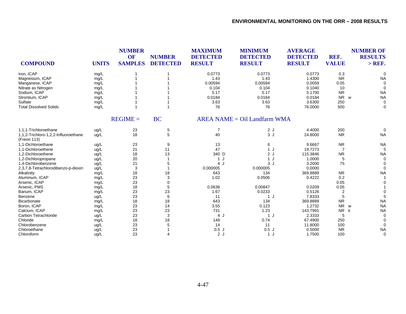| <b>COMPOUND</b>                                      | <b>UNITS</b> | <b>NUMBER</b><br><b>OF</b><br><b>SAMPLES</b> | <b>NUMBER</b><br><b>DETECTED</b> | <b>MAXIMUM</b><br><b>DETECTED</b><br><b>RESULT</b> | <b>MINIMUM</b><br><b>DETECTED</b><br><b>RESULT</b> | <b>AVERAGE</b><br><b>DETECTED</b><br><b>RESULT</b> | REF.<br><b>VALUE</b> | <b>NUMBER OF</b><br><b>RESULTS</b><br>$>$ REF. |
|------------------------------------------------------|--------------|----------------------------------------------|----------------------------------|----------------------------------------------------|----------------------------------------------------|----------------------------------------------------|----------------------|------------------------------------------------|
|                                                      |              |                                              |                                  |                                                    |                                                    |                                                    |                      |                                                |
| Iron, ICAP                                           | mg/L         |                                              |                                  | 0.0773                                             | 0.0773                                             | 0.0773                                             | 0.3                  |                                                |
| Magnesium, ICAP                                      | mg/L         |                                              |                                  | 1.43                                               | 1.43                                               | 1.4300                                             | <b>NR</b>            | <b>NA</b>                                      |
| Manganese, ICAP                                      | mg/L         |                                              |                                  | 0.00594                                            | 0.00594                                            | 0.0059                                             | 0.05                 |                                                |
| Nitrate as Nitrogen                                  | mg/L         |                                              |                                  | 0.104                                              | 0.104                                              | 0.1040                                             | 10                   |                                                |
| Sodium, ICAP                                         | mg/L         |                                              |                                  | 5.17                                               | 5.17                                               | 5.1700                                             | <b>NR</b>            | <b>NA</b>                                      |
| Strontium, ICAP                                      | mg/L         |                                              |                                  | 0.0184                                             | 0.0184                                             | 0.0184                                             | <b>NR</b>            | <b>NA</b><br>W                                 |
| Sulfate                                              | mg/L         |                                              |                                  | 3.63                                               | 3.63                                               | 3.6300                                             | 250                  | $\Omega$                                       |
| <b>Total Dissolved Solids</b>                        | mg/L         |                                              |                                  | 76                                                 | 76                                                 | 76.0000                                            | 500                  | $\Omega$                                       |
|                                                      |              | $REGIME =$                                   | <b>BC</b>                        |                                                    | $AREA NAME = Oil Landfarm WMA$                     |                                                    |                      |                                                |
| 1.1.1-Trichloroethane                                | ug/L         | 23                                           | 5                                | $\overline{7}$                                     | 2J                                                 | 4.4000                                             | 200                  | $\Omega$                                       |
| 1,1,2-Trichloro-1,2,2-trifluoroethane<br>(Freon 113) | ug/L         | 18                                           | 5                                | 40                                                 | 3J                                                 | 24.8000                                            | <b>NR</b>            | <b>NA</b>                                      |
| 1.1-Dichloroethane                                   | ug/L         | 23                                           | 9                                | 13                                                 | 6                                                  | 9.6667                                             | <b>NR</b>            | <b>NA</b>                                      |
| 1,1-Dichloroethene                                   | ug/L         | 21                                           | 11                               | 47                                                 | 1 J                                                | 19.7273                                            | 7                    |                                                |
| 1,2-Dichloroethene                                   | ug/L         | 18                                           | 13                               | 340 D                                              | 2J                                                 | 115.3846                                           | <b>NR</b>            | <b>NA</b>                                      |
| 1,2-Dichloropropane                                  | ug/L         | 20                                           |                                  | 1 J                                                | 1J                                                 | 1.0000                                             | 5                    |                                                |
| 1,4-Dichlorobenzene                                  | ug/L         | 21                                           | 5                                | 4 J                                                | 3J                                                 | 3.2000                                             | 75                   |                                                |
| 2,3,7,8-Tetrachlorodibenzo-p-dioxin                  | ug/L         | 3                                            |                                  | 0.000005                                           | 0.000005                                           | 0.0000                                             |                      |                                                |
| Alkalinity                                           | mg/L         | 18                                           | 18                               | 643                                                | 134                                                | 369.8889                                           | <b>NR</b>            | <b>NA</b>                                      |
| Aluminum, ICAP                                       | mg/L         | 23                                           | 3                                | 1.02                                               | 0.0506                                             | 0.4222                                             | 0.2                  |                                                |
| Arsenic, ICAP                                        | mg/L         | 23                                           | $\mathbf 0$                      |                                                    |                                                    |                                                    | 0.05                 |                                                |
| Arsenic, PMS                                         | mg/L         | 18                                           | 5                                | 0.0638                                             | 0.00847                                            | 0.0209                                             | 0.05                 |                                                |
| Barium, ICAP                                         | mg/L         | 23                                           | 23                               | 1.67                                               | 0.0233                                             | 0.5126                                             | 2                    |                                                |
| Benzene                                              | ug/L         | 23                                           | 6                                | 11                                                 | 1 J                                                | 7.8333                                             | 5                    |                                                |
| Bicarbonate                                          | mg/L         | 18                                           | 18                               | 643                                                | 134                                                | 369.8889                                           | <b>NR</b>            | <b>NA</b>                                      |
| Boron, ICAP                                          | mg/L         | 23                                           | 14                               | 3.55                                               | 0.123                                              | 1.2732                                             | <b>NR</b>            | <b>NA</b><br>W                                 |
| Calcium, ICAP                                        | mg/L         | 23                                           | 23                               | 731                                                | 1.23                                               | 143.7991                                           | <b>NR</b>            | <b>NA</b><br>k                                 |
| Carbon Tetrachloride                                 | ug/L         | 23                                           | 3                                | 4 J                                                | 1J                                                 | 2.3333                                             | 5                    |                                                |
| Chloride                                             | mg/L         | 18                                           | 18                               | 148                                                | 0.74                                               | 67.4900                                            | 250                  |                                                |
| Chlorobenzene                                        | ug/L         | 23                                           |                                  | 14                                                 | 11                                                 | 11.8000                                            | 100                  |                                                |
| Chloroethane                                         | ug/L         | 23                                           |                                  | 0.5J                                               | 0.5J                                               | 0.5000                                             | <b>NR</b>            | <b>NA</b>                                      |
| Chloroform                                           | ua/L         | 23                                           |                                  | 2J                                                 | 1J                                                 | 1.7500                                             | 100                  | $\Omega$                                       |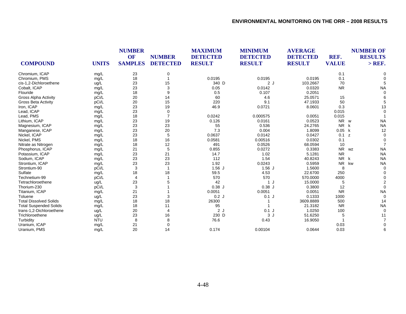|                               |              | <b>NUMBER</b><br>OF | <b>NUMBER</b>   | <b>MAXIMUM</b><br><b>DETECTED</b> | <b>MINIMUM</b><br><b>DETECTED</b> | <b>AVERAGE</b><br><b>DETECTED</b> | REF.         | <b>NUMBER OF</b><br><b>RESULTS</b> |
|-------------------------------|--------------|---------------------|-----------------|-----------------------------------|-----------------------------------|-----------------------------------|--------------|------------------------------------|
| <b>COMPOUND</b>               | <b>UNITS</b> | <b>SAMPLES</b>      | <b>DETECTED</b> | <b>RESULT</b>                     | <b>RESULT</b>                     | <b>RESULT</b>                     | <b>VALUE</b> | $>$ REF.                           |
| Chromium, ICAP                | mg/L         | 23                  | 0               |                                   |                                   |                                   | 0.1          |                                    |
| Chromium, PMS                 | mg/L         | 18                  |                 | 0.0195                            | 0.0195                            | 0.0195                            | 0.1          |                                    |
| cis-1,2-Dichloroethene        | ug/L         | 23                  | 15              | 340 D                             | 2J                                | 103.2667                          | 70           |                                    |
| Cobalt, ICAP                  | mg/L         | 23                  | 3               | 0.05                              | 0.0142                            | 0.0320                            | <b>NR</b>    | <b>NA</b>                          |
| Flouride                      | mg/L         | 18                  | 9               | 0.5                               | 0.107                             | 0.2051                            |              |                                    |
| <b>Gross Alpha Activity</b>   | pCi/L        | 20                  | 14              | 60                                | 4.6                               | 25.0571                           | 15           |                                    |
| <b>Gross Beta Activity</b>    | pCi/L        | 20                  | 15              | 220                               | 9.1                               | 47.1933                           | 50           |                                    |
| Iron, ICAP                    | mg/L         | 23                  | 19              | 46.9                              | 0.0721                            | 8.0601                            | 0.3          | 13                                 |
| Lead, ICAP                    | mg/L         | 23                  | 0               |                                   |                                   |                                   | 0.015        |                                    |
| Lead, PMS                     | mg/L         | 18                  | $\overline{7}$  | 0.0242                            | 0.000575                          | 0.0051                            | 0.015        |                                    |
| Lithium, ICAP                 | mg/L         | 23                  | 19              | 0.126                             | 0.0161                            | 0.0523                            | <b>NR</b>    | <b>NA</b><br>W                     |
| Magnesium, ICAP               | mg/L         | 23                  | 23              | 55                                | 0.536                             | 24.2765                           | <b>NR</b>    | <b>NA</b><br>k                     |
| Manganese, ICAP               | mg/L         | 23                  | 20              | 7.3                               | 0.004                             | 1.8099                            | 0.05         | k<br>12                            |
| Nickel, ICAP                  | mg/L         | 23                  | 5               | 0.0637                            | 0.0142                            | 0.0427                            | 0.1          | z                                  |
| Nickel, PMS                   | mg/L         | 18                  | 16              | 0.0581                            | 0.00516                           | 0.0302                            | 0.1          |                                    |
| Nitrate as Nitrogen           | mg/L         | 18                  | 12              | 491                               | 0.0526                            | 68.0594                           | 10           |                                    |
| Phosphorus, ICAP              | mg/L         | 21                  | 5               | 0.855                             | 0.0272                            | 0.3383                            | <b>NR</b>    | <b>NA</b><br>WZ                    |
| Potassium, ICAP               | mg/L         | 23                  | 21              | 14.7                              | 1.02                              | 5.1281                            | <b>NR</b>    | <b>NA</b>                          |
| Sodium, ICAP                  | mg/L         | 23                  | 23              | 112                               | 1.54                              | 40.8243                           | <b>NR</b>    | <b>NA</b><br>k                     |
| Strontium, ICAP               | mg/L         | 23                  | 23              | 1.92                              | 0.0243                            | 0.5959                            | <b>NR</b>    | kw<br><b>NA</b>                    |
| Strontium-90                  | pCi/L        | 3                   | -1              | $1.56$ J                          | $1.56$ J                          | 1.5600                            | 8            | $\Omega$                           |
| Sulfate                       | mg/L         | 18                  | 18              | 59.5                              | 4.53                              | 22.6700                           | 250          |                                    |
| Technetium-99                 | pCi/L        | 4                   |                 | 570                               | 570                               | 570.0000                          | 4000         |                                    |
| Tetrachloroethene             | ug/L         | 23                  |                 | 42                                | 1 J                               | 15.0000                           | 5            |                                    |
| Thorium-230                   | pCi/L        | 3                   |                 | $0.38$ J                          | 0.38J                             | 0.3800                            | 12           |                                    |
| Titanium, ICAP                | mg/L         | 21                  |                 | 0.0051                            | 0.0051                            | 0.0051                            | <b>NR</b>    | <b>NA</b>                          |
| Toluene                       | ug/L         | 23                  | 3               | 0.2J                              | $0.1$ J                           | 0.1333                            | 1000         |                                    |
| <b>Total Dissolved Solids</b> | mg/L         | 18                  | 18              | 26300                             |                                   | 3609.8889                         | 500          | 14                                 |
| <b>Total Suspended Solids</b> | mg/L         | 18                  | 11              | 95                                |                                   | 21.3182                           | <b>NR</b>    | <b>NA</b>                          |
| trans-1,2-Dichloroethene      | ug/L         | 20                  | 4               | 2J                                | $0.1$ J                           | 1.0250                            | 100          | $\Omega$                           |
| Trichloroethene               | ug/L         | 23                  | 16              | 230 D                             | 3J                                | 51.6250                           | 5            | 11                                 |
| Turbidity                     | <b>NTU</b>   | 8                   | 8               | 76.6                              | 0.43                              | 16.9050                           |              |                                    |
| Uranium, ICAP                 | mg/L         | 21                  | 0               |                                   |                                   |                                   | 0.03         |                                    |
| Uranium, PMS                  | mg/L         | 20                  | 14              | 0.174                             | 0.00104                           | 0.0644                            | 0.03         |                                    |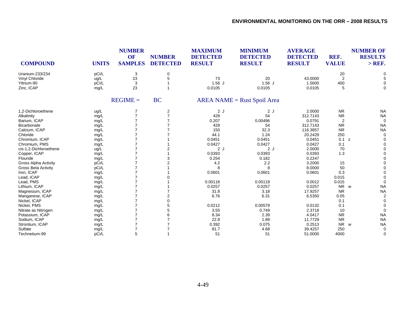| <b>COMPOUND</b>             | <b>UNITS</b> | <b>NUMBER</b><br>OF<br><b>SAMPLES</b> | <b>NUMBER</b><br><b>DETECTED</b> | <b>MAXIMUM</b><br><b>DETECTED</b><br><b>RESULT</b> | <b>MINIMUM</b><br><b>DETECTED</b><br><b>RESULT</b> | <b>AVERAGE</b><br><b>DETECTED</b><br><b>RESULT</b> | REF.<br><b>VALUE</b> | <b>NUMBER OF</b><br><b>RESULTS</b><br>$>$ REF. |
|-----------------------------|--------------|---------------------------------------|----------------------------------|----------------------------------------------------|----------------------------------------------------|----------------------------------------------------|----------------------|------------------------------------------------|
| Uranium-233/234             | pCi/L        | 3                                     | 0                                |                                                    |                                                    |                                                    | 20                   |                                                |
| Vinyl Chloride              | ug/L         | 23                                    | 5                                | 73                                                 | 20                                                 | 43.0000                                            | $\overline{2}$       |                                                |
| Yttrium-90                  | pCi/L        | 3                                     |                                  | $1.56$ J                                           | $1.56$ J                                           | 1.5600                                             | 400                  | $\Omega$                                       |
| Zinc, ICAP                  | mg/L         | 23                                    |                                  | 0.0105                                             | 0.0105                                             | 0.0105                                             | 5                    | $\Omega$                                       |
|                             |              | $REGIME =$                            | <b>BC</b>                        |                                                    | $AREA NAME = Rust Spoil Area$                      |                                                    |                      |                                                |
| 1,2-Dichloroethene          | ug/L         |                                       | 2                                | 2J                                                 | 2J                                                 | 2.0000                                             | <b>NR</b>            | <b>NA</b>                                      |
| Alkalinity                  | mg/L         | $\overline{7}$                        | $\overline{7}$                   | 428                                                | 54                                                 | 312.7143                                           | <b>NR</b>            | <b>NA</b>                                      |
| Barium, ICAP                | mg/L         |                                       |                                  | 0.207                                              | 0.00496                                            | 0.0791                                             | 2                    | $\Omega$                                       |
| Bicarbonate                 | mg/L         |                                       |                                  | 428                                                | 54                                                 | 312.7143                                           | <b>NR</b>            | <b>NA</b>                                      |
| Calcium, ICAP               | mg/L         |                                       |                                  | 150                                                | 32.3                                               | 116.3857                                           | <b>NR</b>            | <b>NA</b>                                      |
| Chloride                    | mg/L         |                                       |                                  | 44.1                                               | 1.24                                               | 20.2429                                            | 250                  | $\Omega$                                       |
| Chromium, ICAP              | mg/L         |                                       |                                  | 0.0451                                             | 0.0451                                             | 0.0451                                             | 0.1 z                |                                                |
| Chromium, PMS               | mg/L         |                                       |                                  | 0.0427                                             | 0.0427                                             | 0.0427                                             | 0.1                  |                                                |
| cis-1,2-Dichloroethene      | ug/L         |                                       |                                  | 2J                                                 | 2J                                                 | 2.0000                                             | 70                   |                                                |
| Copper, ICAP                | mg/L         |                                       |                                  | 0.0393                                             | 0.0393                                             | 0.0393                                             | 1.3                  |                                                |
| Flouride                    | mg/L         |                                       | 3                                | 0.254                                              | 0.182                                              | 0.2247                                             |                      |                                                |
| <b>Gross Alpha Activity</b> | pCi/L        |                                       |                                  | 4.2                                                | 2.2                                                | 3.2000                                             | 15                   |                                                |
| <b>Gross Beta Activity</b>  | pCi/L        |                                       |                                  | 8                                                  | 8                                                  | 8.0000                                             | 50                   |                                                |
| Iron, ICAP                  | mg/L         |                                       |                                  | 0.0601                                             | 0.0601                                             | 0.0601                                             | 0.3                  |                                                |
| Lead, ICAP                  | mg/L         |                                       |                                  |                                                    |                                                    |                                                    | 0.015                |                                                |
| Lead, PMS                   | mg/L         |                                       |                                  | 0.00118                                            | 0.00118                                            | 0.0012                                             | 0.015                |                                                |
| Lithium, ICAP               | mg/L         |                                       |                                  | 0.0257                                             | 0.0257                                             | 0.0257                                             | NR w                 | <b>NA</b>                                      |
| Magnesium, ICAP             | mg/L         |                                       |                                  | 31.8                                               | 3.18                                               | 17.9257                                            | <b>NR</b>            | <b>NA</b>                                      |
| Manganese, ICAP             | mg/L         |                                       |                                  | 6.76                                               | 6.31                                               | 6.5350                                             | 0.05                 | 2                                              |
| Nickel, ICAP                | mg/L         |                                       |                                  |                                                    |                                                    |                                                    | 0.1                  |                                                |
| Nickel, PMS                 | mg/L         |                                       |                                  | 0.0212                                             | 0.00579                                            | 0.0132                                             | 0.1                  |                                                |
| Nitrate as Nitrogen         | mg/L         |                                       |                                  | 3.55                                               | 0.749                                              | 2.3718                                             | 10                   | $\Omega$                                       |
| Potassium, ICAP             | mg/L         |                                       |                                  | 8.34                                               | 2.39                                               | 4.0417                                             | <b>NR</b>            | <b>NA</b>                                      |
| Sodium, ICAP                | mg/L         |                                       |                                  | 22.8                                               | 1.89                                               | 11.7729                                            | <b>NR</b>            | <b>NA</b>                                      |
| Strontium, ICAP             | mg/L         |                                       |                                  | 0.392                                              | 0.075                                              | 0.2513                                             | <b>NR</b>            | <b>NA</b><br>W                                 |
| Sulfate                     | mg/L         |                                       |                                  | 81.7                                               | 4.68                                               | 39.4257                                            | 250                  | $\Omega$                                       |
| Technetium-99               | pCi/L        | 5                                     |                                  | 51                                                 | 51                                                 | 51.0000                                            | 4000                 | $\Omega$                                       |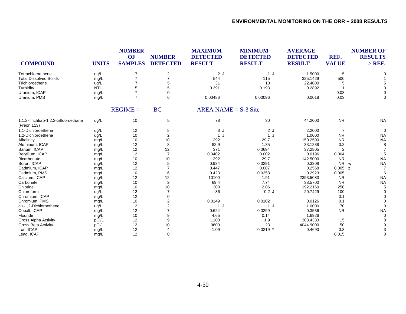| <b>COMPOUND</b>                                      | <b>UNITS</b> | <b>NUMBER</b><br>OF<br><b>SAMPLES</b> | <b>NUMBER</b><br><b>DETECTED</b> | <b>MAXIMUM</b><br><b>DETECTED</b><br><b>RESULT</b> | <b>MINIMUM</b><br><b>DETECTED</b><br><b>RESULT</b> | <b>AVERAGE</b><br><b>DETECTED</b><br><b>RESULT</b> | REF.<br><b>VALUE</b> | <b>NUMBER OF</b><br><b>RESULTS</b><br>$>$ REF. |
|------------------------------------------------------|--------------|---------------------------------------|----------------------------------|----------------------------------------------------|----------------------------------------------------|----------------------------------------------------|----------------------|------------------------------------------------|
| Tetrachloroethene                                    | ug/L         | $\overline{7}$                        | $\boldsymbol{2}$                 | 2J                                                 | 1 J                                                | 1.5000                                             | 5                    |                                                |
| <b>Total Dissolved Solids</b>                        | mg/L         | $\overline{7}$                        | $\overline{7}$                   | 544                                                | 115                                                | 325.1429                                           | 500                  |                                                |
| Trichloroethene                                      | ug/L         | 7                                     | 5                                | 31                                                 | 10                                                 | 22.4000                                            | 5                    |                                                |
| Turbidity                                            | <b>NTU</b>   | 5                                     | 5                                | 0.391                                              | 0.193                                              | 0.2892                                             |                      |                                                |
| Uranium, ICAP                                        | mg/L         | $\overline{7}$                        | $\Omega$                         |                                                    |                                                    |                                                    | 0.03                 |                                                |
| Uranium, PMS                                         | mg/L         | $\overline{7}$                        | 6                                | 0.00486                                            | 0.00096                                            | 0.0018                                             | 0.03                 | 0                                              |
|                                                      |              | $REGIME =$                            | <b>BC</b>                        | AREA NAME = $S-3$ Site                             |                                                    |                                                    |                      |                                                |
| 1,1,2-Trichloro-1,2,2-trifluoroethane<br>(Freon 113) | ug/L         | 10                                    | 5                                | 78                                                 | 30                                                 | 44.2000                                            | <b>NR</b>            | <b>NA</b>                                      |
| 1,1-Dichloroethene                                   | ug/L         | 12                                    | 5                                | 3J                                                 | 2J                                                 | 2.2000                                             | $\overline{7}$       | $\Omega$                                       |
| 1,2-Dichloroethene                                   | ug/L         | 10                                    | $\overline{2}$                   | 1 J                                                | 1J                                                 | 1.0000                                             | <b>NR</b>            | <b>NA</b>                                      |
| Alkalinity                                           | mg/L         | 10                                    | 10                               | 392                                                | 29.7                                               | 150.2500                                           | <b>NR</b>            | <b>NA</b>                                      |
| Aluminum, ICAP                                       | mg/L         | 12                                    | 8                                | 82.9                                               | 1.35                                               | 33.1238                                            | 0.2                  | 8                                              |
| Barium, ICAP                                         | mg/L         | 12                                    | 12                               | 371                                                | 0.0694                                             | 37.2805                                            | $\overline{2}$       |                                                |
| Beryllium, ICAP                                      | mg/L         | 12                                    | $\overline{7}$                   | 0.0402                                             | 0.002                                              | 0.0196                                             | 0.004                |                                                |
| Bicarbonate                                          | mg/L         | 10                                    | 10                               | 392                                                | 29.7                                               | 142.5000                                           | <b>NR</b>            | <b>NA</b>                                      |
| Boron, ICAP                                          | mg/L         | 12                                    | 5                                | 0.934                                              | 0.0291                                             | 0.3308                                             | <b>NR</b>            | <b>NA</b><br>W                                 |
| Cadmium, ICAP                                        | mg/L         | 12                                    | $\overline{7}$                   | 0.447                                              | 0.007                                              | 0.2568                                             | 0.005<br>z           |                                                |
| Cadmium, PMS                                         | mg/L         | 10                                    | 6                                | 0.423                                              | 0.0258                                             | 0.2923                                             | 0.005                | 6                                              |
| Calcium, ICAP                                        | mg/L         | 12                                    | 12                               | 10100                                              | 1.91                                               | 2393.5083                                          | <b>NR</b>            | <b>NA</b>                                      |
| Carbonate                                            | mg/L         | 10                                    | $\overline{2}$                   | 69.4                                               | 7.74                                               | 38.5700                                            | <b>NR</b>            | <b>NA</b>                                      |
| Chloride                                             | mg/L         | 10                                    | 10                               | 300                                                | 2.06                                               | 192.2160                                           | 250                  |                                                |
| Chloroform                                           | ug/L         | 12                                    | $\overline{7}$                   | 36                                                 | 0.2J                                               | 20.7429                                            | 100                  |                                                |
| Chromium, ICAP                                       | mg/L         | 12                                    | $\Omega$                         |                                                    |                                                    |                                                    | 0.1                  |                                                |
| Chromium, PMS                                        | mg/L         | 10                                    | $\overline{2}$                   | 0.0149                                             | 0.0102                                             | 0.0126                                             | 0.1                  |                                                |
| cis-1,2-Dichloroethene                               | ug/L         | 12                                    | $\overline{c}$                   | 1J                                                 | 1J                                                 | 1.0000                                             | 70                   |                                                |
| Cobalt, ICAP                                         | mg/L         | 12                                    | $\overline{7}$                   | 0.624                                              | 0.0299                                             | 0.3536                                             | <b>NR</b>            | <b>NA</b>                                      |
| Flouride                                             | mg/L         | 10                                    | 9                                | 4.65                                               | 0.14                                               | 1.6926                                             |                      |                                                |
| <b>Gross Alpha Activity</b>                          | pCi/L        | 12                                    | 9                                | 1100                                               | 1.9                                                | 303.4333                                           | 15                   |                                                |
| <b>Gross Beta Activity</b>                           | pCi/L        | 12                                    | 10                               | 9600                                               | 23                                                 | 4044.9000                                          | 50                   |                                                |
| Iron, ICAP                                           | mg/L         | 12                                    |                                  | 1.09                                               | $0.0219$ *                                         | 0.4690                                             | 0.3                  |                                                |
| Lead, ICAP                                           | mq/L         | 12                                    | $\mathbf 0$                      |                                                    |                                                    |                                                    | 0.015                |                                                |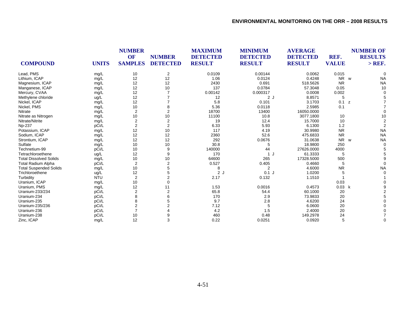|                               |              |                  | <b>NUMBER</b><br><b>OF</b><br><b>NUMBER</b> |               |               | <b>MAXIMUM</b><br><b>DETECTED</b> | <b>MINIMUM</b><br><b>DETECTED</b><br><b>RESULT</b> | <b>AVERAGE</b><br><b>DETECTED</b> | REF. | <b>NUMBER OF</b><br><b>RESULTS</b> |
|-------------------------------|--------------|------------------|---------------------------------------------|---------------|---------------|-----------------------------------|----------------------------------------------------|-----------------------------------|------|------------------------------------|
| <b>COMPOUND</b>               | <b>UNITS</b> | <b>SAMPLES</b>   | <b>DETECTED</b>                             | <b>RESULT</b> | <b>RESULT</b> | <b>VALUE</b>                      |                                                    | $>$ REF.                          |      |                                    |
| Lead, PMS                     | mg/L         | 10               | $\overline{2}$                              | 0.0109        | 0.00144       | 0.0062                            | 0.015                                              |                                   |      |                                    |
| Lithium, ICAP                 | mg/L         | 12               | 12                                          | 1.06          | 0.0124        | 0.4248                            | NR w                                               | <b>NA</b>                         |      |                                    |
| Magnesium, ICAP               | mg/L         | 12               | 12                                          | 2430          | 0.691         | 518.5626                          | <b>NR</b>                                          | <b>NA</b>                         |      |                                    |
| Manganese, ICAP               | mg/L         | 12               | 10                                          | 137           | 0.0784        | 57.3048                           | 0.05                                               | 10                                |      |                                    |
| Mercury, CVAA                 | mg/L         | 12               |                                             | 0.00142       | 0.000317      | 0.0008                            | 0.002                                              |                                   |      |                                    |
| Methylene chloride            | ug/L         | 12               |                                             | 12            | 2J            | 8.8571                            | 5                                                  |                                   |      |                                    |
| Nickel, ICAP                  | mg/L         | 12               |                                             | 5.8           | 0.101         | 3.1703                            | 0.1<br>z                                           |                                   |      |                                    |
| Nickel, PMS                   | mg/L         | 10               |                                             | 5.36          | 0.0118        | 2.5985                            | 0.1                                                |                                   |      |                                    |
| Nitrate                       | mg/L         | $\overline{2}$   | $\overline{2}$                              | 18700         | 13400         | 16050.0000                        |                                                    |                                   |      |                                    |
| Nitrate as Nitrogen           | mg/L         | 10               | 10                                          | 11100         | 10.8          | 3077.1800                         | 10                                                 | 10                                |      |                                    |
| Nitrate/Nitrite               | mg/L         | $\sqrt{2}$       | $\sqrt{2}$                                  | 19            | 12.4          | 15.7000                           | 10                                                 |                                   |      |                                    |
| <b>Np-237</b>                 | pCi/L        | $\overline{2}$   | $\overline{2}$                              | 6.33          | 5.93          | 6.1300                            | 1.2                                                |                                   |      |                                    |
| Potassium, ICAP               | mg/L         | 12               | 10                                          | 117           | 4.19          | 30.9980                           | <b>NR</b>                                          | <b>NA</b>                         |      |                                    |
| Sodium, ICAP                  | mg/L         | 12               | 12                                          | 2360          | 52.6          | 475.6833                          | <b>NR</b>                                          | <b>NA</b>                         |      |                                    |
| Strontium, ICAP               | mg/L         | 12               | 12                                          | 292           | 0.0676        | 31.0638                           | <b>NR</b>                                          | <b>NA</b><br>W                    |      |                                    |
| Sulfate                       | mg/L         | 10               | 10                                          | 30.8          | 5             | 18.9800                           | 250                                                |                                   |      |                                    |
| Technetium-99                 | pCi/L        | 10               | 9                                           | 140000        | 44            | 27626.0000                        | 4000                                               |                                   |      |                                    |
| Tetrachloroethene             | ug/L         | 12               | 9                                           | 170           | 1 J           | 61.3333                           | 5                                                  |                                   |      |                                    |
| <b>Total Dissolved Solids</b> | mg/L         | 10               | 10                                          | 64600         | 265           | 17328.5000                        | 500                                                |                                   |      |                                    |
| <b>Total Radium Alpha</b>     | pCi/L        | $\overline{2}$   | $\overline{2}$                              | 0.527         | 0.405         | 0.4660                            |                                                    |                                   |      |                                    |
| <b>Total Suspended Solids</b> | mg/L         | 10               |                                             | 8             | 2             | 4.6000                            | <b>NR</b>                                          | <b>NA</b>                         |      |                                    |
| Trichloroethene               | ug/L         | 12               |                                             | 2J            | $0.1$ J       | 1.0200                            |                                                    |                                   |      |                                    |
| Turbidity                     | <b>NTU</b>   | $\overline{2}$   |                                             | 2.17          | 0.132         | 1.1510                            |                                                    |                                   |      |                                    |
| Uranium, ICAP                 | mg/L         | 10               | $\Omega$                                    |               |               |                                   | 0.03                                               |                                   |      |                                    |
| Uranium, PMS                  | mg/L         | 12               | 11                                          | 1.53          | 0.0016        | 0.4573                            | 0.03<br>k                                          |                                   |      |                                    |
| Uranium-233/234               | pCi/L        | $\boldsymbol{2}$ |                                             | 65.8          | 54.4          | 60.1000                           | 20                                                 |                                   |      |                                    |
| Uranium-234                   | pCi/L        | 8                |                                             | 170           | 2.9           | 73.9833                           | 20                                                 |                                   |      |                                    |
| Uranium-235                   | pCi/L        | 8                |                                             | 9.7           | 2.8           | 4.6200                            | 24                                                 |                                   |      |                                    |
| Uranium-235/236               | pCi/L        | $\overline{2}$   |                                             | 7.12          |               | 6.0600                            | 20                                                 |                                   |      |                                    |
| Uranium-236                   | pCi/L        |                  |                                             | 4.2           | 1.5           | 2.4000                            | 20                                                 |                                   |      |                                    |
| Uranium-238                   | pCi/L        | 10               |                                             | 460           | 0.48          | 149.2978                          | 24                                                 |                                   |      |                                    |
| Zinc, ICAP                    | mg/L         | 12               | 3                                           | 0.22          | 0.0251        | 0.0920                            | 5                                                  |                                   |      |                                    |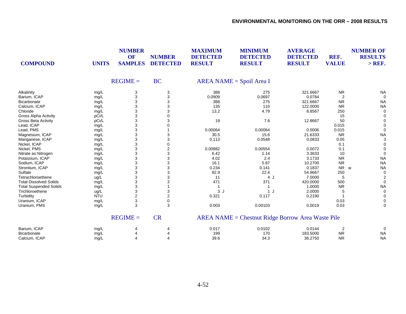| <b>COMPOUND</b>               | <b>UNITS</b> | <b>NUMBER</b><br><b>OF</b><br><b>SAMPLES</b> | <b>NUMBER</b><br><b>DETECTED</b> | <b>MAXIMUM</b><br><b>DETECTED</b><br><b>RESULT</b> | <b>MINIMUM</b><br><b>DETECTED</b><br><b>RESULT</b> | <b>AVERAGE</b><br><b>DETECTED</b><br><b>RESULT</b> | REF.<br><b>VALUE</b> | <b>NUMBER OF</b><br><b>RESULTS</b><br>$>$ REF. |
|-------------------------------|--------------|----------------------------------------------|----------------------------------|----------------------------------------------------|----------------------------------------------------|----------------------------------------------------|----------------------|------------------------------------------------|
|                               |              | $REGIME =$                                   | <b>BC</b>                        |                                                    | $AREA NAME = Spoil Area I$                         |                                                    |                      |                                                |
| Alkalinity                    | mg/L         | 3                                            | 3                                | 388                                                | 275                                                | 321.6667                                           | <b>NR</b>            | <b>NA</b>                                      |
| Barium, ICAP                  | mg/L         | 3                                            | 3                                | 0.0909                                             | 0.0697                                             | 0.0784                                             | $\overline{2}$       |                                                |
| Bicarbonate                   | mg/L         | 3                                            |                                  | 388                                                | 275                                                | 321.6667                                           | <b>NR</b>            | <b>NA</b>                                      |
| Calcium, ICAP                 | mg/L         | 3                                            |                                  | 135                                                | 110                                                | 122.0000                                           | <b>NR</b>            | <b>NA</b>                                      |
| Chloride                      | mg/L         | 3                                            |                                  | 13.2                                               | 4.79                                               | 8.8567                                             | 250                  | $\mathbf 0$                                    |
| <b>Gross Alpha Activity</b>   | pCi/L        | 3                                            |                                  |                                                    |                                                    |                                                    | 15                   | $\mathbf 0$                                    |
| <b>Gross Beta Activity</b>    | pCi/L        | 3                                            |                                  | 19                                                 | 7.6                                                | 12.8667                                            | 50                   |                                                |
| Lead, ICAP                    | mg/L         | 3                                            |                                  |                                                    |                                                    |                                                    | 0.015                |                                                |
| Lead, PMS                     | mg/L         | 3                                            |                                  | 0.00064                                            | 0.00064                                            | 0.0006                                             | 0.015                | $\Omega$                                       |
| Magnesium, ICAP               | mg/L         | 3                                            |                                  | 30.5                                               | 15.6                                               | 21.6333                                            | <b>NR</b>            | <b>NA</b>                                      |
| Manganese, ICAP               | mg/L         | 3                                            | 3                                | 0.113                                              | 0.0548                                             | 0.0833                                             | 0.05                 | 3                                              |
| Nickel, ICAP                  | mg/L         | 3                                            | $\Omega$                         |                                                    |                                                    |                                                    | 0.1                  | $\Omega$                                       |
| Nickel, PMS                   | mg/L         | 3                                            | 2                                | 0.00882                                            | 0.00554                                            | 0.0072                                             | 0.1                  | ∩                                              |
| Nitrate as Nitrogen           | mg/L         | 3                                            | 3                                | 6.42                                               | 1.14                                               | 3.3633                                             | 10                   | $\Omega$                                       |
| Potassium, ICAP               | mg/L         | 3                                            | 3                                | 4.02                                               | 2.4                                                | 3.1733                                             | <b>NR</b>            | <b>NA</b>                                      |
| Sodium, ICAP                  | mg/L         | 3                                            |                                  | 16.1                                               | 5.87                                               | 10.2700                                            | <b>NR</b>            | <b>NA</b>                                      |
| Strontium, ICAP               | mg/L         | 3                                            | 3                                | 0.234                                              | 0.141                                              | 0.1837                                             | <b>NR</b>            | <b>NA</b><br>W                                 |
| Sulfate                       | mg/L         | 3                                            | 3                                | 82.9                                               | 22.4                                               | 54.9667                                            | 250                  | $\mathbf 0$                                    |
| Tetrachloroethene             | ug/L         | 3                                            | 3                                | 11                                                 | 4 J                                                | 7.0000                                             | 5                    | 2                                              |
| <b>Total Dissolved Solids</b> | mg/L         | 3                                            |                                  | 471                                                | 371                                                | 420.0000                                           | 500                  | $\mathbf 0$                                    |
| <b>Total Suspended Solids</b> | mg/L         | 3                                            |                                  | -1                                                 | -1                                                 | 1.0000                                             | <b>NR</b>            | <b>NA</b>                                      |
| Trichloroethene               | ug/L         | 3                                            | 3                                | 3J                                                 | $\mathbf{1}$                                       | 2.0000                                             |                      | 0                                              |
| Turbidity                     | <b>NTU</b>   | $\overline{2}$                               | $\overline{2}$                   | 0.321                                              | 0.117                                              | 0.2190                                             |                      | $\Omega$                                       |
| Uranium, ICAP                 | mg/L         | 3                                            | 0                                |                                                    |                                                    |                                                    | 0.03                 | $\Omega$                                       |
| Uranium, PMS                  | mg/L         | 3                                            | 3                                | 0.003                                              | 0.00103                                            | 0.0019                                             | 0.03                 | $\Omega$                                       |
|                               |              | $REGIME =$                                   | <b>CR</b>                        |                                                    | AREA NAME = Chestnut Ridge Borrow Area Waste Pile  |                                                    |                      |                                                |
| Barium, ICAP                  | mg/L         | 4                                            |                                  | 0.017                                              | 0.0102                                             | 0.0144                                             | $\overline{2}$       | 0                                              |
| Bicarbonate                   | mg/L         | 4                                            |                                  | 199                                                | 170                                                | 183.5000                                           | <b>NR</b>            | <b>NA</b>                                      |
| Calcium, ICAP                 | mg/L         | 4                                            | 4                                | 39.6                                               | 34.3                                               | 36.2750                                            | <b>NR</b>            | <b>NA</b>                                      |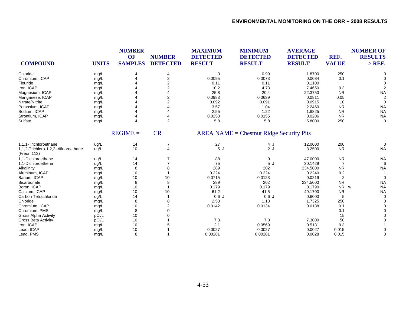| <b>COMPOUND</b>                                      | <b>UNITS</b> | <b>NUMBER</b><br>OF<br><b>SAMPLES</b> | <b>NUMBER</b><br><b>DETECTED</b> | <b>MAXIMUM</b><br><b>DETECTED</b><br><b>RESULT</b> | <b>MINIMUM</b><br><b>DETECTED</b><br><b>RESULT</b> | <b>AVERAGE</b><br><b>DETECTED</b><br><b>RESULT</b> | REF.<br><b>VALUE</b> | <b>NUMBER OF</b><br><b>RESULTS</b><br>$>$ REF. |
|------------------------------------------------------|--------------|---------------------------------------|----------------------------------|----------------------------------------------------|----------------------------------------------------|----------------------------------------------------|----------------------|------------------------------------------------|
| Chloride                                             | mg/L         | 4                                     | 4                                | 3                                                  | 0.99                                               | 1.8700                                             | 250                  |                                                |
| Chromium, ICAP                                       | mg/L         |                                       | 2                                | 0.0095                                             | 0.0073                                             | 0.0084                                             | 0.1                  |                                                |
| Flouride                                             | mg/L         |                                       | $\overline{2}$                   | 0.11                                               | 0.11                                               | 0.1100                                             |                      |                                                |
| Iron, ICAP                                           | mg/L         |                                       | 2                                | 10.2                                               | 4.73                                               | 7.4650                                             | 0.3                  |                                                |
| Magnesium, ICAP                                      | mg/L         |                                       |                                  | 25.8                                               | 20.4                                               | 22.3750                                            | <b>NR</b>            | <b>NA</b>                                      |
| Manganese, ICAP                                      | mg/L         |                                       | 2                                | 0.0983                                             | 0.0639                                             | 0.0811                                             | 0.05                 | $\overline{2}$                                 |
| Nitrate/Nitrite                                      | mg/L         |                                       | $\overline{2}$                   | 0.092                                              | 0.091                                              | 0.0915                                             | 10                   | $\Omega$                                       |
| Potassium, ICAP                                      | mg/L         |                                       |                                  | 3.57                                               | 1.04                                               | 2.2450                                             | <b>NR</b>            | <b>NA</b>                                      |
| Sodium, ICAP                                         | mg/L         |                                       |                                  | 2.55                                               | 1.22                                               | 1.8825                                             | <b>NR</b>            | <b>NA</b>                                      |
| Strontium, ICAP                                      | mg/L         |                                       | 4                                | 0.0253                                             | 0.0155                                             | 0.0206                                             | <b>NR</b>            | <b>NA</b>                                      |
| Sulfate                                              | mg/L         | 4                                     | 2                                | 5.8                                                | 5.8                                                | 5.8000                                             | 250                  | $\Omega$                                       |
|                                                      |              | $REGIME =$                            | <b>CR</b>                        |                                                    | $AREA NAME = Chestnut Ridge Security Pits$         |                                                    |                      |                                                |
| 1.1.1-Trichloroethane                                | ug/L         | 14                                    | 7                                | 27                                                 | 4 J                                                | 12.0000                                            | 200                  | $\Omega$                                       |
| 1,1,2-Trichloro-1,2,2-trifluoroethane<br>(Freon 113) | ug/L         | 10                                    | 4                                | 5J                                                 | 2J                                                 | 3.2500                                             | <b>NR</b>            | <b>NA</b>                                      |
| 1,1-Dichloroethane                                   | ug/L         | 14                                    |                                  | 88                                                 | 9                                                  | 47.0000                                            | <b>NR</b>            | <b>NA</b>                                      |
| 1,1-Dichloroethene                                   | ug/L         | 14                                    |                                  | 75                                                 | 5J                                                 | 30.1429                                            | $\overline{7}$       | 6                                              |
| Alkalinity                                           | mg/L         | 8                                     | 8                                | 289                                                | 202                                                | 234.5000                                           | <b>NR</b>            | <b>NA</b>                                      |
| Aluminum, ICAP                                       | mg/L         | 10                                    |                                  | 0.224                                              | 0.224                                              | 0.2240                                             | 0.2                  |                                                |
| Barium, ICAP                                         | mg/L         | 10                                    | 10                               | 0.0715                                             | 0.0123                                             | 0.0219                                             | $\overline{2}$       | $\Omega$                                       |
| <b>Bicarbonate</b>                                   | mg/L         | 8                                     | 8                                | 289                                                | 202                                                | 234.5000                                           | <b>NR</b>            | NA                                             |
| Boron, ICAP                                          | mg/L         | 10                                    |                                  | 0.179                                              | 0.179                                              | 0.1790                                             | <b>NR</b>            | <b>NA</b><br><b>W</b>                          |
| Calcium, ICAP                                        | mg/L         | 10                                    | 10                               | 61.2                                               | 41.5                                               | 49.1700                                            | <b>NR</b>            | <b>NA</b>                                      |
| Carbon Tetrachloride                                 | ug/L         | 14                                    |                                  | 0.6J                                               | 0.6J                                               | 0.6000                                             | 5                    | $\Omega$                                       |
| Chloride                                             | mg/L         | 8                                     | 8                                | 2.53                                               | 1.13                                               | 1.7325                                             | 250                  |                                                |
| Chromium, ICAP                                       | mg/L         | 10                                    | $\overline{2}$                   | 0.0142                                             | 0.0134                                             | 0.0138                                             | 0.1                  |                                                |
| Chromium, PMS                                        | mg/L         | 8                                     |                                  |                                                    |                                                    |                                                    | 0.1                  |                                                |
| <b>Gross Alpha Activity</b>                          | pCi/L        | 10                                    |                                  |                                                    |                                                    |                                                    | 15                   |                                                |
| <b>Gross Beta Activity</b>                           | pCi/L        | 10                                    |                                  | 7.3                                                | 7.3                                                | 7.3000                                             | 50                   |                                                |
| Iron, ICAP                                           | mg/L         | 10                                    |                                  | 2.1                                                | 0.0569                                             | 0.5131                                             | 0.3                  |                                                |
| Lead, ICAP                                           | mg/L         | 10                                    |                                  | 0.0027                                             | 0.0027                                             | 0.0027                                             | 0.015                |                                                |
| Lead, PMS                                            | mg/L         | 8                                     |                                  | 0.00281                                            | 0.00281                                            | 0.0028                                             | 0.015                | 0                                              |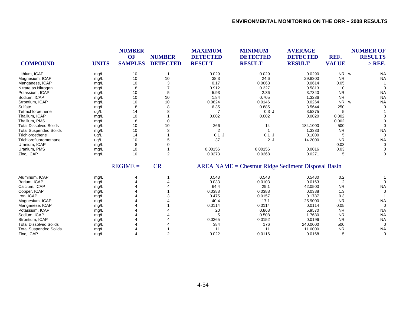|                               |              | <b>NUMBER</b><br><b>OF</b> | <b>NUMBER</b>   | <b>MAXIMUM</b><br><b>DETECTED</b> | <b>MINIMUM</b><br><b>DETECTED</b>                  | <b>AVERAGE</b><br><b>DETECTED</b> | REF.                       | <b>NUMBER OF</b><br><b>RESULTS</b> |
|-------------------------------|--------------|----------------------------|-----------------|-----------------------------------|----------------------------------------------------|-----------------------------------|----------------------------|------------------------------------|
| <b>COMPOUND</b>               | <b>UNITS</b> | <b>SAMPLES</b>             | <b>DETECTED</b> | <b>RESULT</b>                     | <b>RESULT</b>                                      | <b>RESULT</b>                     | <b>VALUE</b>               | $>$ REF.                           |
| Lithium, ICAP                 | mg/L         | 10                         | -1              | 0.029                             | 0.029                                              | 0.0290                            | NR w                       | <b>NA</b>                          |
| Magnesium, ICAP               | mg/L         | 10                         | 10              | 38.3                              | 24.6                                               | 29.8300                           | <b>NR</b>                  | <b>NA</b>                          |
| Manganese, ICAP               | mg/L         | 10                         | 3               | 0.17                              | 0.0063                                             | 0.0614                            | 0.05                       |                                    |
| Nitrate as Nitrogen           | mg/L         | 8                          |                 | 0.912                             | 0.327                                              | 0.5813                            | 10                         |                                    |
| Potassium, ICAP               | mg/L         | 10                         | 5               | 5.93                              | 2.36                                               | 3.7340                            | <b>NR</b>                  | <b>NA</b>                          |
| Sodium, ICAP                  | mg/L         | 10                         | 10              | 1.84                              | 0.705                                              | 1.3236                            | <b>NR</b>                  | <b>NA</b>                          |
| Strontium, ICAP               | mg/L         | 10                         | 10              | 0.0824                            | 0.0146                                             | 0.0264                            | N <sub>R</sub><br><b>W</b> | <b>NA</b>                          |
| Sulfate                       | mg/L         | 8                          | 8               | 6.35                              | 0.885                                              | 3.5644                            | 250                        | $\Omega$                           |
| Tetrachloroethene             | ug/L         | 14                         |                 |                                   | 0.3J                                               | 3.5375                            | 5                          |                                    |
| Thallium, ICAP                | mg/L         | 10                         |                 | 0.002                             | 0.002                                              | 0.0020                            | 0.002                      |                                    |
| Thallium, PMS                 | mg/L         | 8                          | 0               |                                   |                                                    |                                   | 0.002                      |                                    |
| <b>Total Dissolved Solids</b> | mg/L         | 10                         | 10              | 266                               | 14                                                 | 184.1000                          | 500                        |                                    |
| <b>Total Suspended Solids</b> | mg/L         | 10                         | 3               | 2                                 |                                                    | 1.3333                            | <b>NR</b>                  | <b>NA</b>                          |
| Trichloroethene               | ug/L         | 14                         |                 | $0.1$ J                           | $0.1$ J                                            | 0.1000                            | 5                          | $\Omega$                           |
| Trichlorofluoromethane        | ug/L         | 10                         | 5               | 37                                | 2J                                                 | 14.2000                           | <b>NR</b>                  | <b>NA</b>                          |
| Uranium, ICAP                 | mg/L         | 8                          |                 |                                   |                                                    |                                   | 0.03                       | $\Omega$                           |
| Uranium, PMS                  | mg/L         | 10                         |                 | 0.00156                           | 0.00156                                            | 0.0016                            | 0.03                       |                                    |
| Zinc, ICAP                    | mg/L         | 10                         | 2               | 0.0273                            | 0.0268                                             | 0.0271                            | 5                          | $\Omega$                           |
|                               |              | $REGIME =$                 | <b>CR</b>       |                                   | AREA NAME = Chestnut Ridge Sediment Disposal Basin |                                   |                            |                                    |
| Aluminum, ICAP                | mg/L         |                            |                 | 0.548                             | 0.548                                              | 0.5480                            | 0.2                        |                                    |
| Barium, ICAP                  | mg/L         |                            |                 | 0.033                             | 0.0103                                             | 0.0163                            | 2                          |                                    |
| Calcium, ICAP                 | mg/L         |                            |                 | 64.4                              | 29.1                                               | 42.0500                           | <b>NR</b>                  | <b>NA</b>                          |
| Copper, ICAP                  | mg/L         |                            |                 | 0.0388                            | 0.0388                                             | 0.0388                            | 1.3                        |                                    |
| Iron, ICAP                    | mg/L         |                            |                 | 0.475                             | 0.0157                                             | 0.1787                            | 0.3                        |                                    |
| Magnesium, ICAP               | mg/L         |                            |                 | 40.4                              | 17.1                                               | 25.9000                           | <b>NR</b>                  | <b>NA</b>                          |
| Manganese, ICAP               | mg/L         |                            |                 | 0.0114                            | 0.0114                                             | 0.0114                            | 0.05                       | $\Omega$                           |
| Potassium, ICAP               | mg/L         |                            |                 | 20                                | 0.868                                              | 5.9570                            | <b>NR</b>                  | <b>NA</b>                          |
| Sodium, ICAP                  | mg/L         |                            |                 | 5                                 | 0.508                                              | 1.7680                            | <b>NR</b>                  | <b>NA</b>                          |
| Strontium, ICAP               | mg/L         |                            |                 | 0.0265                            | 0.0152                                             | 0.0196                            | <b>NR</b>                  | <b>NA</b>                          |
| <b>Total Dissolved Solids</b> | mg/L         |                            |                 | 384                               | 176                                                | 240.0000                          | 500                        | $\Omega$                           |
| <b>Total Suspended Solids</b> | mg/L         |                            |                 | 11                                | 11                                                 | 11.0000                           | <b>NR</b>                  | <b>NA</b>                          |
| Zinc, ICAP                    | mg/L         |                            | 2               | 0.022                             | 0.0116                                             | 0.0168                            | 5                          | $\Omega$                           |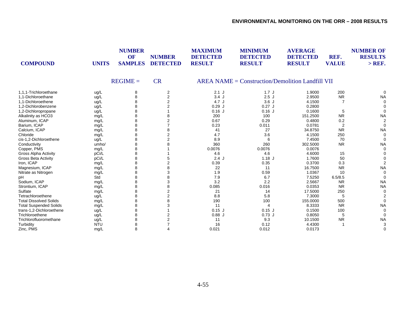| <b>COMPOUND</b>               | <b>UNITS</b> | <b>NUMBER</b><br>OF<br><b>SAMPLES</b> | <b>NUMBER</b><br><b>DETECTED</b> | <b>MAXIMUM</b><br><b>DETECTED</b><br><b>RESULT</b> | <b>MINIMUM</b><br><b>DETECTED</b><br><b>RESULT</b> | <b>AVERAGE</b><br><b>DETECTED</b><br><b>RESULT</b> | REF.<br><b>VALUE</b> | <b>NUMBER OF</b><br><b>RESULTS</b><br>$>$ REF. |
|-------------------------------|--------------|---------------------------------------|----------------------------------|----------------------------------------------------|----------------------------------------------------|----------------------------------------------------|----------------------|------------------------------------------------|
|                               |              | $REGIME =$                            | <b>CR</b>                        |                                                    | $AREA NAME = Construction/Demolition Landfill VII$ |                                                    |                      |                                                |
| 1.1.1-Trichloroethane         | ug/L         | 8                                     | 2                                | $2.1$ J                                            | 1.7J                                               | 1.9000                                             | 200                  |                                                |
| 1.1-Dichloroethane            | ug/L         | 8                                     | 2                                | 3.4J                                               | 2.5J                                               | 2.9500                                             | <b>NR</b>            | <b>NA</b>                                      |
| 1.1-Dichloroethene            | ug/L         | 8                                     | $\overline{2}$                   | 4.7 J                                              | 3.6J                                               | 4.1500                                             | 7                    |                                                |
| 1.2-Dichlorobenzene           | ug/L         | 8                                     | $\overline{2}$                   | 0.29J                                              | $0.27$ J                                           | 0.2800                                             |                      |                                                |
| 1,2-Dichloropropane           | ug/L         | 8                                     |                                  | $0.16$ J                                           | $0.16$ J                                           | 0.1600                                             | 5                    |                                                |
| Alkalinity as HCO3            | mg/L         | 8                                     | 8                                | 200                                                | 100                                                | 151.2500                                           | <b>NR</b>            | <b>NA</b>                                      |
| Aluminum, ICAP                | mg/L         | 8                                     | 2                                | 0.67                                               | 0.29                                               | 0.4800                                             | 0.2                  |                                                |
| Barium, ICAP                  | mg/L         | 8                                     |                                  | 0.23                                               | 0.011                                              | 0.0781                                             | $\overline{2}$       |                                                |
| Calcium, ICAP                 | mg/L         | 8                                     |                                  | 41                                                 | 27                                                 | 34.8750                                            | <b>NR</b>            | <b>NA</b>                                      |
| Chloride                      | mg/L         | 8                                     | $\overline{2}$                   | 4.7                                                | 3.6                                                | 4.1500                                             | 250                  | 0                                              |
| cis-1,2-Dichloroethene        | ug/L         | 8                                     | 2                                | 8.9                                                | 6                                                  | 7.4500                                             | 70                   | 0                                              |
| Conductivity                  | umho/        | 8                                     |                                  | 360                                                | 260                                                | 302.5000                                           | <b>NR</b>            | <b>NA</b>                                      |
| Copper, PMS                   | mg/L         | 8                                     |                                  | 0.0076                                             | 0.0076                                             | 0.0076                                             |                      |                                                |
| Gross Alpha Activity          | pCi/L        | 8                                     |                                  | 4.6                                                | 4.6                                                | 4.6000                                             | 15                   |                                                |
| Gross Beta Activity           | pCi/L        | 8                                     | 5                                | $2.4$ J                                            | $1.18$ J                                           | 1.7600                                             | 50                   |                                                |
| Iron, ICAP                    | mg/L         | 8                                     |                                  | 0.39                                               | 0.35                                               | 0.3700                                             | 0.3                  |                                                |
| Magnesium, ICAP               | mg/L         | 8                                     |                                  | 22                                                 | 11                                                 | 16.7500                                            | <b>NR</b>            | <b>NA</b>                                      |
| Nitrate as Nitrogen           | mg/L         | 8                                     |                                  | 1.9                                                | 0.59                                               | 1.0367                                             | 10                   |                                                |
| pH                            | Std          | 8                                     |                                  | 7.9                                                | 6.7                                                | 7.5250                                             | 6.5/8.5              |                                                |
| Sodium, ICAP                  | mg/L         | 8                                     | 3                                | 3.2                                                | 2.2                                                | 2.5667                                             | <b>NR</b>            | <b>NA</b>                                      |
| Strontium, ICAP               | mg/L         | 8                                     | 8                                | 0.085                                              | 0.016                                              | 0.0353                                             | <b>NR</b>            | <b>NA</b>                                      |
| Sulfate                       | mg/L         | 8                                     | $\overline{2}$                   | 21                                                 | 14                                                 | 17.5000                                            | 250                  |                                                |
| Tetrachloroethene             | ug/L         | 8                                     | $\overline{2}$                   | 8.8                                                | 5.8                                                | 7.3000                                             | 5                    |                                                |
| <b>Total Dissolved Solids</b> | mg/L         | 8                                     |                                  | 190                                                | 100                                                | 155.0000                                           | 500                  |                                                |
| <b>Total Suspended Solids</b> | mg/L         | 8                                     | 3                                | 11                                                 | 4                                                  | 8.3333                                             | <b>NR</b>            | <b>NA</b>                                      |
| trans-1,2-Dichloroethene      | ug/L         | 8                                     |                                  | $0.15$ J                                           | $0.15$ J                                           | 0.1500                                             | 100                  |                                                |
| Trichloroethene               | ug/L         | 8                                     | 2                                | 0.88J                                              | $0.73$ J                                           | 0.8050                                             | 5                    |                                                |
| Trichlorofluoromethane        | ug/L         | 8                                     | $\overline{2}$                   | 11                                                 | 9.3                                                | 10.1500                                            | <b>NR</b>            | <b>NA</b>                                      |
| Turbidity                     | <b>NTU</b>   | 8                                     |                                  | 16                                                 | 0.12                                               | 4.4300                                             |                      |                                                |
| Zinc, PMS                     | mg/L         | 8                                     | 4                                | 0.021                                              | 0.012                                              | 0.0173                                             |                      | 0                                              |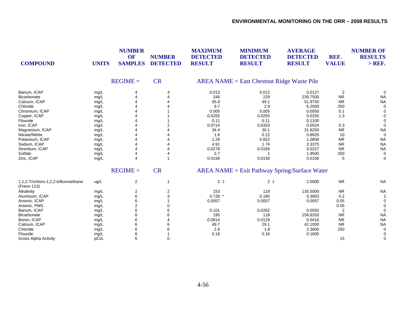| <b>COMPOUND</b>                                      | <b>UNITS</b> | <b>NUMBER</b><br>OF<br><b>SAMPLES</b> | <b>NUMBER</b><br><b>DETECTED</b> | <b>MAXIMUM</b><br><b>DETECTED</b><br><b>RESULT</b> | <b>MINIMUM</b><br><b>DETECTED</b><br><b>RESULT</b> | <b>AVERAGE</b><br><b>DETECTED</b><br><b>RESULT</b> | REF.<br><b>VALUE</b> | <b>NUMBER OF</b><br><b>RESULTS</b><br>$>$ REF. |
|------------------------------------------------------|--------------|---------------------------------------|----------------------------------|----------------------------------------------------|----------------------------------------------------|----------------------------------------------------|----------------------|------------------------------------------------|
|                                                      |              | $REGIME =$                            | <b>CR</b>                        |                                                    | <b>AREA NAME = East Chestnut Ridge Waste Pile</b>  |                                                    |                      |                                                |
| Barium, ICAP                                         | mg/L         |                                       | 4                                | 0.013                                              | 0.012                                              | 0.0127                                             | $\overline{2}$       |                                                |
| Bicarbonate                                          | mg/L         |                                       |                                  | 246                                                | 229                                                | 239.7500                                           | ${\sf NR}$           | <b>NA</b>                                      |
| Calcium, ICAP                                        | mg/L         |                                       |                                  | 55.8                                               | 49.1                                               | 51.9750                                            | <b>NR</b>            | <b>NA</b>                                      |
| Chloride                                             | mg/L         |                                       |                                  | 9.7                                                | 2.9                                                | 6.2500                                             | 250                  |                                                |
| Chromium, ICAP                                       | mg/L         |                                       |                                  | 0.005                                              | 0.005                                              | 0.0050                                             | 0.1                  |                                                |
| Copper, ICAP                                         | mg/L         |                                       |                                  | 0.0255                                             | 0.0255                                             | 0.0255                                             | 1.3                  |                                                |
| Flouride                                             | mg/L         |                                       |                                  | 0.11                                               | 0.11                                               | 0.1100                                             |                      |                                                |
| Iron, ICAP                                           | mg/L         |                                       |                                  | 0.0714                                             | 0.0333                                             | 0.0524                                             | 0.3                  |                                                |
| Magnesium, ICAP                                      | mg/L         |                                       |                                  | 34.4                                               | 30.1                                               | 31.8250                                            | ${\sf NR}$           | <b>NA</b>                                      |
| Nitrate/Nitrite                                      | mg/L         |                                       |                                  | 1.6                                                | 0.22                                               | 0.8925                                             | 10                   | 0                                              |
| Potassium, ICAP                                      | mg/L         |                                       |                                  | 1.29                                               | 0.822                                              | 1.0808                                             | <b>NR</b>            | <b>NA</b>                                      |
| Sodium, ICAP                                         | mg/L         |                                       |                                  | 4.91                                               | 1.74                                               | 3.3375                                             | <b>NR</b>            | <b>NA</b>                                      |
| Strontium, ICAP                                      | mg/L         |                                       |                                  | 0.0278                                             | 0.0185                                             | 0.0227                                             | <b>NR</b>            | <b>NA</b>                                      |
| Sulfate                                              | mg/L         |                                       |                                  | 2.7                                                |                                                    | 1.9500                                             | 250                  | 0                                              |
| Zinc, ICAP                                           | mg/L         | 4                                     | 1                                | 0.0158                                             | 0.0158                                             | 0.0158                                             | 5                    | $\mathbf 0$                                    |
|                                                      |              | $REGIME =$                            | <b>CR</b>                        |                                                    | $AREA NAME = Exist Pathway Spring/Surface Water$   |                                                    |                      |                                                |
| 1,1,2-Trichloro-1,2,2-trifluoroethane<br>(Freon 113) | ug/L         | $\overline{c}$                        | 1                                | 2J                                                 | 2J                                                 | 2.0000                                             | ${\sf NR}$           | <b>NA</b>                                      |
| Alkalinity                                           | mg/L         | 2                                     | 2                                | 153                                                | 118                                                | 135.5000                                           | <b>NR</b>            | <b>NA</b>                                      |
| Aluminum, ICAP                                       | mg/L         | 6                                     | 3                                | $0.728$ *                                          | 0.185                                              | 0.3683                                             | 0.2                  |                                                |
| Arsenic, ICAP                                        | mg/L         | 6                                     |                                  | 0.0057                                             | 0.0057                                             | 0.0057                                             | 0.05                 |                                                |
| Arsenic, PMS                                         | mg/L         | $\overline{2}$                        |                                  |                                                    |                                                    |                                                    | 0.05                 |                                                |
| Barium, ICAP                                         | mg/L         | 6                                     |                                  | 0.101                                              | 0.0262                                             | 0.0592                                             | $\overline{2}$       |                                                |
| Bicarbonate                                          | mg/L         | 6                                     | 6                                | 195                                                | 118                                                | 156.8333                                           | ${\sf NR}$           | <b>NA</b>                                      |
| Boron, ICAP                                          | mg/L         | 6                                     |                                  | 0.0814                                             | 0.0129                                             | 0.0416                                             | <b>NR</b>            | <b>NA</b>                                      |
| Calcium, ICAP                                        | mg/L         | 6                                     |                                  | 49.7                                               | 29.1                                               | 42.1000                                            | <b>NR</b>            | <b>NA</b>                                      |
| Chloride                                             | mg/L         | 6                                     |                                  | 2.8                                                | 1.8                                                | 2.3600                                             | 250                  | 0                                              |
| Flouride                                             | mg/L         | 6                                     |                                  | 0.16                                               | 0.16                                               | 0.1600                                             |                      |                                                |
| Gross Alpha Activity                                 | pCi/L        | 6                                     | 0                                |                                                    |                                                    |                                                    | 15                   | 0                                              |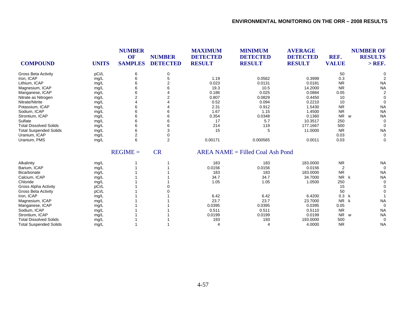|                               |              | <b>NUMBER</b><br>OF | <b>NUMBER</b>   | <b>MAXIMUM</b><br><b>DETECTED</b> | <b>MINIMUM</b><br><b>DETECTED</b>  | <b>AVERAGE</b><br><b>DETECTED</b> | REF.           | <b>NUMBER OF</b><br><b>RESULTS</b> |
|-------------------------------|--------------|---------------------|-----------------|-----------------------------------|------------------------------------|-----------------------------------|----------------|------------------------------------|
| <b>COMPOUND</b>               | <b>UNITS</b> | <b>SAMPLES</b>      | <b>DETECTED</b> | <b>RESULT</b>                     | <b>RESULT</b>                      | <b>RESULT</b>                     | <b>VALUE</b>   | $>$ REF.                           |
| <b>Gross Beta Activity</b>    | pCi/L        | 6                   | 0               |                                   |                                    |                                   | 50             | O                                  |
| Iron, ICAP                    | mg/L         | 6                   | 5               | 1.19                              | 0.0562                             | 0.3999                            | 0.3            |                                    |
| Lithium, ICAP                 | mg/L         | 6                   |                 | 0.023                             | 0.0131                             | 0.0181                            | <b>NR</b>      | <b>NA</b>                          |
| Magnesium, ICAP               | mg/L         | 6                   | 6               | 19.3                              | 10.5                               | 14.2000                           | <b>NR</b>      | <b>NA</b>                          |
| Manganese, ICAP               | mg/L         | 6                   |                 | 0.186                             | 0.025                              | 0.0884                            | 0.05           | $\overline{2}$                     |
| Nitrate as Nitrogen           | mg/L         | 2                   |                 | 0.807                             | 0.0829                             | 0.4450                            | 10             | $\Omega$                           |
| Nitrate/Nitrite               | mg/L         |                     |                 | 0.52                              | 0.094                              | 0.2210                            | 10             | $\Omega$                           |
| Potassium, ICAP               | mg/L         | 6                   |                 | 2.31                              | 0.912                              | 1.5430                            | <b>NR</b>      | <b>NA</b>                          |
| Sodium, ICAP                  | mg/L         | 6                   |                 | 1.67                              | 1.15                               | 1.4500                            | <b>NR</b>      | <b>NA</b>                          |
| Strontium, ICAP               | mg/L         | 6                   | 6               | 0.354                             | 0.0348                             | 0.1360                            | <b>NR</b>      | <b>NA</b><br>W                     |
| Sulfate                       | mg/L         | 6                   | 6               | 17                                | 5.7                                | 10.3517                           | 250            | $\Omega$                           |
| <b>Total Dissolved Solids</b> | mg/L         | 6                   | 6               | 214                               | 119                                | 177.1667                          | 500            | $\Omega$                           |
| <b>Total Suspended Solids</b> | mg/L         | 6                   | 3               | 15                                | 5                                  | 11.0000                           | <b>NR</b>      | <b>NA</b>                          |
| Uranium, ICAP                 | mg/L         | $\overline{2}$      | 0               |                                   |                                    |                                   | 0.03           | 0                                  |
| Uranium, PMS                  | mg/L         | 6                   | $\overline{2}$  | 0.00171                           | 0.000565                           | 0.0011                            | 0.03           | 0                                  |
|                               |              | $REGIME =$          | <b>CR</b>       |                                   | $AREA NAME = Filled coal Ash Pond$ |                                   |                |                                    |
| Alkalinity                    | mg/L         |                     |                 | 183                               | 183                                | 183.0000                          | <b>NR</b>      | <b>NA</b>                          |
| Barium, ICAP                  | mg/L         |                     |                 | 0.0156                            | 0.0156                             | 0.0156                            | $\overline{2}$ | $\mathbf 0$                        |
| Bicarbonate                   | mg/L         |                     |                 | 183                               | 183                                | 183.0000                          | <b>NR</b>      | <b>NA</b>                          |
| Calcium, ICAP                 | mg/L         |                     |                 | 34.7                              | 34.7                               | 34.7000                           | <b>NR</b>      | <b>NA</b><br>k                     |
| Chloride                      | mg/L         |                     |                 | 1.05                              | 1.05                               | 1.0500                            | 250            | $\Omega$                           |
| <b>Gross Alpha Activity</b>   | pCi/L        |                     |                 |                                   |                                    |                                   | 15             | $\Omega$                           |
| Gross Beta Activity           | pCi/L        |                     |                 |                                   |                                    |                                   | 50             |                                    |
| Iron, ICAP                    | mg/L         |                     |                 | 6.42                              | 6.42                               | 6.4200                            | 0.3            | k                                  |
| Magnesium, ICAP               | mg/L         |                     |                 | 23.7                              | 23.7                               | 23.7000                           | <b>NR</b>      | k<br><b>NA</b>                     |
| Manganese, ICAP               | mg/L         |                     |                 | 0.0395                            | 0.0395                             | 0.0395                            | 0.05           | $\Omega$                           |
| Sodium, ICAP                  | mg/L         |                     |                 | 0.511                             | 0.511                              | 0.5110                            | <b>NR</b>      | <b>NA</b>                          |
| Strontium, ICAP               | mg/L         |                     |                 | 0.0199                            | 0.0199                             | 0.0199                            | <b>NR</b>      | <b>NA</b><br>w                     |
| <b>Total Dissolved Solids</b> | mg/L         |                     |                 | 193                               | 193                                | 193.0000                          | 500            | $\Omega$                           |
| <b>Total Suspended Solids</b> | mg/L         |                     |                 | $\overline{4}$                    | 4                                  | 4.0000                            | <b>NR</b>      | <b>NA</b>                          |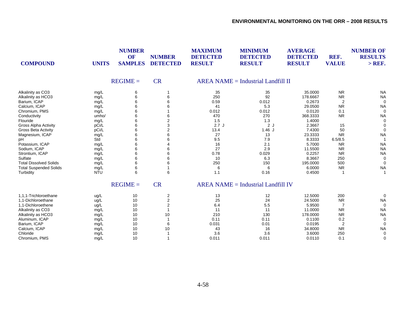| <b>COMPOUND</b>               | <b>UNITS</b> | <b>NUMBER</b><br>OF<br><b>SAMPLES</b> | <b>NUMBER</b><br><b>DETECTED</b> | <b>MAXIMUM</b><br><b>DETECTED</b><br><b>RESULT</b> | <b>MINIMUM</b><br><b>DETECTED</b><br><b>RESULT</b> | <b>AVERAGE</b><br><b>DETECTED</b><br><b>RESULT</b> | REF.<br><b>VALUE</b> | <b>NUMBER OF</b><br><b>RESULTS</b><br>$>$ REF. |
|-------------------------------|--------------|---------------------------------------|----------------------------------|----------------------------------------------------|----------------------------------------------------|----------------------------------------------------|----------------------|------------------------------------------------|
|                               |              | $REGIME =$                            | <b>CR</b>                        |                                                    | $AREA NAME = Industrial Landfill II$               |                                                    |                      |                                                |
| Alkalinity as CO3             | mg/L         | 6                                     |                                  | 35                                                 | 35                                                 | 35.0000                                            | <b>NR</b>            | <b>NA</b>                                      |
| Alkalinity as HCO3            | mg/L         | 6                                     | 6                                | 250                                                | 92                                                 | 178.6667                                           | <b>NR</b>            | <b>NA</b>                                      |
| Barium, ICAP                  | mg/L         |                                       |                                  | 0.59                                               | 0.012                                              | 0.2673                                             | $\overline{c}$       | $\Omega$                                       |
| Calcium, ICAP                 | mg/L         | 6                                     |                                  | 41                                                 | 5.3                                                | 29.0500                                            | <b>NR</b>            | <b>NA</b>                                      |
| Chromium, PMS                 | mg/L         | 6                                     |                                  | 0.012                                              | 0.012                                              | 0.0120                                             | 0.1                  | $\Omega$                                       |
| Conductivity                  | umho/        |                                       | 6                                | 470                                                | 270                                                | 368.3333                                           | <b>NR</b>            | <b>NA</b>                                      |
| Flouride                      | mg/L         | 6                                     | $\overline{2}$                   | 1.5                                                | 1.3                                                | 1.4000                                             |                      | 0                                              |
| <b>Gross Alpha Activity</b>   | pCi/L        |                                       | 3                                | 2.7J                                               | 2J                                                 | 2.3667                                             | 15                   |                                                |
| <b>Gross Beta Activity</b>    | pCi/L        | 6                                     | 2                                | 13.4                                               | 1.46J                                              | 7.4300                                             | 50                   |                                                |
| Magnesium, ICAP               | mg/L         | 6                                     | 6                                | 27                                                 | 13                                                 | 23.3333                                            | <b>NR</b>            | <b>NA</b>                                      |
| pH                            | Std          | 6                                     | 6                                | 9.5                                                | 7.9                                                | 8.3333                                             | 6.5/8.5              |                                                |
| Potassium, ICAP               | mg/L         | 6                                     |                                  | 16                                                 | 2.1                                                | 5.7000                                             | <b>NR</b>            | <b>NA</b>                                      |
| Sodium, ICAP                  | mg/L         |                                       |                                  | 27                                                 | 2.9                                                | 11.5500                                            | <b>NR</b>            | <b>NA</b>                                      |
| Strontium, ICAP               | mg/L         |                                       | 6                                | 0.78                                               | 0.029                                              | 0.2257                                             | <b>NR</b>            | <b>NA</b>                                      |
| Sulfate                       | mg/L         | 6                                     | 6                                | 10                                                 | 6.3                                                | 8.3667                                             | 250                  | $\Omega$                                       |
| <b>Total Dissolved Solids</b> | mg/L         | 6                                     | 6                                | 250                                                | 150                                                | 195.0000                                           | 500                  | $\Omega$                                       |
| <b>Total Suspended Solids</b> | mg/L         | 6                                     |                                  | 6                                                  | 6                                                  | 6.0000                                             | <b>NR</b>            | <b>NA</b>                                      |
| Turbidity                     | <b>NTU</b>   | 6                                     | 6                                | 1.1                                                | 0.16                                               | 0.4500                                             |                      |                                                |
|                               |              | $REGIME =$                            | <b>CR</b>                        |                                                    | $AREA NAME = Industrial Landfill IV$               |                                                    |                      |                                                |
| 1.1.1-Trichloroethane         | ug/L         | 10                                    | $\overline{c}$                   | 13                                                 | 12                                                 | 12.5000                                            | 200                  | 0                                              |
| 1.1-Dichloroethane            | ug/L         | 10                                    | $\overline{2}$                   | 25                                                 | 24                                                 | 24.5000                                            | <b>NR</b>            | <b>NA</b>                                      |
| 1,1-Dichloroethene            | ug/L         | 10                                    | 2                                | 6.4                                                | 5.5                                                | 5.9500                                             | 7                    | $\Omega$                                       |
| Alkalinity as CO3             | mg/L         | 10                                    |                                  | 11                                                 | 11                                                 | 11.0000                                            | <b>NR</b>            | <b>NA</b>                                      |
| Alkalinity as HCO3            | mg/L         | 10                                    | 10                               | 210                                                | 130                                                | 178.0000                                           | <b>NR</b>            | <b>NA</b>                                      |
| Aluminum, ICAP                | mg/L         | 10                                    |                                  | 0.11                                               | 0.11                                               | 0.1100                                             | 0.2                  | 0                                              |
| Barium, ICAP                  | mg/L         | 10                                    | 6                                | 0.031                                              | 0.01                                               | 0.0195                                             | 2                    | $\Omega$                                       |
| Calcium, ICAP                 | mg/L         | 10                                    | 10                               | 43                                                 | 16                                                 | 34.8000                                            | <b>NR</b>            | <b>NA</b>                                      |
| Chloride                      | mg/L         | 10                                    |                                  | 3.6                                                | 3.6                                                | 3.6000                                             | 250                  | $\Omega$                                       |
| Chromium, PMS                 | mg/L         | 10                                    |                                  | 0.011                                              | 0.011                                              | 0.0110                                             | 0.1                  | 0                                              |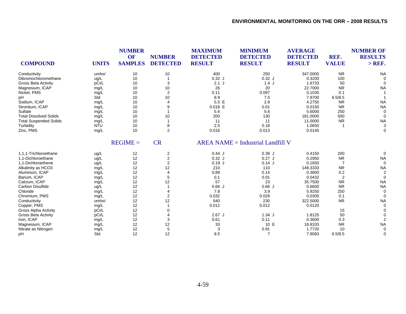| <b>COMPOUND</b>               | <b>UNITS</b> | <b>NUMBER</b><br>OF<br><b>SAMPLES</b> | <b>NUMBER</b><br><b>DETECTED</b> | <b>MAXIMUM</b><br><b>DETECTED</b><br><b>RESULT</b> | <b>MINIMUM</b><br><b>DETECTED</b><br><b>RESULT</b> | <b>AVERAGE</b><br><b>DETECTED</b><br><b>RESULT</b> | REF.<br><b>VALUE</b> | <b>NUMBER OF</b><br><b>RESULTS</b><br>$>$ REF. |
|-------------------------------|--------------|---------------------------------------|----------------------------------|----------------------------------------------------|----------------------------------------------------|----------------------------------------------------|----------------------|------------------------------------------------|
| Conductivity                  | umho/        | 10                                    | 10                               | 400                                                | 250                                                | 347.0000                                           | <b>NR</b>            | <b>NA</b>                                      |
| Dibromochloromethane          | ug/L         | 10                                    | -1                               | $0.32$ J                                           | $0.32$ J                                           | 0.3200                                             | 100                  |                                                |
| <b>Gross Beta Activity</b>    | pCi/L        | 10                                    | 3                                | $2.1$ J                                            | 1.4J                                               | 1.6733                                             | 50                   |                                                |
| Magnesium, ICAP               | mg/L         | 10                                    | 10                               | 26                                                 | 20                                                 | 22.7000                                            | <b>NR</b>            | <b>NA</b>                                      |
| Nickel, PMS                   | mg/L         | 10                                    | 2                                | 0.11                                               | 0.097                                              | 0.1035                                             | 0.1                  |                                                |
| pH                            | Std          | 10                                    | $10$                             | 8.9                                                | 7.5                                                | 7.9700                                             | 6.5/8.5              |                                                |
| Sodium, ICAP                  | mg/L         | 10                                    | 4                                | 5.5 E                                              | 2.8                                                | 4.2750                                             | <b>NR</b>            | <b>NA</b>                                      |
| Strontium, ICAP               | mg/L         | 10                                    | 9                                | $0.018$ E                                          | 0.01                                               | 0.0150                                             | <b>NR</b>            | <b>NA</b>                                      |
| Sulfate                       | mg/L         | 10                                    |                                  | 5.6                                                | 5.6                                                | 5.6000                                             | 250                  | $\Omega$                                       |
| <b>Total Dissolved Solids</b> | mg/L         | 10                                    | 10                               | 200                                                | 130                                                | 181.0000                                           | 500                  | $\Omega$                                       |
| <b>Total Suspended Solids</b> | mg/L         | 10                                    |                                  | 11                                                 | 11                                                 | 11.0000                                            | <b>NR</b>            | <b>NA</b>                                      |
| Turbidity                     | <b>NTU</b>   | 10                                    | 8                                | 2.5                                                | 0.18                                               | 1.0650                                             | -1                   | 3                                              |
| Zinc, PMS                     | mg/L         | 10                                    | $\overline{2}$                   | 0.016                                              | 0.013                                              | 0.0145                                             |                      | $\Omega$                                       |
|                               |              | $REGIME =$                            | <b>CR</b>                        |                                                    | $AREA NAME = Industrial Landfill V$                |                                                    |                      |                                                |
| 1,1,1-Trichloroethane         | ug/L         | 12                                    | 2                                | 0.44J                                              | 0.39J                                              | 0.4150                                             | 200                  | $\Omega$                                       |
| 1.1-Dichloroethane            | ug/L         | 12                                    | $\overline{c}$                   | $0.32$ J                                           | $0.27$ J                                           | 0.2950                                             | <b>NR</b>            | <b>NA</b>                                      |
| 1,1-Dichloroethene            | ug/L         | 12                                    | $\overline{c}$                   | 0.19J                                              | 0.14J                                              | 0.1650                                             | $\overline{7}$       | $\Omega$                                       |
| Alkalinity as HCO3            | mg/L         | 12                                    | 12                               | 210                                                | 110                                                | 148.3333                                           | <b>NR</b>            | <b>NA</b>                                      |
| Aluminum, ICAP                | mg/L         | 12                                    | 4                                | 0.89                                               | 0.14                                               | 0.3800                                             | 0.2                  | 2                                              |
| Barium, ICAP                  | mg/L         | 12                                    | 5                                | 0.1                                                | 0.01                                               | 0.0432                                             | $\overline{2}$       | $\Omega$                                       |
| Calcium, ICAP                 | mg/L         | 12                                    | 12                               | 57                                                 | 23                                                 | 35.7500                                            | <b>NR</b>            | <b>NA</b>                                      |
| Carbon Disulfide              | ug/L         | 12                                    |                                  | 0.66J                                              | 0.66J                                              | 0.6600                                             | <b>NR</b>            | <b>NA</b>                                      |
| Chloride                      | mg/L         | 12                                    | 4                                | 7.8                                                | 3.9                                                | 5.9250                                             | 250                  | $\Omega$                                       |
| Chromium, PMS                 | mg/L         | 12                                    | 2                                | 0.032                                              | 0.029                                              | 0.0305                                             | 0.1                  | $\Omega$                                       |
| Conductivity                  | umho/        | 12                                    | 12                               | 540                                                | 230                                                | 322.5000                                           | <b>NR</b>            | <b>NA</b>                                      |
| Copper, PMS                   | mg/L         | 12                                    |                                  | 0.012                                              | 0.012                                              | 0.0120                                             |                      | $\Omega$                                       |
| <b>Gross Alpha Activity</b>   | pCi/L        | 12                                    | 0                                |                                                    |                                                    |                                                    | 15                   |                                                |
| <b>Gross Beta Activity</b>    | pCi/L        | 12                                    |                                  | $2.67$ J                                           | 1.34J                                              | 1.8125                                             | 50                   |                                                |
| Iron, ICAP                    | mg/L         | 12                                    | 3                                | 0.61                                               | 0.11                                               | 0.3600                                             | 0.3                  |                                                |
| Magnesium, ICAP               | mg/L         | 12                                    | 12                               | 33                                                 | 10 E                                               | 18.8333                                            | <b>NR</b>            | <b>NA</b>                                      |
| Nitrate as Nitrogen           | mg/L         | 12                                    | 5                                | 3                                                  | 0.91                                               | 1.7720                                             | 10                   | $\Omega$                                       |
| pH                            | Std          | 12                                    | 12                               | 8.5                                                | $\overline{7}$                                     | 7.9083                                             | 6.5/8.5              | $\Omega$                                       |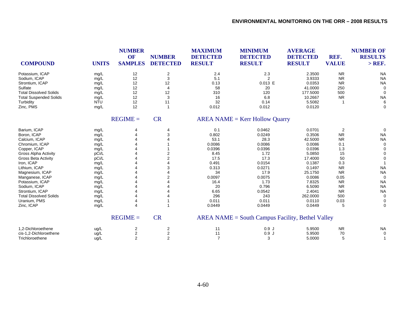| <b>COMPOUND</b>               | <b>UNITS</b> | <b>NUMBER</b><br>OF<br><b>SAMPLES</b> | <b>NUMBER</b><br><b>DETECTED</b> | <b>MAXIMUM</b><br><b>DETECTED</b><br><b>RESULT</b> | <b>MINIMUM</b><br><b>DETECTED</b><br><b>RESULT</b> | <b>AVERAGE</b><br><b>DETECTED</b><br><b>RESULT</b> | REF.<br><b>VALUE</b> | <b>NUMBER OF</b><br><b>RESULTS</b><br>$>$ REF. |
|-------------------------------|--------------|---------------------------------------|----------------------------------|----------------------------------------------------|----------------------------------------------------|----------------------------------------------------|----------------------|------------------------------------------------|
| Potassium, ICAP               | mg/L         | 12                                    | $\overline{c}$                   | 2.4                                                | 2.3                                                | 2.3500                                             | <b>NR</b>            | <b>NA</b>                                      |
| Sodium, ICAP                  | mg/L         | 12                                    | 3                                | 5.1                                                | $\overline{2}$                                     | 3.9333                                             | <b>NR</b>            | <b>NA</b>                                      |
| Strontium, ICAP               | mg/L         | 12                                    | 12                               | 0.13                                               | $0.013$ E                                          | 0.0353                                             | <b>NR</b>            | <b>NA</b>                                      |
| Sulfate                       | mg/L         | 12                                    | 4                                | 58                                                 | 20                                                 | 41.0000                                            | 250                  | $\Omega$                                       |
| <b>Total Dissolved Solids</b> | mg/L         | 12                                    | 12                               | 310                                                | 120                                                | 177.5000                                           | 500                  | $\Omega$                                       |
| <b>Total Suspended Solids</b> | mg/L         | 12                                    | 3                                | 16                                                 | 6.8                                                | 10.2667                                            | <b>NR</b>            | <b>NA</b>                                      |
| Turbidity                     | <b>NTU</b>   | 12                                    | 11                               | 32                                                 | 0.14                                               | 5.5082                                             |                      | 6                                              |
| Zinc, PMS                     | mg/L         | 12                                    | $\mathbf{1}$                     | 0.012                                              | 0.012                                              | 0.0120                                             |                      | $\Omega$                                       |
|                               |              | $REGIME =$                            | <b>CR</b>                        |                                                    | $AREA NAME = Kerr$ Hollow Quarry                   |                                                    |                      |                                                |
| Barium, ICAP                  | mg/L         | 4                                     | 4                                | 0.1                                                | 0.0462                                             | 0.0701                                             | 2                    | 0                                              |
| Boron, ICAP                   | mg/L         | 4                                     | 3                                | 0.802                                              | 0.0249                                             | 0.3506                                             | <b>NR</b>            | <b>NA</b>                                      |
| Calcium, ICAP                 | mg/L         |                                       |                                  | 53.1                                               | 28.3                                               | 42.5000                                            | <b>NR</b>            | <b>NA</b>                                      |
| Chromium, ICAP                | mg/L         |                                       |                                  | 0.0086                                             | 0.0086                                             | 0.0086                                             | 0.1                  | $\mathbf 0$                                    |
| Copper, ICAP                  | mg/L         |                                       |                                  | 0.0396                                             | 0.0396                                             | 0.0396                                             | 1.3                  | $\Omega$                                       |
| <b>Gross Alpha Activity</b>   | pCi/L        |                                       | 2                                | 8.45                                               | 1.72                                               | 5.0850                                             | 15                   | $\Omega$                                       |
| <b>Gross Beta Activity</b>    | pCi/L        |                                       | $\overline{2}$                   | 17.5                                               | 17.3                                               | 17.4000                                            | 50                   | $\Omega$                                       |
| Iron, ICAP                    | mg/L         |                                       |                                  | 0.491                                              | 0.0154                                             | 0.1387                                             | 0.3                  |                                                |
| Lithium, ICAP                 | mg/L         |                                       | 3                                | 0.313                                              | 0.0271                                             | 0.1497                                             | <b>NR</b>            | <b>NA</b>                                      |
| Magnesium, ICAP               | mg/L         |                                       |                                  | 34                                                 | 17.9                                               | 25.1750                                            | <b>NR</b>            | <b>NA</b>                                      |
| Manganese, ICAP               | mg/L         |                                       | $\overline{2}$                   | 0.0097                                             | 0.0075                                             | 0.0086                                             | 0.05                 | $\Omega$                                       |
| Potassium, ICAP               | mg/L         |                                       |                                  | 16.4                                               | 1.73                                               | 7.8325                                             | <b>NR</b>            | <b>NA</b>                                      |
| Sodium, ICAP                  | mg/L         |                                       |                                  | 20                                                 | 0.796                                              | 6.5090                                             | <b>NR</b>            | <b>NA</b>                                      |
| Strontium, ICAP               | mg/L         |                                       |                                  | 6.65                                               | 0.0542                                             | 2.4041                                             | <b>NR</b>            | <b>NA</b>                                      |
| <b>Total Dissolved Solids</b> | mg/L         | 4                                     |                                  | 296                                                | 243                                                | 262.0000                                           | 500                  | $\mathbf 0$                                    |
| Uranium, PMS                  | mg/L         | 4                                     |                                  | 0.011                                              | 0.011                                              | 0.0110                                             | 0.03                 | 0                                              |
| Zinc, ICAP                    | mg/L         | 4                                     | 1                                | 0.0449                                             | 0.0449                                             | 0.0449                                             | 5                    | $\Omega$                                       |
|                               |              | $REGIME =$                            | <b>CR</b>                        |                                                    | AREA NAME = South Campus Facility, Bethel Valley   |                                                    |                      |                                                |
| 1,2-Dichloroethene            | ug/L         | 2                                     | 2                                | 11                                                 | 0.9J                                               | 5.9500                                             | <b>NR</b>            | <b>NA</b>                                      |
| cis-1.2-Dichloroethene        | ug/L         | 2                                     | $\boldsymbol{2}$                 | 11                                                 | 0.9J                                               | 5.9500                                             | 70                   | $\mathbf 0$                                    |
| Trichloroethene               | ug/L         | $\overline{2}$                        | $\overline{2}$                   | $\overline{7}$                                     | 3                                                  | 5.0000                                             | 5                    | $\mathbf{1}$                                   |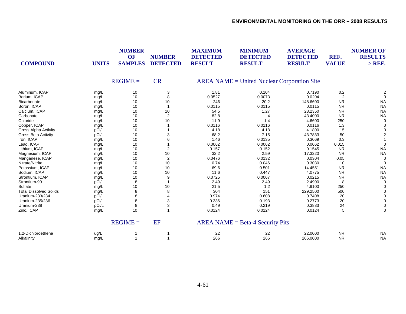| <b>COMPOUND</b>               | <b>UNITS</b> | <b>NUMBER</b><br>OF<br><b>SAMPLES</b> | <b>NUMBER</b><br><b>DETECTED</b> | <b>MAXIMUM</b><br><b>DETECTED</b><br><b>RESULT</b> | <b>MINIMUM</b><br><b>DETECTED</b><br><b>RESULT</b> | <b>AVERAGE</b><br><b>DETECTED</b><br><b>RESULT</b> | REF.<br><b>VALUE</b> | <b>NUMBER OF</b><br><b>RESULTS</b><br>$>$ REF. |
|-------------------------------|--------------|---------------------------------------|----------------------------------|----------------------------------------------------|----------------------------------------------------|----------------------------------------------------|----------------------|------------------------------------------------|
|                               |              | $REGIME =$                            | <b>CR</b>                        |                                                    | $AREA NAME = United Nuclear Corporation Site$      |                                                    |                      |                                                |
| Aluminum, ICAP                | mg/L         | 10                                    | 3                                | 1.81                                               | 0.104                                              | 0.7190                                             | 0.2                  | 2                                              |
| Barium, ICAP                  | mg/L         | 10                                    | 8                                | 0.0527                                             | 0.0073                                             | 0.0204                                             | 2                    | $\Omega$                                       |
| Bicarbonate                   | mg/L         | 10                                    | 10                               | 246                                                | 20.2                                               | 148.6600                                           | <b>NR</b>            | <b>NA</b>                                      |
| Boron, ICAP                   | mg/L         | 10                                    | $\mathbf{1}$                     | 0.0115                                             | 0.0115                                             | 0.0115                                             | <b>NR</b>            | <b>NA</b>                                      |
| Calcium, ICAP                 | mg/L         | 10                                    | 10                               | 54.5                                               | 1.27                                               | 28.2350                                            | <b>NR</b>            | <b>NA</b>                                      |
| Carbonate                     | mg/L         | 10                                    | $\overline{2}$                   | 82.8                                               | 4                                                  | 43.4000                                            | <b>NR</b>            | <b>NA</b>                                      |
| Chloride                      | mg/L         | 10                                    | 10                               | 11.9                                               | 1.4                                                | 4.6600                                             | 250                  | 0                                              |
| Copper, ICAP                  | mg/L         | 10                                    |                                  | 0.0116                                             | 0.0116                                             | 0.0116                                             | 1.3                  |                                                |
| <b>Gross Alpha Activity</b>   | pCi/L        | 10                                    |                                  | 4.18                                               | 4.18                                               | 4.1800                                             | 15                   |                                                |
| <b>Gross Beta Activity</b>    | pCi/L        | 10                                    | 3                                | 68.2                                               | 7.15                                               | 43.7833                                            | 50                   |                                                |
| Iron, ICAP                    | mg/L         | 10                                    | 6                                | 1.46                                               | 0.0135                                             | 0.3069                                             | 0.3                  |                                                |
| Lead, ICAP                    | mg/L         | 10                                    |                                  | 0.0062                                             | 0.0062                                             | 0.0062                                             | 0.015                | $\Omega$                                       |
| Lithium, ICAP                 | mg/L         | 10                                    | $\overline{2}$                   | 0.157                                              | 0.152                                              | 0.1545                                             | <b>NR</b>            | <b>NA</b>                                      |
| Magnesium, ICAP               | mg/L         | 10                                    | 10                               | 32.2                                               | 2.59                                               | 17.3220                                            | <b>NR</b>            | <b>NA</b>                                      |
| Manganese, ICAP               | mg/L         | 10                                    | $\overline{2}$                   | 0.0476                                             | 0.0132                                             | 0.0304                                             | 0.05                 | 0                                              |
| Nitrate/Nitrite               | mg/L         | 10                                    | 10                               | 0.74                                               | 0.046                                              | 0.3030                                             | 10                   | $\Omega$                                       |
| Potassium, ICAP               | mg/L         | 10                                    | 10                               | 69.6                                               | 0.501                                              | 14.4551                                            | <b>NR</b>            | <b>NA</b>                                      |
| Sodium, ICAP                  | mg/L         | 10                                    | 10                               | 11.6                                               | 0.447                                              | 4.0775                                             | <b>NR</b>            | <b>NA</b>                                      |
| Strontium, ICAP               | mg/L         | 10                                    | 9                                | 0.0725                                             | 0.0067                                             | 0.0215                                             | <b>NR</b>            | <b>NA</b>                                      |
| Strontium-90                  | pCi/L        | 8                                     |                                  | 2.49                                               | 2.49                                               | 2.4900                                             | 8                    | $\Omega$                                       |
| Sulfate                       | mg/L         | 10                                    | 10                               | 21.5                                               | 1.2                                                | 4.9100                                             | 250                  |                                                |
| <b>Total Dissolved Solids</b> | mg/L         | 8                                     | 8                                | 304                                                | 151                                                | 229.2500                                           | 500                  |                                                |
| Uranium-233/234               | pCi/L        | 8                                     |                                  | 0.974                                              | 0.608                                              | 0.7408                                             | 20                   |                                                |
| Uranium-235/236               | pCi/L        | 8                                     | 3                                | 0.336                                              | 0.193                                              | 0.2773                                             | 20                   | $\Omega$                                       |
| Uranium-238                   | pCi/L        | 8                                     | 3                                | 0.49                                               | 0.219                                              | 0.3833                                             | 24                   |                                                |
| Zinc, ICAP                    | mg/L         | 10                                    | 1                                | 0.0124                                             | 0.0124                                             | 0.0124                                             | 5                    | $\Omega$                                       |
|                               |              | $REGIME =$                            | EF                               |                                                    | $AREA NAME = Beta-4 Security Pits$                 |                                                    |                      |                                                |
| 1,2-Dichloroethene            | ug/L         |                                       |                                  | 22                                                 | 22                                                 | 22.0000                                            | <b>NR</b>            | <b>NA</b>                                      |
| Alkalinity                    | mq/L         |                                       |                                  | 266                                                | 266                                                | 266.0000                                           | <b>NR</b>            | <b>NA</b>                                      |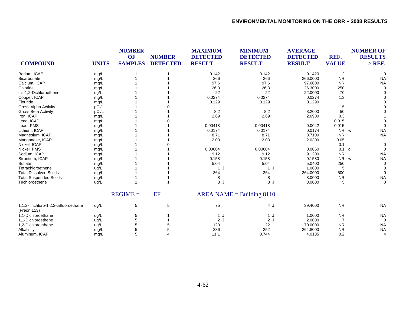|                                                      |              | <b>NUMBER</b><br><b>OF</b> | <b>NUMBER</b>   | <b>MAXIMUM</b><br><b>DETECTED</b> | <b>MINIMUM</b><br><b>DETECTED</b> | <b>AVERAGE</b><br><b>DETECTED</b> | REF.           | <b>NUMBER OF</b><br><b>RESULTS</b> |
|------------------------------------------------------|--------------|----------------------------|-----------------|-----------------------------------|-----------------------------------|-----------------------------------|----------------|------------------------------------|
| <b>COMPOUND</b>                                      | <b>UNITS</b> | <b>SAMPLES</b>             | <b>DETECTED</b> | <b>RESULT</b>                     | <b>RESULT</b>                     | <b>RESULT</b>                     | <b>VALUE</b>   | $>$ REF.                           |
| Barium, ICAP                                         | mg/L         |                            |                 | 0.142                             | 0.142                             | 0.1420                            | $\overline{2}$ |                                    |
| Bicarbonate                                          | mg/L         |                            |                 | 266                               | 266                               | 266.0000                          | <b>NR</b>      | <b>NA</b>                          |
| Calcium, ICAP                                        | mg/L         |                            |                 | 97.6                              | 97.6                              | 97.6000                           | <b>NR</b>      | <b>NA</b>                          |
| Chloride                                             | mg/L         |                            |                 | 26.3                              | 26.3                              | 26.3000                           | 250            |                                    |
| cis-1,2-Dichloroethene                               | ug/L         |                            |                 | 22                                | 22                                | 22.0000                           | 70             |                                    |
| Copper, ICAP                                         | mg/L         |                            |                 | 0.0274                            | 0.0274                            | 0.0274                            | 1.3            |                                    |
| Flouride                                             | mg/L         |                            |                 | 0.129                             | 0.129                             | 0.1290                            |                |                                    |
| <b>Gross Alpha Activity</b>                          | pCi/L        |                            |                 |                                   |                                   |                                   | 15             |                                    |
| Gross Beta Activity                                  | pCi/L        |                            |                 | 8.2                               | 8.2                               | 8.2000                            | 50             |                                    |
| Iron, ICAP                                           | mg/L         |                            |                 | 2.69                              | 2.69                              | 2.6900                            | 0.3            |                                    |
| Lead, ICAP                                           | mg/L         |                            |                 |                                   |                                   |                                   | 0.015          |                                    |
| Lead, PMS                                            | mg/L         |                            |                 | 0.00418                           | 0.00418                           | 0.0042                            | 0.015          |                                    |
| Lithium, ICAP                                        | mg/L         |                            |                 | 0.0174                            | 0.0174                            | 0.0174                            | NR w           | <b>NA</b>                          |
| Magnesium, ICAP                                      | mg/L         |                            |                 | 8.71                              | 8.71                              | 8.7100                            | <b>NR</b>      | <b>NA</b>                          |
| Manganese, ICAP                                      | mg/L         |                            |                 | 2.03                              | 2.03                              | 2.0300                            | 0.05           |                                    |
| Nickel, ICAP                                         | mg/L         |                            |                 |                                   |                                   |                                   | 0.1            |                                    |
| Nickel, PMS                                          | mg/L         |                            |                 | 0.00604                           | 0.00604                           | 0.0060                            | 0.1            | d                                  |
| Sodium, ICAP                                         | mg/L         |                            |                 | 9.12                              | 9.12                              | 9.1200                            | <b>NR</b>      | <b>NA</b>                          |
| Strontium, ICAP                                      | mg/L         |                            |                 | 0.158                             | 0.158                             | 0.1580                            | <b>NR</b>      | <b>NA</b><br>W                     |
| Sulfate                                              | mg/L         |                            |                 | 5.04                              | 5.04                              | 5.0400                            | 250            | $\Omega$                           |
| Tetrachloroethene                                    | ug/L         |                            |                 | 1J                                | 1J                                | 1.0000                            | 5              |                                    |
| <b>Total Dissolved Solids</b>                        | mg/L         |                            |                 | 364                               | 364                               | 364.0000                          | 500            | $\Omega$                           |
| <b>Total Suspended Solids</b>                        | mg/L         |                            |                 | 8                                 | 8                                 | 8.0000                            | <b>NR</b>      | <b>NA</b>                          |
| Trichloroethene                                      | ug/L         |                            |                 | 3J                                | 3J                                | 3.0000                            | 5              | $\Omega$                           |
|                                                      |              | $REGIME =$                 | EF              |                                   | $AREA NAME = Building 8110$       |                                   |                |                                    |
| 1,1,2-Trichloro-1,2,2-trifluoroethane<br>(Freon 113) | ug/L         | 5                          | 5               | 75                                | 4 J                               | 39.4000                           | <b>NR</b>      | <b>NA</b>                          |
| 1,1-Dichloroethane                                   | ug/L         | 5                          |                 | 1 J                               | 1J                                | 1.0000                            | <b>NR</b>      | <b>NA</b>                          |
| 1,1-Dichloroethene                                   | ug/L         |                            |                 | 2J                                | 2J                                | 2.0000                            |                |                                    |
| 1,2-Dichloroethene                                   | ug/L         | 5                          |                 | 120                               | 22                                | 70.0000                           | <b>NR</b>      | <b>NA</b>                          |
| Alkalinity                                           | mg/L         | 5                          |                 | 286                               | 252                               | 264.8000                          | <b>NR</b>      | <b>NA</b>                          |
| Aluminum, ICAP                                       | mq/L         |                            |                 | 11.1                              | 0.744                             | 4.0135                            | 0.2            | 4                                  |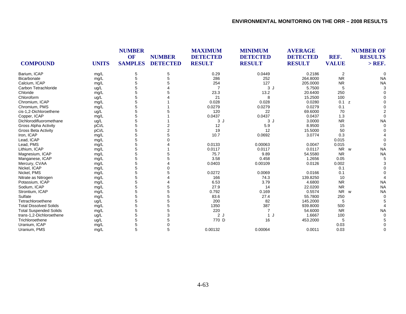|                               |              | <b>NUMBER</b><br>OF | <b>NUMBER</b>   | <b>MAXIMUM</b><br><b>DETECTED</b> | <b>MINIMUM</b><br><b>DETECTED</b> | <b>AVERAGE</b><br><b>DETECTED</b> | REF.         | <b>NUMBER OF</b><br><b>RESULTS</b> |
|-------------------------------|--------------|---------------------|-----------------|-----------------------------------|-----------------------------------|-----------------------------------|--------------|------------------------------------|
| <b>COMPOUND</b>               | <b>UNITS</b> | <b>SAMPLES</b>      | <b>DETECTED</b> | <b>RESULT</b>                     | <b>RESULT</b>                     | <b>RESULT</b>                     | <b>VALUE</b> | $>$ REF.                           |
| Barium, ICAP                  | mg/L         | 5                   | 5               | 0.29                              | 0.0449                            | 0.2186                            | 2            |                                    |
| <b>Bicarbonate</b>            | mg/L         | 5                   | 5               | 286                               | 252                               | 264.8000                          | <b>NR</b>    | <b>NA</b>                          |
| Calcium. ICAP                 | mg/L         | 5                   |                 | 254                               | 127                               | 205.0000                          | <b>NR</b>    | <b>NA</b>                          |
| Carbon Tetrachloride          | ug/L         | 5                   |                 |                                   | 3 J                               | 5.7500                            | 5            |                                    |
| Chloride                      | mg/L         | 5                   |                 | 23.3                              | 13.2                              | 20.6400                           | 250          |                                    |
| Chloroform                    | ug/L         | 5                   |                 | 21                                | 8                                 | 15.2500                           | 100          |                                    |
| Chromium, ICAP                | mg/L         | 5                   |                 | 0.028                             | 0.028                             | 0.0280                            | 0.1<br>z     |                                    |
| Chromium, PMS                 | mg/L         | 5                   |                 | 0.0279                            | 0.0279                            | 0.0279                            | 0.1          |                                    |
| cis-1,2-Dichloroethene        | ug/L         | 5                   |                 | 120                               | 22                                | 69.6000                           | 70           |                                    |
| Copper, ICAP                  | mg/L         | 5                   |                 | 0.0437                            | 0.0437                            | 0.0437                            | 1.3          |                                    |
| Dichlorodifluoromethane       | ug/L         | 5                   |                 | 3J                                | 3J                                | 3.0000                            | <b>NR</b>    | <b>NA</b>                          |
| <b>Gross Alpha Activity</b>   | pCi/L        | 5                   |                 | 12                                | 5.9                               | 8.9500                            | 15           |                                    |
| <b>Gross Beta Activity</b>    | pCi/L        | 5                   | $\overline{2}$  | 19                                | 12                                | 15.5000                           | 50           |                                    |
| Iron, ICAP                    | mg/L         | 5                   | 5               | 10.7                              | 0.0692                            | 3.0774                            | 0.3          |                                    |
| Lead, ICAP                    | mg/L         | 5                   |                 |                                   |                                   |                                   | 0.015        |                                    |
| Lead, PMS                     | mg/L         | 5                   |                 | 0.0133                            | 0.00063                           | 0.0047                            | 0.015        |                                    |
| Lithium, ICAP                 | mg/L         | 5                   |                 | 0.0117                            | 0.0117                            | 0.0117                            | NR w         | <b>NA</b>                          |
| Magnesium, ICAP               | mg/L         | 5                   |                 | 75.7                              | 9.89                              | 54.5580                           | <b>NR</b>    | <b>NA</b>                          |
| Manganese, ICAP               | mg/L         | 5                   | 5               | 3.58                              | 0.458                             | 1.2656                            | 0.05         |                                    |
| Mercury, CVAA                 | mg/L         | 5                   |                 | 0.0403                            | 0.00109                           | 0.0126                            | 0.002        |                                    |
| Nickel, ICAP                  | mg/L         | 5                   |                 |                                   |                                   |                                   | 0.1          |                                    |
| Nickel, PMS                   | mg/L         | 5                   |                 | 0.0272                            | 0.0069                            | 0.0166                            | 0.1          |                                    |
| Nitrate as Nitrogen           | mg/L         | 5                   |                 | 166                               | 74.3                              | 139.8250                          | 10           |                                    |
| Potassium, ICAP               | mg/L         | 5                   |                 | 6.53                              | 3.79                              | 4.6800                            | <b>NR</b>    | <b>NA</b>                          |
| Sodium, ICAP                  | mg/L         | 5                   | 5               | 27.9                              | 14                                | 22.0200                           | <b>NR</b>    | <b>NA</b>                          |
| Strontium, ICAP               | mg/L         | 5                   | 5               | 0.792                             | 0.169                             | 0.5574                            | <b>NR</b>    | <b>NA</b><br>W                     |
| Sulfate                       | mg/L         | 5                   | 5               | 83.6                              | 27.4                              | 55.7800                           | 250          |                                    |
| Tetrachloroethene             | ug/L         | 5                   | 5               | 200                               | 82                                | 145.2000                          | 5            |                                    |
| <b>Total Dissolved Solids</b> | mg/L         | 5                   | 5               | 1350                              | 387                               | 939.8000                          | 500          |                                    |
| <b>Total Suspended Solids</b> | mg/L         | 5                   |                 | 220                               |                                   | 54.6000                           | <b>NR</b>    | <b>NA</b>                          |
| trans-1,2-Dichloroethene      | ug/L         | 5                   |                 | 2J                                | 1 J                               | 1.6667                            | 100          |                                    |
| Trichloroethene               | ug/L         | 5                   |                 | 770 D                             | 16                                | 453.2000                          | 5            |                                    |
| Uranium, ICAP                 | mg/L         | 5                   | 0               |                                   |                                   |                                   | 0.03         |                                    |
| Uranium, PMS                  | mg/L         | 5                   | 5               | 0.00132                           | 0.00064                           | 0.0011                            | 0.03         |                                    |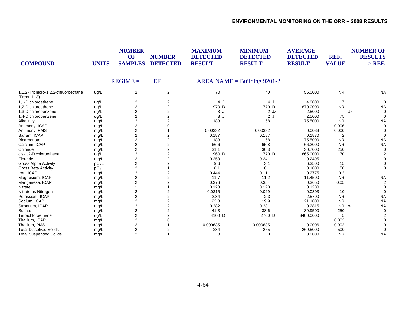| <b>COMPOUND</b>                                      | <b>UNITS</b> | <b>NUMBER</b><br><b>OF</b><br><b>SAMPLES</b> | <b>NUMBER</b><br><b>DETECTED</b> | <b>MAXIMUM</b><br><b>DETECTED</b><br><b>RESULT</b> | <b>MINIMUM</b><br><b>DETECTED</b><br><b>RESULT</b> | <b>AVERAGE</b><br><b>DETECTED</b><br><b>RESULT</b> | REF.<br><b>VALUE</b> | <b>NUMBER OF</b><br><b>RESULTS</b><br>$>$ REF. |
|------------------------------------------------------|--------------|----------------------------------------------|----------------------------------|----------------------------------------------------|----------------------------------------------------|----------------------------------------------------|----------------------|------------------------------------------------|
|                                                      |              | $REGIME =$                                   | EF                               |                                                    | AREA NAME = Building $9201-2$                      |                                                    |                      |                                                |
| 1,1,2-Trichloro-1,2,2-trifluoroethane<br>(Freon 113) | ug/L         | $\overline{2}$                               | $\overline{2}$                   | 70                                                 | 40                                                 | 55.0000                                            | <b>NR</b>            | <b>NA</b>                                      |
| 1,1-Dichloroethene                                   | ug/L         | 2                                            | 2                                | 4 J                                                | 4 J                                                | 4.0000                                             | $\overline{7}$       | $\Omega$                                       |
| 1,2-Dichloroethene                                   | ug/L         | 2                                            | 2                                | 970 D                                              | 770 D                                              | 870.0000                                           | <b>NR</b>            | <b>NA</b>                                      |
| 1,3-Dichlorobenzene                                  | ug/L         | $\overline{2}$                               | 2                                | 3 J                                                | 2 Jz                                               | 2.5000                                             |                      | Jz<br>$\Omega$                                 |
| 1,4-Dichlorobenzene                                  | ug/L         | $\overline{2}$                               | $\overline{2}$                   | 3J                                                 | 2J                                                 | 2.5000                                             | 75                   |                                                |
| Alkalinity                                           | mg/L         | $\overline{2}$                               | $\overline{2}$                   | 183                                                | 168                                                | 175.5000                                           | <b>NR</b>            | <b>NA</b>                                      |
| Antimony, ICAP                                       | mg/L         | $\overline{c}$                               |                                  |                                                    |                                                    |                                                    | 0.006                |                                                |
| Antimony, PMS                                        | mg/L         | $\overline{c}$                               |                                  | 0.00332                                            | 0.00332                                            | 0.0033                                             | 0.006                |                                                |
| Barium, ICAP                                         | mg/L         | 2                                            | 2                                | 0.187                                              | 0.187                                              | 0.1870                                             | $\overline{2}$       |                                                |
| <b>Bicarbonate</b>                                   | mg/L         | $\sqrt{2}$                                   | 2                                | 183                                                | 168                                                | 175.5000                                           | <b>NR</b>            | <b>NA</b>                                      |
| Calcium, ICAP                                        | mg/L         | $\overline{2}$                               | 2                                | 66.6                                               | 65.8                                               | 66.2000                                            | <b>NR</b>            | <b>NA</b>                                      |
| Chloride                                             | mg/L         | $\overline{2}$                               | $\overline{2}$                   | 31.1                                               | 30.3                                               | 30.7000                                            | 250                  |                                                |
| cis-1,2-Dichloroethene                               | ug/L         | $\overline{2}$                               | 2                                | 960 D                                              | 770 D                                              | 865.0000                                           | 70                   |                                                |
| Flouride                                             | mg/L         | $\overline{2}$                               | 2                                | 0.258                                              | 0.241                                              | 0.2495                                             |                      |                                                |
| <b>Gross Alpha Activity</b>                          | pCi/L        | $\overline{2}$                               | 2                                | 9.6                                                | 3.1                                                | 6.3500                                             | 15                   |                                                |
| <b>Gross Beta Activity</b>                           | pCi/L        | $\boldsymbol{2}$                             |                                  | 8.1                                                | 8.1                                                | 8.1000                                             | 50                   |                                                |
| Iron, ICAP                                           | mg/L         | 2                                            |                                  | 0.444                                              | 0.111                                              | 0.2775                                             | 0.3                  |                                                |
| Magnesium, ICAP                                      | mg/L         | $\overline{2}$                               |                                  | 11.7                                               | 11.2                                               | 11.4500                                            | <b>NR</b>            | <b>NA</b>                                      |
| Manganese, ICAP                                      | mg/L         | $\overline{2}$                               |                                  | 0.376                                              | 0.354                                              | 0.3650                                             | 0.05                 |                                                |
| Nitrate                                              | mg/L         |                                              |                                  | 0.128                                              | 0.128                                              | 0.1280                                             |                      |                                                |
| Nitrate as Nitrogen                                  | mg/L         | 2                                            | 2                                | 0.0315                                             | 0.029                                              | 0.0303                                             | 10                   |                                                |
| Potassium, ICAP                                      | mg/L         | $\overline{c}$                               | 2                                | 2.84                                               | 2.3                                                | 2.5700                                             | <b>NR</b>            | <b>NA</b>                                      |
| Sodium, ICAP                                         | mg/L         | $\overline{\mathbf{c}}$                      | 2                                | 22.3                                               | 19.9                                               | 21.1000                                            | <b>NR</b>            | <b>NA</b>                                      |
| Strontium, ICAP                                      | mg/L         | $\boldsymbol{2}$                             | 2                                | 0.282                                              | 0.281                                              | 0.2815                                             | <b>NR</b>            | <b>NA</b><br>W                                 |
| Sulfate                                              | mg/L         | $\overline{2}$                               | $\overline{2}$                   | 41.3                                               | 38.6                                               | 39.9500                                            | 250                  |                                                |
| Tetrachloroethene                                    | ug/L         | $\overline{2}$                               |                                  | 4100 D                                             | 2700 D                                             | 3400.0000                                          | 5                    |                                                |
| Thallium, ICAP                                       | mg/L         | $\overline{2}$                               |                                  |                                                    |                                                    |                                                    | 0.002                |                                                |
| Thallium, PMS                                        | mg/L         | 2                                            |                                  | 0.000635                                           | 0.000635                                           | 0.0006                                             | 0.002                |                                                |
| <b>Total Dissolved Solids</b>                        | mg/L         | $\overline{2}$                               |                                  | 284                                                | 255                                                | 269.5000                                           | 500                  |                                                |
| <b>Total Suspended Solids</b>                        | mg/L         | 2                                            |                                  | 3                                                  | 3                                                  | 3.0000                                             | <b>NR</b>            | <b>NA</b>                                      |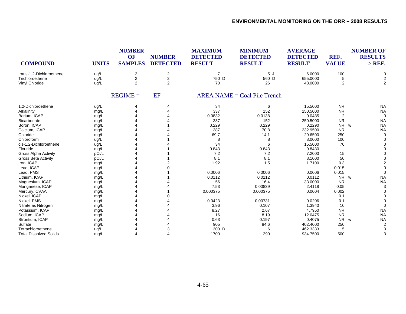| <b>COMPOUND</b>               | <b>UNITS</b> | <b>NUMBER</b><br>OF<br><b>SAMPLES</b> | <b>NUMBER</b><br><b>DETECTED</b> | <b>MAXIMUM</b><br><b>DETECTED</b><br><b>RESULT</b> | <b>MINIMUM</b><br><b>DETECTED</b><br><b>RESULT</b> | <b>AVERAGE</b><br><b>DETECTED</b><br><b>RESULT</b> | REF.<br><b>VALUE</b> | <b>NUMBER OF</b><br><b>RESULTS</b><br>$>$ REF. |
|-------------------------------|--------------|---------------------------------------|----------------------------------|----------------------------------------------------|----------------------------------------------------|----------------------------------------------------|----------------------|------------------------------------------------|
| trans-1,2-Dichloroethene      | ug/L         | 2                                     | $\overline{\mathbf{c}}$          | $\overline{7}$                                     | 5J                                                 | 6.0000                                             | 100                  |                                                |
| Trichloroethene               | ug/L         | 2                                     | $\overline{\mathbf{c}}$          | 750 D                                              | 560 D                                              | 655.0000                                           | 5                    | 2                                              |
| Vinyl Chloride                | ug/L         | $\overline{2}$                        | $\overline{2}$                   | 70                                                 | 26                                                 | 48.0000                                            | $\overline{2}$       | $\overline{2}$                                 |
|                               |              | $REGIME =$                            | <b>EF</b>                        |                                                    | $AREA NAME = Coal Pile Trench$                     |                                                    |                      |                                                |
| 1,2-Dichloroethene            | ug/L         |                                       |                                  | 34                                                 | 6                                                  | 15.5000                                            | <b>NR</b>            | <b>NA</b>                                      |
| Alkalinity                    | mg/L         |                                       |                                  | 337                                                | 152                                                | 250.5000                                           | <b>NR</b>            | <b>NA</b>                                      |
| Barium, ICAP                  | mg/L         |                                       |                                  | 0.0832                                             | 0.0138                                             | 0.0435                                             | $\overline{2}$       |                                                |
| Bicarbonate                   | mg/L         |                                       |                                  | 337                                                | 152                                                | 250.5000                                           | <b>NR</b>            | <b>NA</b>                                      |
| Boron, ICAP                   | mg/L         |                                       |                                  | 0.229                                              | 0.229                                              | 0.2290                                             | N <sub>R</sub>       | <b>NA</b><br>W                                 |
| Calcium, ICAP                 | mg/L         |                                       |                                  | 387                                                | 70.8                                               | 232.9500                                           | <b>NR</b>            | <b>NA</b>                                      |
| Chloride                      | mg/L         |                                       |                                  | 69.7                                               | 14.1                                               | 29.6500                                            | 250                  | $\Omega$                                       |
| Chloroform                    | ug/L         |                                       |                                  | 8                                                  | 8                                                  | 8.0000                                             | 100                  |                                                |
| cis-1,2-Dichloroethene        | ug/L         |                                       |                                  | 34                                                 | 6                                                  | 15.5000                                            | 70                   |                                                |
| Flouride                      | mg/L         |                                       |                                  | 0.843                                              | 0.843                                              | 0.8430                                             |                      |                                                |
| <b>Gross Alpha Activity</b>   | pCi/L        |                                       |                                  | 7.2                                                | 7.2                                                | 7.2000                                             | 15                   |                                                |
| Gross Beta Activity           | pCi/L        |                                       |                                  | 8.1                                                | 8.1                                                | 8.1000                                             | 50                   |                                                |
| Iron, ICAP                    | mg/L         |                                       |                                  | 1.92                                               | 1.5                                                | 1.7100                                             | 0.3                  |                                                |
| Lead, ICAP                    | mg/L         |                                       |                                  |                                                    |                                                    |                                                    | 0.015                |                                                |
| Lead, PMS                     | mg/L         |                                       |                                  | 0.0006                                             | 0.0006                                             | 0.0006                                             | 0.015                |                                                |
| Lithium, ICAP                 | mg/L         |                                       |                                  | 0.0112                                             | 0.0112                                             | 0.0112                                             | <b>NR</b>            | <b>NA</b><br><b>W</b>                          |
| Magnesium, ICAP               | mg/L         |                                       |                                  | 56                                                 | 16.4                                               | 33.0000                                            | <b>NR</b>            | <b>NA</b>                                      |
| Manganese, ICAP               | mg/L         |                                       |                                  | 7.53                                               | 0.00839                                            | 2.4118                                             | 0.05                 |                                                |
| Mercury, CVAA                 | mg/L         |                                       |                                  | 0.000375                                           | 0.000375                                           | 0.0004                                             | 0.002                |                                                |
| Nickel, ICAP                  | mg/L         |                                       |                                  |                                                    |                                                    |                                                    | 0.1                  |                                                |
| Nickel, PMS                   | mg/L         |                                       |                                  | 0.0423                                             | 0.00731                                            | 0.0206                                             | 0.1                  |                                                |
| Nitrate as Nitrogen           | mg/L         |                                       |                                  | 3.96                                               | 0.107                                              | 1.3940                                             | 10                   |                                                |
| Potassium, ICAP               | mg/L         |                                       |                                  | 8.27                                               | 2.67                                               | 4.7950                                             | <b>NR</b>            | <b>NA</b>                                      |
| Sodium, ICAP                  | mg/L         |                                       |                                  | 16                                                 | 8.19                                               | 12.0475                                            | <b>NR</b>            | <b>NA</b>                                      |
| Strontium, ICAP               | mg/L         |                                       |                                  | 0.63                                               | 0.197                                              | 0.4075                                             | <b>NR</b>            | <b>NA</b><br>W                                 |
| Sulfate                       | mg/L         |                                       |                                  | 905                                                | 84.6                                               | 402.4000                                           | 250                  | $\overline{2}$                                 |
| Tetrachloroethene             | ug/L         |                                       | 3                                | 1300 D                                             | 6                                                  | 462.3333                                           | 5                    |                                                |
| <b>Total Dissolved Solids</b> | mg/L         |                                       | Δ                                | 1700                                               | 290                                                | 934.7500                                           | 500                  |                                                |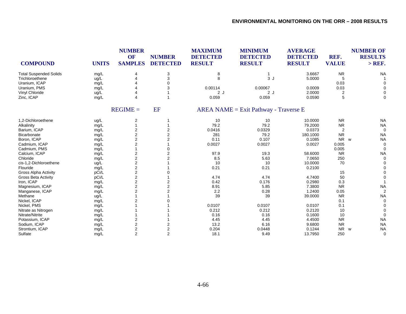| <b>COMPOUND</b>               | <b>UNITS</b> | <b>NUMBER</b><br>OF<br><b>SAMPLES</b> | <b>NUMBER</b><br><b>DETECTED</b> | <b>MAXIMUM</b><br><b>DETECTED</b><br><b>RESULT</b> | <b>MINIMUM</b><br><b>DETECTED</b><br><b>RESULT</b> | <b>AVERAGE</b><br><b>DETECTED</b><br><b>RESULT</b> | REF.<br><b>VALUE</b> | <b>NUMBER OF</b><br><b>RESULTS</b><br>$>$ REF. |
|-------------------------------|--------------|---------------------------------------|----------------------------------|----------------------------------------------------|----------------------------------------------------|----------------------------------------------------|----------------------|------------------------------------------------|
| <b>Total Suspended Solids</b> | mg/L         | 4                                     | 3                                | 8                                                  |                                                    | 3.6667                                             | <b>NR</b>            | <b>NA</b>                                      |
| Trichloroethene               | ug/L         | Δ                                     | 3                                | 8                                                  | 3J                                                 | 5.0000                                             | 5                    |                                                |
| Uranium, ICAP                 | mg/L         |                                       | $\Omega$                         |                                                    |                                                    |                                                    | 0.03                 |                                                |
| Uranium, PMS                  | mg/L         |                                       | 3                                | 0.00114                                            | 0.00067                                            | 0.0009                                             | 0.03                 |                                                |
| Vinyl Chloride                | ug/L         |                                       |                                  | 2J                                                 | 2J                                                 | 2.0000                                             | 2                    |                                                |
| Zinc, ICAP                    | mg/L         | 4                                     | 1                                | 0.059                                              | 0.059                                              | 0.0590                                             | 5                    | $\Omega$                                       |
|                               |              | $REGIME =$                            | <b>EF</b>                        |                                                    | $AREA NAME = Exist Pathway - Traverse E$           |                                                    |                      |                                                |
| 1,2-Dichloroethene            | ug/L         | 2                                     |                                  | 10                                                 | 10                                                 | 10.0000                                            | <b>NR</b>            | <b>NA</b>                                      |
| Alkalinity                    | mg/L         |                                       |                                  | 79.2                                               | 79.2                                               | 79.2000                                            | <b>NR</b>            | <b>NA</b>                                      |
| Barium, ICAP                  | mg/L         | 2                                     | $\overline{2}$                   | 0.0416                                             | 0.0329                                             | 0.0373                                             | 2                    | $\Omega$                                       |
| Bicarbonate                   | mg/L         | $\overline{\mathbf{c}}$               | $\overline{2}$                   | 281                                                | 79.2                                               | 180.1000                                           | <b>NR</b>            | <b>NA</b>                                      |
| Boron, ICAP                   | mg/L         | 2                                     | $\overline{2}$                   | 0.11                                               | 0.107                                              | 0.1085                                             | <b>NR</b>            | <b>NA</b><br><b>W</b>                          |
| Cadmium, ICAP                 | mg/L         | $\overline{c}$                        |                                  | 0.0027                                             | 0.0027                                             | 0.0027                                             | 0.005                | $\Omega$                                       |
| Cadmium, PMS                  | mg/L         |                                       | 0                                |                                                    |                                                    |                                                    | 0.005                | $\Omega$                                       |
| Calcium, ICAP                 | mg/L         | 2                                     | 2                                | 97.9                                               | 19.3                                               | 58.6000                                            | <b>NR</b>            | <b>NA</b>                                      |
| Chloride                      | mg/L         | $\overline{c}$                        | $\mathfrak{p}$                   | 8.5                                                | 5.63                                               | 7.0650                                             | 250                  | $\Omega$                                       |
| cis-1,2-Dichloroethene        | ug/L         | $\overline{c}$                        |                                  | 10                                                 | 10                                                 | 10.0000                                            | 70                   |                                                |
| Flouride                      | mg/L         | $\overline{\mathbf{c}}$               |                                  | 0.21                                               | 0.21                                               | 0.2100                                             |                      |                                                |
| <b>Gross Alpha Activity</b>   | pCi/L        | $\overline{\mathbf{c}}$               |                                  |                                                    |                                                    |                                                    | 15                   |                                                |
| <b>Gross Beta Activity</b>    | pCi/L        | $\overline{\mathbf{c}}$               |                                  | 4.74                                               | 4.74                                               | 4.7400                                             | 50                   |                                                |
| Iron, ICAP                    | mg/L         | $\overline{2}$                        | $\overline{2}$                   | 0.42                                               | 0.176                                              | 0.2980                                             | 0.3                  |                                                |
| Magnesium, ICAP               | mg/L         | $\overline{2}$                        | $\overline{2}$                   | 8.91                                               | 5.85                                               | 7.3800                                             | <b>NR</b>            | <b>NA</b>                                      |
| Manganese, ICAP               | mg/L         | $\overline{2}$                        | $\mathfrak{p}$                   | 2.2                                                | 0.28                                               | 1.2400                                             | 0.05                 | $\overline{2}$                                 |
| Methane                       | ug/L         |                                       |                                  | 39                                                 | 39                                                 | 39.0000                                            | <b>NR</b>            | <b>NA</b>                                      |
| Nickel, ICAP                  | mg/L         |                                       |                                  |                                                    |                                                    |                                                    | 0.1                  | $\Omega$                                       |
| Nickel, PMS                   | mg/L         |                                       |                                  | 0.0107                                             | 0.0107                                             | 0.0107                                             | 0.1                  |                                                |
| Nitrate as Nitrogen           | mg/L         |                                       |                                  | 0.212                                              | 0.212                                              | 0.2120                                             | 10                   |                                                |
| Nitrate/Nitrite               | mg/L         |                                       |                                  | 0.16                                               | 0.16                                               | 0.1600                                             | 10                   | $\Omega$                                       |
| Potassium, ICAP               | mg/L         | 2                                     |                                  | 4.45                                               | 4.45                                               | 4.4500                                             | <b>NR</b>            | <b>NA</b>                                      |
| Sodium, ICAP                  | mg/L         | $\overline{c}$                        | 2                                | 13.2                                               | 6.16                                               | 9.6800                                             | <b>NR</b>            | <b>NA</b>                                      |
| Strontium, ICAP               | mg/L         | $\overline{2}$                        | $\overline{2}$                   | 0.204                                              | 0.0448                                             | 0.1244                                             | <b>NR</b>            | <b>NA</b><br>W                                 |
| Sulfate                       | mg/L         | $\overline{2}$                        | $\overline{2}$                   | 18.1                                               | 9.49                                               | 13.7950                                            | 250                  | $\Omega$                                       |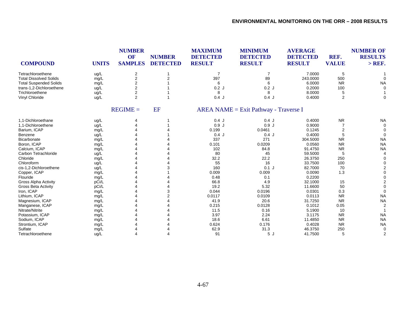| <b>COMPOUND</b>               | <b>UNITS</b> | <b>NUMBER</b><br>OF<br><b>SAMPLES</b> | <b>NUMBER</b><br><b>DETECTED</b> | <b>MAXIMUM</b><br><b>DETECTED</b><br><b>RESULT</b> | <b>MINIMUM</b><br><b>DETECTED</b><br><b>RESULT</b> | <b>AVERAGE</b><br><b>DETECTED</b><br><b>RESULT</b> | REF.<br><b>VALUE</b> | <b>NUMBER OF</b><br><b>RESULTS</b><br>$>$ REF. |
|-------------------------------|--------------|---------------------------------------|----------------------------------|----------------------------------------------------|----------------------------------------------------|----------------------------------------------------|----------------------|------------------------------------------------|
| Tetrachloroethene             | ug/L         | 2                                     |                                  | $\overline{7}$                                     |                                                    | 7.0000                                             | 5                    |                                                |
| <b>Total Dissolved Solids</b> | mg/L         | $\overline{c}$                        | $\overline{2}$                   | 397                                                | 89                                                 | 243.0000                                           | 500                  |                                                |
| <b>Total Suspended Solids</b> | mg/L         | $\overline{\mathbf{c}}$               |                                  | 6                                                  | 6                                                  | 6.0000                                             | <b>NR</b>            | <b>NA</b>                                      |
| trans-1,2-Dichloroethene      | ug/L         | 2                                     |                                  | 0.2J                                               | 0.2J                                               | 0.2000                                             | 100                  | $\Omega$                                       |
| Trichloroethene               | ug/L         | $\overline{c}$                        |                                  | 8                                                  | 8                                                  | 8.0000                                             | 5                    |                                                |
| Vinyl Chloride                | ug/L         | $\overline{2}$                        |                                  | 0.4J                                               | 0.4J                                               | 0.4000                                             | 2                    | $\Omega$                                       |
|                               |              | $REGIME =$                            | <b>EF</b>                        |                                                    | $AREA NAME = Exist Pathway - Traverse I$           |                                                    |                      |                                                |
| 1.1-Dichloroethane            | ug/L         | 4                                     |                                  | 0.4J                                               | 0.4J                                               | 0.4000                                             | <b>NR</b>            | <b>NA</b>                                      |
| 1.1-Dichloroethene            | ug/L         |                                       |                                  | 0.9J                                               | 0.9J                                               | 0.9000                                             |                      | $\Omega$                                       |
| Barium, ICAP                  | mg/L         |                                       |                                  | 0.199                                              | 0.0461                                             | 0.1245                                             | 2                    |                                                |
| Benzene                       | ug/L         |                                       |                                  | $0.4$ J                                            | 0.4J                                               | 0.4000                                             | 5                    | $\Omega$                                       |
| <b>Bicarbonate</b>            | mg/L         |                                       |                                  | 337                                                | 271                                                | 304.5000                                           | <b>NR</b>            | <b>NA</b>                                      |
| Boron, ICAP                   | mg/L         |                                       |                                  | 0.101                                              | 0.0209                                             | 0.0560                                             | <b>NR</b>            | <b>NA</b>                                      |
| Calcium, ICAP                 | mg/L         |                                       |                                  | 102                                                | 84.8                                               | 91.4750                                            | <b>NR</b>            | <b>NA</b>                                      |
| Carbon Tetrachloride          | ug/L         |                                       |                                  | 80                                                 | 45                                                 | 59.5000                                            | 5                    |                                                |
| Chloride                      | mg/L         |                                       |                                  | 32.2                                               | 22.2                                               | 26.3750                                            | 250                  |                                                |
| Chloroform                    | ug/L         |                                       |                                  | 55                                                 | 16                                                 | 33.7500                                            | 100                  |                                                |
| cis-1,2-Dichloroethene        | ug/L         |                                       | 3                                | 160                                                | $0.1$ J                                            | 82.7000                                            | 70                   |                                                |
| Copper, ICAP                  | mg/L         |                                       |                                  | 0.009                                              | 0.009                                              | 0.0090                                             | 1.3                  |                                                |
| Flouride                      | mg/L         |                                       |                                  | 0.48                                               | 0.1                                                | 0.2200                                             |                      |                                                |
| <b>Gross Alpha Activity</b>   | pCi/L        |                                       |                                  | 66.8                                               | 4.9                                                | 32.1000                                            | 15                   |                                                |
| Gross Beta Activity           | pCi/L        |                                       |                                  | 19.2                                               | 5.32                                               | 11.6600                                            | 50                   |                                                |
| Iron, ICAP                    | mg/L         |                                       | 3                                | 0.044                                              | 0.0196                                             | 0.0301                                             | 0.3                  |                                                |
| Lithium, ICAP                 | mg/L         |                                       |                                  | 0.0117                                             | 0.0109                                             | 0.0113                                             | <b>NR</b>            | <b>NA</b>                                      |
| Magnesium, ICAP               | mg/L         |                                       |                                  | 41.9                                               | 20.6                                               | 31.7250                                            | <b>NR</b>            | <b>NA</b>                                      |
| Manganese, ICAP               | mg/L         |                                       |                                  | 0.215                                              | 0.0128                                             | 0.1012                                             | 0.05                 | 2                                              |
| Nitrate/Nitrite               | mg/L         |                                       |                                  | 11.5                                               | 0.16                                               | 5.1900                                             | 10                   |                                                |
| Potassium, ICAP               | mg/L         |                                       |                                  | 3.97                                               | 2.24                                               | 3.1175                                             | <b>NR</b>            | <b>NA</b>                                      |
| Sodium, ICAP                  | mg/L         |                                       |                                  | 18.6                                               | 6.61                                               | 11.4850                                            | <b>NR</b>            | <b>NA</b>                                      |
| Strontium, ICAP               | mg/L         |                                       |                                  | 0.624                                              | 0.176                                              | 0.4028                                             | <b>NR</b>            | <b>NA</b>                                      |
| Sulfate                       | mg/L         |                                       |                                  | 62.9                                               | 31.3                                               | 46.3750                                            | 250                  | $\Omega$                                       |
| Tetrachloroethene             | uq/L         |                                       |                                  | 91                                                 | 5J                                                 | 41.7500                                            | 5                    |                                                |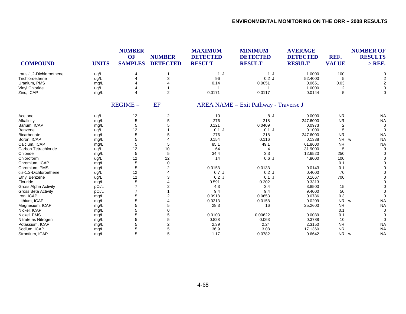| <b>COMPOUND</b>             | <b>UNITS</b> | <b>NUMBER</b><br>OF<br><b>SAMPLES</b> | <b>NUMBER</b><br><b>DETECTED</b> | <b>MAXIMUM</b><br><b>DETECTED</b><br><b>RESULT</b> | <b>MINIMUM</b><br><b>DETECTED</b><br><b>RESULT</b> | <b>AVERAGE</b><br><b>DETECTED</b><br><b>RESULT</b> | REF.<br><b>VALUE</b> | <b>NUMBER OF</b><br><b>RESULTS</b><br>$>$ REF. |
|-----------------------------|--------------|---------------------------------------|----------------------------------|----------------------------------------------------|----------------------------------------------------|----------------------------------------------------|----------------------|------------------------------------------------|
| trans-1,2-Dichloroethene    | ug/L         |                                       |                                  | 1 J                                                | 1 J                                                | 1.0000                                             | 100                  | 0                                              |
| Trichloroethene             | ug/L         |                                       | 3                                | 96                                                 | 0.2J                                               | 52.4000                                            | 5                    | $\overline{2}$                                 |
| Uranium, PMS                | mg/L         |                                       |                                  | 0.14                                               | 0.0051                                             | 0.0651                                             | 0.03                 | $\overline{2}$                                 |
| Vinyl Chloride              | ug/L         |                                       |                                  |                                                    |                                                    | 1.0000                                             | 2                    | 0                                              |
| Zinc, ICAP                  | mg/L         |                                       | $\overline{2}$                   | 0.0171                                             | 0.0117                                             | 0.0144                                             | 5                    | $\Omega$                                       |
|                             |              | $REGIME =$                            | EF                               | $AREA NAME = Exist Pathway - Traverse J$           |                                                    |                                                    |                      |                                                |
| Acetone                     | ug/L         | 12                                    | 2                                | 10                                                 | 8 J                                                | 9.0000                                             | <b>NR</b>            | <b>NA</b>                                      |
| Alkalinity                  | mg/L         | 5                                     | 5                                | 276                                                | 218                                                | 247.6000                                           | <b>NR</b>            | <b>NA</b>                                      |
| Barium, ICAP                | mg/L         | 5                                     | 5                                | 0.121                                              | 0.0409                                             | 0.0973                                             | $\overline{2}$       | $\mathbf 0$                                    |
| Benzene                     | ug/L         | 12                                    |                                  | $0.1$ J                                            | $0.1$ J                                            | 0.1000                                             | 5                    | $\Omega$                                       |
| Bicarbonate                 | mg/L         | 5                                     | 5                                | 276                                                | 218                                                | 247.6000                                           | <b>NR</b>            | <b>NA</b>                                      |
| Boron, ICAP                 | mg/L         | 5                                     |                                  | 0.154                                              | 0.116                                              | 0.1338                                             | <b>NR</b>            | <b>NA</b><br>w                                 |
| Calcium, ICAP               | mg/L         | 5                                     | 5                                | 85.1                                               | 49.1                                               | 61.8600                                            | <b>NR</b>            | <b>NA</b>                                      |
| Carbon Tetrachloride        | ug/L         | 12                                    | 10                               | 64                                                 | $\overline{4}$                                     | 31.9000                                            | 5                    | 9                                              |
| Chloride                    | mg/L         | 5                                     | 5                                | 34.4                                               | 3.3                                                | 12.6520                                            | 250                  |                                                |
| Chloroform                  | ug/L         | 12                                    | 12                               | 14                                                 | 0.6J                                               | 4.8000                                             | 100                  |                                                |
| Chromium, ICAP              | mg/L         | 5                                     | $\mathbf 0$                      |                                                    |                                                    |                                                    | 0.1                  |                                                |
| Chromium, PMS               | mg/L         | 5                                     | 2                                | 0.0153                                             | 0.0133                                             | 0.0143                                             | 0.1                  |                                                |
| cis-1,2-Dichloroethene      | ug/L         | 12                                    |                                  | 0.7J                                               | 0.2J                                               | 0.4000                                             | 70                   |                                                |
| <b>Ethyl Benzene</b>        | ug/L         | 12                                    | 3                                | 0.2J                                               | $0.1$ J                                            | 0.1667                                             | 700                  |                                                |
| Flouride                    | mg/L         | 5                                     |                                  | 0.591                                              | 0.202                                              | 0.3313                                             |                      |                                                |
| <b>Gross Alpha Activity</b> | pCi/L        | $\overline{7}$                        |                                  | 4.3                                                | 3.4                                                | 3.8500                                             | 15                   |                                                |
| <b>Gross Beta Activity</b>  | pCi/L        | $\overline{7}$                        |                                  | 9.4                                                | 9.4                                                | 9.4000                                             | 50                   |                                                |
| Iron, ICAP                  | mg/L         | 5                                     | 2                                | 0.0918                                             | 0.0653                                             | 0.0786                                             | 0.3                  | $\Omega$                                       |
| Lithium, ICAP               | mg/L         | 5                                     |                                  | 0.0313                                             | 0.0158                                             | 0.0209                                             | NR w                 | <b>NA</b>                                      |
| Magnesium, ICAP             | mg/L         | 5                                     | 5                                | 28.3                                               | 16                                                 | 25.2600                                            | <b>NR</b>            | <b>NA</b>                                      |
| Nickel, ICAP                | mg/L         | 5                                     | 0                                |                                                    |                                                    |                                                    | 0.1                  | $\Omega$                                       |
| Nickel, PMS                 | mg/L         | 5                                     | 5                                | 0.0103                                             | 0.00622                                            | 0.0089                                             | 0.1                  | $\Omega$                                       |
| Nitrate as Nitrogen         | mg/L         | 5                                     | 5                                | 0.828                                              | 0.063                                              | 0.3788                                             | 10                   | 0                                              |
| Potassium, ICAP             | mg/L         | 5                                     | 2                                | 2.39                                               | 2.24                                               | 2.3150                                             | <b>NR</b>            | <b>NA</b>                                      |
| Sodium, ICAP                | mg/L         | 5                                     | 5                                | 36.9                                               | 3.08                                               | 17.1360                                            | <b>NR</b>            | <b>NA</b>                                      |
| Strontium, ICAP             | mg/L         | 5                                     | 5                                | 1.17                                               | 0.0782                                             | 0.6642                                             | N <sub>R</sub>       | <b>NA</b><br>w                                 |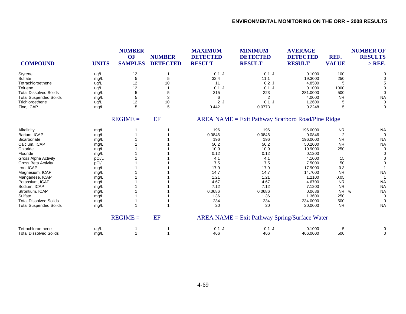| <b>COMPOUND</b>               | <b>UNITS</b> | <b>NUMBER</b><br>OF<br><b>SAMPLES</b> | <b>NUMBER</b><br><b>DETECTED</b> | <b>MAXIMUM</b><br><b>DETECTED</b><br><b>RESULT</b> | <b>MINIMUM</b><br><b>DETECTED</b><br><b>RESULT</b>   | <b>AVERAGE</b><br><b>DETECTED</b><br><b>RESULT</b> | REF.<br><b>VALUE</b> | <b>NUMBER OF</b><br><b>RESULTS</b><br>$>$ REF. |
|-------------------------------|--------------|---------------------------------------|----------------------------------|----------------------------------------------------|------------------------------------------------------|----------------------------------------------------|----------------------|------------------------------------------------|
| Styrene                       | ug/L         | 12                                    |                                  | $0.1$ J                                            | $0.1$ J                                              | 0.1000                                             | 100                  | 0                                              |
| Sulfate                       | mg/L         | $\,$ 5 $\,$                           | 5                                | 32.4                                               | 11.1                                                 | 19.3000                                            | 250                  |                                                |
| Tetrachloroethene             | ug/L         | 12                                    | 10                               | 11                                                 | 0.2J                                                 | 4.8500                                             | 5                    |                                                |
| Toluene                       | ug/L         | 12                                    |                                  | $0.1$ J                                            | $0.1$ J                                              | 0.1000                                             | 1000                 |                                                |
| <b>Total Dissolved Solids</b> | mg/L         | 5                                     | 5                                | 315                                                | 223                                                  | 281.0000                                           | 500                  | 0                                              |
| <b>Total Suspended Solids</b> | mg/L         | 5                                     | 3                                | 6                                                  | $\overline{2}$                                       | 4.0000                                             | <b>NR</b>            | <b>NA</b>                                      |
| Trichloroethene               | ug/L         | 12                                    | 10                               | 2J                                                 | $0.1$ J                                              | 1.2600                                             | 5                    | 0                                              |
| Zinc, ICAP                    | mg/L         | 5                                     | 5                                | 0.442                                              | 0.0773                                               | 0.2248                                             | 5                    | 0                                              |
|                               |              | $REGIME =$                            | <b>EF</b>                        |                                                    | $AREA NAME = Exist Pathway$ Scarboro Road/Pine Ridge |                                                    |                      |                                                |
| Alkalinity                    | mg/L         |                                       |                                  | 196                                                | 196                                                  | 196.0000                                           | <b>NR</b>            | <b>NA</b>                                      |
| Barium, ICAP                  | mg/L         |                                       |                                  | 0.0846                                             | 0.0846                                               | 0.0846                                             | $\overline{2}$       | $\Omega$                                       |
| Bicarbonate                   | mg/L         |                                       |                                  | 196                                                | 196                                                  | 196.0000                                           | <b>NR</b>            | <b>NA</b>                                      |
| Calcium, ICAP                 | mg/L         |                                       |                                  | 50.2                                               | 50.2                                                 | 50.2000                                            | <b>NR</b>            | <b>NA</b>                                      |
| Chloride                      | mg/L         |                                       |                                  | 10.9                                               | 10.9                                                 | 10.9000                                            | 250                  | $\mathbf 0$                                    |
| Flouride                      | mg/L         |                                       |                                  | 0.12                                               | 0.12                                                 | 0.1200                                             |                      | $\Omega$                                       |
| <b>Gross Alpha Activity</b>   | pCi/L        |                                       |                                  | 4.1                                                | 4.1                                                  | 4.1000                                             | 15                   | 0                                              |
| <b>Gross Beta Activity</b>    | pCi/L        |                                       |                                  | 7.5                                                | 7.5                                                  | 7.5000                                             | 50                   |                                                |
| Iron, ICAP                    | mg/L         |                                       |                                  | 17.9                                               | 17.9                                                 | 17.9000                                            | 0.3                  |                                                |
| Magnesium, ICAP               | mg/L         |                                       |                                  | 14.7                                               | 14.7                                                 | 14.7000                                            | <b>NR</b>            | <b>NA</b>                                      |
| Manganese, ICAP               | mg/L         |                                       |                                  | 1.21                                               | 1.21                                                 | 1.2100                                             | 0.05                 | -1                                             |
| Potassium, ICAP               | mg/L         |                                       |                                  | 4.67                                               | 4.67                                                 | 4.6700                                             | <b>NR</b>            | <b>NA</b>                                      |
| Sodium, ICAP                  | mg/L         |                                       |                                  | 7.12                                               | 7.12                                                 | 7.1200                                             | <b>NR</b>            | <b>NA</b>                                      |
| Strontium, ICAP               | mg/L         |                                       |                                  | 0.0686                                             | 0.0686                                               | 0.0686                                             | <b>NR</b>            | <b>NA</b><br>w                                 |
| Sulfate                       | mg/L         |                                       |                                  | 1.36                                               | 1.36                                                 | 1.3600                                             | 250                  | 0                                              |
| <b>Total Dissolved Solids</b> | mg/L         |                                       |                                  | 234                                                | 234                                                  | 234.0000                                           | 500                  | $\Omega$                                       |
| <b>Total Suspended Solids</b> | mg/L         |                                       |                                  | 20                                                 | 20                                                   | 20.0000                                            | <b>NR</b>            | <b>NA</b>                                      |
|                               |              | $REGIME =$                            | <b>EF</b>                        |                                                    | $AREA NAME = Exist Pathway Spring/Surface Water$     |                                                    |                      |                                                |
| Tetrachloroethene             | ug/L         |                                       |                                  | $0.1$ J                                            | $0.1$ J                                              | 0.1000                                             | 5                    |                                                |
| <b>Total Dissolved Solids</b> | mg/L         |                                       |                                  | 466                                                | 466                                                  | 466.0000                                           | 500                  | 0                                              |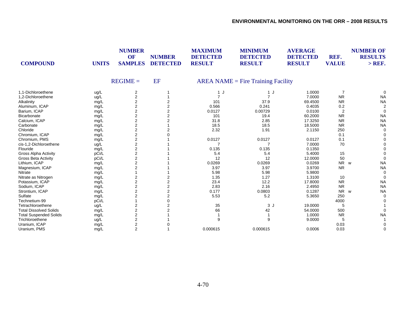| <b>COMPOUND</b>               | <b>UNITS</b> | <b>NUMBER</b><br>OF<br><b>SAMPLES</b> | <b>NUMBER</b><br><b>DETECTED</b> | <b>MAXIMUM</b><br><b>DETECTED</b><br><b>RESULT</b> | <b>MINIMUM</b><br><b>DETECTED</b><br><b>RESULT</b> | <b>AVERAGE</b><br><b>DETECTED</b><br><b>RESULT</b> | REF.<br><b>VALUE</b> | <b>NUMBER OF</b><br><b>RESULTS</b><br>$>$ REF. |
|-------------------------------|--------------|---------------------------------------|----------------------------------|----------------------------------------------------|----------------------------------------------------|----------------------------------------------------|----------------------|------------------------------------------------|
|                               |              | $REGIME =$                            | EF                               |                                                    | $AREA NAME = Fire Training Facility$               |                                                    |                      |                                                |
| 1.1-Dichloroethene            | ug/L         | 2                                     |                                  | $\mathbf{1}$                                       | 1J                                                 | 1.0000                                             | $\overline{7}$       | 0                                              |
| 1,2-Dichloroethene            | ug/L         | $\overline{2}$                        |                                  | $\overline{7}$                                     | $\overline{7}$                                     | 7.0000                                             | <b>NR</b>            | <b>NA</b>                                      |
| Alkalinity                    | mg/L         | $\overline{\mathbf{c}}$               |                                  | 101                                                | 37.9                                               | 69.4500                                            | <b>NR</b>            | <b>NA</b>                                      |
| Aluminum, ICAP                | mg/L         | $\overline{2}$                        | 2                                | 0.566                                              | 0.241                                              | 0.4035                                             | $0.2\,$              |                                                |
| Barium, ICAP                  | mg/L         | $\mathbf{2}$                          | 2                                | 0.0127                                             | 0.00729                                            | 0.0100                                             | $\overline{2}$       | $\Omega$                                       |
| Bicarbonate                   | mg/L         | $\overline{2}$                        | 2                                | 101                                                | 19.4                                               | 60.2000                                            | <b>NR</b>            | <b>NA</b>                                      |
| Calcium, ICAP                 | mg/L         | $\overline{\mathbf{c}}$               | 2                                | 31.8                                               | 2.85                                               | 17.3250                                            | <b>NR</b>            | <b>NA</b>                                      |
| Carbonate                     | mg/L         | 2                                     |                                  | 18.5                                               | 18.5                                               | 18.5000                                            | <b>NR</b>            | <b>NA</b>                                      |
| Chloride                      | mg/L         | $\overline{c}$                        |                                  | 2.32                                               | 1.91                                               | 2.1150                                             | 250                  | 0                                              |
| Chromium, ICAP                | mg/L         | $\overline{2}$                        |                                  |                                                    |                                                    |                                                    | 0.1                  |                                                |
| Chromium, PMS                 | mg/L         | $\overline{2}$                        |                                  | 0.0127                                             | 0.0127                                             | 0.0127                                             | 0.1                  |                                                |
| cis-1,2-Dichloroethene        | ug/L         | $\overline{2}$                        |                                  |                                                    |                                                    | 7.0000                                             | 70                   |                                                |
| Flouride                      | mg/L         | $\overline{c}$                        |                                  | 0.135                                              | 0.135                                              | 0.1350                                             |                      |                                                |
| <b>Gross Alpha Activity</b>   | pCi/L        | $\overline{c}$                        |                                  | 5.4                                                | 5.4                                                | 5.4000                                             | 15                   |                                                |
| <b>Gross Beta Activity</b>    | pCi/L        | $\overline{2}$                        |                                  | 12                                                 | 12                                                 | 12.0000                                            | 50                   |                                                |
| Lithium, ICAP                 | mg/L         | 2                                     |                                  | 0.0269                                             | 0.0269                                             | 0.0269                                             | NR w                 | <b>NA</b>                                      |
| Magnesium, ICAP               | mg/L         | 2                                     |                                  | 3.97                                               | 3.97                                               | 3.9700                                             | <b>NR</b>            | <b>NA</b>                                      |
| Nitrate                       | mg/L         |                                       |                                  | 5.98                                               | 5.98                                               | 5.9800                                             |                      |                                                |
| Nitrate as Nitrogen           | mg/L         | $\overline{\mathbf{c}}$               | 2                                | 1.35                                               | 1.27                                               | 1.3100                                             | 10                   | $\Omega$                                       |
| Potassium, ICAP               | mg/L         | $\overline{c}$                        | $\overline{2}$                   | 23.4                                               | 12.2                                               | 17.8000                                            | <b>NR</b>            | <b>NA</b>                                      |
| Sodium, ICAP                  | mg/L         | $\overline{2}$                        | $\overline{2}$                   | 2.83                                               | 2.16                                               | 2.4950                                             | <b>NR</b>            | <b>NA</b>                                      |
| Strontium, ICAP               | mg/L         | $\overline{2}$                        | 2                                | 0.177                                              | 0.0803                                             | 0.1287                                             | <b>NR</b>            | <b>NA</b><br><b>W</b>                          |
| Sulfate                       | mg/L         | 2                                     | $\overline{2}$                   | 5.53                                               | 5.2                                                | 5.3650                                             | 250                  |                                                |
| Technetium-99                 | pCi/L        |                                       | $\Omega$                         |                                                    |                                                    |                                                    | 4000                 |                                                |
| Tetrachloroethene             | ug/L         | $\overline{\mathbf{c}}$               | 2                                | 35                                                 | 3J                                                 | 19.0000                                            | 5                    |                                                |
| <b>Total Dissolved Solids</b> | mg/L         | 2                                     | $\overline{2}$                   | 66                                                 | 42                                                 | 54.0000                                            | 500                  |                                                |
| <b>Total Suspended Solids</b> | mg/L         | 2                                     |                                  |                                                    |                                                    | 1.0000                                             | <b>NR</b>            | <b>NA</b>                                      |
| Trichloroethene               | ug/L         | 2                                     |                                  | 9                                                  | 9                                                  | 9.0000                                             | 5                    |                                                |
| Uranium, ICAP                 | mg/L         | $\overline{\mathbf{c}}$               |                                  |                                                    |                                                    |                                                    | 0.03                 |                                                |
| Uranium, PMS                  | mg/L         | $\overline{2}$                        |                                  | 0.000615                                           | 0.000615                                           | 0.0006                                             | 0.03                 | 0                                              |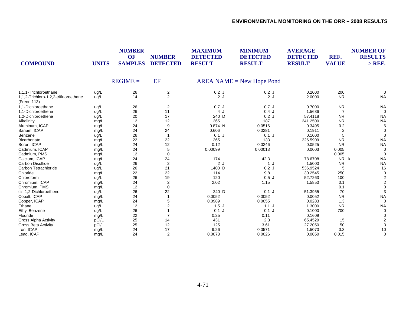| <b>COMPOUND</b>                                      | <b>UNITS</b> | <b>NUMBER</b><br><b>OF</b><br><b>SAMPLES</b> | <b>NUMBER</b><br><b>DETECTED</b> | <b>MAXIMUM</b><br><b>DETECTED</b><br><b>RESULT</b> | <b>MINIMUM</b><br><b>DETECTED</b><br><b>RESULT</b> | <b>AVERAGE</b><br><b>DETECTED</b><br><b>RESULT</b> | REF.<br><b>VALUE</b> | <b>NUMBER OF</b><br><b>RESULTS</b><br>$>$ REF. |
|------------------------------------------------------|--------------|----------------------------------------------|----------------------------------|----------------------------------------------------|----------------------------------------------------|----------------------------------------------------|----------------------|------------------------------------------------|
|                                                      |              | $REGIME =$                                   | EF                               |                                                    | $AREA NAME = New Hope$ Pond                        |                                                    |                      |                                                |
| 1,1,1-Trichloroethane                                | ug/L         | 26                                           | $\overline{2}$                   | 0.2J                                               | 0.2J                                               | 0.2000                                             | 200                  |                                                |
| 1,1,2-Trichloro-1,2,2-trifluoroethane<br>(Freon 113) | ug/L         | 14                                           | $\overline{2}$                   | 2J                                                 | 2J                                                 | 2.0000                                             | <b>NR</b>            | <b>NA</b>                                      |
| 1.1-Dichloroethane                                   | ug/L         | 26                                           | $\overline{2}$                   | 0.7J                                               | 0.7J                                               | 0.7000                                             | <b>NR</b>            | <b>NA</b>                                      |
| 1.1-Dichloroethene                                   | ug/L         | 26                                           | 11                               | 4 J                                                | $0.4$ J                                            | 1.5636                                             |                      | $\Omega$                                       |
| 1,2-Dichloroethene                                   | ug/L         | 20                                           | 17                               | 240 D                                              | 0.2J                                               | 57.4118                                            | <b>NR</b>            | <b>NA</b>                                      |
| Alkalinity                                           | mg/L         | 12                                           | 12                               | 365                                                | 187                                                | 241.2500                                           | <b>NR</b>            | <b>NA</b>                                      |
| Aluminum, ICAP                                       | mg/L         | 24                                           | 9                                | 0.874 N                                            | 0.0516                                             | 0.3495                                             | 0.2                  | 6                                              |
| Barium, ICAP                                         | mg/L         | 24                                           | 24                               | 0.606                                              | 0.0281                                             | 0.1911                                             | 2                    | $\Omega$                                       |
| Benzene                                              | ug/L         | 26                                           | $\mathbf{1}$                     | $0.1$ J                                            | $0.1$ J                                            | 0.1000                                             | 5                    | $\Omega$                                       |
| Bicarbonate                                          | mg/L         | 22                                           | 22                               | 365                                                | 133                                                | 226.5909                                           | <b>NR</b>            | <b>NA</b>                                      |
| Boron, ICAP                                          | mg/L         | 24                                           | 12                               | 0.12                                               | 0.0246                                             | 0.0525                                             | <b>NR</b>            | <b>NA</b>                                      |
| Cadmium, ICAP                                        | mg/L         | 24                                           | 5                                | 0.00099                                            | 0.00013                                            | 0.0003                                             | 0.005                |                                                |
| Cadmium, PMS                                         | mg/L         | 12                                           | $\mathbf 0$                      |                                                    |                                                    |                                                    | 0.005                |                                                |
| Calcium, ICAP                                        | mg/L         | 24                                           | 24                               | 174                                                | 42.3                                               | 78.6708                                            | <b>NR</b>            | k<br><b>NA</b>                                 |
| Carbon Disulfide                                     | ug/L         | 26                                           | $\sqrt{2}$                       | 2J                                                 | 1J                                                 | 1.5000                                             | <b>NR</b>            | <b>NA</b>                                      |
| Carbon Tetrachloride                                 | uq/L         | 26                                           | 21                               | 1400 D                                             | 0.2J                                               | 536.9524                                           | 5                    | 16                                             |
| Chloride                                             | mg/L         | 22                                           | 22                               | 114                                                | 9.8                                                | 30.2545                                            | 250                  | $\Omega$                                       |
| Chloroform                                           | ug/L         | 26                                           | 19                               | 120                                                | 0.5J                                               | 52.7263                                            | 100                  |                                                |
| Chromium, ICAP                                       | mg/L         | 24                                           | $\overline{2}$                   | 2.02                                               | 1.15                                               | 1.5850                                             | 0.1                  |                                                |
| Chromium, PMS                                        | mg/L         | 12                                           | 0                                |                                                    |                                                    |                                                    | 0.1                  | $\Omega$                                       |
| cis-1,2-Dichloroethene                               | ug/L         | 26                                           | 22                               | 240 D                                              | $0.1$ J                                            | 51.3955                                            | 70                   |                                                |
| Cobalt, ICAP                                         | mg/L         | 24                                           | 1                                | 0.0052                                             | 0.0052                                             | 0.0052                                             | <b>NR</b>            | <b>NA</b>                                      |
| Copper, ICAP                                         | mg/L         | 24                                           | 5                                | 0.0989                                             | 0.0055                                             | 0.0283                                             | 1.3                  | $\Omega$                                       |
| Ethane                                               | ug/L         | 12                                           | 2                                | 1.5J                                               | 1.1J                                               | 1.3000                                             | <b>NR</b>            | <b>NA</b>                                      |
| <b>Ethyl Benzene</b>                                 | ug/L         | 26                                           |                                  | $0.1$ J                                            | $0.1$ J                                            | 0.1000                                             | 700                  | 0                                              |
| Flouride                                             | mg/L         | 22                                           | 7                                | 0.25                                               | 0.11                                               | 0.1609                                             |                      |                                                |
| <b>Gross Alpha Activity</b>                          | pCi/L        | 25                                           | 14                               | 431                                                | 2.3                                                | 65.4529                                            | 15                   |                                                |
| <b>Gross Beta Activity</b>                           | pCi/L        | 25                                           | 12                               | 125                                                | 3.61                                               | 27.2050                                            | 50                   |                                                |
| Iron, ICAP                                           | mg/L         | 24                                           | 17                               | 9.26                                               | 0.0571                                             | 1.5070                                             | 0.3                  | 10                                             |
| Lead, ICAP                                           | mq/L         | 24                                           | 2                                | 0.0073                                             | 0.0026                                             | 0.0050                                             | 0.015                | 0                                              |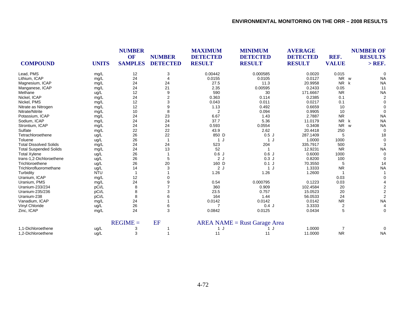| <b>COMPOUND</b>               | <b>UNITS</b> | <b>NUMBER</b><br>OF<br><b>SAMPLES</b> | <b>NUMBER</b><br><b>DETECTED</b> | <b>MAXIMUM</b><br><b>DETECTED</b><br><b>RESULT</b> | <b>MINIMUM</b><br><b>DETECTED</b><br><b>RESULT</b> | <b>AVERAGE</b><br><b>DETECTED</b><br><b>RESULT</b> | REF.<br><b>VALUE</b> | <b>NUMBER OF</b><br><b>RESULTS</b><br>$>$ REF. |
|-------------------------------|--------------|---------------------------------------|----------------------------------|----------------------------------------------------|----------------------------------------------------|----------------------------------------------------|----------------------|------------------------------------------------|
| Lead, PMS                     | mg/L         | 12                                    | 3                                | 0.00442                                            | 0.000585                                           | 0.0020                                             | 0.015                | $\Omega$                                       |
| Lithium, ICAP                 | mg/L         | 24                                    |                                  | 0.0155                                             | 0.0105                                             | 0.0127                                             | NR w                 | <b>NA</b>                                      |
| Magnesium, ICAP               | mg/L         | 24                                    | 24                               | 27.5                                               | 11.3                                               | 20.9958                                            | <b>NR</b><br>k       | <b>NA</b>                                      |
| Manganese, ICAP               | mg/L         | 24                                    | 21                               | 2.35                                               | 0.00595                                            | 0.2433                                             | 0.05                 | 11                                             |
| Methane                       | ug/L         | 12                                    | 9                                | 590                                                | 30                                                 | 171.6667                                           | <b>NR</b>            | <b>NA</b>                                      |
| Nickel, ICAP                  | mg/L         | 24                                    | 2                                | 0.363                                              | 0.114                                              | 0.2385                                             | 0.1                  | $\overline{2}$                                 |
| Nickel, PMS                   | mg/L         | 12                                    | 3                                | 0.043                                              | 0.011                                              | 0.0217                                             | 0.1                  | $\Omega$                                       |
| Nitrate as Nitrogen           | mg/L         | 12                                    | 9                                | 1.13                                               | 0.492                                              | 0.6659                                             | 10                   |                                                |
| Nitrate/Nitrite               | mg/L         | 10                                    | 8                                | 2                                                  | 0.094                                              | 0.9905                                             | 10                   | $\Omega$                                       |
| Potassium, ICAP               | mg/L         | 24                                    | 23                               | 6.67                                               | 1.43                                               | 2.7887                                             | <b>NR</b>            | <b>NA</b>                                      |
| Sodium, ICAP                  | mg/L         | 24                                    | 24                               | 37.7                                               | 5.36                                               | 11.0179                                            | <b>NR</b><br>k       | <b>NA</b>                                      |
| Strontium, ICAP               | mg/L         | 24                                    | 24                               | 0.593                                              | 0.0554                                             | 0.3408                                             | <b>NR</b>            | <b>NA</b><br>W                                 |
| Sulfate                       | mg/L         | 22                                    | 22                               | 43.9                                               | 2.62                                               | 20.4418                                            | 250                  | $\Omega$                                       |
| Tetrachloroethene             | ug/L         | 26                                    | 22                               | 850 D                                              | 0.5J                                               | 287.1409                                           | 5                    | 18                                             |
| Toluene                       | ug/L         | 26                                    | $\mathbf{1}$                     | 1 J                                                | 1 J                                                | 1.0000                                             | 1000                 | 0                                              |
| <b>Total Dissolved Solids</b> | mg/L         | 24                                    | 24                               | 523                                                | 204                                                | 335.7917                                           | 500                  | 3                                              |
| <b>Total Suspended Solids</b> | mg/L         | 24                                    | 13                               | 52                                                 | -1                                                 | 12.9231                                            | <b>NR</b>            | <b>NA</b>                                      |
| <b>Total Xylene</b>           | ug/L         | 26                                    |                                  | 0.6J                                               | 0.6J                                               | 0.6000                                             | 1000                 | $\Omega$                                       |
| trans-1,2-Dichloroethene      | ug/L         | 26                                    | 5                                | 2J                                                 | 0.3J                                               | 0.8200                                             | 100                  | $\Omega$                                       |
| Trichloroethene               | ug/L         | 26                                    | 20                               | 160 D                                              | $0.1$ J                                            | 70.3550                                            |                      | 14                                             |
| Trichlorofluoromethane        | ug/L         | 14                                    | 3                                | 2J                                                 | 1 J                                                | 1.3333                                             | <b>NR</b>            | <b>NA</b>                                      |
| Turbidity                     | <b>NTU</b>   |                                       |                                  | 1.26                                               | 1.26                                               | 1.2600                                             |                      |                                                |
| Uranium, ICAP                 | mg/L         | 12                                    |                                  |                                                    |                                                    |                                                    | 0.03                 |                                                |
| Uranium, PMS                  | mg/L         | 24                                    |                                  | 0.54                                               | 0.000795                                           | 0.1223                                             | 0.03                 |                                                |
| Uranium-233/234               | pCi/L        | 8                                     |                                  | 360                                                | 0.909                                              | 102.4584                                           | 20                   |                                                |
| Uranium-235/236               | pCi/L        |                                       |                                  | 23.5                                               | 0.757                                              | 15.0523                                            | 20                   | $\overline{2}$                                 |
| Uranium-238                   | pCi/L        |                                       |                                  | 164                                                | 1.44                                               | 56.0533                                            | 24                   |                                                |
| Vanadium, ICAP                | mg/L         | 24                                    |                                  | 0.0142                                             | 0.0142                                             | 0.0142                                             | <b>NR</b>            | <b>NA</b>                                      |
| Vinyl Chloride                | ug/L         | 26                                    | 6                                |                                                    | 0.4J                                               | 3.3333                                             | $\overline{c}$       | $\overline{4}$                                 |
| Zinc, ICAP                    | mg/L         | 24                                    | 3                                | 0.0842                                             | 0.0125                                             | 0.0434                                             | 5                    | 0                                              |
|                               |              | $REGIME =$                            | EF                               |                                                    | $AREA NAME = Rust Garage Area$                     |                                                    |                      |                                                |
| 1,1-Dichloroethene            | ug/L         |                                       |                                  | 1J                                                 |                                                    | 1.0000                                             |                      | $\Omega$                                       |
| 1.2-Dichloroethene            | uq/L         | 3                                     |                                  | 11                                                 | 11                                                 | 11.0000                                            | <b>NR</b>            | <b>NA</b>                                      |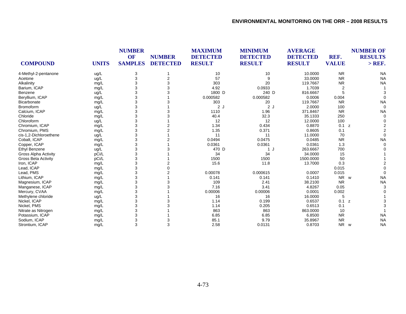|                            |              | <b>NUMBER</b><br>OF | <b>NUMBER</b><br><b>DETECTED</b> | <b>MAXIMUM</b><br><b>DETECTED</b><br><b>RESULT</b> | <b>MINIMUM</b><br><b>DETECTED</b> | <b>AVERAGE</b><br><b>DETECTED</b> | REF.                  | <b>NUMBER OF</b><br><b>RESULTS</b> |
|----------------------------|--------------|---------------------|----------------------------------|----------------------------------------------------|-----------------------------------|-----------------------------------|-----------------------|------------------------------------|
| <b>COMPOUND</b>            | <b>UNITS</b> | <b>SAMPLES</b>      |                                  |                                                    | <b>RESULT</b>                     | <b>RESULT</b>                     | <b>VALUE</b>          | $>$ REF.                           |
| 4-Methyl-2-pentanone       | ug/L         | 3                   |                                  | 10                                                 | 10                                | 10.0000                           | <b>NR</b>             | <b>NA</b>                          |
| Acetone                    | ug/L         | 3                   | 2                                | 57                                                 | 9                                 | 33.0000                           | <b>NR</b>             | <b>NA</b>                          |
| Alkalinity                 | mg/L         | 3                   | 3                                | 303                                                | 20                                | 119.7667                          | <b>NR</b>             | <b>NA</b>                          |
| Barium, ICAP               | mg/L         | 3                   | 3                                | 4.92                                               | 0.0933                            | 1.7039                            | $\overline{2}$        |                                    |
| Benzene                    | ug/L         | 3                   |                                  | 1800 D                                             | 240 D                             | 816.6667                          | 5                     |                                    |
| Beryllium, ICAP            | mg/L         | 3                   |                                  | 0.000582                                           | 0.000582                          | 0.0006                            | 0.004                 |                                    |
| Bicarbonate                | mg/L         | 3                   |                                  | 303                                                | 20                                | 119.7667                          | <b>NR</b>             | <b>NA</b>                          |
| Bromoform                  | ug/L         | 3                   |                                  | 2J                                                 | 2J                                | 2.0000                            | 100                   | $\Omega$                           |
| Calcium, ICAP              | mg/L         | 3                   | 3                                | 1110                                               | 1.96                              | 371.8467                          | <b>NR</b>             | <b>NA</b>                          |
| Chloride                   | mg/L         | 3                   |                                  | 40.4                                               | 32.3                              | 35.1333                           | 250                   |                                    |
| Chloroform                 | ug/L         | 3                   |                                  | 12                                                 | 12                                | 12.0000                           | 100                   |                                    |
| Chromium, ICAP             | mg/L         | 3                   |                                  | 1.34                                               | 0.434                             | 0.8870                            | 0.1<br>z              |                                    |
| Chromium, PMS              | mg/L         | 3                   |                                  | 1.35                                               | 0.371                             | 0.8605                            | 0.1                   |                                    |
| cis-1,2-Dichloroethene     | ug/L         | 3                   |                                  | 11                                                 | 11                                | 11.0000                           | 70                    |                                    |
| Cobalt, ICAP               | mg/L         | 3                   |                                  | 0.0494                                             | 0.0475                            | 0.0485                            | <b>NR</b>             | <b>NA</b>                          |
| Copper, ICAP               | mg/L         | 3                   |                                  | 0.0361                                             | 0.0361                            | 0.0361                            | 1.3                   |                                    |
| <b>Ethyl Benzene</b>       | ug/L         | 3                   |                                  | 470 D                                              | 1 J                               | 263.6667                          | 700                   |                                    |
| Gross Alpha Activity       | pCi/L        | 3                   |                                  | 34                                                 | 34                                | 34.0000                           | 15                    |                                    |
| <b>Gross Beta Activity</b> | pCi/L        | 3                   |                                  | 1500                                               | 1500                              | 1500.0000                         | 50                    |                                    |
| Iron, ICAP                 | mg/L         | 3                   |                                  | 15.6                                               | 11.8                              | 13.7000                           | 0.3                   |                                    |
| Lead, ICAP                 | mg/L         | 3                   |                                  |                                                    |                                   |                                   | 0.015                 |                                    |
| Lead, PMS                  | mg/L         | 3                   |                                  | 0.00078                                            | 0.000615                          | 0.0007                            | 0.015                 |                                    |
| Lithium, ICAP              | mg/L         | 3                   |                                  | 0.141                                              | 0.141                             | 0.1410                            | <b>NR</b><br><b>W</b> | <b>NA</b>                          |
| Magnesium, ICAP            | mg/L         | 3                   |                                  | 109                                                | 2.41                              | 38.2100                           | <b>NR</b>             | <b>NA</b>                          |
| Manganese, ICAP            | mg/L         | 3                   |                                  | 7.16                                               | 3.41                              | 4.8267                            | 0.05                  |                                    |
| Mercury, CVAA              | mg/L         | 3                   |                                  | 0.00006                                            | 0.00006                           | 0.0001                            | 0.002                 |                                    |
| Methylene chloride         | ug/L         | 3                   |                                  | 16                                                 | 16                                | 16.0000                           | 5                     |                                    |
| Nickel, ICAP               | mg/L         | 3                   |                                  | 1.14                                               | 0.199                             | 0.6537                            | 0.1<br>z              |                                    |
| Nickel, PMS                | mg/L         | 3                   |                                  | 1.14                                               | 0.205                             | 0.6513                            | 0.1                   |                                    |
| Nitrate as Nitrogen        | mg/L         | 3                   |                                  | 863                                                | 863                               | 863.0000                          | 10                    |                                    |
| Potassium, ICAP            | mg/L         | 3                   |                                  | 6.85                                               | 6.85                              | 6.8500                            | <b>NR</b>             | <b>NA</b>                          |
| Sodium, ICAP               | mg/L         | 3                   |                                  | 85.1                                               | 9.79                              | 35.8967                           | <b>NR</b>             | <b>NA</b>                          |
| Strontium, ICAP            | mg/L         | 3                   | 3                                | 2.58                                               | 0.0131                            | 0.8703                            | <b>NR</b>             | <b>NA</b><br>W                     |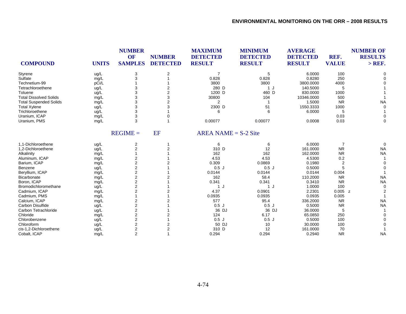| <b>COMPOUND</b>               | <b>UNITS</b> | <b>NUMBER</b><br>OF<br><b>SAMPLES</b> | <b>NUMBER</b><br><b>DETECTED</b> | <b>MAXIMUM</b><br><b>DETECTED</b><br><b>RESULT</b> | <b>MINIMUM</b><br><b>DETECTED</b><br><b>RESULT</b> | <b>AVERAGE</b><br><b>DETECTED</b><br><b>RESULT</b> | REF.<br><b>VALUE</b> | <b>NUMBER OF</b><br><b>RESULTS</b><br>$>$ REF. |
|-------------------------------|--------------|---------------------------------------|----------------------------------|----------------------------------------------------|----------------------------------------------------|----------------------------------------------------|----------------------|------------------------------------------------|
| Styrene                       | ug/L         | 3                                     | $\overline{2}$                   | $\overline{7}$                                     | 5                                                  | 6.0000                                             | 100                  |                                                |
| Sulfate                       | mg/L         | 3                                     |                                  | 0.828                                              | 0.828                                              | 0.8280                                             | 250                  |                                                |
| Technetium-99                 | pCi/L        |                                       |                                  | 3800                                               | 3800                                               | 3800.0000                                          | 4000                 |                                                |
| Tetrachloroethene             | ug/L         | 3                                     |                                  | 280 D                                              | 1 J                                                | 140.5000                                           | 5                    |                                                |
| Toluene                       | ug/L         | 3                                     | $\overline{2}$                   | 1200 D                                             | 460 D                                              | 830.0000                                           | 1000                 |                                                |
| <b>Total Dissolved Solids</b> | mg/L         | 3                                     | 3                                | 30800                                              | 104                                                | 10346.0000                                         | 500                  |                                                |
| <b>Total Suspended Solids</b> | mg/L         | 3                                     |                                  | $\overline{2}$                                     |                                                    | 1.5000                                             | <b>NR</b>            | <b>NA</b>                                      |
| <b>Total Xylene</b>           | ug/L         | 3                                     | 3                                | 2300 D                                             | 51                                                 | 1550.3333                                          | 1000                 |                                                |
| Trichloroethene               | ug/L         | 3                                     |                                  | 6                                                  |                                                    | 6.0000                                             | 5                    |                                                |
| Uranium, ICAP                 | mg/L         | 3                                     |                                  |                                                    |                                                    |                                                    | 0.03                 |                                                |
| Uranium, PMS                  | mg/L         | 3                                     |                                  | 0.00077                                            | 0.00077                                            | 0.0008                                             | 0.03                 | $\Omega$                                       |
|                               |              | $REGIME =$                            | EF                               | $AREA NAME = S-2 Site$                             |                                                    |                                                    |                      |                                                |
| 1,1-Dichloroethene            | ug/L         | 2                                     | -1                               | 6                                                  | 6                                                  | 6.0000                                             | $\overline{7}$       | $\Omega$                                       |
| 1,2-Dichloroethene            | ug/L         | $\overline{2}$                        | 2                                | 310 D                                              | 12                                                 | 161.0000                                           | <b>NR</b>            | <b>NA</b>                                      |
| Alkalinity                    | mg/L         |                                       |                                  | 162                                                | 162                                                | 162.0000                                           | <b>NR</b>            | <b>NA</b>                                      |
| Aluminum, ICAP                | mg/L         | 2                                     |                                  | 4.53                                               | 4.53                                               | 4.5300                                             | 0.2                  |                                                |
| Barium, ICAP                  | mg/L         | 2                                     |                                  | 0.309                                              | 0.0869                                             | 0.1980                                             | 2                    |                                                |
| Benzene                       | ug/L         | $\overline{\mathbf{c}}$               |                                  | 0.5J                                               | 0.5J                                               | 0.5000                                             | 5                    |                                                |
| Beryllium, ICAP               | mg/L         | 2                                     |                                  | 0.0144                                             | 0.0144                                             | 0.0144                                             | 0.004                |                                                |
| Bicarbonate                   | mg/L         | $\overline{\mathbf{c}}$               |                                  | 162                                                | 58.4                                               | 110.2000                                           | <b>NR</b>            | <b>NA</b>                                      |
| Boron, ICAP                   | mg/L         | $\overline{2}$                        |                                  | 0.341                                              | 0.341                                              | 0.3410                                             | <b>NR</b>            | <b>NA</b>                                      |
| Bromodichloromethane          | ug/L         | $\overline{2}$                        |                                  | 1 J                                                | 1J                                                 | 1.0000                                             | 100                  |                                                |
| Cadmium, ICAP                 | mg/L         | $\overline{2}$                        |                                  | 4.37                                               | 0.0901                                             | 2.2301                                             | $0.005$ z            |                                                |
| Cadmium, PMS                  | mg/L         |                                       |                                  | 0.0935                                             | 0.0935                                             | 0.0935                                             | 0.005                |                                                |
| Calcium, ICAP                 | mg/L         | 2                                     |                                  | 577                                                | 95.4                                               | 336.2000                                           | <b>NR</b>            | <b>NA</b>                                      |
| Carbon Disulfide              | ug/L         | 2                                     |                                  | 0.5J                                               | 0.5J                                               | 0.5000                                             | <b>NR</b>            | <b>NA</b>                                      |
| Carbon Tetrachloride          | ug/L         | $\overline{c}$                        |                                  | 36 DJ                                              | 36 DJ                                              | 36.0000                                            | 5                    |                                                |
| Chloride                      | mg/L         | $\overline{2}$                        |                                  | 124                                                | 6.17                                               | 65.0850                                            | 250                  |                                                |
| Chlorobenzene                 | ug/L         | $\overline{2}$                        |                                  | 0.5J                                               | 0.5J                                               | 0.5000                                             | 100                  |                                                |
| Chloroform                    | ug/L         | $\overline{2}$                        | 2                                | 50 DJ                                              | 10                                                 | 30.0000                                            | 100                  |                                                |
| cis-1,2-Dichloroethene        | ug/L         | 2                                     | $\overline{2}$                   | 310 D                                              | 12                                                 | 161.0000                                           | 70                   |                                                |
| Cobalt, ICAP                  | mg/L         | $\overline{2}$                        |                                  | 0.294                                              | 0.294                                              | 0.2940                                             | <b>NR</b>            | <b>NA</b>                                      |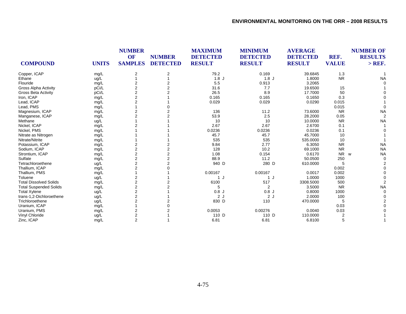|                               |              |                         | <b>NUMBER</b>   | <b>MAXIMUM</b><br><b>DETECTED</b> | <b>MINIMUM</b><br><b>DETECTED</b> | <b>AVERAGE</b><br><b>DETECTED</b> | REF.           | <b>NUMBER OF</b><br><b>RESULTS</b> |
|-------------------------------|--------------|-------------------------|-----------------|-----------------------------------|-----------------------------------|-----------------------------------|----------------|------------------------------------|
| <b>COMPOUND</b>               | <b>UNITS</b> | <b>SAMPLES</b>          | <b>DETECTED</b> | <b>RESULT</b>                     | <b>RESULT</b>                     | <b>RESULT</b>                     | <b>VALUE</b>   | $>$ REF.                           |
| Copper, ICAP                  | mg/L         | 2                       | 2               | 79.2                              | 0.169                             | 39.6845                           | 1.3            |                                    |
| Ethane                        | ug/L         |                         |                 | 1.8J                              | 1.8J                              | 1.8000                            | <b>NR</b>      | <b>NA</b>                          |
| Flouride                      | mg/L         |                         |                 | 5.5                               | 0.913                             | 3.2065                            |                |                                    |
| Gross Alpha Activity          | pCi/L        | $\overline{2}$          |                 | 31.6                              | 7.7                               | 19.6500                           | 15             |                                    |
| <b>Gross Beta Activity</b>    | pCi/L        | $\overline{2}$          |                 | 26.5                              | 8.9                               | 17.7000                           | 50             |                                    |
| Iron, ICAP                    | mg/L         | $\overline{2}$          |                 | 0.165                             | 0.165                             | 0.1650                            | 0.3            |                                    |
| Lead, ICAP                    | mg/L         |                         |                 | 0.029                             | 0.029                             | 0.0290                            | 0.015          |                                    |
| Lead, PMS                     | mg/L         |                         |                 |                                   |                                   |                                   | 0.015          |                                    |
| Magnesium, ICAP               | mg/L         |                         |                 | 136                               | 11.2                              | 73.6000                           | <b>NR</b>      | <b>NA</b>                          |
| Manganese, ICAP               | mg/L         | $\overline{2}$          |                 | 53.9                              | 2.5                               | 28.2000                           | 0.05           |                                    |
| Methane                       | ug/L         |                         |                 | 10                                | 10                                | 10.0000                           | <b>NR</b>      | <b>NA</b>                          |
| Nickel, ICAP                  | mg/L         |                         |                 | 2.67                              | 2.67                              | 2.6700                            | 0.1            |                                    |
| Nickel, PMS                   | mg/L         |                         |                 | 0.0236                            | 0.0236                            | 0.0236                            | 0.1            |                                    |
| Nitrate as Nitrogen           | mg/L         |                         |                 | 45.7                              | 45.7                              | 45.7000                           | 10             |                                    |
| Nitrate/Nitrite               | mg/L         |                         |                 | 535                               | 535                               | 535.0000                          | 10             |                                    |
| Potassium, ICAP               | mg/L         |                         |                 | 9.84                              | 2.77                              | 6.3050                            | <b>NR</b>      | <b>NA</b>                          |
| Sodium, ICAP                  | mg/L         | $\overline{2}$          |                 | 128                               | 10.2                              | 69.1000                           | <b>NR</b>      | <b>NA</b>                          |
| Strontium, ICAP               | mg/L         | $\overline{c}$          |                 | 1.08                              | 0.154                             | 0.6170                            | N <sub>R</sub> | <b>NA</b><br>W                     |
| Sulfate                       | mg/L         | $\overline{2}$          | 2               | 88.9                              | 11.2                              | 50.0500                           | 250            |                                    |
| Tetrachloroethene             | ug/L         | $\overline{2}$          |                 | 940 D                             | 280 D                             | 610.0000                          | 5              |                                    |
| Thallium, ICAP                | mg/L         | $\overline{2}$          |                 |                                   |                                   |                                   | 0.002          |                                    |
| Thallium, PMS                 | mg/L         |                         |                 | 0.00167                           | 0.00167                           | 0.0017                            | 0.002          |                                    |
| Toluene                       | ug/L         | $\overline{2}$          |                 | 1 J                               | 1 J                               | 1.0000                            | 1000           |                                    |
| <b>Total Dissolved Solids</b> | mg/L         | 2                       |                 | 6100                              | 517                               | 3308.5000                         | 500            |                                    |
| <b>Total Suspended Solids</b> | mg/L         | $\overline{\mathbf{c}}$ |                 | 5                                 | 2                                 | 3.5000                            | <b>NR</b>      | <b>NA</b>                          |
| <b>Total Xylene</b>           | ug/L         | $\overline{2}$          |                 | 0.8J                              | 0.8J                              | 0.8000                            | 1000           |                                    |
| trans-1,2-Dichloroethene      | ug/L         | 2                       |                 | 2J                                | 2J                                | 2.0000                            | 100            |                                    |
| Trichloroethene               | ug/L         | 2                       |                 | 830 D                             | 110                               | 470.0000                          | 5              |                                    |
| Uranium, ICAP                 | mg/L         |                         |                 |                                   |                                   |                                   | 0.03           |                                    |
| Uranium, PMS                  | mg/L         | $\overline{2}$          |                 | 0.0053                            | 0.00276                           | 0.0040                            | 0.03           |                                    |
| Vinyl Chloride                | ug/L         | 2                       |                 | 110 D                             | 110 D                             | 110.0000                          |                |                                    |
| Zinc, ICAP                    | mg/L         | $\overline{2}$          |                 | 6.81                              | 6.81                              | 6.8100                            | 5              |                                    |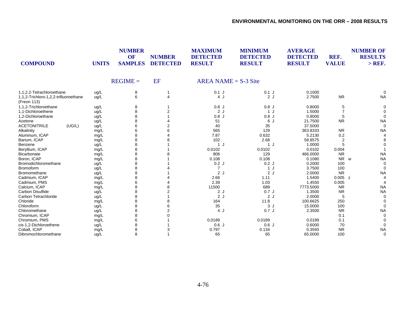| <b>COMPOUND</b>                                      | <b>UNITS</b> | <b>NUMBER</b><br>OF<br><b>SAMPLES</b> | <b>NUMBER</b><br><b>DETECTED</b> | <b>MAXIMUM</b><br><b>DETECTED</b><br><b>RESULT</b> | <b>MINIMUM</b><br><b>DETECTED</b><br><b>RESULT</b> | <b>AVERAGE</b><br><b>DETECTED</b><br><b>RESULT</b> | REF.<br><b>VALUE</b> | <b>NUMBER OF</b><br><b>RESULTS</b><br>$>$ REF. |
|------------------------------------------------------|--------------|---------------------------------------|----------------------------------|----------------------------------------------------|----------------------------------------------------|----------------------------------------------------|----------------------|------------------------------------------------|
|                                                      |              | $REGIME =$                            | EF                               | AREA NAME = $S-3$ Site                             |                                                    |                                                    |                      |                                                |
| 1,1,2,2-Tetrachloroethane                            | ug/L         | 8                                     |                                  | $0.1$ J                                            | $0.1$ J                                            | 0.1000                                             |                      |                                                |
| 1,1,2-Trichloro-1,2,2-trifluoroethane<br>(Freon 113) | uq/L         | 6                                     | $\overline{4}$                   | 4 J                                                | 2J                                                 | 2.7500                                             | <b>NR</b>            | <b>NA</b>                                      |
| 1,1,2-Trichloroethane                                | ug/L         | 8                                     |                                  | 0.8J                                               | 0.8J                                               | 0.8000                                             | 5                    | $\Omega$                                       |
| 1,1-Dichloroethene                                   | ug/L         | 8                                     |                                  | 2J                                                 | 1J                                                 | 1.5000                                             |                      |                                                |
| 1,2-Dichloroethane                                   | ug/L         | 8                                     |                                  | 0.8J                                               | 0.8J                                               | 0.8000                                             |                      |                                                |
| Acetone                                              | ug/L         | 8                                     |                                  | 51                                                 | 6 J                                                | 21.7500                                            | <b>NR</b>            | <b>NA</b>                                      |
| <b>ACETONITRILE</b><br>(UG/L)                        | ug/L         | 6                                     |                                  | 40                                                 | 35                                                 | 37.5000                                            |                      | $\Omega$                                       |
| Alkalinity                                           | mg/L         | 6                                     |                                  | 565                                                | 129                                                | 363.8333                                           | <b>NR</b>            | <b>NA</b>                                      |
| Aluminum, ICAP                                       | mg/L         | 8                                     |                                  | 7.87                                               | 0.632                                              | 5.2130                                             | 0.2                  |                                                |
| Barium, ICAP                                         | mg/L         |                                       |                                  | 102                                                | 2.68                                               | 58.8575                                            | $\overline{2}$       |                                                |
| Benzene                                              | ug/L         | 8                                     |                                  | 1 J                                                | 1J                                                 | 1.0000                                             | 5                    |                                                |
| Beryllium, ICAP                                      | mg/L         |                                       |                                  | 0.0102                                             | 0.0102                                             | 0.0102                                             | 0.004                |                                                |
| Bicarbonate                                          | mg/L         |                                       |                                  | 806                                                | 129                                                | 466.0000                                           | <b>NR</b>            | <b>NA</b>                                      |
| Boron, ICAP                                          | mg/L         | 8                                     |                                  | 0.108                                              | 0.108                                              | 0.1080                                             | <b>NR</b>            | <b>NA</b><br>W                                 |
| Bromodichloromethane                                 | ug/L         | 8                                     |                                  | 0.2J                                               | 0.2J                                               | 0.2000                                             | 100                  |                                                |
| <b>Bromoform</b>                                     | ug/L         | 8                                     |                                  | 7                                                  | 1J                                                 | 3.7500                                             | 100                  |                                                |
| <b>Bromomethane</b>                                  | ug/L         | 8                                     |                                  | 2J                                                 | 2J                                                 | 2.0000                                             | <b>NR</b>            | <b>NA</b>                                      |
| Cadmium, ICAP                                        | mg/L         | 8                                     |                                  | 2.66                                               | 1.11                                               | 1.5400                                             | $0.005$ z            |                                                |
| Cadmium, PMS                                         | mg/L         |                                       |                                  | 2.39                                               | 1.03                                               | 1.4550                                             | 0.005                |                                                |
| Calcium, ICAP                                        | mg/L         | 8                                     |                                  | 11500                                              | 689                                                | 7773.5000                                          | <b>NR</b>            | <b>NA</b>                                      |
| Carbon Disulfide                                     | ug/L         | 8                                     |                                  | 2J                                                 | 0.7J                                               | 1.3500                                             | <b>NR</b>            | <b>NA</b>                                      |
| Carbon Tetrachloride                                 | ug/L         | 8                                     |                                  | 2J                                                 | 2J                                                 | 2.0000                                             | 5                    | $\Omega$                                       |
| Chloride                                             | mg/L         |                                       |                                  | 164                                                | 11.8                                               | 100.6625                                           | 250                  |                                                |
| Chloroform                                           | ug/L         |                                       |                                  | 35                                                 | 3J                                                 | 15.0000                                            | 100                  | $\Omega$                                       |
| Chloromethane                                        | ug/L         | 8                                     |                                  | 4 J                                                | 0.7J                                               | 2.3500                                             | <b>NR</b>            | <b>NA</b>                                      |
| Chromium, ICAP                                       | mg/L         |                                       |                                  |                                                    |                                                    |                                                    | 0.1                  |                                                |
| Chromium, PMS                                        | mg/L         | 6                                     |                                  | 0.0189                                             | 0.0189                                             | 0.0189                                             | 0.1                  |                                                |
| cis-1,2-Dichloroethene                               | ug/L         | 8                                     |                                  | 0.6J                                               | 0.6J                                               | 0.6000                                             | 70                   |                                                |
| Cobalt, ICAP                                         | mg/L         | 8                                     |                                  | 0.797                                              | 0.134                                              | 0.3593                                             | <b>NR</b>            | <b>NA</b>                                      |
| Dibromochloromethane                                 | ug/L         | 8                                     |                                  | 65                                                 | 65                                                 | 65.0000                                            | 100                  | 0                                              |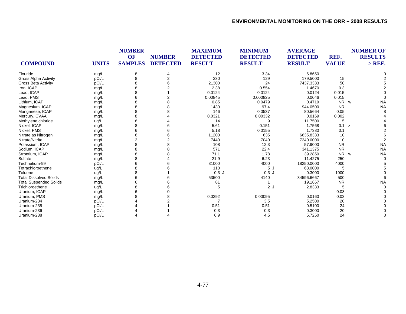|                               |              | <b>NUMBER</b>  |                 | <b>MAXIMUM</b>  | <b>MINIMUM</b>  | <b>AVERAGE</b>  |              | <b>NUMBER OF</b><br><b>RESULTS</b> |
|-------------------------------|--------------|----------------|-----------------|-----------------|-----------------|-----------------|--------------|------------------------------------|
|                               |              | <b>OF</b>      | <b>NUMBER</b>   | <b>DETECTED</b> | <b>DETECTED</b> | <b>DETECTED</b> | REF.         |                                    |
| <b>COMPOUND</b>               | <b>UNITS</b> | <b>SAMPLES</b> | <b>DETECTED</b> | <b>RESULT</b>   | <b>RESULT</b>   | <b>RESULT</b>   | <b>VALUE</b> | $>$ REF.                           |
| Flouride                      | mg/L         | 8              |                 | 12              | 3.34            | 6.8650          |              |                                    |
| <b>Gross Alpha Activity</b>   | pCi/L        | 8              |                 | 230             | 129             | 179.5000        | 15           |                                    |
| <b>Gross Beta Activity</b>    | pCi/L        |                |                 | 21300           | 24              | 7437.3333       | 50           |                                    |
| Iron, ICAP                    | mg/L         |                |                 | 2.38            | 0.554           | 1.4670          | 0.3          |                                    |
| Lead, ICAP                    | mg/L         |                |                 | 0.0124          | 0.0124          | 0.0124          | 0.015        |                                    |
| Lead, PMS                     | mg/L         | 6              |                 | 0.00845         | 0.000825        | 0.0046          | 0.015        |                                    |
| Lithium, ICAP                 | mg/L         |                |                 | 0.85            | 0.0479          | 0.4719          | <b>NR</b>    | <b>NA</b><br>W                     |
| Magnesium, ICAP               | mg/L         |                |                 | 1430            | 97.4            | 944.0500        | <b>NR</b>    | <b>NA</b>                          |
| Manganese, ICAP               | mg/L         |                |                 | 146             | 0.0537          | 80.5664         | 0.05         |                                    |
| Mercury, CVAA                 | mg/L         |                |                 | 0.0321          | 0.00332         | 0.0169          | 0.002        |                                    |
| Methylene chloride            | ug/L         |                |                 | 14              | 9               | 11.7500         | 5            |                                    |
| Nickel, ICAP                  | mg/L         |                |                 | 5.61            | 0.151           | 1.7568          | 0.1          | z                                  |
| Nickel, PMS                   | mg/L         |                |                 | 5.18            | 0.0155          | 1.7380          | 0.1          |                                    |
| Nitrate as Nitrogen           | mg/L         |                |                 | 11200           | 635             | 6635.8333       | 10           |                                    |
| Nitrate/Nitrite               | mg/L         |                |                 | 7440            | 7040            | 7240.0000       | 10           |                                    |
| Potassium, ICAP               | mg/L         |                |                 | 108             | 12.3            | 57.9000         | <b>NR</b>    | <b>NA</b>                          |
| Sodium, ICAP                  | mg/L         |                |                 | 571             | 22.4            | 341.1375        | <b>NR</b>    | <b>NA</b>                          |
| Strontium, ICAP               | mg/L         |                |                 | 71.1            | 1.78            | 39.2850         | <b>NR</b>    | <b>NA</b><br>W                     |
| Sulfate                       | mg/L         |                |                 | 21.9            | 6.23            | 11.4275         | 250          | $\Omega$                           |
| Technetium-99                 | pCi/L        |                |                 | 31000           | 4000            | 18250.0000      | 4000         |                                    |
| Tetrachloroethene             | ug/L         |                |                 | 110             | 5J              | 63.0000         |              |                                    |
| Toluene                       | ug/L         |                |                 | 0.3J            | 0.3J            | 0.3000          | 1000         |                                    |
| <b>Total Dissolved Solids</b> | mg/L         |                |                 | 53500           | 4140            | 34596.6667      | 500          |                                    |
| <b>Total Suspended Solids</b> | mg/L         |                |                 | 81              |                 | 19.1667         | <b>NR</b>    | <b>NA</b>                          |
| Trichloroethene               | ug/L         |                |                 | 5               | 2J              | 2.8333          |              |                                    |
| Uranium, ICAP                 | mg/L         |                |                 |                 |                 |                 | 0.03         |                                    |
| Uranium, PMS                  | mg/L         |                |                 | 0.0292          | 0.00095         | 0.0160          | 0.03         |                                    |
| Uranium-234                   | pCi/L        |                |                 |                 | 3.5             | 5.2500          | 20           |                                    |
| Uranium-235                   | pCi/L        |                |                 | 0.51            | 0.51            | 0.5100          | 24           |                                    |
| Uranium-236                   | pCi/L        |                |                 | 0.3             | 0.3             | 0.3000          | 20           |                                    |
| Uranium-238                   | pCi/L        |                |                 | 6.9             | 4.5             | 5.7250          | 24           | U                                  |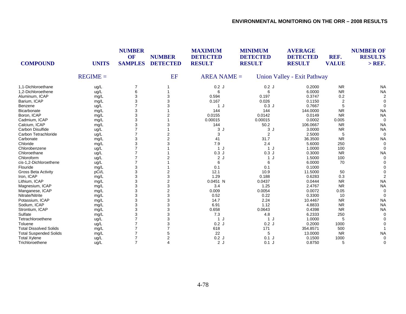| <b>COMPOUND</b>               | <b>UNITS</b> | <b>NUMBER</b><br>OF<br><b>SAMPLES</b> | <b>NUMBER</b><br><b>DETECTED</b> | <b>MAXIMUM</b><br><b>DETECTED</b><br><b>RESULT</b> | <b>MINIMUM</b><br><b>DETECTED</b><br><b>RESULT</b> | <b>AVERAGE</b><br><b>DETECTED</b><br><b>RESULT</b> | REF.<br><b>VALUE</b> | <b>NUMBER OF</b><br><b>RESULTS</b><br>$>$ REF. |
|-------------------------------|--------------|---------------------------------------|----------------------------------|----------------------------------------------------|----------------------------------------------------|----------------------------------------------------|----------------------|------------------------------------------------|
|                               | $REGIME =$   |                                       | EF                               | $AREA NAME =$                                      |                                                    | Union Valley - Exit Pathway                        |                      |                                                |
| 1,1-Dichloroethane            | ug/L         | $\overline{7}$                        |                                  | 0.2J                                               | 0.2J                                               | 0.2000                                             | <b>NR</b>            | <b>NA</b>                                      |
| 1,2-Dichloroethene            | ug/L         | 6                                     |                                  | 6                                                  | 6                                                  | 6.0000                                             | <b>NR</b>            | <b>NA</b>                                      |
| Aluminum, ICAP                | mg/L         | 3                                     | 3                                | 0.594                                              | 0.197                                              | 0.3747                                             | 0.2                  |                                                |
| Barium, ICAP                  | mg/L         | 3                                     | 3                                | 0.167                                              | 0.026                                              | 0.1150                                             | $\overline{2}$       |                                                |
| Benzene                       | ug/L         | 7                                     | 3                                | 1 J                                                | 0.3J                                               | 0.7667                                             | 5                    |                                                |
| <b>Bicarbonate</b>            | mg/L         | 3                                     |                                  | 144                                                | 144                                                | 144.0000                                           | <b>NR</b>            | <b>NA</b>                                      |
| Boron, ICAP                   | mg/L         | 3                                     | 2                                | 0.0155                                             | 0.0142                                             | 0.0149                                             | <b>NR</b>            | <b>NA</b>                                      |
| Cadmium, ICAP                 | mg/L         | 3                                     |                                  | 0.00015                                            | 0.00015                                            | 0.0002                                             | 0.005                | $\Omega$                                       |
| Calcium, ICAP                 | mg/L         | 3                                     | 3                                | 144                                                | 50.2                                               | 106.0667                                           | <b>NR</b>            | <b>NA</b>                                      |
| Carbon Disulfide              | ug/L         |                                       |                                  | 3<br>J.                                            | 3J                                                 | 3.0000                                             | <b>NR</b>            | <b>NA</b>                                      |
| Carbon Tetrachloride          | ug/L         |                                       | $\overline{c}$                   | 3                                                  | 2                                                  | 2.5000                                             | 5                    | $\Omega$                                       |
| Carbonate                     | mg/L         | 3                                     | $\overline{2}$                   | 41                                                 | 31.7                                               | 36.3500                                            | <b>NR</b>            | <b>NA</b>                                      |
| Chloride                      | mg/L         | 3                                     | 3                                | 7.9                                                | 2.4                                                | 5.6000                                             | 250                  |                                                |
| Chlorobenzene                 | ug/L         | 7                                     |                                  | 1J                                                 | 1J                                                 | 1.0000                                             | 100                  |                                                |
| Chloroethane                  | ug/L         |                                       |                                  | 0.3J                                               | 0.3J                                               | 0.3000                                             | <b>NR</b>            | <b>NA</b>                                      |
| Chloroform                    | ug/L         |                                       | 2                                | 2J                                                 | 1J                                                 | 1.5000                                             | 100                  |                                                |
| cis-1,2-Dichloroethene        | ug/L         |                                       |                                  | 6                                                  | 6                                                  | 6.0000                                             | 70                   |                                                |
| Flouride                      | mg/L         | 3                                     |                                  | 0.1                                                | 0.1                                                | 0.1000                                             |                      |                                                |
| Gross Beta Activity           | pCi/L        | 3                                     | 2                                | 12.1                                               | 10.9                                               | 11.5000                                            | 50                   |                                                |
| Iron, ICAP                    | mg/L         | 3                                     | 3                                | 1.29                                               | 0.188                                              | 0.6283                                             | 0.3                  |                                                |
| Lithium, ICAP                 | mg/L         | 3                                     | $\overline{2}$                   | $0.0451$ N                                         | 0.0437                                             | 0.0444                                             | <b>NR</b>            | <b>NA</b>                                      |
| Magnesium, ICAP               | mg/L         | 3                                     | 3                                | 3.4                                                | 1.25                                               | 2.4767                                             | <b>NR</b>            | <b>NA</b>                                      |
| Manganese, ICAP               | mg/L         | 3                                     | 2                                | 0.009                                              | 0.0054                                             | 0.0072                                             | 0.05                 |                                                |
| Nitrate/Nitrite               | mg/L         | 3                                     | 3                                | 0.52                                               | 0.22                                               | 0.3300                                             | 10                   |                                                |
| Potassium, ICAP               | mg/L         | 3                                     | 3                                | 14.7                                               | 2.24                                               | 10.4467                                            | <b>NR</b>            | <b>NA</b>                                      |
| Sodium, ICAP                  | mg/L         | 3                                     | 3                                | 6.91                                               | 1.12                                               | 4.8833                                             | <b>NR</b>            | <b>NA</b>                                      |
| Strontium, ICAP               |              | 3                                     | 3                                | 0.658                                              | 0.0643                                             | 0.4398                                             | <b>NR</b>            | <b>NA</b>                                      |
| Sulfate                       | mg/L         | 3                                     | 3                                | 7.3                                                | 4.8                                                | 6.2333                                             | 250                  |                                                |
| Tetrachloroethene             | mg/L         |                                       | 3                                | 1 J                                                | 1J                                                 | 1.0000                                             | 5                    |                                                |
| Toluene                       | ug/L         |                                       | 3                                | 0.2J                                               | 0.2J                                               | 0.2000                                             | 1000                 |                                                |
| <b>Total Dissolved Solids</b> | ug/L         |                                       |                                  | 618                                                | 171                                                | 354.8571                                           | 500                  |                                                |
|                               | mg/L         |                                       |                                  |                                                    |                                                    |                                                    | <b>NR</b>            |                                                |
| <b>Total Suspended Solids</b> | mg/L         |                                       | 5                                | 22                                                 | 5                                                  | 13.0000                                            |                      | <b>NA</b>                                      |
| <b>Total Xylene</b>           | ug/L         | $\overline{7}$                        | 2                                | 0.2J                                               | $0.1$ J                                            | 0.1500                                             | 1000                 |                                                |
| Trichloroethene               | ug/L         | $\overline{7}$                        | 4                                | 2J                                                 | $0.1$ J                                            | 0.8750                                             | 5                    | $\Omega$                                       |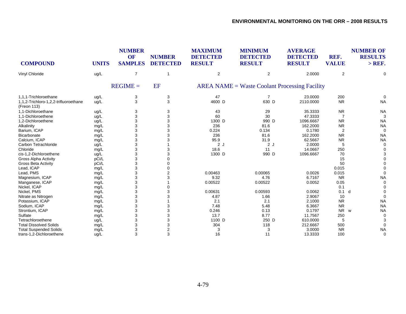| <b>COMPOUND</b>                                      | <b>UNITS</b> | <b>NUMBER</b><br><b>OF</b><br><b>SAMPLES</b> | <b>NUMBER</b><br><b>DETECTED</b> | <b>MAXIMUM</b><br><b>DETECTED</b><br><b>RESULT</b> | <b>MINIMUM</b><br><b>DETECTED</b><br><b>RESULT</b> | <b>AVERAGE</b><br><b>DETECTED</b><br><b>RESULT</b> | REF.<br><b>VALUE</b> | <b>NUMBER OF</b><br><b>RESULTS</b><br>$>$ REF. |
|------------------------------------------------------|--------------|----------------------------------------------|----------------------------------|----------------------------------------------------|----------------------------------------------------|----------------------------------------------------|----------------------|------------------------------------------------|
| Vinyl Chloride                                       | ug/L         | $\overline{7}$                               | -1                               | $\overline{2}$                                     | 2                                                  | 2.0000                                             | 2                    | 0                                              |
|                                                      |              | $REGIME =$                                   | EF                               |                                                    | $AREA NAME = Waste Cobant Processing Facility$     |                                                    |                      |                                                |
| 1.1.1-Trichloroethane                                | ug/L         | 3                                            | 3                                | 47                                                 | 7                                                  | 23.0000                                            | 200                  | 0                                              |
| 1,1,2-Trichloro-1,2,2-trifluoroethane<br>(Freon 113) | ug/L         | 3                                            | 3                                | 4600 D                                             | 630 D                                              | 2110.0000                                          | <b>NR</b>            | <b>NA</b>                                      |
| 1.1-Dichloroethane                                   | ug/L         | 3                                            | 3                                | 43                                                 | 29                                                 | 35.3333                                            | <b>NR</b>            | <b>NA</b>                                      |
| 1,1-Dichloroethene                                   | ug/L         | 3                                            | 3                                | 60                                                 | 30                                                 | 47.3333                                            | 7                    | 3                                              |
| 1.2-Dichloroethene                                   | ug/L         | 3                                            | 3                                | 1300 D                                             | 990 D                                              | 1096.6667                                          | <b>NR</b>            | <b>NA</b>                                      |
| Alkalinity                                           | mg/L         | 3                                            | 3                                | 236                                                | 81.6                                               | 162.2000                                           | <b>NR</b>            | <b>NA</b>                                      |
| Barium, ICAP                                         | mg/L         | 3                                            |                                  | 0.224                                              | 0.134                                              | 0.1780                                             | $\overline{2}$       | $\Omega$                                       |
| <b>Bicarbonate</b>                                   | mg/L         | 3                                            |                                  | 236                                                | 81.6                                               | 162.2000                                           | <b>NR</b>            | <b>NA</b>                                      |
| Calcium, ICAP                                        | mg/L         | 3                                            |                                  | 95.9                                               | 31.9                                               | 62.5667                                            | <b>NR</b>            | <b>NA</b>                                      |
| Carbon Tetrachloride                                 | ug/L         | 3                                            |                                  | 2J                                                 | 2J                                                 | 2.0000                                             | 5                    | 0                                              |
| Chloride                                             | mg/L         | 3                                            |                                  | 18.6                                               | 11                                                 | 14.0667                                            | 250                  | 0                                              |
| cis-1,2-Dichloroethene                               | ug/L         | 3                                            | 3                                | 1300 D                                             | 990 D                                              | 1096.6667                                          | 70                   | 3                                              |
| <b>Gross Alpha Activity</b>                          | pCi/L        | 3                                            |                                  |                                                    |                                                    |                                                    | 15                   | $\Omega$                                       |
| <b>Gross Beta Activity</b>                           | pCi/L        | 3                                            |                                  |                                                    |                                                    |                                                    | 50                   | O                                              |
| Lead, ICAP                                           | mg/L         | 3                                            |                                  |                                                    |                                                    |                                                    | 0.015                | $\Omega$                                       |
| Lead, PMS                                            | mg/L         | 3                                            |                                  | 0.00463                                            | 0.00065                                            | 0.0026                                             | 0.015                | $\Omega$                                       |
| Magnesium, ICAP                                      | mg/L         |                                              |                                  | 9.32                                               | 4.76                                               | 6.7167                                             | <b>NR</b>            | <b>NA</b>                                      |
| Manganese, ICAP                                      | mg/L         | 3                                            |                                  | 0.00522                                            | 0.00522                                            | 0.0052                                             | 0.05                 | 0                                              |
| Nickel, ICAP                                         | mg/L         | 3                                            |                                  |                                                    |                                                    |                                                    | 0.1                  | $\Omega$                                       |
| Nickel, PMS                                          | mg/L         | 3                                            |                                  | 0.00631                                            | 0.00593                                            | 0.0062                                             | 0.1                  | d<br>$\Omega$                                  |
| Nitrate as Nitrogen                                  | mg/L         | 3                                            |                                  | 4.87                                               | 1.66                                               | 2.9067                                             | 10                   | $\Omega$                                       |
| Potassium, ICAP                                      | mg/L         | 3                                            |                                  | 2.1                                                | 2.1                                                | 2.1000                                             | <b>NR</b>            | <b>NA</b>                                      |
| Sodium, ICAP                                         | mg/L         | 3                                            |                                  | 7.48                                               | 5.48                                               | 6.3667                                             | <b>NR</b>            | <b>NA</b>                                      |
| Strontium, ICAP                                      | mg/L         |                                              |                                  | 0.246                                              | 0.13                                               | 0.1797                                             | <b>NR</b>            | <b>NA</b><br>W                                 |
| Sulfate                                              | mg/L         | 3                                            |                                  | 13.7                                               | 8.77                                               | 11.7567                                            | 250                  | 0                                              |
| Tetrachloroethene                                    | ug/L         | 3                                            | 3                                | 1100 D                                             | 250 D                                              | 610.0000                                           | 5                    | 3                                              |
| <b>Total Dissolved Solids</b>                        | mg/L         | 3                                            | 3                                | 304                                                | 118                                                | 212.6667                                           | 500                  | 0                                              |
| <b>Total Suspended Solids</b>                        | mg/L         | 3                                            | 2                                | 3                                                  | 3                                                  | 3.0000                                             | <b>NR</b>            | <b>NA</b>                                      |
| trans-1,2-Dichloroethene                             | ug/L         | 3                                            | 3                                | 16                                                 | 11                                                 | 13.3333                                            | 100                  | 0                                              |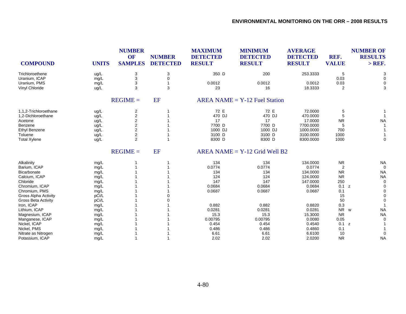| <b>COMPOUND</b>       | <b>UNITS</b> | <b>NUMBER</b><br>OF<br><b>SAMPLES</b> | <b>NUMBER</b><br><b>DETECTED</b> | <b>MAXIMUM</b><br><b>DETECTED</b><br><b>RESULT</b> | <b>MINIMUM</b><br><b>DETECTED</b><br><b>RESULT</b> | <b>AVERAGE</b><br><b>DETECTED</b><br><b>RESULT</b> | REF.<br><b>VALUE</b> | <b>NUMBER OF</b><br><b>RESULTS</b><br>$>$ REF. |
|-----------------------|--------------|---------------------------------------|----------------------------------|----------------------------------------------------|----------------------------------------------------|----------------------------------------------------|----------------------|------------------------------------------------|
| Trichloroethene       | ug/L         | 3                                     | 3                                | 350 D                                              | 200                                                | 253.3333                                           | 5                    | 3                                              |
| Uranium, ICAP         | mg/L         | 3                                     | 0                                |                                                    |                                                    |                                                    | 0.03                 | 0                                              |
| Uranium, PMS          | mg/L         | 3                                     |                                  | 0.0012                                             | 0.0012                                             | 0.0012                                             | 0.03                 | 0                                              |
| Vinyl Chloride        | ug/L         | 3                                     | 3                                | 23                                                 | 16                                                 | 18.3333                                            | 2                    | 3                                              |
|                       |              | $REGIME =$                            | EF                               |                                                    | $AREA NAME = Y-12$ Fuel Station                    |                                                    |                      |                                                |
| 1,1,2-Trichloroethane | ug/L         | 2                                     |                                  | 72 E                                               | 72 E                                               | 72.0000                                            | 5                    |                                                |
| 1,2-Dichloroethane    | ug/L         | $\overline{\mathbf{c}}$               |                                  | 470 DJ                                             | 470 DJ                                             | 470.0000                                           | 5                    | $\overline{1}$                                 |
| Acetone               | ug/L         | $\overline{\mathbf{c}}$               |                                  | 17                                                 | 17                                                 | 17.0000                                            | <b>NR</b>            | <b>NA</b>                                      |
| Benzene               | ug/L         | $\overline{2}$                        |                                  | 7700 D                                             | 7700 D                                             | 7700.0000                                          |                      | -1                                             |
| Ethyl Benzene         | ug/L         | $\overline{2}$                        |                                  | 1000 DJ                                            | 1000 DJ                                            | 1000.0000                                          | 700                  |                                                |
| Toluene               | ug/L         | $\overline{2}$                        |                                  | 3100 D                                             | 3100 D                                             | 3100.0000                                          | 1000                 |                                                |
| <b>Total Xylene</b>   | ug/L         | $\overline{2}$                        |                                  | 8300 D                                             | 8300 D                                             | 8300.0000                                          | 1000                 | $\mathbf 0$                                    |
|                       |              | $REGIME =$                            | EF                               |                                                    | $AREA NAME = Y-12$ Grid Well B2                    |                                                    |                      |                                                |
| Alkalinity            | mg/L         |                                       |                                  | 134                                                | 134                                                | 134.0000                                           | <b>NR</b>            | <b>NA</b>                                      |
| Barium, ICAP          | mg/L         |                                       |                                  | 0.0774                                             | 0.0774                                             | 0.0774                                             | 2                    | $\mathbf 0$                                    |
| <b>Bicarbonate</b>    | mg/L         |                                       |                                  | 134                                                | 134                                                | 134.0000                                           | <b>NR</b>            | <b>NA</b>                                      |
| Calcium, ICAP         | mg/L         |                                       |                                  | 124                                                | 124                                                | 124.0000                                           | <b>NR</b>            | <b>NA</b>                                      |
| Chloride              | mg/L         |                                       |                                  | 147                                                | 147                                                | 147.0000                                           | 250                  | $\Omega$                                       |
| Chromium, ICAP        | mg/L         |                                       |                                  | 0.0684                                             | 0.0684                                             | 0.0684                                             | 0.1                  | z<br>0                                         |
| Chromium, PMS         | mg/L         |                                       |                                  | 0.0687                                             | 0.0687                                             | 0.0687                                             | 0.1                  | $\Omega$                                       |
| Gross Alpha Activity  | pCi/L        |                                       |                                  |                                                    |                                                    |                                                    | 15                   | 0                                              |
| Gross Beta Activity   | pCi/L        |                                       |                                  |                                                    |                                                    |                                                    | 50                   | $\Omega$                                       |
| Iron, ICAP            | mg/L         |                                       |                                  | 0.882                                              | 0.882                                              | 0.8820                                             | 0.3                  |                                                |
| Lithium, ICAP         | mg/L         |                                       |                                  | 0.0281                                             | 0.0281                                             | 0.0281                                             | NR w                 | <b>NA</b>                                      |
| Magnesium, ICAP       | mg/L         |                                       |                                  | 15.3                                               | 15.3                                               | 15.3000                                            | <b>NR</b>            | <b>NA</b>                                      |
| Manganese, ICAP       | mg/L         |                                       |                                  | 0.00795                                            | 0.00795                                            | 0.0080                                             | 0.05                 | 0                                              |
| Nickel, ICAP          | mg/L         |                                       |                                  | 0.454                                              | 0.454                                              | 0.4540                                             | 0.1                  | z                                              |
| Nickel, PMS           | mg/L         |                                       |                                  | 0.486                                              | 0.486                                              | 0.4860                                             | 0.1                  |                                                |
| Nitrate as Nitrogen   | mg/L         |                                       |                                  | 6.61                                               | 6.61                                               | 6.6100                                             | 10                   | $\Omega$                                       |
| Potassium, ICAP       | mg/L         |                                       |                                  | 2.02                                               | 2.02                                               | 2.0200                                             | <b>NR</b>            | <b>NA</b>                                      |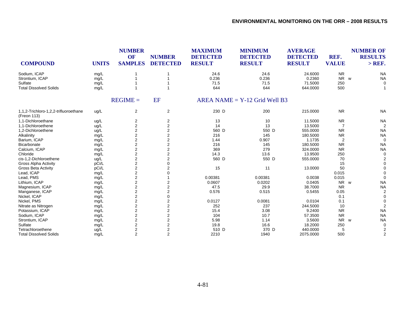| <b>COMPOUND</b>                                      | <b>UNITS</b> | <b>NUMBER</b><br>OF<br><b>SAMPLES</b> | <b>NUMBER</b><br><b>DETECTED</b> | <b>MAXIMUM</b><br><b>DETECTED</b><br><b>RESULT</b> | <b>MINIMUM</b><br><b>DETECTED</b><br><b>RESULT</b> | <b>AVERAGE</b><br><b>DETECTED</b><br><b>RESULT</b> | REF.<br><b>VALUE</b> | <b>NUMBER OF</b><br><b>RESULTS</b><br>$>$ REF. |
|------------------------------------------------------|--------------|---------------------------------------|----------------------------------|----------------------------------------------------|----------------------------------------------------|----------------------------------------------------|----------------------|------------------------------------------------|
| Sodium, ICAP                                         | mg/L         |                                       |                                  | 24.6                                               | 24.6                                               | 24.6000                                            | <b>NR</b>            | <b>NA</b>                                      |
| Strontium, ICAP                                      | mg/L         |                                       |                                  | 0.236                                              | 0.236                                              | 0.2360                                             | <b>NR</b><br>W       | <b>NA</b>                                      |
| Sulfate                                              | mg/L         |                                       |                                  | 71.5                                               | 71.5                                               | 71.5000                                            | 250                  | 0                                              |
| <b>Total Dissolved Solids</b>                        | mg/L         |                                       |                                  | 644                                                | 644                                                | 644.0000                                           | 500                  |                                                |
|                                                      |              | $REGIME =$                            | EF                               |                                                    | $AREA NAME = Y-12$ Grid Well B3                    |                                                    |                      |                                                |
| 1,1,2-Trichloro-1,2,2-trifluoroethane<br>(Freon 113) | ug/L         | $\overline{2}$                        | 2                                | 230 D                                              | 200                                                | 215.0000                                           | <b>NR</b>            | <b>NA</b>                                      |
| 1,1-Dichloroethane                                   | ug/L         | 2                                     | 2                                | 13                                                 | 10                                                 | 11.5000                                            | <b>NR</b>            | <b>NA</b>                                      |
| 1.1-Dichloroethene                                   | ug/L         | $\overline{c}$                        | $\overline{2}$                   | 14                                                 | 13                                                 | 13.5000                                            | $\overline{7}$       |                                                |
| 1,2-Dichloroethene                                   | ug/L         | $\overline{2}$                        | $\overline{2}$                   | 560 D                                              | 550 D                                              | 555.0000                                           | <b>NR</b>            | <b>NA</b>                                      |
| Alkalinity                                           | mg/L         | $\overline{c}$                        | 2                                | 216                                                | 145                                                | 180.5000                                           | <b>NR</b>            | <b>NA</b>                                      |
| Barium, ICAP                                         | mg/L         | $\overline{\mathbf{c}}$               | 2                                | 1.44                                               | 0.907                                              | 1.1735                                             | $\overline{2}$       | $\Omega$                                       |
| Bicarbonate                                          | mg/L         | $\overline{2}$                        | 2                                | 216                                                | 145                                                | 180.5000                                           | <b>NR</b>            | <b>NA</b>                                      |
| Calcium, ICAP                                        | mg/L         | $\overline{2}$                        | 2                                | 369                                                | 279                                                | 324.0000                                           | <b>NR</b>            | <b>NA</b>                                      |
| Chloride                                             | mg/L         | $\overline{2}$                        | $\overline{2}$                   | 14.3                                               | 13.6                                               | 13.9500                                            | 250                  |                                                |
| cis-1,2-Dichloroethene                               | ug/L         | $\overline{\mathbf{c}}$               | $\overline{2}$                   | 560 D                                              | 550 D                                              | 555.0000                                           | 70                   |                                                |
| Gross Alpha Activity                                 | pCi/L        | $\overline{2}$                        | 0                                |                                                    |                                                    |                                                    | 15                   |                                                |
| <b>Gross Beta Activity</b>                           | pCi/L        | $\overline{2}$                        | $\overline{2}$                   | 15                                                 | 11                                                 | 13.0000                                            | 50                   |                                                |
| Lead, ICAP                                           | mg/L         | $\overline{\mathbf{c}}$               | 0                                |                                                    |                                                    |                                                    | 0.015                |                                                |
| Lead, PMS                                            | mg/L         | $\overline{c}$                        |                                  | 0.00381                                            | 0.00381                                            | 0.0038                                             | 0.015                |                                                |
| Lithium, ICAP                                        | mg/L         | $\overline{c}$                        | 2                                | 0.0607                                             | 0.0202                                             | 0.0405                                             | NR w                 | <b>NA</b>                                      |
| Magnesium, ICAP                                      | mg/L         | $\overline{2}$                        | $\overline{2}$                   | 47.5                                               | 29.9                                               | 38.7000                                            | <b>NR</b>            | <b>NA</b>                                      |
| Manganese, ICAP                                      | mg/L         | $\overline{2}$                        | 2                                | 0.576                                              | 0.515                                              | 0.5455                                             | 0.05                 | 2                                              |
| Nickel, ICAP                                         | mg/L         | $\overline{2}$                        | 0                                |                                                    |                                                    |                                                    | 0.1                  |                                                |
| Nickel, PMS                                          | mg/L         | $\overline{2}$                        | 2                                | 0.0127                                             | 0.0081                                             | 0.0104                                             | 0.1                  |                                                |
| Nitrate as Nitrogen                                  | mg/L         | $\overline{\mathbf{c}}$               | 2                                | 252                                                | 237                                                | 244.5000                                           | 10                   | $\overline{2}$                                 |
| Potassium, ICAP                                      | mg/L         | $\overline{c}$                        | 2                                | 15.4                                               | 3.08                                               | 9.2400                                             | <b>NR</b>            | <b>NA</b>                                      |
| Sodium, ICAP                                         | mg/L         | $\overline{2}$                        | 2                                | 104                                                | 10.7                                               | 57.3500                                            | <b>NR</b>            | <b>NA</b>                                      |
| Strontium, ICAP                                      | mg/L         | $\overline{2}$                        | $\overline{2}$                   | 5.98                                               | 1.14                                               | 3.5600                                             | NR<br>W              | <b>NA</b>                                      |
| Sulfate                                              | mg/L         | $\overline{2}$                        | 2                                | 19.8                                               | 16.6                                               | 18.2000                                            | 250                  |                                                |
| Tetrachloroethene                                    | ug/L         | $\overline{2}$                        | $\overline{2}$                   | 510 D                                              | 370 D                                              | 440.0000                                           | 5                    |                                                |
| <b>Total Dissolved Solids</b>                        | mq/L         | $\overline{2}$                        | $\overline{2}$                   | 2210                                               | 1940                                               | 2075.0000                                          | 500                  | $\overline{2}$                                 |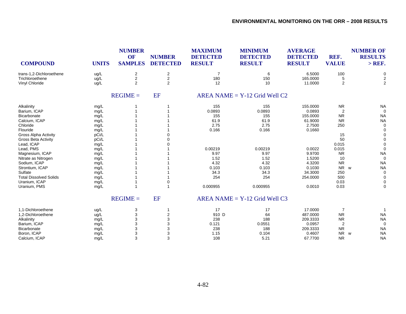| <b>NUMBER</b><br><b>MAXIMUM</b><br><b>MINIMUM</b><br>OF<br><b>NUMBER</b><br><b>DETECTED</b><br><b>DETECTED</b><br><b>COMPOUND</b><br><b>SAMPLES</b><br><b>DETECTED</b><br><b>RESULT</b><br><b>RESULT</b><br><b>UNITS</b> | <b>AVERAGE</b><br><b>DETECTED</b><br><b>RESULT</b> | REF.<br><b>VALUE</b>  | <b>NUMBER OF</b><br><b>RESULTS</b><br>$>$ REF. |
|--------------------------------------------------------------------------------------------------------------------------------------------------------------------------------------------------------------------------|----------------------------------------------------|-----------------------|------------------------------------------------|
| 2<br>$\boldsymbol{2}$<br>$\overline{7}$<br>trans-1.2-Dichloroethene<br>ug/L<br>6                                                                                                                                         | 6.5000                                             | 100                   | $\mathbf 0$                                    |
| $\boldsymbol{2}$<br>$\overline{2}$<br>180<br>150<br>Trichloroethene<br>ug/L                                                                                                                                              | 165.0000                                           | 5                     | 2                                              |
| $\overline{2}$<br>$\overline{2}$<br>12<br>10<br>Vinyl Chloride<br>ug/L                                                                                                                                                   | 11.0000                                            | 2                     | $\overline{2}$                                 |
| EF<br>$REGIME =$<br>AREA NAME = $Y-12$ Grid Well C <sub>2</sub>                                                                                                                                                          |                                                    |                       |                                                |
| 155<br>155<br>Alkalinity<br>mg/L                                                                                                                                                                                         | 155.0000                                           | <b>NR</b>             | <b>NA</b>                                      |
| Barium, ICAP<br>0.0893<br>0.0893<br>mg/L                                                                                                                                                                                 | 0.0893                                             | 2                     | $\Omega$                                       |
| Bicarbonate<br>155<br>155<br>mg/L                                                                                                                                                                                        | 155.0000                                           | <b>NR</b>             | <b>NA</b>                                      |
| 61.9<br>61.9<br>Calcium, ICAP<br>mg/L                                                                                                                                                                                    | 61.9000                                            | <b>NR</b>             | <b>NA</b>                                      |
| Chloride<br>2.75<br>2.75<br>mg/L                                                                                                                                                                                         | 2.7500                                             | 250                   | $\Omega$                                       |
| Flouride<br>0.166<br>0.166<br>mg/L                                                                                                                                                                                       | 0.1660                                             |                       |                                                |
| Gross Alpha Activity<br>pCi/L                                                                                                                                                                                            |                                                    | 15                    |                                                |
| <b>Gross Beta Activity</b><br>pCi/L                                                                                                                                                                                      |                                                    | 50                    |                                                |
| Lead, ICAP<br>mg/L                                                                                                                                                                                                       |                                                    | 0.015                 |                                                |
| Lead, PMS<br>0.00219<br>0.00219<br>mg/L                                                                                                                                                                                  | 0.0022                                             | 0.015                 | $\Omega$                                       |
| 9.97<br>9.97<br>Magnesium, ICAP<br>mg/L                                                                                                                                                                                  | 9.9700                                             | <b>NR</b>             | <b>NA</b>                                      |
| 1.52<br>1.52<br>Nitrate as Nitrogen<br>mg/L                                                                                                                                                                              | 1.5200                                             | 10                    | $\Omega$                                       |
| Sodium, ICAP<br>4.32<br>4.32<br>mg/L                                                                                                                                                                                     | 4.3200                                             | <b>NR</b>             | <b>NA</b>                                      |
| 0.103<br>0.103<br>Strontium, ICAP<br>mg/L                                                                                                                                                                                | 0.1030                                             | NR w                  | <b>NA</b>                                      |
| Sulfate<br>34.3<br>34.3<br>mg/L                                                                                                                                                                                          | 34.3000                                            | 250                   | $\Omega$                                       |
| <b>Total Dissolved Solids</b><br>254<br>254<br>mg/L                                                                                                                                                                      | 254.0000                                           | 500                   | $\Omega$                                       |
| Uranium, ICAP<br>0<br>mg/L                                                                                                                                                                                               |                                                    | 0.03                  | 0                                              |
| 0.000955<br>0.000955<br>Uranium, PMS<br>1<br>mg/L                                                                                                                                                                        | 0.0010                                             | 0.03                  | $\Omega$                                       |
| EF<br>$REGIME =$<br>$AREA NAME = Y-12$ Grid Well C3                                                                                                                                                                      |                                                    |                       |                                                |
| 1,1-Dichloroethene<br>3<br>17<br>17<br>ug/L<br>1                                                                                                                                                                         | 17.0000                                            | $\overline{7}$        |                                                |
| 3<br>910 D<br>2<br>64<br>1.2-Dichloroethene<br>ug/L                                                                                                                                                                      | 487.0000                                           | <b>NR</b>             | <b>NA</b>                                      |
| 3<br>3<br>238<br>188<br>Alkalinity<br>mg/L                                                                                                                                                                               | 209.3333                                           | <b>NR</b>             | <b>NA</b>                                      |
| 3<br>3<br>0.121<br>Barium, ICAP<br>0.0551<br>mg/L                                                                                                                                                                        | 0.0957                                             | 2                     | $\Omega$                                       |
| 3<br>3<br>238<br>188<br><b>Bicarbonate</b><br>mg/L                                                                                                                                                                       | 209.3333                                           | <b>NR</b>             | <b>NA</b>                                      |
| 3<br>3<br>1.15<br>Boron, ICAP<br>0.104<br>mg/L                                                                                                                                                                           | 0.4607                                             | <b>NR</b><br><b>W</b> | <b>NA</b>                                      |
| 3<br>$\mathsf 3$<br>Calcium, ICAP<br>108<br>5.21<br>mg/L                                                                                                                                                                 | 67.7700                                            | <b>NR</b>             | <b>NA</b>                                      |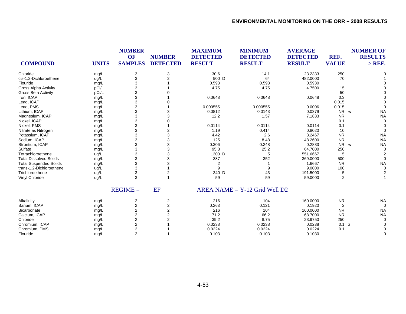| <b>COMPOUND</b>               | <b>UNITS</b> | <b>NUMBER</b><br><b>OF</b><br><b>SAMPLES</b> | <b>NUMBER</b><br><b>DETECTED</b> | <b>MAXIMUM</b><br><b>DETECTED</b><br><b>RESULT</b> | <b>MINIMUM</b><br><b>DETECTED</b><br><b>RESULT</b> | <b>AVERAGE</b><br><b>DETECTED</b><br><b>RESULT</b> | REF.<br><b>VALUE</b> | <b>NUMBER OF</b><br><b>RESULTS</b><br>$>$ REF. |
|-------------------------------|--------------|----------------------------------------------|----------------------------------|----------------------------------------------------|----------------------------------------------------|----------------------------------------------------|----------------------|------------------------------------------------|
| Chloride                      | mg/L         | 3                                            | 3                                | 30.6                                               | 14.1                                               | 23.2333                                            | 250                  |                                                |
| cis-1,2-Dichloroethene        | ug/L         | 3                                            | $\mathfrak{p}$                   | 900 D                                              | 64                                                 | 482.0000                                           | 70                   |                                                |
| Flouride                      | mg/L         | 3                                            |                                  | 0.593                                              | 0.593                                              | 0.5930                                             |                      |                                                |
| Gross Alpha Activity          | pCi/L        | 3                                            |                                  | 4.75                                               | 4.75                                               | 4.7500                                             | 15                   |                                                |
| <b>Gross Beta Activity</b>    | pCi/L        | 3                                            |                                  |                                                    |                                                    |                                                    | 50                   |                                                |
| Iron, ICAP                    | mg/L         | 3                                            |                                  | 0.0648                                             | 0.0648                                             | 0.0648                                             | 0.3                  |                                                |
| Lead, ICAP                    | mg/L         | 3                                            |                                  |                                                    |                                                    |                                                    | 0.015                |                                                |
| Lead, PMS                     | mg/L         | 3                                            |                                  | 0.000555                                           | 0.000555                                           | 0.0006                                             | 0.015                | $\Omega$                                       |
| Lithium, ICAP                 | mg/L         | 3                                            |                                  | 0.0812                                             | 0.0143                                             | 0.0379                                             | NR w                 | <b>NA</b>                                      |
| Magnesium, ICAP               | mg/L         | 3                                            |                                  | 12.2                                               | 1.57                                               | 7.1833                                             | <b>NR</b>            | <b>NA</b>                                      |
| Nickel, ICAP                  | mg/L         | 3                                            |                                  |                                                    |                                                    |                                                    | 0.1                  | $\Omega$                                       |
| Nickel, PMS                   | mg/L         | 3                                            |                                  | 0.0114                                             | 0.0114                                             | 0.0114                                             | 0.1                  |                                                |
| Nitrate as Nitrogen           | mg/L         | 3                                            | 2                                | 1.19                                               | 0.414                                              | 0.8020                                             | 10                   | $\Omega$                                       |
| Potassium, ICAP               | mg/L         | 3                                            | 3                                | 4.42                                               | 2.6                                                | 3.2467                                             | <b>NR</b>            | <b>NA</b>                                      |
| Sodium, ICAP                  | mg/L         | 3                                            | 3                                | 125                                                | 8.48                                               | 48.2600                                            | <b>NR</b>            | <b>NA</b>                                      |
| Strontium, ICAP               | mg/L         | 3                                            | 3                                | 0.306                                              | 0.248                                              | 0.2833                                             | <b>NR</b>            | <b>NA</b><br>W                                 |
| Sulfate                       | mg/L         | 3                                            | 3                                | 95.3                                               | 25.2                                               | 64.7000                                            | 250                  | $\Omega$                                       |
| Tetrachloroethene             | ug/L         | 3                                            | 3                                | 1300 D                                             | 5                                                  | 551.6667                                           | 5                    |                                                |
| <b>Total Dissolved Solids</b> | mg/L         | 3                                            | 3                                | 387                                                | 352                                                | 369.0000                                           | 500                  | $\Omega$                                       |
| <b>Total Suspended Solids</b> | mg/L         | 3                                            | 3                                | 2                                                  |                                                    | 1.6667                                             | <b>NR</b>            | <b>NA</b>                                      |
| trans-1,2-Dichloroethene      | ug/L         | 3                                            |                                  | 9                                                  | 9                                                  | 9.0000                                             | 100                  | $\Omega$                                       |
| Trichloroethene               | ug/L         | 3                                            |                                  | 340 D                                              | 43                                                 | 191.5000                                           | 5                    |                                                |
| Vinyl Chloride                | ug/L         | 3                                            |                                  | 59                                                 | 59                                                 | 59.0000                                            | 2                    |                                                |
|                               |              | $REGIME =$                                   | <b>EF</b>                        |                                                    | $AREA NAME = Y-12$ Grid Well D2                    |                                                    |                      |                                                |
| Alkalinity                    | mg/L         | 2                                            | 2                                | 216                                                | 104                                                | 160.0000                                           | <b>NR</b>            | <b>NA</b>                                      |
| Barium, ICAP                  | mg/L         | $\overline{\mathbf{c}}$                      | 2                                | 0.263                                              | 0.121                                              | 0.1920                                             | 2                    | $\Omega$                                       |
| <b>Bicarbonate</b>            | mg/L         | $\overline{2}$                               | 2                                | 216                                                | 104                                                | 160.0000                                           | <b>NR</b>            | <b>NA</b>                                      |
| Calcium, ICAP                 | mg/L         | $\overline{2}$                               | $\overline{2}$                   | 71.2                                               | 66.2                                               | 68.7000                                            | <b>NR</b>            | <b>NA</b>                                      |
| Chloride                      | mg/L         | $\overline{2}$                               |                                  | 39.2                                               | 8.75                                               | 23.9750                                            | 250                  |                                                |
| Chromium, ICAP                | mg/L         | $\overline{2}$                               |                                  | 0.0238                                             | 0.0238                                             | 0.0238                                             | 0.1 z                |                                                |
| Chromium, PMS                 | mg/L         | $\overline{2}$                               |                                  | 0.0224                                             | 0.0224                                             | 0.0224                                             | 0.1                  |                                                |
| Flouride                      | mq/L         | $\overline{2}$                               |                                  | 0.103                                              | 0.103                                              | 0.1030                                             |                      | $\Omega$                                       |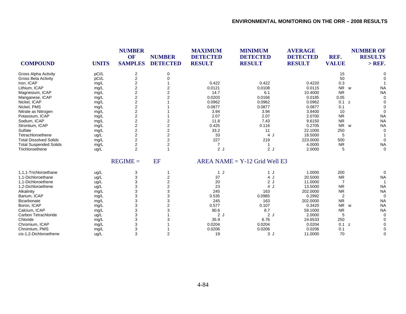|                               |              | <b>NUMBER</b>           |                 | <b>MAXIMUM</b>  | <b>MINIMUM</b>                  | <b>AVERAGE</b>  |                | <b>NUMBER OF</b> |
|-------------------------------|--------------|-------------------------|-----------------|-----------------|---------------------------------|-----------------|----------------|------------------|
|                               |              | OF                      | <b>NUMBER</b>   | <b>DETECTED</b> | <b>DETECTED</b>                 | <b>DETECTED</b> | REF.           | <b>RESULTS</b>   |
| <b>COMPOUND</b>               | <b>UNITS</b> | <b>SAMPLES</b>          | <b>DETECTED</b> | <b>RESULT</b>   | <b>RESULT</b>                   | <b>RESULT</b>   | <b>VALUE</b>   | $>$ REF.         |
| <b>Gross Alpha Activity</b>   | pCi/L        | $\overline{c}$          | 0               |                 |                                 |                 | 15             |                  |
| <b>Gross Beta Activity</b>    | pCi/L        | $\overline{c}$          | $\Omega$        |                 |                                 |                 | 50             |                  |
| Iron, ICAP                    | mg/L         | $\overline{2}$          |                 | 0.422           | 0.422                           | 0.4220          | 0.3            |                  |
| Lithium, ICAP                 | mg/L         | 2                       | 2               | 0.0121          | 0.0108                          | 0.0115          | NR w           | <b>NA</b>        |
| Magnesium, ICAP               | mg/L         | 2                       | 2               | 14.7            | 6.1                             | 10.4000         | <b>NR</b>      | <b>NA</b>        |
| Manganese, ICAP               | mg/L         | 2                       | $\overline{2}$  | 0.0203          | 0.0166                          | 0.0185          | 0.05           |                  |
| Nickel, ICAP                  | mg/L         | $\overline{c}$          |                 | 0.0962          | 0.0962                          | 0.0962          | 0.1<br>z       |                  |
| Nickel, PMS                   | mg/L         | $\overline{2}$          |                 | 0.0877          | 0.0877                          | 0.0877          | 0.1            |                  |
| Nitrate as Nitrogen           | mg/L         | $\overline{2}$          |                 | 3.94            | 3.94                            | 3.9400          | 10             |                  |
| Potassium, ICAP               | mg/L         | 2                       |                 | 2.07            | 2.07                            | 2.0700          | <b>NR</b>      | <b>NA</b>        |
| Sodium, ICAP                  | mg/L         | $\overline{2}$          | 2               | 11.8            | 7.43                            | 9.6150          | <b>NR</b>      | <b>NA</b>        |
| Strontium, ICAP               | mg/L         | $\overline{\mathbf{c}}$ | $\overline{2}$  | 0.425           | 0.116                           | 0.2705          | <b>NR</b><br>W | <b>NA</b>        |
| Sulfate                       | mg/L         | 2                       | 2               | 33.2            | 11                              | 22.1000         | 250            |                  |
| Tetrachloroethene             | ug/L         | $\overline{2}$          | $\overline{2}$  | 33              | 4 J                             | 18.5000         | 5              |                  |
| <b>Total Dissolved Solids</b> | mg/L         | $\overline{2}$          | 2               | 227             | 219                             | 223.0000        | 500            |                  |
| <b>Total Suspended Solids</b> | mg/L         | $\overline{2}$          | $\overline{2}$  | 7               |                                 | 4.0000          | <b>NR</b>      | <b>NA</b>        |
| Trichloroethene               | ug/L         | 2                       |                 | 2J              | 2J                              | 2.0000          | 5              | $\Omega$         |
|                               |              | $REGIME =$              | EF              |                 | $AREA NAME = Y-12$ Grid Well E3 |                 |                |                  |
| 1,1,1-Trichloroethane         | ug/L         | 3                       |                 | 1 J             | 1 J                             | 1.0000          | 200            | $\Omega$         |
| 1,1-Dichloroethane            | ug/L         | 3                       | 2               | 37              | 4 J                             | 20.5000         | <b>NR</b>      | <b>NA</b>        |
| 1.1-Dichloroethene            | ug/L         | 3                       | 2               | 20              | 2J                              | 11.0000         | 7              |                  |
| 1,2-Dichloroethene            | ug/L         | 3                       | 2               | 23              | 4 J                             | 13.5000         | <b>NR</b>      | <b>NA</b>        |
| Alkalinity                    | mg/L         | 3                       | 3               | 245             | 163                             | 202.0000        | <b>NR</b>      | <b>NA</b>        |
| Barium, ICAP                  | mg/L         | 3                       | 3               | 0.535           | 0.0985                          | 0.2992          | 2              | $\Omega$         |
| Bicarbonate                   | mg/L         | 3                       | 3               | 245             | 163                             | 202.0000        | <b>NR</b>      | <b>NA</b>        |
| Boron, ICAP                   | mg/L         | 3                       | $\overline{2}$  | 0.577           | 0.107                           | 0.3420          | NR w           | <b>NA</b>        |
| Calcium, ICAP                 | mg/L         | 3                       | 3               | 90.6            | 8.7                             | 59.1000         | <b>NR</b>      | <b>NA</b>        |
| Carbon Tetrachloride          | ug/L         | 3                       |                 | 2J              | 2J                              | 2.0000          | 5              |                  |
| Chloride                      | mg/L         | 3                       |                 | 35.9            | 6.76                            | 24.6533         | 250            |                  |
| Chromium, ICAP                | mg/L         | 3                       |                 | 0.0204          | 0.0204                          | 0.0204          | 0.1<br>z       |                  |
| Chromium, PMS                 | mg/L         | 3                       |                 | 0.0206          | 0.0206                          | 0.0206          | 0.1            |                  |
| cis-1,2-Dichloroethene        | ug/L         | 3                       | $\overline{2}$  | 19              | 3J                              | 11.0000         | 70             | $\Omega$         |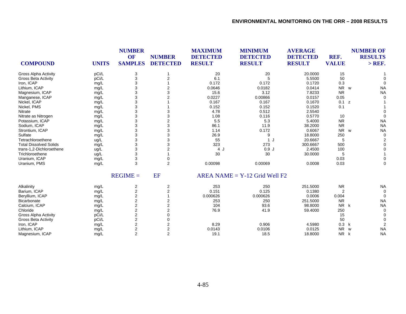| <b>COMPOUND</b><br><b>UNITS</b>       | <b>NUMBER</b><br>OF<br><b>SAMPLES</b> | <b>NUMBER</b><br><b>DETECTED</b> | <b>MAXIMUM</b><br><b>DETECTED</b><br><b>RESULT</b> | <b>MINIMUM</b><br><b>DETECTED</b><br><b>RESULT</b> | <b>AVERAGE</b><br><b>DETECTED</b><br><b>RESULT</b> | REF.<br><b>VALUE</b>  | <b>NUMBER OF</b><br><b>RESULTS</b><br>$>$ REF. |
|---------------------------------------|---------------------------------------|----------------------------------|----------------------------------------------------|----------------------------------------------------|----------------------------------------------------|-----------------------|------------------------------------------------|
|                                       |                                       |                                  |                                                    |                                                    |                                                    |                       |                                                |
| pCi/L<br><b>Gross Alpha Activity</b>  | 3                                     |                                  | 20                                                 | 20                                                 | 20.0000                                            | 15                    |                                                |
| pCi/L<br><b>Gross Beta Activity</b>   | 3                                     | $\overline{2}$                   | 6.1                                                | 5                                                  | 5.5500                                             | 50                    |                                                |
| Iron, ICAP<br>mg/L                    | 3                                     |                                  | 0.172                                              | 0.172                                              | 0.1720                                             | 0.3                   |                                                |
| Lithium, ICAP<br>mg/L                 | 3                                     | 2                                | 0.0646                                             | 0.0182                                             | 0.0414                                             | NR<br>W               | <b>NA</b>                                      |
| Magnesium, ICAP<br>mg/L               | 3                                     | 3                                | 15.6                                               | 3.12                                               | 7.8233                                             | <b>NR</b>             | <b>NA</b>                                      |
| Manganese, ICAP<br>mg/L               | 3                                     |                                  | 0.0227                                             | 0.00866                                            | 0.0157                                             | 0.05                  |                                                |
| Nickel, ICAP<br>mg/L                  | 3                                     |                                  | 0.167                                              | 0.167                                              | 0.1670                                             | 0.1 z                 |                                                |
| Nickel, PMS<br>mg/L                   | 3                                     |                                  | 0.152                                              | 0.152                                              | 0.1520                                             | 0.1                   |                                                |
| Nitrate<br>mg/L                       | 3                                     |                                  | 4.78                                               | 0.512                                              | 2.5540                                             |                       |                                                |
| Nitrate as Nitrogen<br>mg/L           | 3                                     | 3                                | 1.08                                               | 0.116                                              | 0.5770                                             | 10                    |                                                |
| Potassium, ICAP<br>mg/L               | 3                                     | $\overline{2}$                   | 5.5                                                | 5.3                                                | 5.4000                                             | <b>NR</b>             | <b>NA</b>                                      |
| Sodium, ICAP<br>mg/L                  | 3                                     | 3                                | 86.1                                               | 11.9                                               | 38.2000                                            | <b>NR</b>             | <b>NA</b>                                      |
| Strontium, ICAP<br>mg/L               | 3                                     | 3                                | 1.14                                               | 0.172                                              | 0.6067                                             | <b>NR</b><br><b>W</b> | <b>NA</b>                                      |
| Sulfate<br>mg/L                       | 3                                     | 3                                | 26.9                                               | 9                                                  | 18.8000                                            | 250                   | $\Omega$                                       |
| Tetrachloroethene<br>ug/L             | 3                                     | 3                                | 55                                                 | 1J                                                 | 20.6667                                            | 5                     |                                                |
| <b>Total Dissolved Solids</b><br>mg/L | 3                                     | 3                                | 323                                                | 273                                                | 300.6667                                           | 500                   |                                                |
| trans-1,2-Dichloroethene<br>ug/L      | 3                                     |                                  | 4 J                                                | 0.9J                                               | 2.4500                                             | 100                   |                                                |
| Trichloroethene<br>ug/L               | 3                                     |                                  | 30                                                 | 30                                                 | 30.0000                                            | 5                     |                                                |
| Uranium, ICAP<br>mg/L                 | 3                                     | 0                                |                                                    |                                                    |                                                    | 0.03                  |                                                |
| Uranium, PMS<br>mg/L                  | 3                                     | $\overline{2}$                   | 0.00098                                            | 0.00069                                            | 0.0008                                             | 0.03                  |                                                |
|                                       | $REGIME =$                            | <b>EF</b>                        |                                                    | $AREA NAME = Y-12$ Grid Well F2                    |                                                    |                       |                                                |
| Alkalinity<br>mg/L                    | 2                                     | 2                                | 253                                                | 250                                                | 251.5000                                           | <b>NR</b>             | <b>NA</b>                                      |
| Barium, ICAP<br>mg/L                  | $\overline{c}$                        | 2                                | 0.151                                              | 0.125                                              | 0.1380                                             | 2                     |                                                |
| Beryllium, ICAP<br>mg/L               | $\overline{2}$                        |                                  | 0.000626                                           | 0.000626                                           | 0.0006                                             | 0.004                 |                                                |
| Bicarbonate<br>mg/L                   | $\overline{2}$                        | $\overline{2}$                   | 253                                                | 250                                                | 251.5000                                           | <b>NR</b>             | <b>NA</b>                                      |
| Calcium, ICAP<br>mg/L                 | $\overline{\mathbf{c}}$               | 2                                | 104                                                | 93.6                                               | 98.8000                                            | <b>NR</b><br>k        | <b>NA</b>                                      |
| Chloride<br>mg/L                      | $\overline{2}$                        | 2                                | 76.9                                               | 41.9                                               | 59.4000                                            | 250                   |                                                |
| pCi/L<br><b>Gross Alpha Activity</b>  | $\overline{c}$                        | 0                                |                                                    |                                                    |                                                    | 15                    |                                                |
| <b>Gross Beta Activity</b><br>pCi/L   | $\overline{2}$                        | O                                |                                                    |                                                    |                                                    | 50                    |                                                |
| Iron, ICAP<br>mg/L                    | $\overline{2}$                        | $\overline{2}$                   | 8.29                                               | 0.906                                              | 4.5980                                             | 0.3<br>k              |                                                |
| Lithium, ICAP<br>mg/L                 | $\overline{2}$                        | 2                                | 0.0143                                             | 0.0106                                             | 0.0125                                             | <b>NR</b><br>W        | <b>NA</b>                                      |
| Magnesium, ICAP<br>mg/L               | 2                                     | $\overline{2}$                   | 19.1                                               | 18.5                                               | 18.8000                                            | <b>NR</b><br>k        | <b>NA</b>                                      |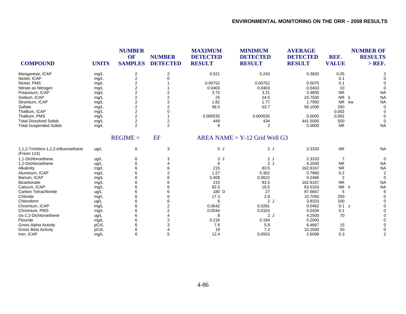| <b>COMPOUND</b>                                      | <b>UNITS</b> | <b>NUMBER</b><br><b>OF</b><br><b>SAMPLES</b> | <b>NUMBER</b><br><b>DETECTED</b> | <b>MAXIMUM</b><br><b>DETECTED</b><br><b>RESULT</b> | <b>MINIMUM</b><br><b>DETECTED</b><br><b>RESULT</b> | <b>AVERAGE</b><br><b>DETECTED</b><br><b>RESULT</b> | REF.<br><b>VALUE</b> | <b>NUMBER OF</b><br><b>RESULTS</b><br>$>$ REF. |
|------------------------------------------------------|--------------|----------------------------------------------|----------------------------------|----------------------------------------------------|----------------------------------------------------|----------------------------------------------------|----------------------|------------------------------------------------|
| Manganese, ICAP                                      | mg/L         | 2                                            | 2                                | 0.521                                              | 0.243                                              | 0.3820                                             | 0.05                 | $\overline{2}$                                 |
| Nickel, ICAP                                         | mg/L         | $\overline{c}$                               | $\Omega$                         |                                                    |                                                    |                                                    | 0.1                  | $\Omega$                                       |
| Nickel, PMS                                          | mg/L         | $\overline{2}$                               |                                  | 0.00752                                            | 0.00752                                            | 0.0075                                             | 0.1                  |                                                |
| Nitrate as Nitrogen                                  | mg/L         | $\overline{2}$                               |                                  | 0.0403                                             | 0.0403                                             | 0.0403                                             | 10                   | $\Omega$                                       |
| Potassium, ICAP                                      | mg/L         | $\overline{2}$                               | 2                                | 3.75                                               | 3.21                                               | 3.4800                                             | <b>NR</b>            | <b>NA</b>                                      |
| Sodium, ICAP                                         | mg/L         | $\overline{c}$                               | $\overline{2}$                   | 25                                                 | 24.5                                               | 24.7500                                            | <b>NR</b>            | k<br><b>NA</b>                                 |
| Strontium, ICAP                                      | mg/L         | 2                                            | 2                                | 1.82                                               | 1.77                                               | 1.7950                                             | <b>NR</b>            | kw<br><b>NA</b>                                |
| Sulfate                                              | mg/L         | 2                                            | $\overline{2}$                   | 58.5                                               | 53.7                                               | 56.1000                                            | 250                  | $\Omega$                                       |
| Thallium, ICAP                                       | mg/L         | $\overline{2}$                               | 0                                |                                                    |                                                    |                                                    | 0.002                | $\Omega$                                       |
| Thallium, PMS                                        | mg/L         | $\overline{2}$                               |                                  | 0.000535                                           | 0.000535                                           | 0.0005                                             | 0.002                | $\Omega$                                       |
| <b>Total Dissolved Solids</b>                        | mg/L         | $\overline{c}$                               | 2                                | 449                                                | 434                                                | 441.5000                                           | 500                  | $\Omega$                                       |
| <b>Total Suspended Solids</b>                        | mg/L         | 2                                            | $\overline{2}$                   | 8                                                  | $\overline{2}$                                     | 5.0000                                             | <b>NR</b>            | <b>NA</b>                                      |
|                                                      |              | $REGIME =$                                   | EF                               |                                                    | $AREA NAME = Y-12$ Grid Well G3                    |                                                    |                      |                                                |
| 1,1,2-Trichloro-1,2,2-trifluoroethane<br>(Freon 113) | ug/L         | 6                                            | 3                                | 5J                                                 | 2J                                                 | 3.3333                                             | <b>NR</b>            | <b>NA</b>                                      |
| 1.1-Dichloroethene                                   | ug/L         | 6                                            | 3                                | 3J                                                 | 2J                                                 | 2.3333                                             | $\overline{7}$       | $\mathbf 0$                                    |
| 1,2-Dichloroethene                                   | ug/L         | 6                                            |                                  | 8                                                  | 2J                                                 | 4.2500                                             | <b>NR</b>            | <b>NA</b>                                      |
| Alkalinity                                           | mg/L         | 6                                            | 6                                | 215                                                | 83.5                                               | 162.9167                                           | <b>NR</b>            | <b>NA</b>                                      |
| Aluminum, ICAP                                       | mg/L         | 6                                            | $\overline{2}$                   | 1.27                                               | 0.302                                              | 0.7860                                             | 0.2                  | $\overline{2}$                                 |
| Barium, ICAP                                         | mg/L         | 6                                            |                                  | 0.409                                              | 0.0622                                             | 0.2466                                             | 2                    | $\Omega$                                       |
| Bicarbonate                                          | mg/L         | 6                                            | 6                                | 215                                                | 83.5                                               | 162.9167                                           | <b>NR</b>            | <b>NA</b>                                      |
| Calcium, ICAP                                        | mg/L         | 6                                            | 6                                | 82.5                                               | 18.5                                               | 63.5333                                            | <b>NR</b>            | <b>NA</b><br>k                                 |
| Carbon Tetrachloride                                 | ug/L         | 6                                            |                                  | 180 D                                              | 27                                                 | 97.6667                                            | 5                    | 6                                              |
| Chloride                                             | mg/L         | 6                                            | 6                                | 17.3                                               | 2.8                                                | 10.7050                                            | 250                  | ∩                                              |
| Chloroform                                           | ug/L         | 6                                            | 6                                | 6                                                  | 2J                                                 | 3.8333                                             | 100                  |                                                |
| Chromium, ICAP                                       | mg/L         | 6                                            | 2                                | 0.0642                                             | 0.0281                                             | 0.0462                                             | 0.1 z                |                                                |
| Chromium, PMS                                        | mg/L         | 6                                            | $\overline{2}$                   | 0.0544                                             | 0.0324                                             | 0.0434                                             | 0.1                  |                                                |
| cis-1,2-Dichloroethene                               | ug/L         | 6                                            |                                  | 8                                                  | 2J                                                 | 4.2500                                             | 70                   |                                                |
| Flouride                                             | mg/L         | 6                                            | 2                                | 0.216                                              | 0.184                                              | 0.2000                                             |                      |                                                |
| <b>Gross Alpha Activity</b>                          | pCi/L        | 6                                            | 3                                | 7.6                                                | 5.9                                                | 6.4667                                             | 15                   |                                                |
| <b>Gross Beta Activity</b>                           | pCi/L        | 6                                            |                                  | 19                                                 | 7.2                                                | 10.2500                                            | 50                   |                                                |
| Iron, ICAP                                           | mg/L         | 6                                            | 5                                | 12.4                                               | 0.0553                                             | 2.6099                                             | 0.3                  | $\overline{2}$                                 |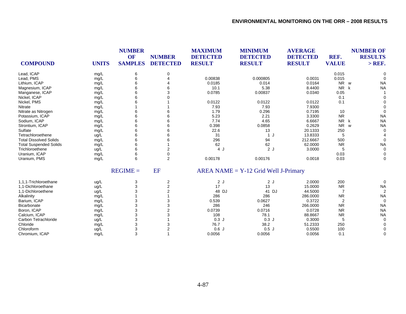| <b>COMPOUND</b>               | <b>UNITS</b> | <b>NUMBER</b><br><b>OF</b><br><b>SAMPLES</b> | <b>NUMBER</b><br><b>DETECTED</b> | <b>MAXIMUM</b><br><b>DETECTED</b><br><b>RESULT</b> | <b>MINIMUM</b><br><b>DETECTED</b><br><b>RESULT</b> | <b>AVERAGE</b><br><b>DETECTED</b><br><b>RESULT</b> | REF.<br><b>VALUE</b>  | <b>NUMBER OF</b><br><b>RESULTS</b><br>$>$ REF. |
|-------------------------------|--------------|----------------------------------------------|----------------------------------|----------------------------------------------------|----------------------------------------------------|----------------------------------------------------|-----------------------|------------------------------------------------|
| Lead, ICAP                    | mg/L         | 6                                            | 0                                |                                                    |                                                    |                                                    | 0.015                 |                                                |
| Lead, PMS                     | mg/L         | 6                                            |                                  | 0.00838                                            | 0.000805                                           | 0.0031                                             | 0.015                 |                                                |
| Lithium, ICAP                 | mg/L         |                                              |                                  | 0.0185                                             | 0.014                                              | 0.0164                                             | <b>NR</b><br><b>W</b> | <b>NA</b>                                      |
| Magnesium, ICAP               | mg/L         | 6                                            |                                  | 10.1                                               | 5.38                                               | 8.4400                                             | <b>NR</b>             | <b>NA</b><br>k                                 |
| Manganese, ICAP               | mg/L         | 6                                            |                                  | 0.0785                                             | 0.00837                                            | 0.0340                                             | 0.05                  |                                                |
| Nickel, ICAP                  | mg/L         | 6                                            |                                  |                                                    |                                                    |                                                    | 0.1                   |                                                |
| Nickel, PMS                   | mg/L         |                                              |                                  | 0.0122                                             | 0.0122                                             | 0.0122                                             | 0.1                   |                                                |
| Nitrate                       | mg/L         |                                              |                                  | 7.93                                               | 7.93                                               | 7.9300                                             |                       |                                                |
| Nitrate as Nitrogen           | mg/L         |                                              |                                  | 1.79                                               | 0.296                                              | 0.7195                                             | 10                    | $\Omega$                                       |
| Potassium, ICAP               | mg/L         |                                              |                                  | 5.23                                               | 2.21                                               | 3.3300                                             | <b>NR</b>             | <b>NA</b>                                      |
| Sodium, ICAP                  | mg/L         | 6                                            |                                  | 7.74                                               | 4.65                                               | 6.6667                                             | <b>NR</b><br>k        | <b>NA</b>                                      |
| Strontium, ICAP               | mg/L         | 6                                            | 6                                | 0.398                                              | 0.0858                                             | 0.2629                                             | <b>NR</b>             | <b>NA</b><br>W                                 |
| Sulfate                       | mg/L         | 6                                            | 6                                | 22.6                                               | 13                                                 | 20.1333                                            | 250                   | $\Omega$                                       |
| Tetrachloroethene             | ug/L         |                                              |                                  | 31                                                 | $\mathbf{1}$<br>IJ                                 | 13.8333                                            | 5                     |                                                |
| <b>Total Dissolved Solids</b> | mg/L         | 6                                            |                                  | 296                                                | 94                                                 | 212.6667                                           | 500                   | $\Omega$                                       |
| <b>Total Suspended Solids</b> | mg/L         |                                              |                                  | 62                                                 | 62                                                 | 62.0000                                            | <b>NR</b>             | <b>NA</b>                                      |
| Trichloroethene               | ug/L         |                                              | 2                                | 4J                                                 | 2J                                                 | 3.0000                                             |                       | $\Omega$                                       |
| Uranium, ICAP                 | mg/L         | 6                                            | 0                                |                                                    |                                                    |                                                    | 0.03                  | $\Omega$                                       |
| Uranium, PMS                  | mg/L         | 6                                            | $\overline{2}$                   | 0.00178                                            | 0.00176                                            | 0.0018                                             | 0.03                  | $\Omega$                                       |
|                               |              | $REGIME =$                                   | EF                               |                                                    | $AREA NAME = Y-12$ Grid Well J-Primary             |                                                    |                       |                                                |
| 1.1.1-Trichloroethane         | ug/L         | 3                                            | $\overline{2}$                   | 2J                                                 | 2J                                                 | 2.0000                                             | 200                   | $\Omega$                                       |
| 1.1-Dichloroethane            | ug/L         | 3                                            | 2                                | 17                                                 | 13                                                 | 15.0000                                            | <b>NR</b>             | <b>NA</b>                                      |
| 1.1-Dichloroethene            | ug/L         | 3                                            | 2                                | 48 DJ                                              | 41 DJ                                              | 44.5000                                            | $\overline{7}$        | $\overline{2}$                                 |
| Alkalinity                    | mg/L         |                                              |                                  | 286                                                | 286                                                | 286.0000                                           | <b>NR</b>             | <b>NA</b>                                      |
| Barium, ICAP                  | mg/L         | 3                                            |                                  | 0.539                                              | 0.0627                                             | 0.3722                                             | $\overline{2}$        | $\Omega$                                       |
| Bicarbonate                   | mg/L         | 3                                            |                                  | 286                                                | 246                                                | 266.0000                                           | <b>NR</b>             | <b>NA</b>                                      |
| Boron, ICAP                   | mg/L         | 3                                            |                                  | 0.0739                                             | 0.0716                                             | 0.0728                                             | <b>NR</b>             | <b>NA</b>                                      |
| Calcium, ICAP                 | mg/L         | 3                                            |                                  | 108                                                | 78.1                                               | 88.8667                                            | <b>NR</b>             | <b>NA</b>                                      |
| Carbon Tetrachloride          | ug/L         | 3                                            |                                  | 0.3J                                               | 0.3J                                               | 0.3000                                             | 5                     | $\Omega$                                       |
| Chloride                      | mg/L         | 3                                            |                                  | 76.7                                               | 38.2                                               | 51.2333                                            | 250                   |                                                |
| Chloroform                    | ug/L         | 3                                            |                                  | 0.6J                                               | 0.5J                                               | 0.5500                                             | 100                   |                                                |
| Chromium, ICAP                | mq/L         | 3                                            |                                  | 0.0056                                             | 0.0056                                             | 0.0056                                             | 0.1                   | $\Omega$                                       |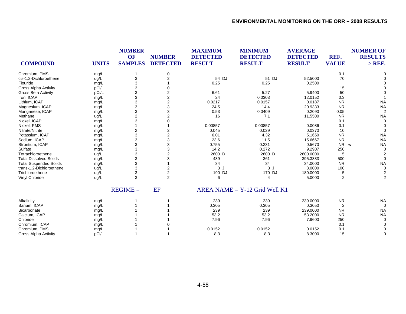| <b>COMPOUND</b>               | <b>UNITS</b> | <b>NUMBER</b><br>OF<br><b>SAMPLES</b> | <b>NUMBER</b><br><b>DETECTED</b> | <b>MAXIMUM</b><br><b>DETECTED</b><br><b>RESULT</b> | <b>MINIMUM</b><br><b>DETECTED</b><br><b>RESULT</b> | <b>AVERAGE</b><br><b>DETECTED</b><br><b>RESULT</b> | REF.<br><b>VALUE</b> | <b>NUMBER OF</b><br><b>RESULTS</b><br>$>$ REF. |
|-------------------------------|--------------|---------------------------------------|----------------------------------|----------------------------------------------------|----------------------------------------------------|----------------------------------------------------|----------------------|------------------------------------------------|
| Chromium, PMS                 | mg/L         |                                       | 0                                |                                                    |                                                    |                                                    | 0.1                  |                                                |
| cis-1,2-Dichloroethene        | ug/L         | 3                                     | $\overline{2}$                   | 54 DJ                                              | 51 DJ                                              | 52.5000                                            | 70                   |                                                |
| Flouride                      | mg/L         | 3                                     |                                  | 0.25                                               | 0.25                                               | 0.2500                                             |                      |                                                |
| <b>Gross Alpha Activity</b>   | pCi/L        | 3                                     |                                  |                                                    |                                                    |                                                    | 15                   |                                                |
| <b>Gross Beta Activity</b>    | pCi/L        | 3                                     | 2                                | 6.61                                               | 5.27                                               | 5.9400                                             | 50                   |                                                |
| Iron, ICAP                    | mg/L         | 3                                     | 2                                | 24                                                 | 0.0303                                             | 12.0152                                            | 0.3                  |                                                |
| Lithium, ICAP                 | mg/L         | 3                                     | 2                                | 0.0217                                             | 0.0157                                             | 0.0187                                             | <b>NR</b>            | <b>NA</b>                                      |
| Magnesium, ICAP               | mg/L         | 3                                     | 3                                | 24.5                                               | 14.4                                               | 20.9333                                            | <b>NR</b>            | <b>NA</b>                                      |
| Manganese, ICAP               | mg/L         | 3                                     | 3                                | 0.53                                               | 0.0409                                             | 0.2090                                             | 0.05                 |                                                |
| Methane                       | ug/L         | $\overline{2}$                        | $\overline{2}$                   | 16                                                 | 7.1                                                | 11.5500                                            | <b>NR</b>            | <b>NA</b>                                      |
| Nickel, ICAP                  | mg/L         | 3                                     | 0                                |                                                    |                                                    |                                                    | 0.1                  | $\Omega$                                       |
| Nickel, PMS                   | mg/L         |                                       |                                  | 0.00857                                            | 0.00857                                            | 0.0086                                             | 0.1                  |                                                |
| Nitrate/Nitrite               | mg/L         | 2                                     | 2                                | 0.045                                              | 0.029                                              | 0.0370                                             | 10                   | $\Omega$                                       |
| Potassium, ICAP               | mg/L         | 3                                     | 2                                | 6.01                                               | 4.32                                               | 5.1650                                             | <b>NR</b>            | <b>NA</b>                                      |
| Sodium, ICAP                  | mg/L         | 3                                     | 3                                | 23.6                                               | 11.5                                               | 15.6667                                            | <b>NR</b>            | <b>NA</b>                                      |
| Strontium, ICAP               | mg/L         | 3                                     | 3                                | 0.755                                              | 0.231                                              | 0.5670                                             | <b>NR</b>            | <b>NA</b><br>W                                 |
| Sulfate                       | mg/L         | 3                                     | 3                                | 14.2                                               | 0.272                                              | 9.2907                                             | 250                  | $\Omega$                                       |
| Tetrachloroethene             | ug/L         | 3                                     | 2                                | 2600 D                                             | 2600 D                                             | 2600.0000                                          | 5                    |                                                |
| <b>Total Dissolved Solids</b> | mg/L         | 3                                     | 3                                | 439                                                | 361                                                | 395.3333                                           | 500                  | $\Omega$                                       |
| <b>Total Suspended Solids</b> | mg/L         | 3                                     |                                  | 34                                                 | 34                                                 | 34.0000                                            | <b>NR</b>            | <b>NA</b>                                      |
| trans-1,2-Dichloroethene      | ug/L         | 3                                     | 2                                | 3J                                                 | 3J                                                 | 3.0000                                             | 100                  | $\Omega$                                       |
| Trichloroethene               | ug/L         | 3                                     | $\overline{c}$                   | 190 DJ                                             | 170 DJ                                             | 180.0000                                           | 5                    |                                                |
| Vinyl Chloride                | ug/L         | 3                                     | $\overline{2}$                   | 6                                                  | 4                                                  | 5.0000                                             | 2                    | 2                                              |
|                               |              | $REGIME =$                            | <b>EF</b>                        |                                                    | $AREA NAME = Y-12$ Grid Well K1                    |                                                    |                      |                                                |
| Alkalinity                    | mg/L         |                                       |                                  | 239                                                | 239                                                | 239.0000                                           | <b>NR</b>            | <b>NA</b>                                      |
| Barium, ICAP                  | mg/L         |                                       |                                  | 0.305                                              | 0.305                                              | 0.3050                                             | 2                    | $\Omega$                                       |
| Bicarbonate                   | mg/L         |                                       |                                  | 239                                                | 239                                                | 239.0000                                           | <b>NR</b>            | <b>NA</b>                                      |
| Calcium, ICAP                 | mg/L         |                                       |                                  | 53.2                                               | 53.2                                               | 53.2000                                            | <b>NR</b>            | <b>NA</b>                                      |
| Chloride                      | mg/L         |                                       |                                  | 7.96                                               | 7.96                                               | 7.9600                                             | 250                  | $\Omega$                                       |
| Chromium, ICAP                | mg/L         |                                       |                                  |                                                    |                                                    |                                                    | 0.1                  |                                                |
| Chromium, PMS                 | mg/L         |                                       |                                  | 0.0152                                             | 0.0152                                             | 0.0152                                             | 0.1                  |                                                |
| <b>Gross Alpha Activity</b>   | pCi/L        |                                       |                                  | 8.3                                                | 8.3                                                | 8.3000                                             | 15                   | $\Omega$                                       |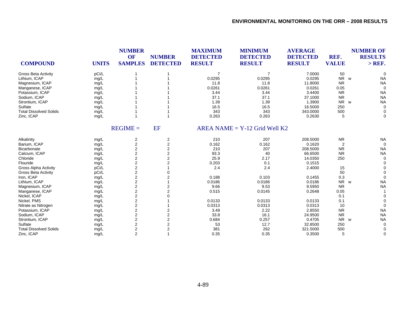| <b>COMPOUND</b>               | <b>UNITS</b> | <b>NUMBER</b><br>OF<br><b>SAMPLES</b> | <b>NUMBER</b><br><b>DETECTED</b> | <b>MAXIMUM</b><br><b>DETECTED</b><br><b>RESULT</b> | <b>MINIMUM</b><br><b>DETECTED</b><br><b>RESULT</b> | <b>AVERAGE</b><br><b>DETECTED</b><br><b>RESULT</b> | REF.<br><b>VALUE</b>       | <b>NUMBER OF</b><br><b>RESULTS</b><br>$>$ REF. |
|-------------------------------|--------------|---------------------------------------|----------------------------------|----------------------------------------------------|----------------------------------------------------|----------------------------------------------------|----------------------------|------------------------------------------------|
| <b>Gross Beta Activity</b>    | pCi/L        |                                       |                                  | $\overline{7}$                                     | $\overline{7}$                                     | 7.0000                                             | 50                         | $\Omega$                                       |
| Lithium, ICAP                 | mg/L         |                                       |                                  | 0.0295                                             | 0.0295                                             | 0.0295                                             | <b>NR</b><br><b>W</b>      | <b>NA</b>                                      |
| Magnesium, ICAP               | mg/L         |                                       |                                  | 11.8                                               | 11.8                                               | 11.8000                                            | <b>NR</b>                  | <b>NA</b>                                      |
| Manganese, ICAP               | mg/L         |                                       |                                  | 0.0261                                             | 0.0261                                             | 0.0261                                             | 0.05                       | $\Omega$                                       |
| Potassium, ICAP               | mg/L         |                                       |                                  | 3.44                                               | 3.44                                               | 3.4400                                             | <b>NR</b>                  | <b>NA</b>                                      |
| Sodium, ICAP                  | mg/L         |                                       |                                  | 37.1                                               | 37.1                                               | 37.1000                                            | <b>NR</b>                  | <b>NA</b>                                      |
| Strontium, ICAP               | mg/L         |                                       |                                  | 1.39                                               | 1.39                                               | 1.3900                                             | <b>NR</b><br><b>W</b>      | <b>NA</b>                                      |
| Sulfate                       | mg/L         |                                       |                                  | 16.5                                               | 16.5                                               | 16.5000                                            | 250                        | $\Omega$                                       |
| <b>Total Dissolved Solids</b> | mg/L         |                                       |                                  | 343                                                | 343                                                | 343.0000                                           | 500                        | 0                                              |
| Zinc, ICAP                    | mg/L         |                                       |                                  | 0.263                                              | 0.263                                              | 0.2630                                             | 5                          | $\Omega$                                       |
|                               |              | $REGIME =$                            | EF                               |                                                    | $AREA NAME = Y-12$ Grid Well K2                    |                                                    |                            |                                                |
| Alkalinity                    | mg/L         | $\overline{\mathbf{c}}$               | $\overline{\mathbf{c}}$          | 210                                                | 207                                                | 208.5000                                           | <b>NR</b>                  | <b>NA</b>                                      |
| Barium, ICAP                  | mg/L         | $\overline{2}$                        | 2                                | 0.162                                              | 0.162                                              | 0.1620                                             | $\overline{2}$             | $\Omega$                                       |
| Bicarbonate                   | mg/L         | $\overline{2}$                        | 2                                | 210                                                | 207                                                | 208.5000                                           | <b>NR</b>                  | <b>NA</b>                                      |
| Calcium, ICAP                 | mg/L         | $\overline{c}$                        | $\overline{2}$                   | 93.3                                               | 40                                                 | 66.6500                                            | <b>NR</b>                  | <b>NA</b>                                      |
| Chloride                      | mg/L         | $\overline{2}$                        | 2                                | 25.9                                               | 2.17                                               | 14.0350                                            | 250                        | $\Omega$                                       |
| Flouride                      | mg/L         | $\overline{2}$                        | 2                                | 0.203                                              | 0.1                                                | 0.1515                                             |                            |                                                |
| <b>Gross Alpha Activity</b>   | pCi/L        | $\overline{\mathbf{c}}$               |                                  | 2.4                                                | 2.4                                                | 2.4000                                             | 15                         |                                                |
| Gross Beta Activity           | pCi/L        | 2                                     |                                  |                                                    |                                                    |                                                    | 50                         |                                                |
| Iron, ICAP                    | mg/L         | $\overline{\mathbf{c}}$               |                                  | 0.188                                              | 0.103                                              | 0.1455                                             | 0.3                        | $\Omega$                                       |
| Lithium, ICAP                 | mg/L         | $\overline{2}$                        |                                  | 0.0186                                             | 0.0186                                             | 0.0186                                             | N <sub>R</sub><br><b>W</b> | <b>NA</b>                                      |
| Magnesium, ICAP               | mg/L         | $\overline{c}$                        | 2                                | 9.66                                               | 9.53                                               | 9.5950                                             | <b>NR</b>                  | <b>NA</b>                                      |
| Manganese, ICAP               | mg/L         | $\overline{c}$                        | 2                                | 0.515                                              | 0.0145                                             | 0.2648                                             | 0.05                       |                                                |
| Nickel, ICAP                  | mg/L         | $\overline{2}$                        |                                  |                                                    |                                                    |                                                    | 0.1                        |                                                |
| Nickel, PMS                   | mg/L         | 2                                     |                                  | 0.0133                                             | 0.0133                                             | 0.0133                                             | 0.1                        |                                                |
| Nitrate as Nitrogen           | mg/L         | 2                                     |                                  | 0.0313                                             | 0.0313                                             | 0.0313                                             | 10                         | $\Omega$                                       |
| Potassium, ICAP               | mg/L         | $\overline{2}$                        | 2                                | 3.49                                               | 2.22                                               | 2.8550                                             | <b>NR</b>                  | <b>NA</b>                                      |
| Sodium, ICAP                  | mg/L         | $\overline{c}$                        | 2                                | 33.8                                               | 16.1                                               | 24.9500                                            | <b>NR</b>                  | <b>NA</b>                                      |
| Strontium, ICAP               | mg/L         | $\overline{2}$                        | 2                                | 0.684                                              | 0.257                                              | 0.4705                                             | <b>NR</b><br>W             | <b>NA</b>                                      |
| Sulfate                       | mg/L         | $\overline{c}$                        | 2                                | 53                                                 | 12.7                                               | 32.8500                                            | 250                        | $\Omega$                                       |
| <b>Total Dissolved Solids</b> | mg/L         | $\overline{2}$                        | 2                                | 381                                                | 262                                                | 321.5000                                           | 500                        |                                                |
| Zinc, ICAP                    | mg/L         | 2                                     |                                  | 0.35                                               | 0.35                                               | 0.3500                                             | 5                          | $\Omega$                                       |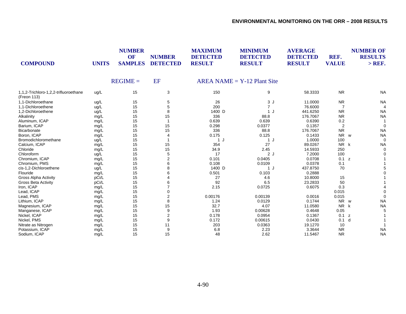| <b>COMPOUND</b>                                      | <b>UNITS</b> | <b>NUMBER</b><br>OF<br><b>SAMPLES</b> | <b>NUMBER</b><br><b>DETECTED</b> | <b>MAXIMUM</b><br><b>DETECTED</b><br><b>RESULT</b> | <b>MINIMUM</b><br><b>DETECTED</b><br><b>RESULT</b> | <b>AVERAGE</b><br><b>DETECTED</b><br><b>RESULT</b> | REF.<br><b>VALUE</b> | <b>NUMBER OF</b><br><b>RESULTS</b><br>$>$ REF. |
|------------------------------------------------------|--------------|---------------------------------------|----------------------------------|----------------------------------------------------|----------------------------------------------------|----------------------------------------------------|----------------------|------------------------------------------------|
|                                                      |              | $REGIME =$                            | EF                               |                                                    | $AREA NAME = Y-12 Plant Site$                      |                                                    |                      |                                                |
| 1,1,2-Trichloro-1,2,2-trifluoroethane<br>(Freon 113) | ug/L         | 15                                    | 3                                | 150                                                | 9                                                  | 58.3333                                            | <b>NR</b>            | <b>NA</b>                                      |
| 1.1-Dichloroethane                                   | ug/L         | 15                                    | 5                                | 26                                                 | 3J                                                 | 11.0000                                            | <b>NR</b>            | <b>NA</b>                                      |
| 1.1-Dichloroethene                                   | ug/L         | 15                                    | 5                                | 200                                                | $\overline{7}$                                     | 76.6000                                            | 7                    |                                                |
| 1,2-Dichloroethene                                   | ug/L         | 15                                    | 8                                | 1400 D                                             | 1J                                                 | 441.6250                                           | <b>NR</b>            | <b>NA</b>                                      |
| Alkalinity                                           | mg/L         | 15                                    | 15                               | 336                                                | 88.8                                               | 176.7067                                           | <b>NR</b>            | <b>NA</b>                                      |
| Aluminum, ICAP                                       | mg/L         | 15                                    |                                  | 0.639                                              | 0.639                                              | 0.6390                                             | 0.2                  |                                                |
| Barium, ICAP                                         | mg/L         | 15                                    | 15                               | 0.298                                              | 0.0377                                             | 0.1357                                             | $\overline{2}$       | $\Omega$                                       |
| Bicarbonate                                          | mg/L         | 15                                    | 15                               | 336                                                | 88.8                                               | 176.7067                                           | <b>NR</b>            | <b>NA</b>                                      |
| Boron, ICAP                                          | mg/L         | 15                                    |                                  | 0.175                                              | 0.125                                              | 0.1433                                             | <b>NR</b>            | <b>NA</b><br>W                                 |
| Bromodichloromethane                                 | ug/L         | 15                                    |                                  | 1<br>J                                             | 1J                                                 | 1.0000                                             | 100                  | $\Omega$                                       |
| Calcium, ICAP                                        | mg/L         | 15                                    | 15                               | 354                                                | 27                                                 | 89.0267                                            | N <sub>R</sub>       | <b>NA</b><br>k                                 |
| Chloride                                             | mg/L         | 15                                    | 15                               | 34.9                                               | 2.45                                               | 14.5933                                            | 250                  |                                                |
| Chloroform                                           | ug/L         | 15                                    | 5                                | 17                                                 | 2J                                                 | 7.2000                                             | 100                  |                                                |
| Chromium, ICAP                                       | mg/L         | 15                                    | 2                                | 0.101                                              | 0.0405                                             | 0.0708                                             | 0.1 z                |                                                |
| Chromium, PMS                                        | mg/L         | 15                                    | 6                                | 0.108                                              | 0.0109                                             | 0.0378                                             | 0.1                  |                                                |
| cis-1,2-Dichloroethene                               | ug/L         | 15                                    | 8                                | 1400 D                                             | 1J                                                 | 437.8750                                           | 70                   |                                                |
| Flouride                                             | mg/L         | 15                                    |                                  | 0.501                                              | 0.103                                              | 0.2888                                             |                      |                                                |
| <b>Gross Alpha Activity</b>                          | pCi/L        | 15                                    |                                  | 27                                                 | 4.6                                                | 10.8000                                            | 15                   |                                                |
| <b>Gross Beta Activity</b>                           | pCi/L        | 15                                    |                                  | 92                                                 | 6.5                                                | 23.2833                                            | 50                   |                                                |
| Iron, ICAP                                           | mg/L         | 15                                    |                                  | 2.15                                               | 0.0725                                             | 0.6075                                             | 0.3                  |                                                |
| Lead, ICAP                                           | mg/L         | 15                                    | 0                                |                                                    |                                                    |                                                    | 0.015                |                                                |
| Lead, PMS                                            | mg/L         | 15                                    | $\overline{2}$                   | 0.00176                                            | 0.00139                                            | 0.0016                                             | 0.015                |                                                |
| Lithium, ICAP                                        | mg/L         | 15                                    | 8                                | 1.24                                               | 0.0129                                             | 0.1744                                             | <b>NR</b>            | <b>NA</b><br>W                                 |
| Magnesium, ICAP                                      | mg/L         | 15                                    | 15                               | 32.7                                               | 4.07                                               | 11.0580                                            | <b>NR</b>            | <b>NA</b><br>k                                 |
| Manganese, ICAP                                      | mg/L         | 15                                    | 9                                | 1.93                                               | 0.00628                                            | 0.4648                                             | 0.05                 |                                                |
| Nickel, ICAP                                         | mg/L         | 15                                    | $\overline{2}$                   | 0.178                                              | 0.0954                                             | 0.1367                                             | 0.1                  | z                                              |
| Nickel, PMS                                          | mg/L         | 15                                    | 9                                | 0.172                                              | 0.00615                                            | 0.0430                                             | 0.1                  | d                                              |
| Nitrate as Nitrogen                                  | mg/L         | 15                                    | 11                               | 203                                                | 0.0363                                             | 19.1270                                            | 10                   |                                                |
| Potassium, ICAP                                      | mg/L         | 15                                    | 9                                | 6.8                                                | 2.23                                               | 3.3644                                             | <b>NR</b>            | <b>NA</b>                                      |
| Sodium, ICAP                                         | mq/L         | 15                                    | 15                               | 48                                                 | 2.62                                               | 11.5467                                            | <b>NR</b>            | <b>NA</b>                                      |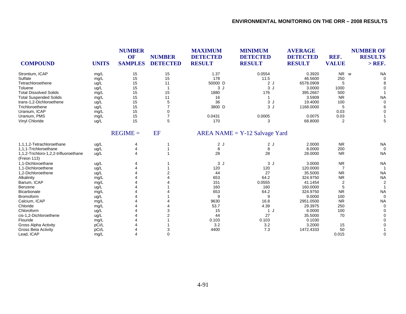| <b>COMPOUND</b>                                      | <b>UNITS</b> | <b>NUMBER</b><br>OF<br><b>SAMPLES</b> | <b>NUMBER</b><br><b>DETECTED</b> | <b>MAXIMUM</b><br><b>DETECTED</b><br><b>RESULT</b> | <b>MINIMUM</b><br><b>DETECTED</b><br><b>RESULT</b> | <b>AVERAGE</b><br><b>DETECTED</b><br><b>RESULT</b> | REF.<br><b>VALUE</b> | <b>NUMBER OF</b><br><b>RESULTS</b><br>$>$ REF. |
|------------------------------------------------------|--------------|---------------------------------------|----------------------------------|----------------------------------------------------|----------------------------------------------------|----------------------------------------------------|----------------------|------------------------------------------------|
| Strontium, ICAP                                      | mg/L         | 15                                    | 15                               | 1.37                                               | 0.0554                                             | 0.3920                                             | <b>NR</b>            | <b>NA</b><br>W                                 |
| Sulfate                                              | mg/L         | 15                                    | 15                               | 178                                                | 11.5                                               | 46.5600                                            | 250                  |                                                |
| Tetrachloroethene                                    | ug/L         | 15                                    | 11                               | 50000 D                                            | 2J                                                 | 6578.0909                                          | 5                    |                                                |
| Toluene                                              | ug/L         | 15                                    |                                  | 3J                                                 | 3J                                                 | 3.0000                                             | 1000                 |                                                |
| <b>Total Dissolved Solids</b>                        | mg/L         | 15                                    | 15                               | 1880                                               | 176                                                | 395.2667                                           | 500                  |                                                |
| <b>Total Suspended Solids</b>                        | mg/L         | 15                                    | 11                               | 16                                                 |                                                    | 3.5909                                             | <b>NR</b>            | <b>NA</b>                                      |
| trans-1,2-Dichloroethene                             | ug/L         | 15                                    | 5                                | 36                                                 | 3J                                                 | 19.4000                                            | 100                  |                                                |
| Trichloroethene                                      | ug/L         | 15                                    | $\overline{7}$                   | 3800 D                                             | 3J                                                 | 1168.0000                                          | 5                    |                                                |
| Uranium, ICAP                                        | mg/L         | 15                                    | 0                                |                                                    |                                                    |                                                    | 0.03                 |                                                |
| Uranium, PMS                                         | mg/L         | 15                                    | $\overline{7}$                   | 0.0431                                             | 0.0005                                             | 0.0075                                             | 0.03                 |                                                |
| Vinyl Chloride                                       | ug/L         | 15                                    | 5                                | 170                                                | 3                                                  | 68.8000                                            | 2                    |                                                |
|                                                      |              | $REGIME =$                            | <b>EF</b>                        |                                                    | $AREA NAME = Y-12$ Salvage Yard                    |                                                    |                      |                                                |
| 1,1,1,2-Tetrachloroethane                            | ug/L         | 4                                     |                                  | 2J                                                 | 2J                                                 | 2.0000                                             | <b>NR</b>            | <b>NA</b>                                      |
| 1,1,1-Trichloroethane                                | ug/L         |                                       |                                  | 8                                                  | 8                                                  | 8.0000                                             | 200                  | $\Omega$                                       |
| 1,1,2-Trichloro-1,2,2-trifluoroethane<br>(Freon 113) | ug/L         |                                       |                                  | 28                                                 | 28                                                 | 28.0000                                            | <b>NR</b>            | <b>NA</b>                                      |
| 1,1-Dichloroethane                                   | ug/L         |                                       |                                  | 3J                                                 | 3J                                                 | 3.0000                                             | <b>NR</b>            | <b>NA</b>                                      |
| 1.1-Dichloroethene                                   | ug/L         |                                       |                                  | 120                                                | 120                                                | 120.0000                                           | 7                    |                                                |
| 1,2-Dichloroethene                                   | ug/L         |                                       |                                  | 44                                                 | 27                                                 | 35.5000                                            | <b>NR</b>            | <b>NA</b>                                      |
| Alkalinity                                           | mg/L         |                                       |                                  | 653                                                | 64.2                                               | 324.9750                                           | <b>NR</b>            | <b>NA</b>                                      |
| Barium, ICAP                                         | mg/L         |                                       |                                  | 151                                                | 0.0555                                             | 41.1454                                            | $\overline{2}$       |                                                |
| Benzene                                              | ug/L         |                                       |                                  | 160                                                | 160                                                | 160,0000                                           | 5                    |                                                |
| <b>Bicarbonate</b>                                   | mg/L         |                                       |                                  | 653                                                | 64.2                                               | 324.9750                                           | <b>NR</b>            | <b>NA</b>                                      |
| Bromoform                                            | ug/L         |                                       |                                  | 9                                                  | 9                                                  | 9.0000                                             | 100                  | $\Omega$                                       |
| Calcium, ICAP                                        | mg/L         |                                       |                                  | 9630                                               | 16.8                                               | 2951.0500                                          | <b>NR</b>            | <b>NA</b>                                      |
| Chloride                                             | mg/L         |                                       |                                  | 53.7                                               | 4.39                                               | 29.3975                                            | 250                  |                                                |
| Chloroform                                           | ug/L         |                                       |                                  | 15                                                 | 1 J                                                | 6.0000                                             | 100                  |                                                |
| cis-1,2-Dichloroethene                               | ug/L         |                                       |                                  | 44                                                 | 27                                                 | 35.5000                                            | 70                   |                                                |
| Flouride                                             | mg/L         |                                       |                                  | 0.103                                              | 0.103                                              | 0.1030                                             |                      |                                                |
| <b>Gross Alpha Activity</b>                          | pCi/L        |                                       |                                  | 3.2                                                | 3.2                                                | 3.2000                                             | 15                   |                                                |
| <b>Gross Beta Activity</b>                           | pCi/L        |                                       |                                  | 4400                                               | 7.3                                                | 1472.4333                                          | 50                   |                                                |
| Lead, ICAP                                           | mg/L         |                                       | 0                                |                                                    |                                                    |                                                    | 0.015                |                                                |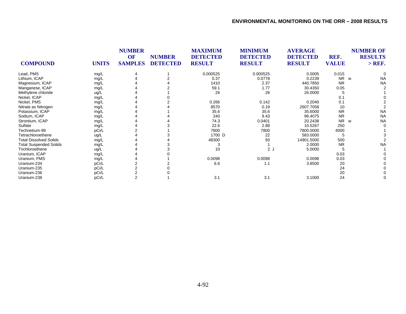|                               |              | <b>NUMBER</b>  |                                  | <b>MAXIMUM</b><br><b>DETECTED</b><br><b>RESULT</b> | <b>MINIMUM</b><br><b>DETECTED</b><br><b>RESULT</b> | <b>AVERAGE</b><br><b>DETECTED</b><br><b>RESULT</b> |                      | <b>NUMBER OF</b> |  |
|-------------------------------|--------------|----------------|----------------------------------|----------------------------------------------------|----------------------------------------------------|----------------------------------------------------|----------------------|------------------|--|
| <b>COMPOUND</b>               |              | <b>OF</b>      | <b>NUMBER</b><br><b>DETECTED</b> |                                                    |                                                    |                                                    | REF.<br><b>VALUE</b> | <b>RESULTS</b>   |  |
|                               | <b>UNITS</b> | <b>SAMPLES</b> |                                  |                                                    |                                                    |                                                    |                      | $>$ REF.         |  |
| Lead, PMS                     | mg/L         |                |                                  | 0.000525                                           | 0.000525                                           | 0.0005                                             | 0.015                |                  |  |
| Lithium, ICAP                 | mg/L         |                |                                  | 0.37                                               | 0.0778                                             | 0.2239                                             | <b>NR</b>            | <b>NA</b><br>W   |  |
| Magnesium, ICAP               | mg/L         |                |                                  | 1410                                               | 2.37                                               | 440.7850                                           | <b>NR</b>            | <b>NA</b>        |  |
| Manganese, ICAP               | mg/L         |                |                                  | 59.1                                               | 1.77                                               | 30.4350                                            | 0.05                 |                  |  |
| Methylene chloride            | ug/L         |                |                                  | 26                                                 | 26                                                 | 26.0000                                            |                      |                  |  |
| Nickel, ICAP                  | mg/L         |                |                                  |                                                    |                                                    |                                                    | 0.1                  |                  |  |
| Nickel, PMS                   | mg/L         |                |                                  | 0.266                                              | 0.142                                              | 0.2040                                             | 0.1                  |                  |  |
| Nitrate as Nitrogen           | mg/L         |                |                                  | 8570                                               | 0.19                                               | 2607.7058                                          | 10                   |                  |  |
| Potassium, ICAP               | mg/L         |                |                                  | 35.6                                               | 35.6                                               | 35.6000                                            | <b>NR</b>            | <b>NA</b>        |  |
| Sodium, ICAP                  | mg/L         |                |                                  | 240                                                | 9.43                                               | 96.4075                                            | <b>NR</b>            | <b>NA</b>        |  |
| Strontium, ICAP               | mg/L         |                |                                  | 74.3                                               | 0.0401                                             | 20.2438                                            | <b>NR</b>            | <b>NA</b><br>W   |  |
| Sulfate                       | mg/L         |                |                                  | 22.6                                               | 2.88                                               | 10.5267                                            | 250                  |                  |  |
| Technetium-99                 | pCi/L        |                |                                  | 7800                                               | 7800                                               | 7800.0000                                          | 4000                 |                  |  |
| Tetrachloroethene             | ug/L         |                |                                  | 1700 D                                             | 22                                                 | 583.0000                                           |                      |                  |  |
| <b>Total Dissolved Solids</b> | mg/L         |                |                                  | 48300                                              | 93                                                 | 14901.5000                                         | 500                  |                  |  |
| <b>Total Suspended Solids</b> | mg/L         |                |                                  | 3                                                  |                                                    | 2.0000                                             | <b>NR</b>            | <b>NA</b>        |  |
| Trichloroethene               | ug/L         |                |                                  | 10                                                 | 2J                                                 | 5.0000                                             |                      |                  |  |
| Uranium, ICAP                 | mg/L         |                |                                  |                                                    |                                                    |                                                    | 0.03                 |                  |  |
| Uranium, PMS                  | mg/L         |                |                                  | 0.0098                                             | 0.0098                                             | 0.0098                                             | 0.03                 |                  |  |
| Uranium-234                   | pCi/L        |                |                                  | 6.6                                                | 1.1                                                | 3.8500                                             | 20                   |                  |  |
| Uranium-235                   | pCi/L        |                |                                  |                                                    |                                                    |                                                    | 24                   |                  |  |
| Uranium-236                   | pCi/L        |                |                                  |                                                    |                                                    |                                                    | 20                   |                  |  |
| Uranium-238                   | pCi/L        | $\overline{2}$ |                                  | 3.1                                                | 3.1                                                | 3.1000                                             | 24                   |                  |  |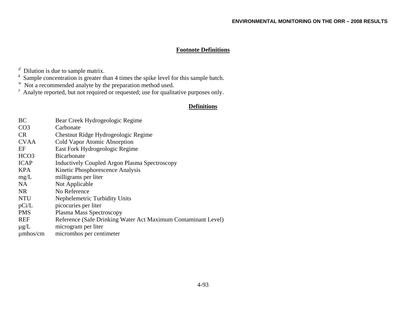# **Footnote Definitions**

*<sup>d</sup>* Dilution is due to sample matrix.

*<sup>k</sup>* Sample concentration is greater than 4 times the spike level for this sample batch.

*w* Not a recommended analyte by the preparation method used.

*<sup>z</sup>* Analyte reported, but not required or requested; use for qualitative purposes only.

## **Definitions**

| BC               | Bear Creek Hydrogeologic Regime                               |
|------------------|---------------------------------------------------------------|
| CO <sub>3</sub>  | Carbonate                                                     |
| <b>CR</b>        | Chestnut Ridge Hydrogeologic Regime                           |
| <b>CVAA</b>      | Cold Vapor Atomic Absorption                                  |
| EF               | East Fork Hydrogeologic Regime                                |
| HCO <sub>3</sub> | <b>Bicarbonate</b>                                            |
| <b>ICAP</b>      | <b>Inductively Coupled Argon Plasma Spectroscopy</b>          |
| <b>KPA</b>       | Kinetic Phosphorescence Analysis                              |
| mg/L             | milligrams per liter                                          |
| <b>NA</b>        | Not Applicable                                                |
| <b>NR</b>        | No Reference                                                  |
| <b>NTU</b>       | Nephelemetric Turbidity Units                                 |
| pCi/L            | picocuries per liter                                          |
| <b>PMS</b>       | Plasma Mass Spectroscopy                                      |
| <b>REF</b>       | Reference (Safe Drinking Water Act Maximum Contaminant Level) |
| $\mu$ g/L        | microgram per liter                                           |
| $\mu$ mhos/cm    | micromhos per centimeter                                      |